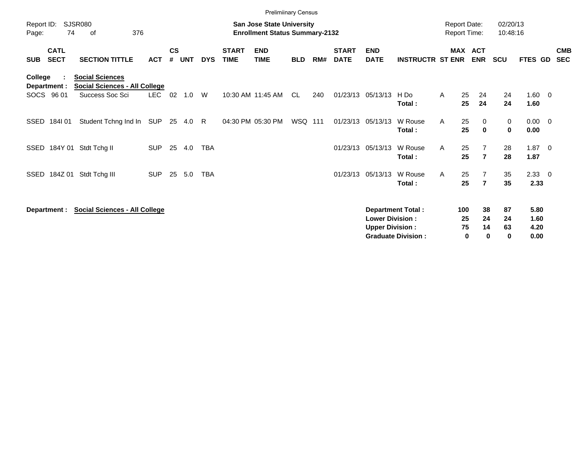|                     |                            |                                                                |            |                    |            |            |                             | <b>Prelimiinary Census</b>                                                |            |     |                             |                           |                           |   |                                            |                          |                      |                     |                          |
|---------------------|----------------------------|----------------------------------------------------------------|------------|--------------------|------------|------------|-----------------------------|---------------------------------------------------------------------------|------------|-----|-----------------------------|---------------------------|---------------------------|---|--------------------------------------------|--------------------------|----------------------|---------------------|--------------------------|
| Report ID:<br>Page: | 74                         | <b>SJSR080</b><br>376<br>οf                                    |            |                    |            |            |                             | <b>San Jose State University</b><br><b>Enrollment Status Summary-2132</b> |            |     |                             |                           |                           |   | <b>Report Date:</b><br><b>Report Time:</b> |                          | 02/20/13<br>10:48:16 |                     |                          |
| <b>SUB</b>          | <b>CATL</b><br><b>SECT</b> | <b>SECTION TITTLE</b>                                          | <b>ACT</b> | $\mathsf{cs}$<br># | <b>UNT</b> | <b>DYS</b> | <b>START</b><br><b>TIME</b> | <b>END</b><br><b>TIME</b>                                                 | <b>BLD</b> | RM# | <b>START</b><br><b>DATE</b> | <b>END</b><br><b>DATE</b> | <b>INSTRUCTR ST ENR</b>   |   | <b>MAX</b>                                 | <b>ACT</b><br><b>ENR</b> | <b>SCU</b>           | FTES GD             | <b>CMB</b><br><b>SEC</b> |
| College             | Department :               | <b>Social Sciences</b><br><b>Social Sciences - All College</b> |            |                    |            |            |                             |                                                                           |            |     |                             |                           |                           |   |                                            |                          |                      |                     |                          |
|                     | SOCS 96 01                 | Success Soc Sci                                                | <b>LEC</b> | 02                 | 1.0        | W          |                             | 10:30 AM 11:45 AM                                                         | CL         | 240 | 01/23/13                    | 05/13/13                  | H Do<br>Total:            | A | 25<br>25                                   | 24<br>24                 | 24<br>24             | $1.60 \t 0$<br>1.60 |                          |
| SSED                | 184101                     | Student Tchng Ind In                                           | SUP        |                    | 25 4.0     | R          |                             | 04:30 PM 05:30 PM                                                         | WSQ 111    |     | 01/23/13                    | 05/13/13                  | W Rouse<br>Total:         | A | 25<br>25                                   | 0<br>$\mathbf 0$         | 0<br>0               | $0.00 \t 0$<br>0.00 |                          |
|                     |                            | SSED 184Y 01 Stdt Tchg II                                      | <b>SUP</b> | 25                 | 4.0        | <b>TBA</b> |                             |                                                                           |            |     |                             | 01/23/13 05/13/13         | W Rouse<br>Total:         | A | 25<br>25                                   | $\overline{7}$           | 28<br>28             | $1.87 \t 0$<br>1.87 |                          |
| SSED                | 184Z 01                    | Stdt Tchg III                                                  | <b>SUP</b> | 25                 | 5.0        | <b>TBA</b> |                             |                                                                           |            |     | 01/23/13 05/13/13           |                           | W Rouse<br>Total:         | A | 25<br>25                                   | $\overline{7}$           | 35<br>35             | $2.33 \t 0$<br>2.33 |                          |
|                     | Department :               | <b>Social Sciences - All College</b>                           |            |                    |            |            |                             |                                                                           |            |     |                             | <b>Lower Division:</b>    | <b>Department Total:</b>  |   | 100<br>25                                  | 38<br>24                 | 87<br>24             | 5.80<br>1.60        |                          |
|                     |                            |                                                                |            |                    |            |            |                             |                                                                           |            |     |                             | <b>Upper Division:</b>    | <b>Graduate Division:</b> |   | 75<br>$\mathbf 0$                          | 14<br>0                  | 63<br>$\mathbf 0$    | 4.20<br>0.00        |                          |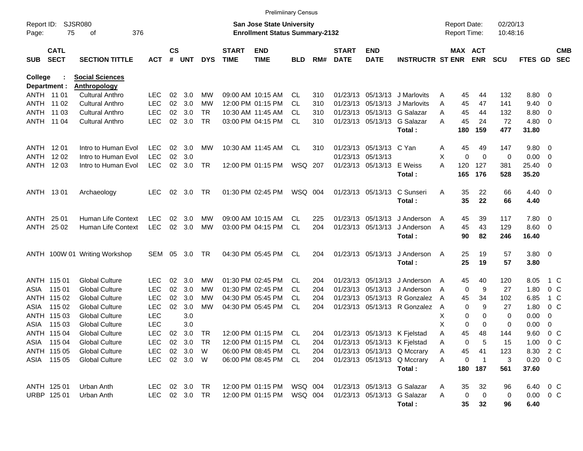|                |                            |                               |                    |                    |            |            |                             | <b>Prelimiinary Census</b>            |            |     |                             |                           |                               |        |                     |              |            |                |                          |                          |
|----------------|----------------------------|-------------------------------|--------------------|--------------------|------------|------------|-----------------------------|---------------------------------------|------------|-----|-----------------------------|---------------------------|-------------------------------|--------|---------------------|--------------|------------|----------------|--------------------------|--------------------------|
| Report ID:     |                            | SJSR080                       |                    |                    |            |            |                             | San Jose State University             |            |     |                             |                           |                               |        | <b>Report Date:</b> |              | 02/20/13   |                |                          |                          |
| Page:          | 75                         | 376<br>οf                     |                    |                    |            |            |                             | <b>Enrollment Status Summary-2132</b> |            |     |                             |                           |                               |        | <b>Report Time:</b> |              | 10:48:16   |                |                          |                          |
|                |                            |                               |                    |                    |            |            |                             |                                       |            |     |                             |                           |                               |        |                     |              |            |                |                          |                          |
| SUB            | <b>CATL</b><br><b>SECT</b> | <b>SECTION TITTLE</b>         | <b>ACT</b>         | $\mathsf{cs}$<br># | <b>UNT</b> | <b>DYS</b> | <b>START</b><br><b>TIME</b> | <b>END</b><br><b>TIME</b>             | <b>BLD</b> | RM# | <b>START</b><br><b>DATE</b> | <b>END</b><br><b>DATE</b> | <b>INSTRUCTR ST ENR</b>       |        | MAX ACT             | <b>ENR</b>   | <b>SCU</b> | <b>FTES GD</b> |                          | <b>CMB</b><br><b>SEC</b> |
|                |                            |                               |                    |                    |            |            |                             |                                       |            |     |                             |                           |                               |        |                     |              |            |                |                          |                          |
| <b>College</b> |                            | <b>Social Sciences</b>        |                    |                    |            |            |                             |                                       |            |     |                             |                           |                               |        |                     |              |            |                |                          |                          |
| Department :   |                            | <b>Anthropology</b>           |                    |                    |            |            |                             |                                       |            |     |                             |                           |                               |        |                     |              |            |                |                          |                          |
| ANTH 11 01     |                            | <b>Cultural Anthro</b>        | LEC.               | 02                 | 3.0        | МW         |                             | 09:00 AM 10:15 AM                     | CL.        | 310 |                             | 01/23/13 05/13/13         | J Marlovits                   | A      | 45                  | 44           | 132        | 8.80 0         |                          |                          |
| ANTH 11 02     |                            | <b>Cultural Anthro</b>        | <b>LEC</b>         | 02                 | 3.0        | МW         |                             | 12:00 PM 01:15 PM                     | <b>CL</b>  | 310 |                             |                           | 01/23/13 05/13/13 J Marlovits | A      | 45                  | 47           | 141        | 9.40           | $\overline{\phantom{0}}$ |                          |
|                | ANTH 11 03                 | <b>Cultural Anthro</b>        | <b>LEC</b>         | 02                 | 3.0        | <b>TR</b>  |                             | 10:30 AM 11:45 AM                     | CL         | 310 |                             |                           | 01/23/13 05/13/13 G Salazar   | Α      | 45                  | 44           | 132        | 8.80           | $\overline{\phantom{0}}$ |                          |
| ANTH 11 04     |                            | <b>Cultural Anthro</b>        | <b>LEC</b>         | 02                 | 3.0        | <b>TR</b>  |                             | 03:00 PM 04:15 PM                     | <b>CL</b>  | 310 |                             | 01/23/13 05/13/13         | G Salazar                     | А      | 45                  | 24           | 72         | 4.80 0         |                          |                          |
|                |                            |                               |                    |                    |            |            |                             |                                       |            |     |                             |                           | Total:                        |        | 180                 | 159          | 477        | 31.80          |                          |                          |
| ANTH           | 12 01                      | Intro to Human Evol           | <b>LEC</b>         | 02                 | 3.0        | MW         |                             | 10:30 AM 11:45 AM                     | CL         | 310 |                             | 01/23/13 05/13/13 C Yan   |                               |        | 45                  | 49           | 147        | 9.80 0         |                          |                          |
| ANTH           | 12 02                      | Intro to Human Evol           | <b>LEC</b>         | 02                 | 3.0        |            |                             |                                       |            |     |                             | 01/23/13 05/13/13         |                               | A<br>Х | 0                   | $\mathbf 0$  | 0          | 0.00           | $\overline{\phantom{0}}$ |                          |
| ANTH 1203      |                            | Intro to Human Evol           | <b>LEC</b>         | 02                 | 3.0        | <b>TR</b>  |                             | 12:00 PM 01:15 PM                     | WSQ 207    |     |                             | 01/23/13 05/13/13 E Weiss |                               | A      | 120                 | 127          | 381        | 25.40          | $\overline{\phantom{0}}$ |                          |
|                |                            |                               |                    |                    |            |            |                             |                                       |            |     |                             |                           | Total:                        |        | 165                 | 176          | 528        | 35.20          |                          |                          |
|                |                            |                               |                    |                    |            |            |                             |                                       |            |     |                             |                           |                               |        |                     |              |            |                |                          |                          |
| ANTH 1301      |                            | Archaeology                   | <b>LEC</b>         | 02                 | 3.0        | TR         |                             | 01:30 PM 02:45 PM                     | WSQ 004    |     |                             | 01/23/13 05/13/13         | C Sunseri                     | A      | 35                  | 22           | 66         | $4.40 \ 0$     |                          |                          |
|                |                            |                               |                    |                    |            |            |                             |                                       |            |     |                             |                           | Total:                        |        | 35                  | 22           | 66         | 4.40           |                          |                          |
|                |                            |                               |                    |                    |            |            |                             |                                       |            |     |                             |                           |                               |        |                     |              |            |                |                          |                          |
| ANTH           | 25 01                      | <b>Human Life Context</b>     | <b>LEC</b>         | 02                 | 3.0        | МW         |                             | 09:00 AM 10:15 AM                     | CL         | 225 |                             | 01/23/13 05/13/13         | J Anderson                    | A      | 45                  | 39           | 117        | 7.80 0         |                          |                          |
| ANTH           | 25 02                      | Human Life Context            | <b>LEC</b>         | 02                 | 3.0        | MW         |                             | 03:00 PM 04:15 PM                     | <b>CL</b>  | 204 |                             | 01/23/13 05/13/13         | J Anderson                    | A      | 45                  | 43           | 129        | $8.60$ 0       |                          |                          |
|                |                            |                               |                    |                    |            |            |                             |                                       |            |     |                             |                           | Total:                        |        | 90                  | 82           | 246        | 16.40          |                          |                          |
|                |                            |                               |                    |                    |            |            |                             |                                       |            |     |                             |                           |                               |        |                     |              |            |                |                          |                          |
|                |                            | ANTH 100W 01 Writing Workshop | SEM                | 05                 | 3.0        | TR         |                             | 04:30 PM 05:45 PM                     | CL.        | 204 |                             | 01/23/13 05/13/13         | J Anderson<br>Total:          | A      | 25<br>25            | 19<br>19     | 57<br>57   | 3.80 0<br>3.80 |                          |                          |
|                |                            |                               |                    |                    |            |            |                             |                                       |            |     |                             |                           |                               |        |                     |              |            |                |                          |                          |
|                | ANTH 115 01                | <b>Global Culture</b>         | <b>LEC</b>         | 02                 | 3.0        | MW         |                             | 01:30 PM 02:45 PM                     | CL.        | 204 |                             | 01/23/13 05/13/13         | J Anderson                    | A      | 45                  | 40           | 120        | 8.05           | 1 C                      |                          |
| ASIA           | 115 01                     | <b>Global Culture</b>         | <b>LEC</b>         | 02                 | 3.0        | МW         |                             | 01:30 PM 02:45 PM                     | CL.        | 204 |                             | 01/23/13 05/13/13         | J Anderson                    | A      | 0                   | 9            | 27         | 1.80           | 0 <sup>o</sup>           |                          |
|                | ANTH 115 02                | <b>Global Culture</b>         | <b>LEC</b>         | 02                 | 3.0        | МW         |                             | 04:30 PM 05:45 PM                     | CL         | 204 |                             |                           | 01/23/13 05/13/13 R Gonzalez  | A      | 45                  | 34           | 102        | 6.85           | 1 C                      |                          |
| ASIA           | 115 02                     | <b>Global Culture</b>         | <b>LEC</b>         | 02                 | 3.0        | MW         |                             | 04:30 PM 05:45 PM                     | <b>CL</b>  | 204 |                             |                           | 01/23/13 05/13/13 R Gonzalez  | A      | 0                   | 9            | 27         | 1.80           | 0 <sup>o</sup>           |                          |
|                | ANTH 115 03                | <b>Global Culture</b>         | <b>LEC</b>         |                    | 3.0        |            |                             |                                       |            |     |                             |                           |                               | X      | 0                   | 0            | 0          | 0.00           | 0                        |                          |
| ASIA           | 115 03                     | <b>Global Culture</b>         | <b>LEC</b>         |                    | 3.0        |            |                             |                                       |            |     |                             |                           |                               | Х      | 0                   | 0            | 0          | 0.00           | 0                        |                          |
|                | ANTH 115 04                | <b>Global Culture</b>         | <b>LEC</b>         | 02                 | 3.0        | TR         |                             | 12:00 PM 01:15 PM                     | CL         | 204 |                             |                           | 01/23/13 05/13/13 K Fjelstad  | Α      | 45                  | 48           | 144        | 9.60           | 0 <sup>o</sup>           |                          |
|                | ASIA 115 04                | <b>Global Culture</b>         | LEC                |                    | 02 3.0 TR  |            |                             | 12:00 PM 01:15 PM                     | CL         | 204 |                             |                           | 01/23/13 05/13/13 K Fjelstad  | A      | 0                   | 5            | 15         | $1.00 \t 0 C$  |                          |                          |
|                | ANTH 115 05                | <b>Global Culture</b>         | LEC.               |                    | 02 3.0     | - W        |                             | 06:00 PM 08:45 PM                     | CL.        | 204 |                             |                           | 01/23/13 05/13/13 Q Mccrary   | A      | 45                  | 41           | 123        | 8.30 2 C       |                          |                          |
|                | ASIA 115 05                | <b>Global Culture</b>         | <b>LEC</b>         |                    | 02 3.0 W   |            |                             | 06:00 PM 08:45 PM                     | CL.        | 204 |                             |                           | 01/23/13 05/13/13 Q Mccrary   | Α      | 0                   | $\mathbf{1}$ | 3          | $0.20 \t 0 C$  |                          |                          |
|                |                            |                               |                    |                    |            |            |                             |                                       |            |     |                             |                           | Total:                        |        |                     | 180 187      | 561        | 37.60          |                          |                          |
|                |                            |                               |                    |                    | 02 3.0 TR  |            |                             | 12:00 PM 01:15 PM                     | WSQ 004    |     |                             |                           | 01/23/13 05/13/13 G Salazar   |        |                     |              |            | 6.40 0 C       |                          |                          |
|                | ANTH 125 01<br>URBP 125 01 | Urban Anth<br>Urban Anth      | <b>LEC</b><br>LEC. |                    | 02 3.0 TR  |            |                             | 12:00 PM 01:15 PM                     | WSQ 004    |     |                             |                           | 01/23/13 05/13/13 G Salazar   | A<br>Α | 35<br>0             | 32<br>0      | 96<br>0    | $0.00 \t 0 C$  |                          |                          |
|                |                            |                               |                    |                    |            |            |                             |                                       |            |     |                             |                           | Total:                        |        | 35                  | 32           | 96         | 6.40           |                          |                          |
|                |                            |                               |                    |                    |            |            |                             |                                       |            |     |                             |                           |                               |        |                     |              |            |                |                          |                          |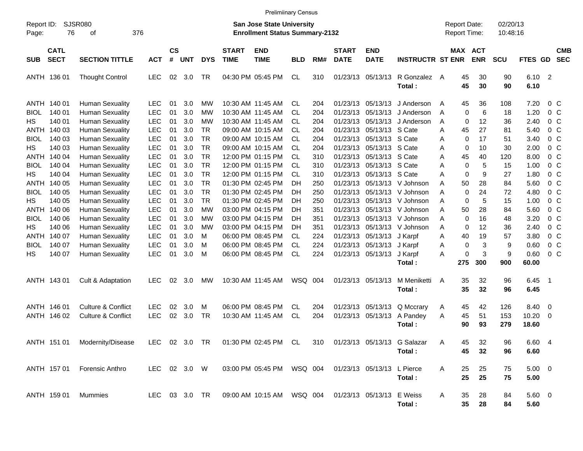|                            |                            |                                                                            |                          |                |                   |                                     |                             | <b>Prelimiinary Census</b>                                                 |                |                   |                             |                                                             |                                   |                                     |                       |                      |                        |                                                    |
|----------------------------|----------------------------|----------------------------------------------------------------------------|--------------------------|----------------|-------------------|-------------------------------------|-----------------------------|----------------------------------------------------------------------------|----------------|-------------------|-----------------------------|-------------------------------------------------------------|-----------------------------------|-------------------------------------|-----------------------|----------------------|------------------------|----------------------------------------------------|
| Report ID:<br>Page:        | 76                         | <b>SJSR080</b><br>376<br>of                                                |                          |                |                   |                                     |                             | <b>San Jose State University</b><br><b>Enrollment Status Summary-2132</b>  |                |                   |                             |                                                             |                                   | Report Date:<br><b>Report Time:</b> |                       | 02/20/13<br>10:48:16 |                        |                                                    |
| <b>SUB</b>                 | <b>CATL</b><br><b>SECT</b> | <b>SECTION TITTLE</b>                                                      | <b>ACT</b>               | <b>CS</b><br># | <b>UNT</b>        | <b>DYS</b>                          | <b>START</b><br><b>TIME</b> | <b>END</b><br><b>TIME</b>                                                  | <b>BLD</b>     | RM#               | <b>START</b><br><b>DATE</b> | <b>END</b><br><b>DATE</b>                                   | <b>INSTRUCTR ST ENR</b>           |                                     | MAX ACT<br><b>ENR</b> | <b>SCU</b>           | <b>FTES GD</b>         | <b>CMB</b><br><b>SEC</b>                           |
|                            | ANTH 136 01                | <b>Thought Control</b>                                                     | <b>LEC</b>               | 02             | 3.0               | TR                                  |                             | 04:30 PM 05:45 PM                                                          | CL             | 310               |                             | 01/23/13 05/13/13                                           | R Gonzalez<br>Total:              | 45<br>A<br>45                       | 30<br>30              | 90<br>90             | $6.10$ 2<br>6.10       |                                                    |
| ANTH<br><b>BIOL</b>        | 140 01<br>140 01           | <b>Human Sexuality</b><br><b>Human Sexuality</b>                           | LEC<br><b>LEC</b>        | 01<br>01       | 3.0<br>3.0        | MW<br>MW                            |                             | 10:30 AM 11:45 AM<br>10:30 AM 11:45 AM                                     | CL<br>CL       | 204<br>204        |                             | 01/23/13 05/13/13<br>01/23/13 05/13/13                      | J Anderson<br>J Anderson          | 45<br>A<br>Α<br>0                   | 36<br>6               | 108<br>18            | 7.20<br>1.20           | $0\,C$<br>0 <sup>o</sup>                           |
| HS.<br>ANTH<br><b>BIOL</b> | 140 01<br>140 03<br>140 03 | <b>Human Sexuality</b><br><b>Human Sexuality</b><br><b>Human Sexuality</b> | <b>LEC</b><br>LEC<br>LEC | 01<br>01<br>01 | 3.0<br>3.0<br>3.0 | MW<br><b>TR</b><br><b>TR</b>        |                             | 10:30 AM 11:45 AM<br>09:00 AM 10:15 AM<br>09:00 AM 10:15 AM                | CL<br>CL<br>CL | 204<br>204<br>204 |                             | 01/23/13 05/13/13<br>01/23/13 05/13/13<br>01/23/13 05/13/13 | J Anderson<br>S Cate<br>S Cate    | Α<br>0<br>45<br>Α<br>0<br>Α         | 12<br>27<br>17        | 36<br>81<br>51       | 2.40<br>5.40<br>3.40   | $0\,C$<br>$0\,C$<br>0 <sup>o</sup>                 |
| HS.<br>ANTH<br><b>BIOL</b> | 140 03<br>140 04<br>140 04 | <b>Human Sexuality</b><br><b>Human Sexuality</b><br><b>Human Sexuality</b> | LEC<br>LEC<br>LEC        | 01<br>01<br>01 | 3.0<br>3.0<br>3.0 | <b>TR</b><br><b>TR</b><br><b>TR</b> |                             | 09:00 AM 10:15 AM<br>12:00 PM 01:15 PM<br>12:00 PM 01:15 PM                | CL<br>CL<br>CL | 204<br>310<br>310 |                             | 01/23/13 05/13/13<br>01/23/13 05/13/13<br>01/23/13 05/13/13 | S Cate<br>S Cate<br>S Cate        | Α<br>0<br>45<br>Α<br>0<br>Α         | 10<br>40<br>5         | 30<br>120<br>15      | 2.00<br>8.00<br>1.00   | $0\,C$<br>0 <sup>o</sup><br>0 <sup>o</sup>         |
| HS<br>ANTH<br><b>BIOL</b>  | 140 04<br>140 05<br>140 05 | <b>Human Sexuality</b><br><b>Human Sexuality</b><br><b>Human Sexuality</b> | LEC<br>LEC<br>LEC        | 01<br>01<br>01 | 3.0<br>3.0<br>3.0 | <b>TR</b><br><b>TR</b><br><b>TR</b> |                             | 12:00 PM 01:15 PM<br>01:30 PM 02:45 PM<br>01:30 PM 02:45 PM                | CL<br>DН<br>DН | 310<br>250        |                             | 01/23/13 05/13/13<br>01/23/13 05/13/13<br>01/23/13 05/13/13 | S Cate<br>V Johnson<br>V Johnson  | 0<br>Α<br>A<br>50<br>Α              | 9<br>28<br>24         | 27<br>84<br>72       | 1.80<br>5.60<br>4.80   | 0 <sup>o</sup><br>0 <sup>o</sup><br>0 <sup>o</sup> |
| HS.<br>ANTH                | 140 05<br>140 06           | <b>Human Sexuality</b><br><b>Human Sexuality</b>                           | LEC<br><b>LEC</b>        | 01<br>01       | 3.0<br>3.0        | <b>TR</b><br>MW                     |                             | 01:30 PM 02:45 PM<br>03:00 PM 04:15 PM                                     | DН<br>DН       | 250<br>250<br>351 |                             | 01/23/13 05/13/13<br>01/23/13 05/13/13                      | V Johnson<br>V Johnson            | 0<br>0<br>Α<br>Α<br>50              | 5<br>28               | 15<br>84             | 1.00<br>5.60           | 0 <sup>o</sup><br>$0\,C$                           |
| <b>BIOL</b><br>HS.<br>ANTH | 140 06<br>140 06<br>140 07 | <b>Human Sexuality</b><br><b>Human Sexuality</b><br><b>Human Sexuality</b> | LEC<br>LEC<br><b>LEC</b> | 01<br>01<br>01 | 3.0<br>3.0<br>3.0 | <b>MW</b><br>MW<br>м                |                             | 03:00 PM 04:15 PM<br>03:00 PM 04:15 PM<br>06:00 PM 08:45 PM                | DН<br>DН<br>CL | 351<br>351<br>224 |                             | 01/23/13 05/13/13<br>01/23/13 05/13/13<br>01/23/13 05/13/13 | V Johnson<br>V Johnson<br>J Karpf | Α<br>0<br>Α<br>0<br>40<br>Α         | 16<br>12<br>19        | 48<br>36<br>57       | 3.20<br>2.40<br>3.80   | 0 <sup>o</sup><br>0 <sup>o</sup><br>0 <sup>o</sup> |
| <b>BIOL</b><br>HS.         | 140 07<br>140 07           | <b>Human Sexuality</b><br><b>Human Sexuality</b>                           | LEC<br><b>LEC</b>        | 01<br>01       | 3.0<br>3.0        | M<br>M                              |                             | 06:00 PM 08:45 PM<br>06:00 PM 08:45 PM                                     | CL<br>CL       | 224<br>224        |                             | 01/23/13 05/13/13<br>01/23/13 05/13/13                      | J Karpf<br>J Karpf<br>Total:      | Α<br>0<br>0<br>Α<br>275             | 3<br>3<br>300         | 9<br>9<br>900        | 0.60<br>0.60<br>60.00  | 0 <sup>o</sup><br>$0\,C$                           |
|                            | ANTH 143 01                | Cult & Adaptation                                                          | <b>LEC</b>               | 02             | 3.0               | MW                                  |                             | 10:30 AM 11:45 AM                                                          | WSQ 004        |                   |                             | 01/23/13 05/13/13                                           | M Meniketti<br>Total:             | 35<br>A<br>35                       | 32<br>32              | 96<br>96             | 6.45<br>6.45           | - 1                                                |
|                            | ANTH 146 01<br>ANTH 146 02 | <b>Culture &amp; Conflict</b><br>Culture & Conflict                        | <b>LEC</b><br><b>LEC</b> | 02<br>02       | 3.0<br>3.0        | м<br><b>TR</b>                      |                             | 06:00 PM 08:45 PM<br>10:30 AM 11:45 AM                                     | CL<br>CL       | 204<br>204        |                             | 01/23/13 05/13/13<br>01/23/13 05/13/13                      | Q Mccrary<br>A Pandey<br>Total:   | 45<br>A<br>Α<br>45<br>90            | 42<br>51<br>93        | 126<br>153<br>279    | 8.40<br>10.20<br>18.60 | $\overline{\mathbf{0}}$<br>$\overline{\mathbf{0}}$ |
|                            |                            | ANTH 151 01 Modernity/Disease                                              |                          |                |                   |                                     |                             | LEC 02 3.0 TR  01:30 PM  02:45 PM  CL  310  01/23/13  05/13/13  G  Salazar |                |                   |                             |                                                             | Total:                            | 45<br>Α<br>45                       | 32<br>32              | 96<br>96             | 6.60 4<br>6.60         |                                                    |
|                            | ANTH 157 01                | <b>Forensic Anthro</b>                                                     | LEC 02 3.0 W             |                |                   |                                     |                             | 03:00 PM 05:45 PM WSQ 004                                                  |                |                   | 01/23/13 05/13/13 L Pierce  |                                                             | Total:                            | 25<br>A<br>25                       | 25<br>25              | 75<br>75             | $5.00 \t 0$<br>5.00    |                                                    |
|                            | ANTH 159 01                | Mummies                                                                    |                          |                |                   | LEC 03 3.0 TR                       |                             | 09:00 AM 10:15 AM   WSQ   004                                              |                |                   | 01/23/13 05/13/13           |                                                             | E Weiss<br>Total:                 | A<br>35<br>35                       | 28<br>28              | 84<br>84             | $5.60\ 0$<br>5.60      |                                                    |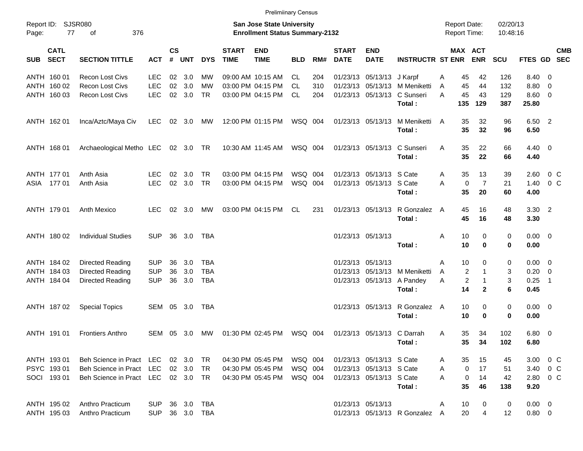ANTH 160 01 Recon Lost Civs LEC 02 3.0 MW 09:00 AM 10:15 AM CL 204 01/23/13 05/13/13 J Karpf A 45 42 126 8.40 0 ANTH 160 02 Recon Lost Civs LEC 02 3.0 MW 03:00 PM 04:15 PM CL 310 01/23/13 05/13/13 M Meniketti A 45 44 132 8.80 0 ANTH 160 03 Recon Lost Civs LEC 02 3.0 TR 03:00 PM 04:15 PM CL 204 01/23/13 05/13/13 C Sunseri A 45 43 129 8.60 0 **Total : 135 129 387 25.80** ANTH 162 01 Inca/Aztc/Maya Civ LEC 02 3.0 MW 12:00 PM 01:15 PM WSQ 004 01/23/13 05/13/13 M Meniketti A 35 32 96 6.50 2 **Total : 35 32 96 6.50** ANTH 168 01 Archaeological Metho LEC 02 3.0 TR 10:30 AM 11:45 AM WSQ 004 01/23/13 05/13/13 C Sunseri A 35 22 66 4.40 0 **Total : 35 22 66 4.40** ANTH 177 01 Anth Asia LEC 02 3.0 TR 03:00 PM 04:15 PM WSQ 004 01/23/13 05/13/13 S Cate A 35 13 39 2.60 0 C ASIA 177 01 Anth Asia LEC 02 3.0 TR 03:00 PM 04:15 PM WSQ 004 01/23/13 05/13/13 S Cate A 0 7 21 1.40 0 C **Total : 35 20 60 4.00** ANTH 179 01 Anth Mexico LEC 02 3.0 MW 03:00 PM 04:15 PM CL 231 01/23/13 05/13/13 R Gonzalez A 45 16 48 3.30 2 **Total : 45 16 48 3.30** ANTH 180 02 Individual Studies SUP 36 3.0 TBA 01/23/13 05/13/13 A 10 0 0 0.00 0 **Total : 10 0 0 0.00** ANTH 184 02 Directed Reading SUP 36 3.0 TBA 01/23/13 05/13/13 A 10 0 0 0.00 0 ANTH 184 03 Directed Reading SUP 36 3.0 TBA 01/23/13 05/13/13 M Meniketti A 2 1 3 0.20 0 ANTH 184 04 Directed Reading SUP 36 3.0 TBA 01/23/13 05/13/13 05/13/13 A Pandey A 2 1 3 0.25 1 **Total : 14 2 6 0.45** ANTH 187 02 Special Topics SEM 05 3.0 TBA 00 0 00 00 01/23/13 05/13/13 R Gonzalez A 10 0 0 0.00 0 **Total : 10 0 0 0.00** ANTH 191 01 Frontiers Anthro SEM 05 3.0 MW 01:30 PM 02:45 PM WSQ 004 01/23/13 05/13/13 C Darrah A 35 34 102 6.80 0 **Total : 35 34 102 6.80** ANTH 193 01 Beh Science in Pract LEC 02 3.0 TR 04:30 PM 05:45 PM WSQ 004 01/23/13 05/13/13 S Cate A 35 15 45 3.00 0 C PSYC 193 01 Beh Science in Pract LEC 02 3.0 TR 04:30 PM 05:45 PM WSQ 004 01/23/13 05/13/13 S Cate A 0 17 51 3.40 0 C SOCI 193 01 Beh Science in Pract LEC 02 3.0 TR 04:30 PM 05:45 PM WSQ 004 01/23/13 05/13/13 S Cate A 0 14 42 2.80 0 C **Total : 35 46 138 9.20** ANTH 195 02 Anthro Practicum SUP 36 3.0 TBA 01/23/13 05/13/13 A 10 0 0 0.00 0 ANTH 195 03 Anthro Practicum SUP 36 3.0 TBA 01/23/13 05/13/13 R Gonzalez A 20 4 12 0.80 0 Report ID: SJSR080 **San Jose State University San Jose State University** Report Date: 02/20/13 Page: 77 of 376 **Enrollment Status Summary-2132** Report Time: 10:48:16 **CATL CS START END START END MAX ACT CMB SUB SECT SECTION TITTLE ACT # UNT DYS TIME TIME BLD RM# DATE DATE INSTRUCTR ST ENR ENR SCU FTES GD SEC**

Prelimiinary Census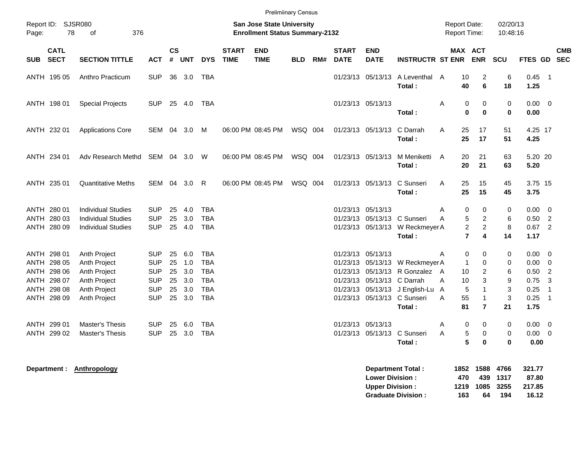|            |                                                                                        |                                                                                                     |                                                                                  |                            |                                           |                                                                                  |                             | <b>Prelimiinary Census</b>                                                |            |     |                             |                                                  |                                                                                                                                              |                                            |                                                                                                                          |                                  |                                                                       |                                                                                          |                          |
|------------|----------------------------------------------------------------------------------------|-----------------------------------------------------------------------------------------------------|----------------------------------------------------------------------------------|----------------------------|-------------------------------------------|----------------------------------------------------------------------------------|-----------------------------|---------------------------------------------------------------------------|------------|-----|-----------------------------|--------------------------------------------------|----------------------------------------------------------------------------------------------------------------------------------------------|--------------------------------------------|--------------------------------------------------------------------------------------------------------------------------|----------------------------------|-----------------------------------------------------------------------|------------------------------------------------------------------------------------------|--------------------------|
| Page:      | Report ID: SJSR080<br>78                                                               | 376<br>of                                                                                           |                                                                                  |                            |                                           |                                                                                  |                             | <b>San Jose State University</b><br><b>Enrollment Status Summary-2132</b> |            |     |                             |                                                  |                                                                                                                                              | <b>Report Date:</b><br><b>Report Time:</b> |                                                                                                                          | 02/20/13<br>10:48:16             |                                                                       |                                                                                          |                          |
| <b>SUB</b> | <b>CATL</b><br><b>SECT</b>                                                             | <b>SECTION TITTLE</b>                                                                               | <b>ACT</b>                                                                       | $\mathsf{cs}$<br>#         | <b>UNT</b>                                | <b>DYS</b>                                                                       | <b>START</b><br><b>TIME</b> | <b>END</b><br><b>TIME</b>                                                 | <b>BLD</b> | RM# | <b>START</b><br><b>DATE</b> | <b>END</b><br><b>DATE</b>                        | <b>INSTRUCTR ST ENR</b>                                                                                                                      |                                            | MAX ACT<br><b>ENR</b>                                                                                                    | <b>SCU</b>                       | <b>FTES GD</b>                                                        |                                                                                          | <b>CMB</b><br><b>SEC</b> |
|            | ANTH 195 05                                                                            | Anthro Practicum                                                                                    | <b>SUP</b>                                                                       | 36                         | 3.0                                       | TBA                                                                              |                             |                                                                           |            |     |                             |                                                  | 01/23/13 05/13/13 A Leventhal A<br>Total:                                                                                                    | 10<br>40                                   | $\overline{c}$<br>6                                                                                                      | 6<br>18                          | $0.45$ 1<br>1.25                                                      |                                                                                          |                          |
|            | ANTH 198 01                                                                            | <b>Special Projects</b>                                                                             | <b>SUP</b>                                                                       |                            | 25 4.0                                    | TBA                                                                              |                             |                                                                           |            |     |                             | 01/23/13 05/13/13                                | Total:                                                                                                                                       | Α                                          | 0<br>0<br>$\mathbf{0}$<br>$\bf{0}$                                                                                       | 0<br>$\mathbf 0$                 | $0.00 \quad 0$<br>0.00                                                |                                                                                          |                          |
|            | ANTH 232 01                                                                            | <b>Applications Core</b>                                                                            | SEM                                                                              | 04                         | 3.0 M                                     |                                                                                  |                             | 06:00 PM 08:45 PM                                                         | WSQ 004    |     |                             | 01/23/13 05/13/13                                | C Darrah<br>Total:                                                                                                                           | 25<br>A<br>25                              | 17<br>17                                                                                                                 | 51<br>51                         | 4.25 17<br>4.25                                                       |                                                                                          |                          |
|            | ANTH 234 01                                                                            | Adv Research Methd                                                                                  | SEM                                                                              |                            | 04 3.0 W                                  |                                                                                  |                             | 06:00 PM 08:45 PM                                                         | WSQ 004    |     |                             | 01/23/13 05/13/13                                | M Meniketti<br>Total:                                                                                                                        | $\overline{A}$<br>20<br>20                 | 21<br>21                                                                                                                 | 63<br>63                         | 5.20 20<br>5.20                                                       |                                                                                          |                          |
|            | ANTH 235 01                                                                            | <b>Quantitative Meths</b>                                                                           | SEM                                                                              |                            | 04 3.0                                    | -R                                                                               |                             | 06:00 PM 08:45 PM                                                         | WSQ 004    |     |                             | 01/23/13 05/13/13                                | C Sunseri<br>Total:                                                                                                                          | A<br>25<br>25                              | 15<br>15                                                                                                                 | 45<br>45                         | 3.75 15<br>3.75                                                       |                                                                                          |                          |
|            | ANTH 280 01<br>ANTH 280 03<br>ANTH 280 09                                              | <b>Individual Studies</b><br><b>Individual Studies</b><br><b>Individual Studies</b>                 | <b>SUP</b><br><b>SUP</b><br><b>SUP</b>                                           | 25<br>25                   | 4.0<br>3.0<br>25 4.0                      | TBA<br><b>TBA</b><br><b>TBA</b>                                                  |                             |                                                                           |            |     |                             | 01/23/13 05/13/13                                | 01/23/13 05/13/13 C Sunseri<br>01/23/13 05/13/13 W Reckmeyer A<br>Total:                                                                     | Α<br>A                                     | 0<br>$\mathbf 0$<br>$\overline{2}$<br>5<br>$\overline{2}$<br>$\overline{c}$<br>$\overline{7}$<br>$\overline{\mathbf{4}}$ | 0<br>6<br>8<br>14                | $0.00 \t 0$<br>0.50<br>$0.67$ 2<br>1.17                               | $\overline{2}$                                                                           |                          |
|            | ANTH 298 01<br>ANTH 298 05<br>ANTH 298 06<br>ANTH 298 07<br>ANTH 298 08<br>ANTH 298 09 | Anth Project<br><b>Anth Project</b><br>Anth Project<br>Anth Project<br>Anth Project<br>Anth Project | <b>SUP</b><br><b>SUP</b><br><b>SUP</b><br><b>SUP</b><br><b>SUP</b><br><b>SUP</b> | 25<br>25<br>25<br>25<br>25 | 6.0<br>1.0<br>3.0<br>3.0<br>3.0<br>25 3.0 | <b>TBA</b><br><b>TBA</b><br><b>TBA</b><br><b>TBA</b><br><b>TBA</b><br><b>TBA</b> |                             |                                                                           |            |     |                             | 01/23/13 05/13/13<br>01/23/13 05/13/13 C Darrah  | 01/23/13 05/13/13 W Reckmeyer A<br>01/23/13 05/13/13 R Gonzalez A<br>01/23/13 05/13/13 J English-Lu<br>01/23/13 05/13/13 C Sunseri<br>Total: | Α<br>10<br>10<br>A<br>A<br>55<br>A<br>81   | 0<br>0<br>$\mathbf{1}$<br>0<br>2<br>3<br>$\mathbf{1}$<br>5<br>$\mathbf{1}$<br>$\overline{7}$                             | 0<br>0<br>6<br>9<br>3<br>3<br>21 | $0.00 \t 0$<br>$0.00 \quad 0$<br>0.50<br>0.75<br>0.25<br>0.25<br>1.75 | $\overline{2}$<br>$\mathbf{3}$<br>$\overline{\phantom{0}}$ 1<br>$\overline{\phantom{0}}$ |                          |
|            | ANTH 299 01<br>ANTH 299 02                                                             | <b>Master's Thesis</b><br><b>Master's Thesis</b>                                                    | <b>SUP</b><br><b>SUP</b>                                                         | 25<br>25                   | 6.0<br>3.0                                | TBA<br><b>TBA</b>                                                                |                             |                                                                           |            |     |                             | 01/23/13 05/13/13<br>01/23/13 05/13/13           | C Sunseri<br>Total:                                                                                                                          | Α<br>A                                     | 0<br>$\mathbf 0$<br>5<br>0<br>5<br>$\mathbf{0}$                                                                          | 0<br>$\mathbf 0$<br>$\bf{0}$     | $0.00 \t 0$<br>$0.00 \t 0$<br>0.00                                    |                                                                                          |                          |
|            |                                                                                        | Department: Anthropology                                                                            |                                                                                  |                            |                                           |                                                                                  |                             |                                                                           |            |     |                             | <b>Lower Division:</b><br><b>Upper Division:</b> | <b>Department Total:</b>                                                                                                                     | 1852<br>470                                | 1588<br>439<br>1219 1085                                                                                                 | 4766<br>1317<br>3255             | 321.77<br>87.80<br>217.85                                             |                                                                                          |                          |

**Graduate Division : 163 64 194 16.12**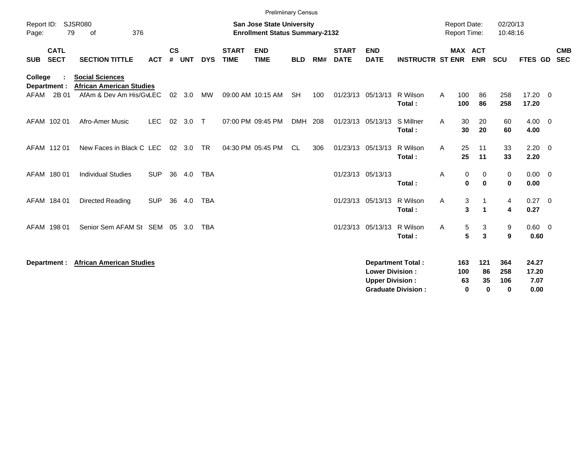|                                          |                                                                                      |            |                    |            |            |                             | <b>Prelimiinary Census</b>                                                |            |     |                             |                                                  |                                                       |                                     |                                      |                               |                                |                          |
|------------------------------------------|--------------------------------------------------------------------------------------|------------|--------------------|------------|------------|-----------------------------|---------------------------------------------------------------------------|------------|-----|-----------------------------|--------------------------------------------------|-------------------------------------------------------|-------------------------------------|--------------------------------------|-------------------------------|--------------------------------|--------------------------|
| Report ID:<br>Page:                      | <b>SJSR080</b><br>376<br>79<br>οf                                                    |            |                    |            |            |                             | <b>San Jose State University</b><br><b>Enrollment Status Summary-2132</b> |            |     |                             |                                                  |                                                       | <b>Report Date:</b><br>Report Time: |                                      | 02/20/13<br>10:48:16          |                                |                          |
| <b>CATL</b><br><b>SECT</b><br><b>SUB</b> | <b>SECTION TITTLE</b>                                                                | <b>ACT</b> | $\mathsf{cs}$<br># | <b>UNT</b> | <b>DYS</b> | <b>START</b><br><b>TIME</b> | <b>END</b><br><b>TIME</b>                                                 | <b>BLD</b> | RM# | <b>START</b><br><b>DATE</b> | <b>END</b><br><b>DATE</b>                        | <b>INSTRUCTR ST ENR</b>                               |                                     | MAX ACT<br><b>ENR</b>                | <b>SCU</b>                    | FTES GD                        | <b>CMB</b><br><b>SEC</b> |
| College<br>Department :<br>2B 01<br>AFAM | <b>Social Sciences</b><br><b>African American Studies</b><br>AfAm & Dev Am His/GvLEC |            | 02                 | 3.0        | MW         |                             | 09:00 AM 10:15 AM                                                         | <b>SH</b>  | 100 | 01/23/13                    | 05/13/13                                         | R Wilson                                              | 100<br>A                            | 86                                   | 258                           | 17.20 0                        |                          |
|                                          |                                                                                      |            |                    |            |            |                             |                                                                           |            |     |                             |                                                  | Total:                                                | 100                                 | 86                                   | 258                           | 17.20                          |                          |
| AFAM 102 01                              | Afro-Amer Music                                                                      | <b>LEC</b> |                    | 02 3.0     | $\top$     |                             | 07:00 PM 09:45 PM                                                         | DMH 208    |     | 01/23/13 05/13/13           |                                                  | S Millner<br>Total:                                   | A                                   | 30<br>20<br>30<br>20                 | 60<br>60                      | $4.00 \ 0$<br>4.00             |                          |
| AFAM 11201                               | New Faces in Black C LEC                                                             |            |                    | 02 3.0     | <b>TR</b>  |                             | 04:30 PM 05:45 PM                                                         | CL         | 306 | 01/23/13 05/13/13           |                                                  | R Wilson<br>Total:                                    | A                                   | 25<br>11<br>25<br>11                 | 33<br>33                      | $2.20 \t 0$<br>2.20            |                          |
| AFAM 180 01                              | <b>Individual Studies</b>                                                            | <b>SUP</b> | 36                 | 4.0        | <b>TBA</b> |                             |                                                                           |            |     | 01/23/13 05/13/13           |                                                  | Total:                                                | A                                   | 0<br>0<br>0<br>$\mathbf 0$           | 0<br>0                        | $0.00 \ 0$<br>0.00             |                          |
| AFAM 184 01                              | Directed Reading                                                                     | <b>SUP</b> | 36                 | 4.0        | <b>TBA</b> |                             |                                                                           |            |     | 01/23/13 05/13/13           |                                                  | R Wilson<br>Total:                                    | Α                                   | 3<br>-1<br>3<br>$\blacktriangleleft$ | 4<br>4                        | $0.27 \t 0$<br>0.27            |                          |
| AFAM 198 01                              | Senior Sem AFAM St SEM 05                                                            |            |                    | - 3.0      | <b>TBA</b> |                             |                                                                           |            |     | 01/23/13 05/13/13           |                                                  | R Wilson<br>Total:                                    | Α                                   | 5<br>3<br>5<br>3                     | 9<br>9                        | 0.60 0<br>0.60                 |                          |
| Department :                             | <b>African American Studies</b>                                                      |            |                    |            |            |                             |                                                                           |            |     |                             | <b>Lower Division:</b><br><b>Upper Division:</b> | <b>Department Total:</b><br><b>Graduate Division:</b> | 163<br>100<br>63                    | 121<br>86<br>35<br>$\bf{0}$<br>0     | 364<br>258<br>106<br>$\bf{0}$ | 24.27<br>17.20<br>7.07<br>0.00 |                          |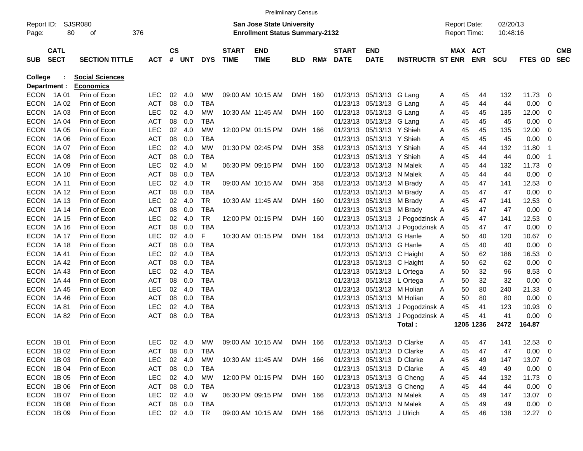|                |             |                        |               |           |        |            |              | <b>Prelimiinary Census</b>            |            |     |              |                            |                                  |   |    |                     |            |              |                          |            |
|----------------|-------------|------------------------|---------------|-----------|--------|------------|--------------|---------------------------------------|------------|-----|--------------|----------------------------|----------------------------------|---|----|---------------------|------------|--------------|--------------------------|------------|
| Report ID:     |             | <b>SJSR080</b>         |               |           |        |            |              | <b>San Jose State University</b>      |            |     |              |                            |                                  |   |    | <b>Report Date:</b> | 02/20/13   |              |                          |            |
| Page:          | 80          | оf                     | 376           |           |        |            |              | <b>Enrollment Status Summary-2132</b> |            |     |              |                            |                                  |   |    | Report Time:        | 10:48:16   |              |                          |            |
|                | <b>CATL</b> |                        |               | <b>CS</b> |        |            | <b>START</b> | <b>END</b>                            |            |     | <b>START</b> | <b>END</b>                 |                                  |   |    | MAX ACT             |            |              |                          | <b>CMB</b> |
| <b>SUB</b>     | <b>SECT</b> | <b>SECTION TITTLE</b>  | <b>ACT</b>    |           | # UNT  | <b>DYS</b> | <b>TIME</b>  | <b>TIME</b>                           | <b>BLD</b> | RM# | <b>DATE</b>  | <b>DATE</b>                | <b>INSTRUCTR ST ENR</b>          |   |    | <b>ENR</b>          | <b>SCU</b> | FTES GD SEC  |                          |            |
| <b>College</b> |             | <b>Social Sciences</b> |               |           |        |            |              |                                       |            |     |              |                            |                                  |   |    |                     |            |              |                          |            |
| Department :   |             | <b>Economics</b>       |               |           |        |            |              |                                       |            |     |              |                            |                                  |   |    |                     |            |              |                          |            |
| <b>ECON</b>    | 1A 01       | Prin of Econ           | <b>LEC</b>    | 02        | 4.0    | МW         |              | 09:00 AM 10:15 AM                     | DMH 160    |     |              | 01/23/13 05/13/13 G Lang   |                                  | A | 45 | 44                  | 132        | 11.73        | 0                        |            |
| <b>ECON</b>    | 1A 02       | Prin of Econ           | <b>ACT</b>    | 08        | 0.0    | <b>TBA</b> |              |                                       |            |     |              | 01/23/13 05/13/13 G Lang   |                                  | A | 45 | 44                  | 44         | 0.00         | $\overline{0}$           |            |
| <b>ECON</b>    | 1A 03       | Prin of Econ           | <b>LEC</b>    |           | 02 4.0 | MW         |              | 10:30 AM 11:45 AM                     | DMH 160    |     |              | 01/23/13 05/13/13 G Lang   |                                  | A | 45 | 45                  | 135        | 12.00        | 0                        |            |
| <b>ECON</b>    | 1A 04       | Prin of Econ           | <b>ACT</b>    | 08        | 0.0    | TBA        |              |                                       |            |     |              | 01/23/13 05/13/13 G Lang   |                                  | A | 45 | 45                  | 45         | 0.00         | 0                        |            |
| <b>ECON</b>    | 1A 05       | Prin of Econ           | <b>LEC</b>    |           | 02 4.0 | MW         |              | 12:00 PM 01:15 PM                     | DMH 166    |     |              | 01/23/13 05/13/13 Y Shieh  |                                  | A | 45 | 45                  | 135        | 12.00        | 0                        |            |
| <b>ECON</b>    | 1A 06       | Prin of Econ           | <b>ACT</b>    | 08        | 0.0    | <b>TBA</b> |              |                                       |            |     |              | 01/23/13 05/13/13 Y Shieh  |                                  | A | 45 | 45                  | 45         | 0.00         | - 0                      |            |
| <b>ECON</b>    | 1A 07       | Prin of Econ           | <b>LEC</b>    |           | 02 4.0 | МW         |              | 01:30 PM 02:45 PM                     | DMH 358    |     | 01/23/13     | 05/13/13 Y Shieh           |                                  | A | 45 | 44                  | 132        | 11.80        | -1                       |            |
| <b>ECON</b>    | 1A 08       | Prin of Econ           | <b>ACT</b>    | 08        | 0.0    | <b>TBA</b> |              |                                       |            |     |              | 01/23/13 05/13/13 Y Shieh  |                                  | A | 45 | 44                  | 44         | 0.00         | -1                       |            |
| <b>ECON</b>    | 1A 09       | Prin of Econ           | <b>LEC</b>    |           | 02 4.0 | м          |              | 06:30 PM 09:15 PM                     | DMH 160    |     |              | 01/23/13 05/13/13 N Malek  |                                  | A | 45 | 44                  | 132        | 11.73        | 0                        |            |
| <b>ECON</b>    | 1A 10       | Prin of Econ           | <b>ACT</b>    | 08        | 0.0    | TBA        |              |                                       |            |     |              | 01/23/13 05/13/13 N Malek  |                                  | A | 45 | 44                  | 44         | 0.00         | $\overline{0}$           |            |
| <b>ECON</b>    | 1A 11       | Prin of Econ           | <b>LEC</b>    |           | 02 4.0 | TR         |              | 09:00 AM 10:15 AM                     | DMH 358    |     |              | 01/23/13 05/13/13 M Brady  |                                  | A | 45 | 47                  | 141        | 12.53        | 0                        |            |
| <b>ECON</b>    | 1A 12       | Prin of Econ           | <b>ACT</b>    | 08        | 0.0    | <b>TBA</b> |              |                                       |            |     |              | 01/23/13 05/13/13 M Brady  |                                  | A | 45 | 47                  | 47         | 0.00         | 0                        |            |
| <b>ECON</b>    | 1A 13       | Prin of Econ           | <b>LEC</b>    |           | 02 4.0 | TR         |              | 10:30 AM 11:45 AM                     | DMH 160    |     |              | 01/23/13 05/13/13 M Brady  |                                  | A | 45 | 47                  | 141        | 12.53        | 0                        |            |
| <b>ECON</b>    | 1A 14       | Prin of Econ           | <b>ACT</b>    | 08        | 0.0    | <b>TBA</b> |              |                                       |            |     |              | 01/23/13 05/13/13 M Brady  |                                  | A | 45 | 47                  | 47         | 0.00         | 0                        |            |
| <b>ECON</b>    | 1A 15       | Prin of Econ           | <b>LEC</b>    |           | 02 4.0 | TR         |              | 12:00 PM 01:15 PM                     | DMH 160    |     |              |                            | 01/23/13 05/13/13 J Pogodzinsk A |   | 45 | 47                  | 141        | 12.53        | 0                        |            |
| <b>ECON</b>    | 1A 16       | Prin of Econ           | <b>ACT</b>    | 08        | 0.0    | <b>TBA</b> |              |                                       |            |     |              |                            | 01/23/13 05/13/13 J Pogodzinsk A |   | 45 | 47                  | 47         | 0.00         | 0                        |            |
| <b>ECON</b>    | 1A 17       | Prin of Econ           | <b>LEC</b>    |           | 02 4.0 | F          |              | 10:30 AM 01:15 PM                     | DMH 164    |     |              | 01/23/13 05/13/13 G Hanle  |                                  | A | 50 | 40                  | 120        | 10.67        | $\overline{0}$           |            |
| <b>ECON</b>    | 1A 18       | Prin of Econ           | <b>ACT</b>    | 08        | 0.0    | <b>TBA</b> |              |                                       |            |     | 01/23/13     | 05/13/13 G Hanle           |                                  | A | 45 | 40                  | 40         | 0.00         | 0                        |            |
| <b>ECON</b>    | 1A 41       | Prin of Econ           | <b>LEC</b>    |           | 02 4.0 | <b>TBA</b> |              |                                       |            |     |              | 01/23/13 05/13/13 C Haight |                                  | A | 50 | 62                  | 186        | 16.53        | 0                        |            |
| <b>ECON</b>    | 1A 42       | Prin of Econ           | <b>ACT</b>    | 08        | 0.0    | <b>TBA</b> |              |                                       |            |     |              | 01/23/13 05/13/13 C Haight |                                  | A | 50 | 62                  | 62         | 0.00         | 0                        |            |
| <b>ECON</b>    | 1A 43       | Prin of Econ           | <b>LEC</b>    |           | 02 4.0 | <b>TBA</b> |              |                                       |            |     |              | 01/23/13 05/13/13 L Ortega |                                  | A | 50 | 32                  | 96         | 8.53         | 0                        |            |
| <b>ECON</b>    | 1A 44       | Prin of Econ           | <b>ACT</b>    | 08        | 0.0    | <b>TBA</b> |              |                                       |            |     |              | 01/23/13 05/13/13 L Ortega |                                  | A | 50 | 32                  | 32         | 0.00         | 0                        |            |
| <b>ECON</b>    | 1A 45       | Prin of Econ           | <b>LEC</b>    |           | 02 4.0 | <b>TBA</b> |              |                                       |            |     | 01/23/13     | 05/13/13 M Holian          |                                  | A | 50 | 80                  | 240        | 21.33        | 0                        |            |
| <b>ECON</b>    | 1A 46       | Prin of Econ           | <b>ACT</b>    | 08        | 0.0    | <b>TBA</b> |              |                                       |            |     | 01/23/13     | 05/13/13 M Holian          |                                  | A | 50 | 80                  | 80         | 0.00         | 0                        |            |
| <b>ECON</b>    | 1A 81       | Prin of Econ           | <b>LEC</b>    | 02        | 4.0    | <b>TBA</b> |              |                                       |            |     |              |                            | 01/23/13 05/13/13 J Pogodzinsk A |   | 45 | 41                  | 123        | 10.93        | 0                        |            |
| <b>ECON</b>    | 1A 82       | Prin of Econ           | <b>ACT</b>    | 08        | 0.0    | <b>TBA</b> |              |                                       |            |     |              |                            | 01/23/13 05/13/13 J Pogodzinsk A |   | 45 | 41                  | 41         | 0.00         | 0                        |            |
|                |             |                        |               |           |        |            |              |                                       |            |     |              |                            | Total:                           |   |    | 1205 1236           | 2472       | 164.87       |                          |            |
|                | ECON 1B01   | Prin of Econ           | LEC.          |           | 02 4.0 | MW         |              | 09:00 AM 10:15 AM DMH 166             |            |     |              | 01/23/13 05/13/13 D Clarke |                                  | A | 45 | 47                  | 141        | 12.53        | $\overline{\phantom{0}}$ |            |
| <b>ECON</b>    | 1B 02       | Prin of Econ           | ACT           |           | 08 0.0 | TBA        |              |                                       |            |     |              | 01/23/13 05/13/13 D Clarke |                                  | A | 45 | 47                  | 47         | $0.00 \t 0$  |                          |            |
| <b>ECON</b>    | 1B 03       | Prin of Econ           | LEC           |           | 02 4.0 | MW         |              | 10:30 AM 11:45 AM DMH 166             |            |     |              | 01/23/13 05/13/13 D Clarke |                                  | A | 45 | 49                  | 147        | 13.07 0      |                          |            |
| ECON           | 1B 04       | Prin of Econ           | ACT           |           | 08 0.0 | TBA        |              |                                       |            |     |              | 01/23/13 05/13/13 D Clarke |                                  | A | 45 | 49                  | 49         | $0.00 \t 0$  |                          |            |
| ECON           | 1B 05       | Prin of Econ           | LEC           |           | 02 4.0 | MW         |              | 12:00 PM 01:15 PM DMH 160             |            |     |              | 01/23/13 05/13/13 G Cheng  |                                  | A | 45 | 44                  | 132        | $11.73 \t 0$ |                          |            |
| ECON           | 1B 06       | Prin of Econ           | ACT           |           | 08 0.0 | TBA        |              |                                       |            |     |              | 01/23/13 05/13/13 G Cheng  |                                  | A | 45 | 44                  | 44         | $0.00 \t 0$  |                          |            |
| ECON           | 1B 07       | Prin of Econ           | LEC           |           | 02 4.0 | W          |              | 06:30 PM 09:15 PM                     | DMH 166    |     |              | 01/23/13 05/13/13 N Malek  |                                  | A | 45 | 49                  | 147        | 13.07 0      |                          |            |
| ECON           | 1B 08       | Prin of Econ           | ACT           |           | 08 0.0 | TBA        |              |                                       |            |     |              | 01/23/13 05/13/13 N Malek  |                                  | A | 45 | 49                  | 49         | $0.00 \t 0$  |                          |            |
| ECON           | 1B 09       | Prin of Econ           | LEC 02 4.0 TR |           |        |            |              | 09:00 AM 10:15 AM DMH 166             |            |     |              | 01/23/13 05/13/13 J Ulrich |                                  | A | 45 | 46                  | 138        | 12.27 0      |                          |            |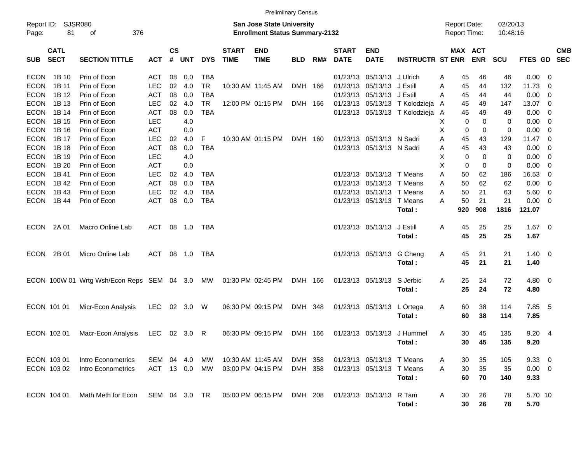|                     |                            |                                               |               |                |            |            |                             | <b>Prelimiinary Census</b>                                                |            |     |                             |                           |                                |   |     |                                            |                      |             |                          |                          |
|---------------------|----------------------------|-----------------------------------------------|---------------|----------------|------------|------------|-----------------------------|---------------------------------------------------------------------------|------------|-----|-----------------------------|---------------------------|--------------------------------|---|-----|--------------------------------------------|----------------------|-------------|--------------------------|--------------------------|
| Report ID:<br>Page: | 81                         | SJSR080<br>376<br>οf                          |               |                |            |            |                             | <b>San Jose State University</b><br><b>Enrollment Status Summary-2132</b> |            |     |                             |                           |                                |   |     | <b>Report Date:</b><br><b>Report Time:</b> | 02/20/13<br>10:48:16 |             |                          |                          |
| <b>SUB</b>          | <b>CATL</b><br><b>SECT</b> | <b>SECTION TITTLE</b>                         | <b>ACT</b>    | <b>CS</b><br># | <b>UNT</b> | <b>DYS</b> | <b>START</b><br><b>TIME</b> | <b>END</b><br><b>TIME</b>                                                 | <b>BLD</b> | RM# | <b>START</b><br><b>DATE</b> | <b>END</b><br><b>DATE</b> | <b>INSTRUCTR ST ENR</b>        |   |     | MAX ACT<br><b>ENR</b>                      | <b>SCU</b>           | FTES GD     |                          | <b>CMB</b><br><b>SEC</b> |
| <b>ECON</b>         | 1B 10                      | Prin of Econ                                  | <b>ACT</b>    | 08             | 0.0        | <b>TBA</b> |                             |                                                                           |            |     | 01/23/13                    | 05/13/13                  | J Ulrich                       | Α | 45  | 46                                         | 46                   | 0.00        | $\overline{\phantom{0}}$ |                          |
| <b>ECON</b>         | 1B 11                      | Prin of Econ                                  | <b>LEC</b>    | 02             | 4.0        | <b>TR</b>  |                             | 10:30 AM 11:45 AM                                                         | DMH        | 166 | 01/23/13                    | 05/13/13                  | J Estill                       | Α | 45  | 44                                         | 132                  | 11.73       | 0                        |                          |
| <b>ECON</b>         | 1B 12                      | Prin of Econ                                  | <b>ACT</b>    | 08             | 0.0        | <b>TBA</b> |                             |                                                                           |            |     | 01/23/13                    | 05/13/13                  | J Estill                       | Α | 45  | 44                                         | 44                   | 0.00        | 0                        |                          |
| <b>ECON</b>         | 1B 13                      | Prin of Econ                                  | <b>LEC</b>    | 02             | 4.0        | <b>TR</b>  |                             | 12:00 PM 01:15 PM                                                         | DMH 166    |     |                             | 01/23/13 05/13/13         | T Kolodzieja                   | A | 45  | 49                                         | 147                  | 13.07       | 0                        |                          |
| <b>ECON</b>         | 1B 14                      | Prin of Econ                                  | <b>ACT</b>    | 08             | 0.0        | <b>TBA</b> |                             |                                                                           |            |     |                             |                           | 01/23/13 05/13/13 T Kolodzieja | A | 45  | 49                                         | 49                   | 0.00        | 0                        |                          |
| <b>ECON</b>         | 1B 15                      | Prin of Econ                                  | <b>LEC</b>    |                | 4.0        |            |                             |                                                                           |            |     |                             |                           |                                | х | 0   | 0                                          | 0                    | 0.00        | 0                        |                          |
| <b>ECON</b>         | 1B 16                      | Prin of Econ                                  | <b>ACT</b>    |                | 0.0        |            |                             |                                                                           |            |     |                             |                           |                                | Χ | 0   | 0                                          | 0                    | 0.00        | 0                        |                          |
| <b>ECON</b>         | 1B 17                      | Prin of Econ                                  | <b>LEC</b>    | 02             | 4.0        | F          |                             | 10:30 AM 01:15 PM                                                         | DMH 160    |     |                             | 01/23/13 05/13/13 N Sadri |                                | Α | 45  | 43                                         | 129                  | 11.47       | $\overline{\mathbf{0}}$  |                          |
| <b>ECON</b>         | 1B 18                      | Prin of Econ                                  | <b>ACT</b>    | 08             | 0.0        | <b>TBA</b> |                             |                                                                           |            |     |                             | 01/23/13 05/13/13 N Sadri |                                | Α | 45  | 43                                         | 43                   | 0.00        | 0                        |                          |
| <b>ECON</b>         | 1B 19                      | Prin of Econ                                  | <b>LEC</b>    |                | 4.0        |            |                             |                                                                           |            |     |                             |                           |                                | Χ | 0   | 0                                          | 0                    | 0.00        | 0                        |                          |
| <b>ECON</b>         | 1B 20                      | Prin of Econ                                  | <b>ACT</b>    |                | 0.0        |            |                             |                                                                           |            |     |                             |                           |                                | Χ | 0   | 0                                          | 0                    | 0.00        | 0                        |                          |
| <b>ECON</b>         | 1B 41                      | Prin of Econ                                  | <b>LEC</b>    | 02             | 4.0        | TBA        |                             |                                                                           |            |     |                             | 01/23/13 05/13/13 T Means |                                | Α | 50  | 62                                         | 186                  | 16.53       | 0                        |                          |
| <b>ECON</b>         | 1B 42                      | Prin of Econ                                  | <b>ACT</b>    | 08             | 0.0        | <b>TBA</b> |                             |                                                                           |            |     | 01/23/13                    | 05/13/13                  | T Means                        | Α | 50  | 62                                         | 62                   | 0.00        | 0                        |                          |
| <b>ECON</b>         | 1B 43                      | Prin of Econ                                  | <b>LEC</b>    | 02             | 4.0        | <b>TBA</b> |                             |                                                                           |            |     |                             | 01/23/13 05/13/13         | T Means                        | A | 50  | 21                                         | 63                   | 5.60        | 0                        |                          |
| <b>ECON</b>         | 1B 44                      | Prin of Econ                                  | <b>ACT</b>    | 08             | 0.0        | <b>TBA</b> |                             |                                                                           |            |     |                             | 01/23/13 05/13/13         | T Means                        | Α | 50  | 21                                         | 21                   | 0.00        | 0                        |                          |
|                     |                            |                                               |               |                |            |            |                             |                                                                           |            |     |                             |                           | Total:                         |   | 920 | 908                                        | 1816                 | 121.07      |                          |                          |
|                     |                            |                                               |               |                |            |            |                             |                                                                           |            |     |                             |                           |                                |   |     |                                            |                      |             |                          |                          |
| <b>ECON</b>         | 2A 01                      | Macro Online Lab                              | ACT           | 08             | 1.0        | TBA        |                             |                                                                           |            |     |                             | 01/23/13 05/13/13         | J Estill                       | Α | 45  | 25                                         | 25                   | $1.67 \t 0$ |                          |                          |
|                     |                            |                                               |               |                |            |            |                             |                                                                           |            |     |                             |                           | Total:                         |   | 45  | 25                                         | 25                   | 1.67        |                          |                          |
| <b>ECON</b>         | 2B 01                      | Micro Online Lab                              | ACT           | 08             | 1.0        | TBA        |                             |                                                                           |            |     |                             | 01/23/13 05/13/13         | G Cheng                        | Α | 45  | 21                                         | 21                   | $1.40 \ 0$  |                          |                          |
|                     |                            |                                               |               |                |            |            |                             |                                                                           |            |     |                             |                           | Total:                         |   | 45  | 21                                         | 21                   | 1.40        |                          |                          |
|                     |                            |                                               |               |                |            |            |                             |                                                                           |            |     |                             |                           |                                |   |     |                                            |                      |             |                          |                          |
|                     |                            | ECON 100W 01 Wrtg Wsh/Econ Reps SEM 04 3.0 MW |               |                |            |            |                             | 01:30 PM 02:45 PM                                                         | DMH 166    |     |                             | 01/23/13 05/13/13         | S Jerbic                       | Α | 25  | 24                                         | 72                   | $4.80\ 0$   |                          |                          |
|                     |                            |                                               |               |                |            |            |                             |                                                                           |            |     |                             |                           | Total:                         |   | 25  | 24                                         | 72                   | 4.80        |                          |                          |
| ECON 101 01         |                            | Micr-Econ Analysis                            | <b>LEC</b>    |                | 02 3.0     | W          |                             | 06:30 PM 09:15 PM                                                         | DMH 348    |     |                             | 01/23/13 05/13/13         | L Ortega                       | A | 60  | 38                                         | 114                  | 7.85        | - 5                      |                          |
|                     |                            |                                               |               |                |            |            |                             |                                                                           |            |     |                             |                           | Total:                         |   | 60  | 38                                         | 114                  | 7.85        |                          |                          |
|                     |                            |                                               |               |                |            |            |                             |                                                                           |            |     |                             |                           |                                |   |     |                                            |                      |             |                          |                          |
| ECON 102 01         |                            | Macr-Econ Analysis                            | LEC           |                | 02 3.0     | R          |                             | 06:30 PM 09:15 PM                                                         | DMH 166    |     |                             |                           | 01/23/13 05/13/13 J Hummel     | Α | 30  | 45                                         | 135                  | 9.204       |                          |                          |
|                     |                            |                                               |               |                |            |            |                             |                                                                           |            |     |                             |                           | Total:                         |   | 30  | 45                                         | 135                  | 9.20        |                          |                          |
|                     |                            |                                               |               |                |            |            |                             |                                                                           |            |     |                             |                           |                                |   |     |                                            |                      |             |                          |                          |
| ECON 103 01         |                            | Intro Econometrics                            | SEM 04        |                | 4.0        | МW         |                             | 10:30 AM 11:45 AM                                                         | DMH 358    |     |                             | 01/23/13 05/13/13 T Means |                                | Α | 30  | 35                                         | 105                  | 9.3300      |                          |                          |
| ECON 103 02         |                            | Intro Econometrics                            | ACT 13 0.0    |                |            | MW         |                             | 03:00 PM 04:15 PM                                                         | DMH 358    |     |                             | 01/23/13 05/13/13         | T Means                        | Α | 30  | 35                                         | 35                   | $0.00 \t 0$ |                          |                          |
|                     |                            |                                               |               |                |            |            |                             |                                                                           |            |     |                             |                           | Total:                         |   | 60  | 70                                         | 140                  | 9.33        |                          |                          |
|                     |                            |                                               |               |                |            |            |                             |                                                                           |            |     |                             |                           |                                |   |     |                                            |                      |             |                          |                          |
| ECON 104 01         |                            | Math Meth for Econ                            | SEM 04 3.0 TR |                |            |            |                             | 05:00 PM 06:15 PM                                                         | DMH 208    |     |                             | 01/23/13 05/13/13 R Tam   |                                | Α | 30  | 26                                         | 78                   | 5.70 10     |                          |                          |
|                     |                            |                                               |               |                |            |            |                             |                                                                           |            |     |                             |                           | Total:                         |   | 30  | 26                                         | 78                   | 5.70        |                          |                          |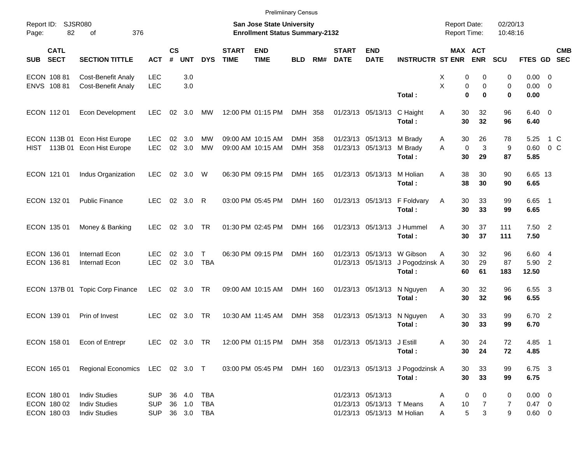|                                          |                                                                                            |                          |                |               |                            |                             | <b>Prelimiinary Census</b>                                         |            |     |                             |                                                         |                                                        |                                            |                              |                      |                               |                |            |
|------------------------------------------|--------------------------------------------------------------------------------------------|--------------------------|----------------|---------------|----------------------------|-----------------------------|--------------------------------------------------------------------|------------|-----|-----------------------------|---------------------------------------------------------|--------------------------------------------------------|--------------------------------------------|------------------------------|----------------------|-------------------------------|----------------|------------|
| Report ID:<br>82<br>Page:                | SJSR080<br>376<br>οf                                                                       |                          |                |               |                            |                             | San Jose State University<br><b>Enrollment Status Summary-2132</b> |            |     |                             |                                                         |                                                        | <b>Report Date:</b><br><b>Report Time:</b> |                              | 02/20/13<br>10:48:16 |                               |                |            |
| <b>CATL</b><br><b>SECT</b><br><b>SUB</b> | <b>SECTION TITTLE</b>                                                                      | <b>ACT</b>               | <b>CS</b><br># | <b>UNT</b>    | <b>DYS</b>                 | <b>START</b><br><b>TIME</b> | <b>END</b><br><b>TIME</b>                                          | <b>BLD</b> | RM# | <b>START</b><br><b>DATE</b> | <b>END</b><br><b>DATE</b>                               | <b>INSTRUCTR ST ENR</b>                                |                                            | MAX ACT<br><b>ENR</b>        | <b>SCU</b>           | FTES GD SEC                   |                | <b>CMB</b> |
| ECON 108 81                              | <b>Cost-Benefit Analy</b>                                                                  | <b>LEC</b>               |                | 3.0           |                            |                             |                                                                    |            |     |                             |                                                         |                                                        | х                                          | 0<br>0                       | 0                    | $0.00 \t 0$                   |                |            |
| ENVS 108 81                              | <b>Cost-Benefit Analy</b>                                                                  | <b>LEC</b>               |                | 3.0           |                            |                             |                                                                    |            |     |                             |                                                         | Total:                                                 | X<br>$\bf{0}$                              | 0<br>$\mathbf 0$<br>$\bf{0}$ | $\mathbf 0$<br>0     | $0.00 \t 0$<br>0.00           |                |            |
| ECON 11201                               | Econ Development                                                                           | <b>LEC</b>               |                | 02 3.0        | MW                         |                             | 12:00 PM 01:15 PM                                                  | DMH 358    |     |                             | 01/23/13 05/13/13                                       | C Haight<br>Total:                                     | 30<br>Α<br>30                              | 32<br>32                     | 96<br>96             | $6.40 \quad 0$<br>6.40        |                |            |
|                                          | ECON 113B 01 Econ Hist Europe                                                              | <b>LEC</b>               | 02             | 3.0           | МW                         |                             | 09:00 AM 10:15 AM                                                  | DMH        | 358 |                             | 01/23/13 05/13/13 M Brady                               |                                                        | 30<br>A                                    | 26                           | 78                   | 5.25                          | 1 C            |            |
|                                          | HIST 113B 01 Econ Hist Europe                                                              | <b>LEC</b>               | 02             | 3.0           | MW                         |                             | 09:00 AM 10:15 AM                                                  | DMH 358    |     |                             | 01/23/13 05/13/13                                       | M Brady<br>Total:                                      | $\mathbf 0$<br>A<br>30                     | 3<br>29                      | 9<br>87              | 0.60<br>5.85                  | 0 <sup>o</sup> |            |
| ECON 121 01                              | Indus Organization                                                                         | <b>LEC</b>               |                | 02 3.0        | W                          |                             | 06:30 PM 09:15 PM                                                  | DMH 165    |     |                             | 01/23/13 05/13/13                                       | M Holian<br>Total:                                     | 38<br>A<br>38                              | 30<br>30                     | 90<br>90             | 6.65 13<br>6.65               |                |            |
| ECON 132 01                              | <b>Public Finance</b>                                                                      | <b>LEC</b>               |                | 02 3.0 R      |                            |                             | 03:00 PM 05:45 PM                                                  | DMH 160    |     |                             |                                                         | 01/23/13 05/13/13 F Foldvary<br>Total:                 | 30<br>Α<br>30                              | 33<br>33                     | 99<br>99             | $6.65$ 1<br>6.65              |                |            |
| ECON 135 01                              | Money & Banking                                                                            | <b>LEC</b>               |                | 02 3.0        | TR                         |                             | 01:30 PM 02:45 PM                                                  | DMH 166    |     |                             | 01/23/13 05/13/13                                       | J Hummel<br>Total:                                     | 30<br>A<br>30                              | 37<br>37                     | 111<br>111           | $7.50$ 2<br>7.50              |                |            |
| ECON 136 01<br>ECON 136 81               | <b>Internatl Econ</b><br>Internatl Econ                                                    | <b>LEC</b><br><b>LEC</b> | 02             | 3.0<br>02 3.0 | $\mathsf{T}$<br><b>TBA</b> |                             | 06:30 PM 09:15 PM                                                  | DMH 160    |     |                             | 01/23/13 05/13/13                                       | 01/23/13 05/13/13 W Gibson<br>J Pogodzinsk A<br>Total: | 30<br>A<br>30<br>60                        | 32<br>29<br>61               | 96<br>87<br>183      | 6.60 4<br>5.90 2<br>12.50     |                |            |
|                                          | ECON 137B 01 Topic Corp Finance                                                            | LEC                      |                | 02 3.0        | TR                         |                             | 09:00 AM 10:15 AM                                                  | DMH 160    |     |                             | 01/23/13 05/13/13                                       | N Nguyen<br>Total:                                     | 30<br>Α<br>30                              | 32<br>32                     | 96<br>96             | 6.55 3<br>6.55                |                |            |
| ECON 139 01                              | Prin of Invest                                                                             | <b>LEC</b>               |                | 02 3.0        | TR                         |                             | 10:30 AM 11:45 AM                                                  | DMH 358    |     |                             | 01/23/13 05/13/13                                       | N Nguyen<br>Total:                                     | 30<br>A<br>30                              | 33<br>33                     | 99<br>99             | 6.70 2<br>6.70                |                |            |
|                                          | ECON 158 01 Econ of Entrepr                                                                |                          |                |               |                            |                             | LEC 02 3.0 TR 12:00 PM 01:15 PM DMH 358 01/23/13 05/13/13 J Estill |            |     |                             |                                                         | Total:                                                 | Α<br>30<br>30                              | 24<br>24                     | 72<br>72             | 4.85 1<br>4.85                |                |            |
| ECON 165 01                              | Regional Economics LEC 02 3.0 T 03:00 PM 05:45 PM DMH 160 01/23/13 05/13/13 J Pogodzinsk A |                          |                |               |                            |                             |                                                                    |            |     |                             |                                                         | Total:                                                 | 30<br>30                                   | 33<br>33                     | 99<br>99             | 6.75 3<br>6.75                |                |            |
| ECON 180 01                              | <b>Indiv Studies</b>                                                                       | <b>SUP</b>               |                |               | 36  4.0  TBA               |                             |                                                                    |            |     |                             | 01/23/13 05/13/13                                       |                                                        | 0<br>A                                     | 0                            | 0                    | $0.00 \t 0$                   |                |            |
| ECON 180 02<br>ECON 180 03               | <b>Indiv Studies</b><br><b>Indiv Studies</b>                                               | <b>SUP</b><br><b>SUP</b> |                |               | 36 1.0 TBA<br>36 3.0 TBA   |                             |                                                                    |            |     |                             | 01/23/13 05/13/13 T Means<br>01/23/13 05/13/13 M Holian |                                                        | 10<br>Α<br>A                               | $\overline{7}$<br>5<br>3     | 7<br>9               | $0.47 \quad 0$<br>$0.60 \t 0$ |                |            |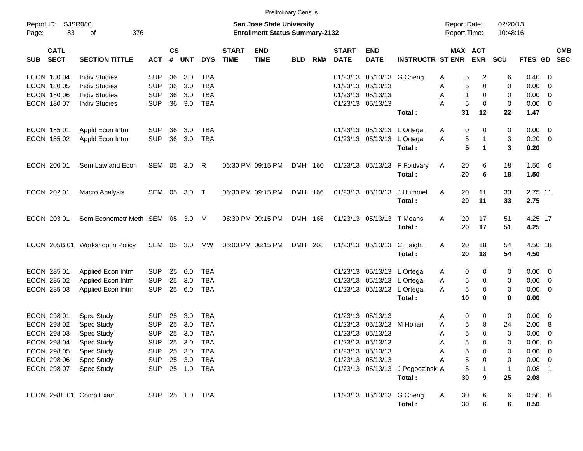|                                                                                                       |                                                                                                                                   |                                                                                                |                      |                                                           |                                                                                  |                             | <b>Prelimiinary Census</b>                                                |            |     |                                                                |                                                                                        |                                                        |                                                                     |                                                        |                                                          |                                                                                       |                                                                             |            |
|-------------------------------------------------------------------------------------------------------|-----------------------------------------------------------------------------------------------------------------------------------|------------------------------------------------------------------------------------------------|----------------------|-----------------------------------------------------------|----------------------------------------------------------------------------------|-----------------------------|---------------------------------------------------------------------------|------------|-----|----------------------------------------------------------------|----------------------------------------------------------------------------------------|--------------------------------------------------------|---------------------------------------------------------------------|--------------------------------------------------------|----------------------------------------------------------|---------------------------------------------------------------------------------------|-----------------------------------------------------------------------------|------------|
| Report ID: SJSR080<br>83<br>Page:                                                                     | 376<br>of                                                                                                                         |                                                                                                |                      |                                                           |                                                                                  |                             | <b>San Jose State University</b><br><b>Enrollment Status Summary-2132</b> |            |     |                                                                |                                                                                        |                                                        | <b>Report Date:</b><br><b>Report Time:</b>                          |                                                        | 02/20/13<br>10:48:16                                     |                                                                                       |                                                                             |            |
| <b>CATL</b><br><b>SECT</b><br><b>SUB</b>                                                              | <b>SECTION TITTLE</b>                                                                                                             | <b>ACT</b>                                                                                     | <b>CS</b><br>#       | <b>UNT</b>                                                | <b>DYS</b>                                                                       | <b>START</b><br><b>TIME</b> | <b>END</b><br><b>TIME</b>                                                 | <b>BLD</b> | RM# | <b>START</b><br><b>DATE</b>                                    | <b>END</b><br><b>DATE</b>                                                              | <b>INSTRUCTR ST ENR</b>                                | MAX ACT                                                             | <b>ENR</b>                                             | SCU                                                      | FTES GD SEC                                                                           |                                                                             | <b>CMB</b> |
| ECON 180 04<br>ECON 180 05<br>ECON 180 06<br>ECON 180 07                                              | <b>Indiv Studies</b><br><b>Indiv Studies</b><br><b>Indiv Studies</b><br><b>Indiv Studies</b>                                      | <b>SUP</b><br><b>SUP</b><br><b>SUP</b><br><b>SUP</b>                                           | 36<br>36<br>36<br>36 | 3.0<br>3.0<br>3.0<br>3.0                                  | <b>TBA</b><br><b>TBA</b><br><b>TBA</b><br><b>TBA</b>                             |                             |                                                                           |            |     | 01/23/13<br>01/23/13<br>01/23/13 05/13/13<br>01/23/13 05/13/13 | 05/13/13 G Cheng<br>05/13/13                                                           |                                                        | 5<br>A<br>5<br>A<br>A<br>-1<br>5<br>A                               | $\overline{c}$<br>$\mathbf 0$<br>0<br>$\mathbf 0$      | 6<br>0<br>0<br>0                                         | 0.40<br>0.00<br>0.00<br>0.00                                                          | - 0<br>$\overline{0}$<br>$\overline{\mathbf{0}}$<br>$\overline{\mathbf{0}}$ |            |
| ECON 185 01<br>ECON 185 02                                                                            | Appld Econ Intrn<br>Appld Econ Intrn                                                                                              | <b>SUP</b><br><b>SUP</b>                                                                       | 36<br>36             | 3.0<br>3.0                                                | <b>TBA</b><br><b>TBA</b>                                                         |                             |                                                                           |            |     |                                                                | 01/23/13 05/13/13 L Ortega<br>01/23/13 05/13/13 L Ortega                               | Total:                                                 | 31<br>0<br>A<br>5<br>A                                              | 12<br>0<br>$\mathbf{1}$                                | 22<br>0<br>3                                             | 1.47<br>$0.00 \t 0$<br>$0.20 \t 0$                                                    |                                                                             |            |
| ECON 200 01                                                                                           | Sem Law and Econ                                                                                                                  | SEM 05 3.0                                                                                     |                      |                                                           | R                                                                                |                             | 06:30 PM 09:15 PM                                                         | DMH 160    |     |                                                                |                                                                                        | Total:<br>01/23/13 05/13/13 F Foldvary<br>Total:       | 5<br>20<br>A<br>20                                                  | $\mathbf{1}$<br>6<br>6                                 | 3<br>18<br>18                                            | 0.20<br>$1.50\ 6$<br>1.50                                                             |                                                                             |            |
| ECON 202 01                                                                                           | Macro Analysis                                                                                                                    | SEM 05 3.0                                                                                     |                      |                                                           | $\top$                                                                           |                             | 06:30 PM 09:15 PM                                                         | DMH 166    |     |                                                                | 01/23/13 05/13/13                                                                      | J Hummel<br>Total:                                     | 20<br>A<br>20                                                       | 11<br>11                                               | 33<br>33                                                 | 2.75 11<br>2.75                                                                       |                                                                             |            |
| ECON 203 01                                                                                           | Sem Econometr Meth SEM 05 3.0                                                                                                     |                                                                                                |                      |                                                           | M                                                                                |                             | 06:30 PM 09:15 PM                                                         | DMH 166    |     |                                                                | 01/23/13 05/13/13 T Means                                                              | Total:                                                 | A<br>20<br>20                                                       | 17<br>17                                               | 51<br>51                                                 | 4.25 17<br>4.25                                                                       |                                                                             |            |
|                                                                                                       | ECON 205B 01 Workshop in Policy                                                                                                   | SEM 05                                                                                         |                      | 3.0                                                       | MW                                                                               |                             | 05:00 PM 06:15 PM                                                         | DMH 208    |     |                                                                | 01/23/13 05/13/13 C Haight                                                             | Total:                                                 | 20<br>A<br>20                                                       | 18<br>18                                               | 54<br>54                                                 | 4.50 18<br>4.50                                                                       |                                                                             |            |
| ECON 285 01<br>ECON 285 02<br>ECON 285 03                                                             | Applied Econ Intrn<br>Applied Econ Intrn<br>Applied Econ Intrn                                                                    | <b>SUP</b><br><b>SUP</b><br><b>SUP</b>                                                         | 25<br>25<br>25       | 6.0<br>3.0<br>6.0                                         | <b>TBA</b><br><b>TBA</b><br><b>TBA</b>                                           |                             |                                                                           |            |     |                                                                | 01/23/13 05/13/13 L Ortega<br>01/23/13 05/13/13 L Ortega<br>01/23/13 05/13/13 L Ortega | Total:                                                 | 0<br>A<br>5<br>Α<br>5<br>A<br>10                                    | 0<br>0<br>0<br>$\bf{0}$                                | 0<br>0<br>0<br>0                                         | $0.00 \t 0$<br>0.00<br>0.00<br>0.00                                                   | $\overline{\mathbf{0}}$<br>$\overline{\phantom{0}}$                         |            |
| ECON 298 01<br>ECON 298 02<br>ECON 298 03<br>ECON 298 04<br>ECON 298 05<br>ECON 298 06<br>ECON 298 07 | Spec Study<br>Spec Study<br><b>Spec Study</b><br><b>Spec Study</b><br><b>Spec Study</b><br><b>Spec Study</b><br><b>Spec Study</b> | <b>SUP</b><br><b>SUP</b><br><b>SUP</b><br><b>SUP</b><br><b>SUP</b><br><b>SUP</b><br><b>SUP</b> | 25<br>25<br>25       | 3.0<br>3.0<br>3.0<br>25 3.0<br>25 3.0<br>25 3.0<br>25 1.0 | <b>TBA</b><br><b>TBA</b><br><b>TBA</b><br>TBA<br><b>TBA</b><br><b>TBA</b><br>TBA |                             |                                                                           |            |     | 01/23/13<br>01/23/13<br>01/23/13 05/13/13                      | 05/13/13<br>05/13/13<br>01/23/13 05/13/13<br>01/23/13 05/13/13<br>01/23/13 05/13/13    | M Holian<br>01/23/13 05/13/13 J Pogodzinsk A<br>Total: | A<br>0<br>5<br>A<br>5<br>A<br>5<br>Α<br>5<br>Α<br>5<br>A<br>5<br>30 | 0<br>8<br>$\Omega$<br>0<br>0<br>0<br>$\mathbf{1}$<br>9 | 0<br>24<br>$\Omega$<br>0<br>0<br>0<br>$\mathbf{1}$<br>25 | 0.00<br>2.00<br>0.00<br>$0.00 \t 0$<br>$0.00 \t 0$<br>$0.00 \t 0$<br>$0.08$ 1<br>2.08 | $\overline{\mathbf{0}}$<br>-8<br>0                                          |            |
| ECON 298E 01 Comp Exam                                                                                |                                                                                                                                   | SUP 25 1.0 TBA                                                                                 |                      |                                                           |                                                                                  |                             |                                                                           |            |     |                                                                | 01/23/13 05/13/13 G Cheng                                                              | Total:                                                 | 30<br>A<br>30                                                       | 6<br>6                                                 | 6<br>6                                                   | $0.50\quad 6$<br>0.50                                                                 |                                                                             |            |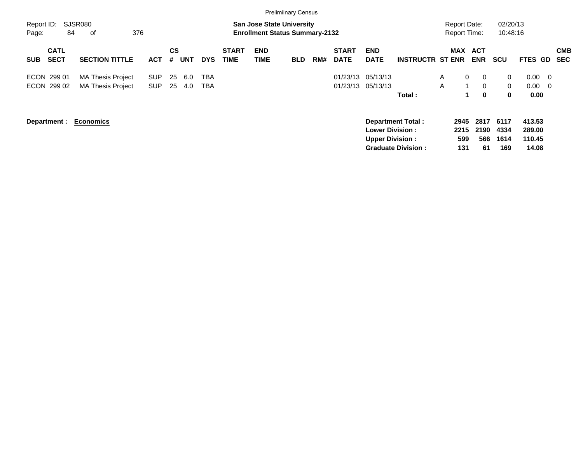|                     |                            |                                                      |                          |          |            |            |                             |                                                                           | <b>Prelimiinary Census</b> |     |                             |                                                  |                                                       |                   |                                            |                           |                                           |                                               |                          |
|---------------------|----------------------------|------------------------------------------------------|--------------------------|----------|------------|------------|-----------------------------|---------------------------------------------------------------------------|----------------------------|-----|-----------------------------|--------------------------------------------------|-------------------------------------------------------|-------------------|--------------------------------------------|---------------------------|-------------------------------------------|-----------------------------------------------|--------------------------|
| Report ID:<br>Page: | 84                         | <b>SJSR080</b><br>376<br>of                          |                          |          |            |            |                             | <b>San Jose State University</b><br><b>Enrollment Status Summary-2132</b> |                            |     |                             |                                                  |                                                       |                   | <b>Report Date:</b><br><b>Report Time:</b> |                           | 02/20/13<br>10:48:16                      |                                               |                          |
| <b>SUB</b>          | <b>CATL</b><br><b>SECT</b> | <b>SECTION TITTLE</b>                                | <b>ACT</b>               | CS<br>#  | <b>UNT</b> | <b>DYS</b> | <b>START</b><br><b>TIME</b> | <b>END</b><br><b>TIME</b>                                                 | <b>BLD</b>                 | RM# | <b>START</b><br><b>DATE</b> | <b>END</b><br><b>DATE</b>                        | <b>INSTRUCTR ST ENR</b>                               |                   | <b>MAX</b>                                 | <b>ACT</b><br><b>ENR</b>  | <b>SCU</b>                                | <b>FTES GD</b>                                | <b>CMB</b><br><b>SEC</b> |
| ECON 299 01         | ECON 299 02                | <b>MA Thesis Project</b><br><b>MA Thesis Project</b> | <b>SUP</b><br><b>SUP</b> | 25<br>25 | 6.0<br>4.0 | TBA<br>TBA |                             |                                                                           |                            |     | 01/23/13<br>01/23/13        | 05/13/13<br>05/13/13                             | Total:                                                | $\mathsf{A}$<br>A | $\mathbf{0}$                               | 0<br>$\Omega$<br>0        | $\overline{0}$<br>$\Omega$<br>$\mathbf 0$ | 0.00<br>- 0<br>0.00<br>$\overline{0}$<br>0.00 |                          |
|                     | Department :               | <b>Economics</b>                                     |                          |          |            |            |                             |                                                                           |                            |     |                             | <b>Lower Division:</b><br><b>Upper Division:</b> | <b>Department Total:</b><br><b>Graduate Division:</b> |                   | 2945<br>2215<br>599<br>131                 | 2817<br>2190<br>566<br>61 | 6117<br>4334<br>1614<br>169               | 413.53<br>289.00<br>110.45<br>14.08           |                          |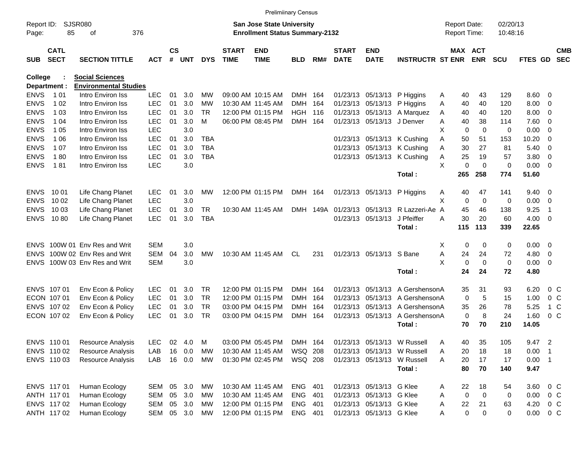|             |                            |                              |            |                    |            |            |                             |                                       | <b>Prelimiinary Census</b> |     |                             |                            |                             |   |                     |             |             |             |                         |            |
|-------------|----------------------------|------------------------------|------------|--------------------|------------|------------|-----------------------------|---------------------------------------|----------------------------|-----|-----------------------------|----------------------------|-----------------------------|---|---------------------|-------------|-------------|-------------|-------------------------|------------|
| Report ID:  |                            | SJSR080                      |            |                    |            |            |                             | <b>San Jose State University</b>      |                            |     |                             |                            |                             |   | <b>Report Date:</b> |             | 02/20/13    |             |                         |            |
| Page:       | 85                         | оf                           | 376        |                    |            |            |                             | <b>Enrollment Status Summary-2132</b> |                            |     |                             |                            |                             |   | Report Time:        |             | 10:48:16    |             |                         |            |
|             |                            |                              |            |                    |            |            |                             |                                       |                            |     |                             |                            |                             |   |                     |             |             |             |                         |            |
| <b>SUB</b>  | <b>CATL</b><br><b>SECT</b> | <b>SECTION TITTLE</b>        | <b>ACT</b> | $\mathsf{cs}$<br># | <b>UNT</b> | <b>DYS</b> | <b>START</b><br><b>TIME</b> | <b>END</b><br><b>TIME</b>             | <b>BLD</b>                 | RM# | <b>START</b><br><b>DATE</b> | <b>END</b><br><b>DATE</b>  | <b>INSTRUCTR ST ENR</b>     |   | MAX ACT             | <b>ENR</b>  | <b>SCU</b>  | FTES GD SEC |                         | <b>CMB</b> |
| College     |                            | <b>Social Sciences</b>       |            |                    |            |            |                             |                                       |                            |     |                             |                            |                             |   |                     |             |             |             |                         |            |
|             | Department :               | <b>Environmental Studies</b> |            |                    |            |            |                             |                                       |                            |     |                             |                            |                             |   |                     |             |             |             |                         |            |
| ENVS        | 1 0 1                      | Intro Environ Iss            | <b>LEC</b> | 01                 | 3.0        | МW         |                             | 09:00 AM 10:15 AM                     | DMH 164                    |     |                             | 01/23/13 05/13/13          | P Higgins                   | A | 40                  | 43          | 129         | 8.60        | - 0                     |            |
| ENVS        | 1 0 2                      | Intro Environ Iss            | <b>LEC</b> | 01                 | 3.0        | МW         |                             | 10:30 AM 11:45 AM                     | <b>DMH</b>                 | 164 | 01/23/13                    | 05/13/13                   | P Higgins                   | A | 40                  | 40          | 120         | 8.00        | 0                       |            |
| ENVS        | 1 0 3                      | Intro Environ Iss            | <b>LEC</b> | 01                 | 3.0        | TR.        |                             | 12:00 PM 01:15 PM                     | <b>HGH 116</b>             |     |                             | 01/23/13 05/13/13          | A Marquez                   | A | 40                  | 40          | 120         | 8.00        | 0                       |            |
| ENVS        | 1 04                       | Intro Environ Iss            | <b>LEC</b> | 01                 | 3.0        | м          |                             | 06:00 PM 08:45 PM                     | DMH 164                    |     |                             | 01/23/13 05/13/13 J Denver |                             | A | 40                  | 38          | 114         | 7.60        | 0                       |            |
| ENVS        | 1 0 5                      | Intro Environ Iss            | <b>LEC</b> |                    | 3.0        |            |                             |                                       |                            |     |                             |                            |                             | х | 0                   | $\mathbf 0$ | 0           | 0.00        | 0                       |            |
| ENVS        | 1 0 6                      | Intro Environ Iss            | <b>LEC</b> | 01                 | 3.0        | TBA        |                             |                                       |                            |     |                             |                            | 01/23/13 05/13/13 K Cushing | A | 50                  | 51          | 153         | 10.20       | 0                       |            |
| ENVS        | 1 07                       | Intro Environ Iss            | <b>LEC</b> | 01                 | 3.0        | <b>TBA</b> |                             |                                       |                            |     |                             |                            | 01/23/13 05/13/13 K Cushing | A | 30                  | 27          | 81          | 5.40        | 0                       |            |
| ENVS        | 180                        | Intro Environ Iss            | <b>LEC</b> | 01                 | 3.0        | <b>TBA</b> |                             |                                       |                            |     |                             |                            | 01/23/13 05/13/13 K Cushing | Α | 25                  | 19          | 57          | 3.80        | 0                       |            |
| <b>ENVS</b> | 181                        | Intro Environ Iss            | <b>LEC</b> |                    | 3.0        |            |                             |                                       |                            |     |                             |                            |                             | X | 0                   | $\mathbf 0$ | $\mathbf 0$ | 0.00        | - 0                     |            |
|             |                            |                              |            |                    |            |            |                             |                                       |                            |     |                             |                            | Total:                      |   | 265                 | 258         | 774         | 51.60       |                         |            |
| <b>ENVS</b> | 10 01                      | Life Chang Planet            | LEC.       | 01                 | 3.0        | MW         |                             | 12:00 PM 01:15 PM                     | DMH 164                    |     |                             | 01/23/13 05/13/13          | P Higgins                   | A | 40                  | 47          | 141         | 9.40        | - 0                     |            |
| <b>ENVS</b> | 10 02                      | Life Chang Planet            | <b>LEC</b> |                    | 3.0        |            |                             |                                       |                            |     |                             |                            |                             | X | 0                   | $\mathbf 0$ | 0           | 0.00        | 0                       |            |
| <b>ENVS</b> | 10 03                      | Life Chang Planet            | <b>LEC</b> | 01                 | 3.0        | TR         |                             | 10:30 AM 11:45 AM                     |                            |     |                             | DMH 149A 01/23/13 05/13/13 | R Lazzeri-Ae A              |   | 45                  | 46          | 138         | 9.25        | -1                      |            |
| <b>ENVS</b> | 1080                       | Life Chang Planet            | <b>LEC</b> | 01                 | 3.0        | <b>TBA</b> |                             |                                       |                            |     |                             | 01/23/13 05/13/13          | J Pfeiffer                  | Α | 30                  | 20          | 60          | 4.00        | - 0                     |            |
|             |                            |                              |            |                    |            |            |                             |                                       |                            |     |                             |                            | Total:                      |   | 115                 | 113         | 339         | 22.65       |                         |            |
| ENVS.       |                            | 100W 01 Env Res and Writ     | <b>SEM</b> |                    | 3.0        |            |                             |                                       |                            |     |                             |                            |                             | Х | 0                   | 0           | 0           | 0.00        | - 0                     |            |
| <b>ENVS</b> |                            | 100W 02 Env Res and Writ     | <b>SEM</b> | 04                 | 3.0        | <b>MW</b>  |                             | 10:30 AM 11:45 AM                     | CL                         | 231 |                             | 01/23/13 05/13/13 S Bane   |                             | Α | 24                  | 24          | 72          | 4.80        | $\overline{0}$          |            |
| <b>ENVS</b> |                            | 100W 03 Env Res and Writ     | <b>SEM</b> |                    | 3.0        |            |                             |                                       |                            |     |                             |                            |                             | X | 0                   | 0           | 0           | 0.00        | $\overline{\mathbf{0}}$ |            |
|             |                            |                              |            |                    |            |            |                             |                                       |                            |     |                             |                            | Total:                      |   | 24                  | 24          | 72          | 4.80        |                         |            |
|             | ENVS 107 01                | Env Econ & Policy            | <b>LEC</b> | 01                 | 3.0        | TR.        |                             | 12:00 PM 01:15 PM                     | DMH 164                    |     | 01/23/13                    | 05/13/13                   | A GershensonA               |   | 35                  | 31          | 93          | 6.20        | $0\,$ C                 |            |
|             | ECON 107 01                | Env Econ & Policy            | <b>LEC</b> | 01                 | 3.0        | <b>TR</b>  |                             | 12:00 PM 01:15 PM                     | <b>DMH</b>                 | 164 | 01/23/13                    | 05/13/13                   | A GershensonA               |   | 0                   | 5           | 15          | 1.00        | $0\,$ C                 |            |
|             | ENVS 107 02                | Env Econ & Policy            | <b>LEC</b> | 01                 | 3.0        | <b>TR</b>  |                             | 03:00 PM 04:15 PM                     | <b>DMH</b>                 | 164 | 01/23/13                    | 05/13/13                   | A GershensonA               |   | 35                  | 26          | 78          | 5.25        | 1 C                     |            |
|             | ECON 107 02                | Env Econ & Policy            | <b>LEC</b> | 01                 | 3.0        | <b>TR</b>  |                             | 03:00 PM 04:15 PM                     | <b>DMH</b>                 | 164 |                             | 01/23/13 05/13/13          | A GershensonA               |   | 0                   | 8           | 24          | 1.60        | 0 <sup>o</sup>          |            |
|             |                            |                              |            |                    |            |            |                             |                                       |                            |     |                             |                            | Total:                      |   | 70                  | 70          | 210         | 14.05       |                         |            |
|             | ENVS 110 01                | Resource Analysis            | <b>LEC</b> |                    | 02 4.0     | M          |                             | 03:00 PM 05:45 PM                     | DMH 164                    |     |                             |                            | 01/23/13 05/13/13 W Russell | Α | 40                  | 35          | 105         | 9.47 2      |                         |            |
|             | ENVS 110 02                | Resource Analysis            | LAB        |                    | 16 0.0     | MW         |                             | 10:30 AM 11:45 AM                     | WSQ 208                    |     |                             |                            | 01/23/13 05/13/13 W Russell | Α | 20                  | 18          | 18          | 0.00        | - 1                     |            |
|             | ENVS 110 03                | <b>Resource Analysis</b>     | LAB        |                    | 16 0.0     | МW         |                             | 01:30 PM 02:45 PM                     | WSQ 208                    |     |                             |                            | 01/23/13 05/13/13 W Russell | A | 20                  | 17          | 17          | $0.00$ 1    |                         |            |
|             |                            |                              |            |                    |            |            |                             |                                       |                            |     |                             |                            | Total:                      |   | 80                  | 70          | 140         | 9.47        |                         |            |
|             | ENVS 117 01                | Human Ecology                | SEM 05 3.0 |                    |            | МW         |                             | 10:30 AM 11:45 AM                     | ENG 401                    |     |                             | 01/23/13 05/13/13 G Klee   |                             | A | 22                  | 18          | 54          | 3.60        | 0 C                     |            |
|             | ANTH 117 01                | Human Ecology                | SEM 05 3.0 |                    |            | МW         |                             | 10:30 AM 11:45 AM                     | ENG 401                    |     |                             | 01/23/13 05/13/13 G Klee   |                             | A | 0                   | 0           | 0           | 0.00        | $0\,C$                  |            |
|             | ENVS 117 02                | Human Ecology                | SEM 05 3.0 |                    |            | МW         |                             | 12:00 PM 01:15 PM                     | ENG 401                    |     |                             | 01/23/13 05/13/13 G Klee   |                             | A | 22                  | 21          | 63          | 4.20        | $0\,$ C                 |            |
|             | ANTH 117 02                | Human Ecology                | SEM 05 3.0 |                    |            | МW         |                             | 12:00 PM 01:15 PM                     | ENG 401                    |     |                             | 01/23/13 05/13/13 G Klee   |                             | A | 0                   | 0           | 0           | 0.00        | $0\,C$                  |            |
|             |                            |                              |            |                    |            |            |                             |                                       |                            |     |                             |                            |                             |   |                     |             |             |             |                         |            |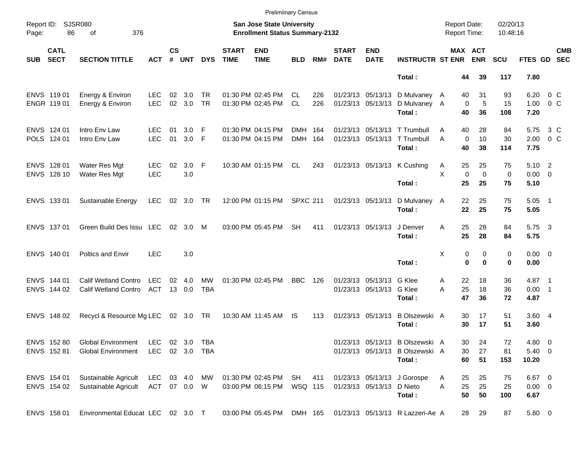|            |                            |                                                            |                               |                    |               |                         |                             | <b>Prelimiinary Census</b>                                         |                    |            |                             |                                                      |                                                                              |                                            |                         |                      |                                 |                           |            |
|------------|----------------------------|------------------------------------------------------------|-------------------------------|--------------------|---------------|-------------------------|-----------------------------|--------------------------------------------------------------------|--------------------|------------|-----------------------------|------------------------------------------------------|------------------------------------------------------------------------------|--------------------------------------------|-------------------------|----------------------|---------------------------------|---------------------------|------------|
| Page:      | Report ID: SJSR080<br>86   | 376<br>of                                                  |                               |                    |               |                         |                             | San Jose State University<br><b>Enrollment Status Summary-2132</b> |                    |            |                             |                                                      |                                                                              | <b>Report Date:</b><br><b>Report Time:</b> |                         | 02/20/13<br>10:48:16 |                                 |                           |            |
| <b>SUB</b> | <b>CATL</b><br><b>SECT</b> | <b>SECTION TITTLE</b>                                      | <b>ACT</b>                    | $\mathsf{cs}$<br># | <b>UNT</b>    | <b>DYS</b>              | <b>START</b><br><b>TIME</b> | <b>END</b><br><b>TIME</b>                                          | <b>BLD</b>         | RM#        | <b>START</b><br><b>DATE</b> | <b>END</b><br><b>DATE</b>                            | <b>INSTRUCTR ST ENR</b>                                                      |                                            | MAX ACT<br><b>ENR</b>   | <b>SCU</b>           | FTES GD SEC                     |                           | <b>CMB</b> |
|            |                            |                                                            |                               |                    |               |                         |                             |                                                                    |                    |            |                             |                                                      | Total:                                                                       | 44                                         | 39                      | 117                  | 7.80                            |                           |            |
|            | ENVS 11901<br>ENGR 11901   | Energy & Environ<br>Energy & Environ                       | <b>LEC</b><br><b>LEC</b>      | 02<br>02           | 3.0<br>3.0    | TR.<br><b>TR</b>        |                             | 01:30 PM 02:45 PM<br>01:30 PM 02:45 PM                             | CL.<br>CL          | 226<br>226 |                             | 01/23/13 05/13/13<br>01/23/13 05/13/13               | D Mulvaney A<br>D Mulvaney A<br>Total:                                       | 40<br>$\mathbf 0$<br>40                    | 31<br>5<br>36           | 93<br>15<br>108      | 6.20<br>1.00<br>7.20            | 0 <sup>o</sup><br>$0\,$ C |            |
|            | ENVS 124 01<br>POLS 124 01 | Intro Env Law<br>Intro Env Law                             | LEC.<br><b>LEC</b>            | 01<br>01           | 3.0<br>3.0 F  | -F                      |                             | 01:30 PM 04:15 PM<br>01:30 PM 04:15 PM                             | DMH 164<br>DMH 164 |            |                             |                                                      | 01/23/13 05/13/13 T Trumbull<br>01/23/13 05/13/13 T Trumbull<br>Total:       | 40<br>A<br>$\mathbf 0$<br>A<br>40          | 28<br>10<br>38          | 84<br>30<br>114      | 5.75<br>2.00<br>7.75            | 3 C<br>$0\,$ C            |            |
|            | ENVS 128 01<br>ENVS 128 10 | Water Res Mgt<br>Water Res Mgt                             | <b>LEC</b><br><b>LEC</b>      | 02                 | 3.0 F<br>3.0  |                         |                             | 10:30 AM 01:15 PM                                                  | CL.                | 243        |                             |                                                      | 01/23/13 05/13/13 K Cushing<br>Total:                                        | 25<br>A<br>X<br>$\mathbf 0$<br>25          | 25<br>$\mathbf 0$<br>25 | 75<br>0<br>75        | $5.10$ 2<br>$0.00 \t 0$<br>5.10 |                           |            |
|            | ENVS 133 01                | Sustainable Energy                                         | <b>LEC</b>                    |                    | 02 3.0 TR     |                         |                             | 12:00 PM 01:15 PM                                                  | <b>SPXC 211</b>    |            |                             | 01/23/13 05/13/13                                    | D Mulvaney A<br>Total:                                                       | 22<br>22                                   | 25<br>25                | 75<br>75             | $5.05$ 1<br>5.05                |                           |            |
|            | ENVS 137 01                | Green Build Des Issu LEC                                   |                               |                    | 02 3.0        | M                       |                             | 03:00 PM 05:45 PM                                                  | <b>SH</b>          | 411        |                             | 01/23/13 05/13/13                                    | J Denver<br>Total:                                                           | 25<br>A<br>25                              | 28<br>28                | 84<br>84             | 5.75 3<br>5.75                  |                           |            |
|            | ENVS 140 01                | Poltics and Envir                                          | <b>LEC</b>                    |                    | 3.0           |                         |                             |                                                                    |                    |            |                             |                                                      | Total:                                                                       | Χ<br>$\bf{0}$                              | 0<br>0<br>$\bf{0}$      | 0<br>0               | $0.00 \t 0$<br>0.00             |                           |            |
|            | ENVS 144 01<br>ENVS 144 02 | <b>Calif Wetland Contro</b><br><b>Calif Wetland Contro</b> | <b>LEC</b><br>ACT             | 02                 | 4.0<br>13 0.0 | <b>MW</b><br><b>TBA</b> |                             | 01:30 PM 02:45 PM                                                  | BBC                | 126        |                             | 01/23/13 05/13/13 G Klee<br>01/23/13 05/13/13 G Klee | Total:                                                                       | 22<br>A<br>25<br>A<br>47                   | 18<br>18<br>36          | 36<br>36<br>72       | 4.87 1<br>$0.00$ 1<br>4.87      |                           |            |
|            | ENVS 148 02                | Recycl & Resource Mg LEC                                   |                               |                    | 02 3.0 TR     |                         |                             | 10:30 AM 11:45 AM                                                  | IS.                | 113        |                             | 01/23/13 05/13/13                                    | B Olszewski A<br>Total:                                                      | 30<br>30                                   | 17<br>17                | 51<br>51             | 3.604<br>3.60                   |                           |            |
|            | ENVS 152 80<br>ENVS 15281  | <b>Global Environment</b><br><b>Global Environment</b>     | LEC<br>LEC                    |                    | 02 3.0 TBA    | 02 3.0 TBA              |                             |                                                                    |                    |            |                             |                                                      | 01/23/13 05/13/13 B Olszewski A<br>01/23/13 05/13/13 B Olszewski A<br>Total: | 30<br>30<br>60                             | 24<br>27<br>51          | 72<br>81<br>153      | $4.80\ 0$<br>$5.40\ 0$<br>10.20 |                           |            |
|            | ENVS 154 01<br>ENVS 154 02 | Sustainable Agricult<br>Sustainable Agricult               | LEC 03 4.0 MW<br>ACT 07 0.0 W |                    |               |                         |                             | 01:30 PM 02:45 PM SH<br>03:00 PM 06:15 PM                          | WSQ 115            | 411        |                             | 01/23/13 05/13/13 D Nieto                            | 01/23/13 05/13/13 J Gorospe<br>Total:                                        | 25<br>A<br>25<br>A<br>50                   | 25<br>25<br>50          | 75<br>25<br>100      | $6.67$ 0<br>$0.00 \t 0$<br>6.67 |                           |            |
|            | ENVS 158 01                | Environmental Educat LEC 02 3.0 T                          |                               |                    |               |                         |                             | 03:00 PM 05:45 PM DMH 165                                          |                    |            |                             |                                                      | 01/23/13 05/13/13 R Lazzeri-Ae A                                             | 28                                         | 29                      | 87                   | 5.80 0                          |                           |            |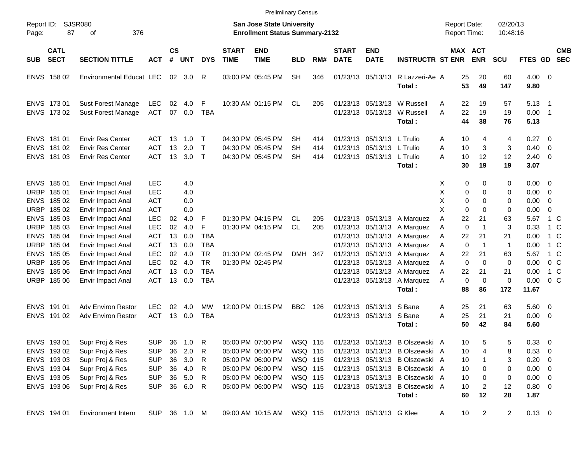|                     |                            |                                                    |                          |                |            |                       |                             | <b>Prelimiinary Census</b>                                         |                 |            |                             |                                                 |                                 |                                     |                            |                      |                      |                          |                          |
|---------------------|----------------------------|----------------------------------------------------|--------------------------|----------------|------------|-----------------------|-----------------------------|--------------------------------------------------------------------|-----------------|------------|-----------------------------|-------------------------------------------------|---------------------------------|-------------------------------------|----------------------------|----------------------|----------------------|--------------------------|--------------------------|
| Report ID:<br>Page: | 87                         | <b>SJSR080</b><br>376<br>оf                        |                          |                |            |                       |                             | San Jose State University<br><b>Enrollment Status Summary-2132</b> |                 |            |                             |                                                 |                                 | <b>Report Date:</b><br>Report Time: |                            | 02/20/13<br>10:48:16 |                      |                          |                          |
| <b>SUB</b>          | <b>CATL</b><br><b>SECT</b> | <b>SECTION TITTLE</b>                              | <b>ACT</b>               | <b>CS</b><br># | <b>UNT</b> | <b>DYS</b>            | <b>START</b><br><b>TIME</b> | <b>END</b><br><b>TIME</b>                                          | BLD             | RM#        | <b>START</b><br><b>DATE</b> | <b>END</b><br><b>DATE</b>                       | <b>INSTRUCTR ST ENR</b>         |                                     | MAX ACT<br><b>ENR</b>      | <b>SCU</b>           | FTES GD              |                          | <b>CMB</b><br><b>SEC</b> |
|                     | ENVS 158 02                | Environmental Educat LEC                           |                          | 02             | 3.0        | R                     |                             | 03:00 PM 05:45 PM                                                  | <b>SH</b>       | 346        |                             | 01/23/13 05/13/13                               | R Lazzeri-Ae A<br>Total:        | 25<br>53                            | 20<br>49                   | 60<br>147            | $4.00 \ 0$<br>9.80   |                          |                          |
|                     | ENVS 173 01                | <b>Sust Forest Manage</b>                          | <b>LEC</b>               | 02             | 4.0        | F                     |                             | 10:30 AM 01:15 PM                                                  | CL              | 205        |                             | 01/23/13 05/13/13                               | W Russell                       | 22<br>Α                             | 19                         | 57                   | 5.13                 | - 1                      |                          |
|                     | ENVS 173 02                | <b>Sust Forest Manage</b>                          | <b>ACT</b>               | 07             | 0.0        | <b>TBA</b>            |                             |                                                                    |                 |            |                             | 01/23/13 05/13/13                               | W Russell<br>Total:             | 22<br>A<br>44                       | 19<br>38                   | 19<br>76             | 0.00<br>5.13         | - 1                      |                          |
|                     | ENVS 181 01                | <b>Envir Res Center</b>                            | ACT.                     | 13             | 1.0        | Т                     |                             | 04:30 PM 05:45 PM                                                  | SН              | 414        |                             | 01/23/13 05/13/13                               | L Trulio                        | 10<br>A                             | 4                          | 4                    | 0.27                 | - 0                      |                          |
| <b>ENVS</b>         | 181 02<br>ENVS 181 03      | <b>Envir Res Center</b><br><b>Envir Res Center</b> | <b>ACT</b><br><b>ACT</b> | 13<br>13       | 2.0<br>3.0 | $\mathsf T$<br>$\top$ |                             | 04:30 PM 05:45 PM<br>04:30 PM 05:45 PM                             | SН<br><b>SH</b> | 414<br>414 |                             | 01/23/13 05/13/13 L Trulio<br>01/23/13 05/13/13 | L Trulio<br>Total:              | A<br>10<br>10<br>А<br>30            | 3<br>12<br>19              | 3<br>12<br>19        | 0.40<br>2.40<br>3.07 | $\overline{0}$<br>- 0    |                          |
|                     | ENVS 185 01                | Envir Impact Anal                                  | <b>LEC</b>               |                | 4.0        |                       |                             |                                                                    |                 |            |                             |                                                 |                                 | Χ                                   | 0<br>0                     | 0                    | 0.00                 | - 0                      |                          |
|                     | URBP 185 01                | Envir Impact Anal                                  | <b>LEC</b>               |                | 4.0        |                       |                             |                                                                    |                 |            |                             |                                                 |                                 | X<br>0                              | 0                          | 0                    | 0.00                 | 0                        |                          |
|                     | ENVS 185 02                | Envir Impact Anal                                  | <b>ACT</b>               |                | 0.0        |                       |                             |                                                                    |                 |            |                             |                                                 |                                 | X<br>0                              | 0                          | 0                    | 0.00                 | 0                        |                          |
|                     | URBP 185 02                | Envir Impact Anal                                  | <b>ACT</b>               |                | 0.0        |                       |                             |                                                                    |                 |            |                             |                                                 |                                 | X<br>0                              | $\mathbf 0$                | 0                    | 0.00                 | $\mathbf 0$              |                          |
|                     | ENVS 185 03                | Envir Impact Anal                                  | <b>LEC</b>               | 02             | 4.0        | F                     |                             | 01:30 PM 04:15 PM                                                  | CL.             | 205        |                             |                                                 | 01/23/13 05/13/13 A Marquez     | 22<br>Α                             | 21                         | 63                   | 5.67                 | 1 C                      |                          |
|                     | URBP 185 03                | Envir Impact Anal                                  | <b>LEC</b>               | 02             | 4.0        | F                     |                             | 01:30 PM 04:15 PM                                                  | <b>CL</b>       | 205        |                             | 01/23/13 05/13/13                               | A Marquez                       | $\mathbf 0$<br>Α                    | $\mathbf 1$                | 3                    | 0.33                 | 1 C                      |                          |
|                     | ENVS 185 04                | Envir Impact Anal                                  | <b>ACT</b>               | 13             | 0.0        | <b>TBA</b>            |                             |                                                                    |                 |            |                             |                                                 | 01/23/13 05/13/13 A Marquez     | Α<br>22                             | 21                         | 21                   | 0.00                 | 1 C                      |                          |
|                     | URBP 185 04                | Envir Impact Anal                                  | <b>ACT</b>               | 13             | 0.0        | <b>TBA</b>            |                             |                                                                    |                 |            |                             | 01/23/13 05/13/13                               | A Marquez                       | $\mathbf 0$<br>A                    | $\mathbf 1$                | $\mathbf{1}$         | 0.00                 | 1 C                      |                          |
|                     | ENVS 185 05                | Envir Impact Anal                                  | <b>LEC</b>               | 02             | 4.0        | <b>TR</b>             |                             | 01:30 PM 02:45 PM                                                  | DMH 347         |            |                             | 01/23/13 05/13/13                               | A Marquez                       | 22<br>Α                             | 21                         | 63                   | 5.67                 | 1 C                      |                          |
|                     | URBP 185 05                | Envir Impact Anal                                  | <b>LEC</b>               | 02             | 4.0        | <b>TR</b>             |                             | 01:30 PM 02:45 PM                                                  |                 |            |                             |                                                 | 01/23/13 05/13/13 A Marquez     | $\mathbf 0$<br>A                    | $\mathbf 0$                | $\mathbf 0$          | 0.00                 | 0 <sup>o</sup>           |                          |
|                     | ENVS 185 06                | Envir Impact Anal                                  | <b>ACT</b>               | 13             | 0.0        | <b>TBA</b>            |                             |                                                                    |                 |            |                             | 01/23/13 05/13/13                               | A Marquez                       | 22<br>A                             | 21                         | 21                   | 0.00                 | 1 C                      |                          |
|                     | URBP 185 06                | Envir Impact Anal                                  | <b>ACT</b>               | 13             | 0.0        | <b>TBA</b>            |                             |                                                                    |                 |            |                             | 01/23/13 05/13/13                               | A Marquez                       | A                                   | $\mathbf 0$<br>$\mathbf 0$ | 0                    | 0.00                 | $0\,C$                   |                          |
|                     |                            |                                                    |                          |                |            |                       |                             |                                                                    |                 |            |                             |                                                 | Total:                          | 88                                  | 86                         | 172                  | 11.67                |                          |                          |
|                     | ENVS 191 01                | Adv Environ Restor                                 | <b>LEC</b>               | 02             | 4.0        | MW                    |                             | 12:00 PM 01:15 PM                                                  | <b>BBC</b>      | 126        |                             | 01/23/13 05/13/13                               | S Bane                          | 25<br>A                             | 21                         | 63                   | 5.60                 | $\overline{\phantom{0}}$ |                          |
|                     | ENVS 191 02                | <b>Adv Environ Restor</b>                          | <b>ACT</b>               | 13             | 0.0        | <b>TBA</b>            |                             |                                                                    |                 |            |                             | 01/23/13 05/13/13 S Bane                        |                                 | 25<br>A                             | 21                         | 21                   | 0.00                 | $\overline{\mathbf{0}}$  |                          |
|                     |                            |                                                    |                          |                |            |                       |                             |                                                                    |                 |            |                             |                                                 | Total:                          | 50                                  | 42                         | 84                   | 5.60                 |                          |                          |
|                     | ENVS 193 01                | Supr Proj & Res                                    | <b>SUP</b>               | 36             | 1.0        | R                     |                             | 05:00 PM 07:00 PM                                                  | WSQ 115         |            |                             |                                                 | 01/23/13 05/13/13 B Olszewski A | 10                                  | 5                          | 5                    | 0.33                 | $\overline{\phantom{0}}$ |                          |
|                     | ENVS 193 02                | Supr Proj & Res                                    | <b>SUP</b>               | 36             | 2.0        | R                     |                             | 05:00 PM 06:00 PM                                                  | WSQ 115         |            |                             |                                                 | 01/23/13 05/13/13 B Olszewski A | 10                                  |                            | 8                    | 0.53                 | $\overline{\phantom{0}}$ |                          |
|                     | ENVS 193 03                | Supr Proj & Res                                    | <b>SUP</b>               |                | 36 3.0     | R                     |                             | 05:00 PM 06:00 PM                                                  | WSQ 115         |            |                             |                                                 | 01/23/13 05/13/13 B Olszewski A | 10                                  |                            | 3                    | 0.20                 | $\overline{\phantom{0}}$ |                          |
|                     | ENVS 193 04                | Supr Proj & Res                                    | <b>SUP</b>               | 36             | 4.0        | R                     |                             | 05:00 PM 06:00 PM                                                  | WSQ 115         |            |                             |                                                 | 01/23/13 05/13/13 B Olszewski A | 10                                  | 0                          | 0                    | $0.00 \t 0$          |                          |                          |
|                     | ENVS 193 05                | Supr Proj & Res                                    | <b>SUP</b>               |                | 36 5.0     | R                     |                             | 05:00 PM 06:00 PM                                                  | WSQ 115         |            |                             |                                                 | 01/23/13 05/13/13 B Olszewski A | 10                                  | 0                          | 0                    | $0.00 \t 0$          |                          |                          |
|                     | ENVS 193 06                | Supr Proj & Res                                    | <b>SUP</b>               |                | 36 6.0     | R                     |                             | 05:00 PM 06:00 PM                                                  | WSQ 115         |            |                             | 01/23/13 05/13/13                               | B Olszewski A                   | 10                                  | 2                          | 12                   | 0.80 0               |                          |                          |
|                     |                            |                                                    |                          |                |            |                       |                             |                                                                    |                 |            |                             |                                                 | Total:                          | 60                                  | 12                         | 28                   | 1.87                 |                          |                          |
|                     | ENVS 194 01                | <b>Environment Intern</b>                          | <b>SUP</b>               |                | 36 1.0 M   |                       |                             | 09:00 AM 10:15 AM                                                  | WSQ 115         |            |                             | 01/23/13 05/13/13 G Klee                        |                                 | 10<br>A                             | $\overline{2}$             | $\overline{2}$       | $0.13 \ 0$           |                          |                          |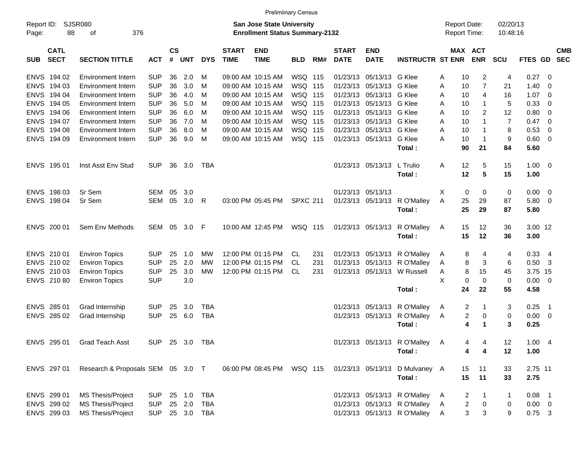|                     |                            |                                   |                |                    |            |            |                                                                           | <b>Prelimiinary Census</b> |                 |     |                             |                           |                                            |         |                                |                |             |                          |            |
|---------------------|----------------------------|-----------------------------------|----------------|--------------------|------------|------------|---------------------------------------------------------------------------|----------------------------|-----------------|-----|-----------------------------|---------------------------|--------------------------------------------|---------|--------------------------------|----------------|-------------|--------------------------|------------|
| Report ID:<br>Page: | SJSR080<br>88              |                                   |                |                    |            |            | <b>San Jose State University</b><br><b>Enrollment Status Summary-2132</b> |                            |                 |     |                             |                           | <b>Report Date:</b><br><b>Report Time:</b> |         | 02/20/13<br>10:48:16           |                |             |                          |            |
| <b>SUB</b>          | <b>CATL</b><br><b>SECT</b> | <b>SECTION TITTLE</b>             | <b>ACT</b>     | $\mathsf{cs}$<br># | <b>UNT</b> | <b>DYS</b> | <b>START</b><br><b>TIME</b>                                               | <b>END</b><br><b>TIME</b>  | <b>BLD</b>      | RM# | <b>START</b><br><b>DATE</b> | <b>END</b><br><b>DATE</b> | <b>INSTRUCTR ST ENR</b>                    |         | MAX ACT<br><b>ENR</b>          | <b>SCU</b>     | FTES GD SEC |                          | <b>CMB</b> |
| <b>ENVS</b>         | 194 02                     | <b>Environment Intern</b>         | <b>SUP</b>     | 36                 | 2.0        | M          |                                                                           | 09:00 AM 10:15 AM          | WSQ 115         |     | 01/23/13                    | 05/13/13                  | G Klee                                     | 10<br>A | $\overline{c}$                 | 4              | 0.27        | - 0                      |            |
| <b>ENVS</b>         | 194 03                     | <b>Environment Intern</b>         | <b>SUP</b>     | 36                 | 3.0        | M          |                                                                           | 09:00 AM 10:15 AM          | <b>WSQ 115</b>  |     | 01/23/13                    | 05/13/13                  | G Klee                                     | Α<br>10 | 7                              | 21             | 1.40        | 0                        |            |
| <b>ENVS</b>         | 194 04                     | <b>Environment Intern</b>         | <b>SUP</b>     | 36                 | 4.0        | M          |                                                                           | 09:00 AM 10:15 AM          | WSQ 115         |     | 01/23/13                    | 05/13/13                  | G Klee                                     | 10<br>A | $\overline{4}$                 | 16             | 1.07        | $\overline{0}$           |            |
| <b>ENVS</b>         | 194 05                     | <b>Environment Intern</b>         | <b>SUP</b>     | 36                 | 5.0        | M          |                                                                           | 09:00 AM 10:15 AM          | WSQ 115         |     | 01/23/13                    | 05/13/13                  | G Klee                                     | 10<br>A | $\mathbf{1}$                   | 5              | 0.33        | 0                        |            |
| <b>ENVS</b>         | 194 06                     | <b>Environment Intern</b>         | <b>SUP</b>     | 36                 | 6.0        | M          |                                                                           | 09:00 AM 10:15 AM          | <b>WSQ 115</b>  |     | 01/23/13                    | 05/13/13                  | G Klee                                     | A<br>10 | 2                              | 12             | 0.80        | 0                        |            |
| <b>ENVS</b>         | 194 07                     | <b>Environment Intern</b>         | <b>SUP</b>     | 36                 | 7.0        | м          |                                                                           | 09:00 AM 10:15 AM          | WSQ 115         |     | 01/23/13                    | 05/13/13                  | G Klee                                     | A<br>10 | $\mathbf{1}$                   | $\overline{7}$ | 0.47        | $\overline{0}$           |            |
|                     | ENVS 194 08                | <b>Environment Intern</b>         | <b>SUP</b>     | 36                 | 8.0        | м          |                                                                           | 09:00 AM 10:15 AM          | WSQ 115         |     | 01/23/13                    | 05/13/13                  | G Klee                                     | A<br>10 | $\mathbf{1}$                   | 8              | 0.53        | 0                        |            |
|                     | ENVS 194 09                | <b>Environment Intern</b>         | <b>SUP</b>     | 36                 | 9.0        | м          |                                                                           | 09:00 AM 10:15 AM          | WSQ 115         |     | 01/23/13                    | 05/13/13                  | G Klee                                     | A<br>10 | $\overline{1}$                 | 9              | 0.60        | $\overline{0}$           |            |
|                     |                            |                                   |                |                    |            |            |                                                                           |                            |                 |     |                             |                           | Total:                                     | 90      | 21                             | 84             | 5.60        |                          |            |
|                     | ENVS 195 01                | Inst Asst Env Stud                | <b>SUP</b>     | 36                 | 3.0        | TBA        |                                                                           |                            |                 |     |                             | 01/23/13 05/13/13         | L Trulio                                   | 12<br>Α | 5                              | 15             | $1.00 \t 0$ |                          |            |
|                     |                            |                                   |                |                    |            |            |                                                                           |                            |                 |     |                             |                           | Total:                                     | 12      | 5                              | 15             | 1.00        |                          |            |
|                     | ENVS 198 03                | Sr Sem                            | SEM            | 05                 | 3.0        |            |                                                                           |                            |                 |     | 01/23/13                    | 05/13/13                  |                                            | Х       | 0<br>0                         | 0              | 0.00        | $\overline{\mathbf{0}}$  |            |
|                     | ENVS 198 04                | Sr Sem                            | SEM            | 05                 | 3.0        | R          |                                                                           | 03:00 PM 05:45 PM          | <b>SPXC 211</b> |     | 01/23/13                    | 05/13/13                  | R O'Malley                                 | A<br>25 | 29                             | 87             | 5.80 0      |                          |            |
|                     |                            |                                   |                |                    |            |            |                                                                           |                            |                 |     |                             |                           | Total:                                     | 25      | 29                             | 87             | 5.80        |                          |            |
|                     | ENVS 200 01                | Sem Env Methods                   | SEM            |                    | 05 3.0     | -F         |                                                                           | 10:00 AM 12:45 PM          | WSQ 115         |     |                             | 01/23/13 05/13/13         | R O'Malley                                 | 15<br>A | 12                             | 36             | 3.00 12     |                          |            |
|                     |                            |                                   |                |                    |            |            |                                                                           |                            |                 |     |                             |                           | Total:                                     | 15      | 12                             | 36             | 3.00        |                          |            |
|                     | ENVS 210 01                | <b>Environ Topics</b>             | <b>SUP</b>     | 25                 | 1.0        | MW         |                                                                           | 12:00 PM 01:15 PM          | CL.             | 231 |                             | 01/23/13 05/13/13         | R O'Malley                                 | A       | 4<br>8                         | 4              | 0.33        | - 4                      |            |
|                     | ENVS 210 02                | <b>Environ Topics</b>             | <b>SUP</b>     | 25                 | 2.0        | <b>MW</b>  |                                                                           | 12:00 PM 01:15 PM          | CL.             | 231 | 01/23/13                    | 05/13/13                  | R O'Malley                                 | A       | 3<br>8                         | 6              | $0.50$ 3    |                          |            |
|                     | ENVS 210 03                | <b>Environ Topics</b>             | <b>SUP</b>     | 25                 | 3.0        | <b>MW</b>  |                                                                           | 12:00 PM 01:15 PM          | CL.             | 231 |                             | 01/23/13 05/13/13         | W Russell                                  | Α       | 15<br>8                        | 45             | 3.75 15     |                          |            |
|                     | ENVS 210 80                | <b>Environ Topics</b>             | <b>SUP</b>     |                    | 3.0        |            |                                                                           |                            |                 |     |                             |                           |                                            | X       | $\mathbf 0$<br>0               | $\mathbf 0$    | $0.00 \t 0$ |                          |            |
|                     |                            |                                   |                |                    |            |            |                                                                           |                            |                 |     |                             |                           | Total:                                     | 24      | 22                             | 55             | 4.58        |                          |            |
| <b>ENVS</b>         | 285 01                     | Grad Internship                   | <b>SUP</b>     | 25                 | 3.0        | <b>TBA</b> |                                                                           |                            |                 |     | 01/23/13                    | 05/13/13                  | R O'Malley                                 | A       | $\overline{2}$<br>$\mathbf{1}$ | 3              | 0.25        | $\overline{\phantom{1}}$ |            |
|                     | ENVS 285 02                | Grad Internship                   | <b>SUP</b>     | 25                 | 6.0        | <b>TBA</b> |                                                                           |                            |                 |     |                             | 01/23/13 05/13/13         | R O'Malley                                 | Α       | $\overline{c}$<br>0            | 0              | $0.00 \t 0$ |                          |            |
|                     |                            |                                   |                |                    |            |            |                                                                           |                            |                 |     |                             |                           | Total:                                     |         | 4<br>$\mathbf 1$               | 3              | 0.25        |                          |            |
|                     |                            | ENVS 295 01 Grad Teach Asst       | SUP 25 3.0 TBA |                    |            |            |                                                                           |                            |                 |     |                             |                           | 01/23/13 05/13/13 RO'Malley A              |         | $4 \quad 4$                    | 12             | 1.004       |                          |            |
|                     |                            |                                   |                |                    |            |            |                                                                           |                            |                 |     |                             |                           | Total:                                     |         | 4<br>4                         | 12             | 1.00        |                          |            |
|                     | ENVS 297 01                | Research & Proposals SEM 05 3.0 T |                |                    |            |            |                                                                           | 06:00 PM 08:45 PM WSQ 115  |                 |     |                             |                           | 01/23/13 05/13/13 D Mulvaney A             | 15      | 11                             | 33             | 2.75 11     |                          |            |
|                     |                            |                                   |                |                    |            |            |                                                                           |                            |                 |     |                             |                           | Total:                                     | 15      | 11                             | 33             | 2.75        |                          |            |
|                     | ENVS 299 01                | MS Thesis/Project                 | <b>SUP</b>     |                    | 25 1.0     | TBA        |                                                                           |                            |                 |     |                             |                           | 01/23/13 05/13/13 R O'Malley               | A       | $\overline{2}$<br>$\mathbf{1}$ | 1              | $0.08$ 1    |                          |            |
|                     | ENVS 299 02                | MS Thesis/Project                 | <b>SUP</b>     |                    | 25 2.0     | TBA        |                                                                           |                            |                 |     |                             |                           | 01/23/13 05/13/13 R O'Malley               | A       | $\overline{c}$<br>$\mathbf 0$  | 0              | $0.00 \t 0$ |                          |            |
|                     | ENVS 299 03                | MS Thesis/Project                 | <b>SUP</b>     |                    | 25 3.0     | TBA        |                                                                           |                            |                 |     |                             |                           | 01/23/13 05/13/13 R O'Malley               | A       | $\mathbf{3}$<br>$\sqrt{3}$     | 9              | $0.75$ 3    |                          |            |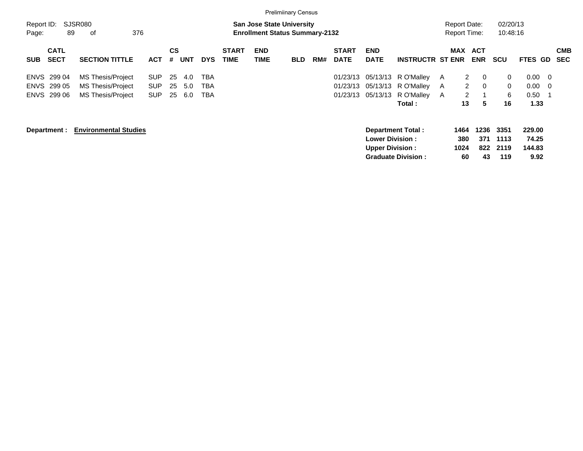|                                           |                                                                           |                                  |                |                   |                   |                             |                           | <b>Prelimiinary Census</b>                                                |     |                                  |                                                   |                                                       |                    |                                                      |                          |                                         |                                   |                                 |                          |
|-------------------------------------------|---------------------------------------------------------------------------|----------------------------------|----------------|-------------------|-------------------|-----------------------------|---------------------------|---------------------------------------------------------------------------|-----|----------------------------------|---------------------------------------------------|-------------------------------------------------------|--------------------|------------------------------------------------------|--------------------------|-----------------------------------------|-----------------------------------|---------------------------------|--------------------------|
| Report ID:<br>89<br>Page:                 | <b>SJSR080</b><br>376<br>оf                                               |                                  |                |                   |                   |                             |                           | <b>San Jose State University</b><br><b>Enrollment Status Summary-2132</b> |     |                                  |                                                   |                                                       |                    | <b>Report Date:</b><br><b>Report Time:</b>           |                          | 02/20/13<br>10:48:16                    |                                   |                                 |                          |
| <b>CATL</b><br><b>SECT</b><br><b>SUB</b>  | <b>SECTION TITTLE</b>                                                     | <b>ACT</b>                       | CS<br>#        | <b>UNT</b>        | <b>DYS</b>        | <b>START</b><br><b>TIME</b> | <b>END</b><br><b>TIME</b> | <b>BLD</b>                                                                | RM# | <b>START</b><br><b>DATE</b>      | <b>END</b><br><b>DATE</b>                         | <b>INSTRUCTR ST ENR</b>                               |                    | <b>MAX</b>                                           | ACT<br><b>ENR</b>        | <b>SCU</b>                              | <b>FTES GD</b>                    |                                 | <b>CMB</b><br><b>SEC</b> |
| ENVS 299 04<br>ENVS 299 05<br>ENVS 299 06 | <b>MS Thesis/Project</b><br><b>MS Thesis/Project</b><br>MS Thesis/Project | <b>SUP</b><br>SUP.<br><b>SUP</b> | 25<br>25<br>25 | 4.0<br>5.0<br>6.0 | TBA<br>TBA<br>TBA |                             |                           |                                                                           |     | 01/23/13<br>01/23/13<br>01/23/13 | 05/13/13<br>05/13/13<br>05/13/13                  | R O'Malley<br>R O'Malley<br>R O'Malley<br>Total :     | <b>A</b><br>A<br>A | $\mathbf{2}$<br>$\mathbf{2}$<br>$\overline{2}$<br>13 | 0<br>0<br>1<br>5         | $\mathbf{0}$<br>$\mathbf{0}$<br>6<br>16 | 0.00<br>$0.00\,$<br>0.50<br>1.33  | - 0<br>$\overline{\phantom{0}}$ |                          |
| Department :                              | <b>Environmental Studies</b>                                              |                                  |                |                   |                   |                             |                           |                                                                           |     |                                  | <b>Lower Division :</b><br><b>Upper Division:</b> | <b>Department Total:</b><br><b>Graduate Division:</b> |                    | 1464<br>380<br>1024<br>60                            | 1236<br>371<br>822<br>43 | 3351<br>1113<br>2119<br>119             | 229.00<br>74.25<br>144.83<br>9.92 |                                 |                          |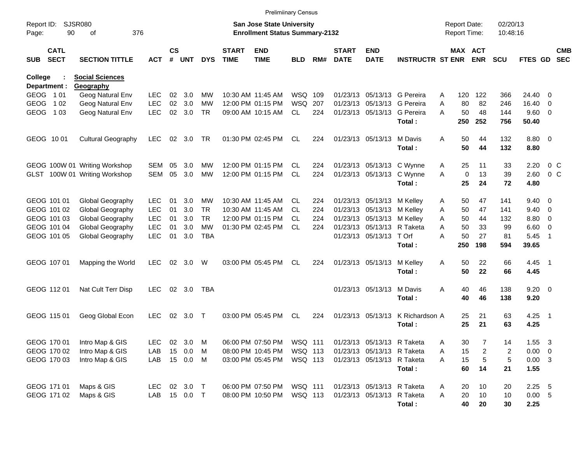|                         |                            |                               |                          |                    |            |                 |                             | <b>Prelimiinary Census</b>                                                |            |     |                             |                            |                             |                                     |             |                       |                      |                 |                          |                          |
|-------------------------|----------------------------|-------------------------------|--------------------------|--------------------|------------|-----------------|-----------------------------|---------------------------------------------------------------------------|------------|-----|-----------------------------|----------------------------|-----------------------------|-------------------------------------|-------------|-----------------------|----------------------|-----------------|--------------------------|--------------------------|
| Report ID:<br>Page:     | 90                         | SJSR080<br>376<br>οf          |                          |                    |            |                 |                             | <b>San Jose State University</b><br><b>Enrollment Status Summary-2132</b> |            |     |                             |                            |                             | <b>Report Date:</b><br>Report Time: |             |                       | 02/20/13<br>10:48:16 |                 |                          |                          |
| <b>SUB</b>              | <b>CATL</b><br><b>SECT</b> | <b>SECTION TITTLE</b>         | <b>ACT</b>               | $\mathsf{cs}$<br># | <b>UNT</b> | <b>DYS</b>      | <b>START</b><br><b>TIME</b> | <b>END</b><br><b>TIME</b>                                                 | <b>BLD</b> | RM# | <b>START</b><br><b>DATE</b> | <b>END</b><br><b>DATE</b>  | <b>INSTRUCTR ST ENR</b>     |                                     |             | MAX ACT<br><b>ENR</b> | <b>SCU</b>           | FTES GD         |                          | <b>CMB</b><br><b>SEC</b> |
| College                 |                            | <b>Social Sciences</b>        |                          |                    |            |                 |                             |                                                                           |            |     |                             |                            |                             |                                     |             |                       |                      |                 |                          |                          |
|                         | Department :               | Geography<br>Geog Natural Env |                          |                    |            |                 |                             |                                                                           | WSQ 109    |     |                             |                            | 01/23/13 05/13/13 G Pereira |                                     |             |                       |                      |                 |                          |                          |
| GEOG 101<br><b>GEOG</b> | 1 0 2                      |                               | <b>LEC</b>               | 02<br>02           | 3.0<br>3.0 | MW<br><b>MW</b> |                             | 10:30 AM 11:45 AM                                                         | <b>WSQ</b> | 207 |                             |                            | 01/23/13 05/13/13 G Pereira | A                                   | 120<br>80   | 122<br>82             | 366                  | 24.40           | $\Omega$                 |                          |
| <b>GEOG</b>             | 1 0 3                      | Geog Natural Env              | <b>LEC</b><br><b>LEC</b> | 02                 | 3.0        | <b>TR</b>       |                             | 12:00 PM 01:15 PM                                                         | CL         | 224 |                             | 01/23/13 05/13/13          | G Pereira                   | A<br>A                              | 50          | 48                    | 246<br>144           | 16.40<br>9.60 0 | $\overline{\phantom{0}}$ |                          |
|                         |                            | Geog Natural Env              |                          |                    |            |                 |                             | 09:00 AM 10:15 AM                                                         |            |     |                             |                            | Total:                      |                                     | 250         | 252                   | 756                  | 50.40           |                          |                          |
|                         | GEOG 1001                  | <b>Cultural Geography</b>     | <b>LEC</b>               | 02                 | 3.0        | TR              |                             | 01:30 PM 02:45 PM                                                         | CL         | 224 |                             | 01/23/13 05/13/13          | M Davis<br>Total:           | A                                   | 50<br>50    | 44<br>44              | 132<br>132           | 8.80 0<br>8.80  |                          |                          |
|                         |                            | GEOG 100W 01 Writing Workshop | SEM                      | 05                 | 3.0        | <b>MW</b>       |                             | 12:00 PM 01:15 PM                                                         | CL.        | 224 |                             | 01/23/13 05/13/13          | C Wynne                     | A                                   | 25          | 11                    | 33                   | 2.20            | 0 <sup>o</sup>           |                          |
|                         |                            | GLST 100W 01 Writing Workshop | <b>SEM</b>               | 05                 | 3.0        | <b>MW</b>       |                             | 12:00 PM 01:15 PM                                                         | <b>CL</b>  | 224 |                             | 01/23/13 05/13/13          | C Wynne                     | A                                   | $\mathbf 0$ | 13                    | 39                   | 2.60            | $0\,$ C                  |                          |
|                         |                            |                               |                          |                    |            |                 |                             |                                                                           |            |     |                             |                            | Total:                      |                                     | 25          | 24                    | 72                   | 4.80            |                          |                          |
|                         | GEOG 101 01                | Global Geography              | <b>LEC</b>               | 01                 | 3.0        | <b>MW</b>       |                             | 10:30 AM 11:45 AM                                                         | CL.        | 224 |                             | 01/23/13 05/13/13 M Kellev |                             | A                                   | 50          | 47                    | 141                  | $9.40 \quad 0$  |                          |                          |
|                         | GEOG 101 02                | Global Geography              | <b>LEC</b>               | 01                 | 3.0        | <b>TR</b>       |                             | 10:30 AM 11:45 AM                                                         | CL.        | 224 |                             | 01/23/13 05/13/13          | M Kellev                    | A                                   | 50          | 47                    | 141                  | 9.40            | $\overline{\phantom{0}}$ |                          |
|                         | GEOG 101 03                | Global Geography              | <b>LEC</b>               | 01                 | 3.0        | <b>TR</b>       |                             | 12:00 PM 01:15 PM                                                         | CL.        | 224 |                             | 01/23/13 05/13/13          | M Kellev                    | A                                   | 50          | 44                    | 132                  | 8.80            | $\overline{\phantom{0}}$ |                          |
|                         | GEOG 101 04                | Global Geography              | <b>LEC</b>               | 01                 | 3.0        | <b>MW</b>       |                             | 01:30 PM 02:45 PM                                                         | <b>CL</b>  | 224 |                             | 01/23/13 05/13/13 R Taketa |                             | A                                   | 50          | 33                    | 99                   | 6.60            | $\overline{\phantom{0}}$ |                          |
|                         | GEOG 101 05                | Global Geography              | <b>LEC</b>               | 01                 | 3.0        | <b>TBA</b>      |                             |                                                                           |            |     |                             | 01/23/13 05/13/13 T Orf    | Total:                      | A                                   | 50<br>250   | 27<br>198             | 81<br>594            | 5.45<br>39.65   | - 1                      |                          |
|                         |                            |                               |                          |                    |            |                 |                             |                                                                           |            |     |                             |                            |                             |                                     |             |                       |                      |                 |                          |                          |
|                         | GEOG 107 01                | Mapping the World             | <b>LEC</b>               | 02                 | 3.0        | W               |                             | 03:00 PM 05:45 PM                                                         | CL         | 224 |                             | 01/23/13 05/13/13          | M Kelley                    | Α                                   | 50          | 22                    | 66                   | $4.45$ 1        |                          |                          |
|                         |                            |                               |                          |                    |            |                 |                             |                                                                           |            |     |                             |                            | Total:                      |                                     | 50          | 22                    | 66                   | 4.45            |                          |                          |
|                         | GEOG 112 01                | Nat Cult Terr Disp            | <b>LEC</b>               |                    | 02 3.0     | <b>TBA</b>      |                             |                                                                           |            |     |                             | 01/23/13 05/13/13          | M Davis                     | A                                   | 40          | 46                    | 138                  | $9.20 \ 0$      |                          |                          |
|                         |                            |                               |                          |                    |            |                 |                             |                                                                           |            |     |                             |                            | Total:                      |                                     | 40          | 46                    | 138                  | 9.20            |                          |                          |
|                         | GEOG 115 01                | Geog Global Econ              | <b>LEC</b>               | 02                 | 3.0        | $\top$          |                             | 03:00 PM 05:45 PM                                                         | CL         | 224 |                             | 01/23/13 05/13/13          | K Richardson A              |                                     | 25          | 21                    | 63                   | $4.25$ 1        |                          |                          |
|                         |                            |                               |                          |                    |            |                 |                             |                                                                           |            |     |                             |                            | Total:                      |                                     | 25          | 21                    | 63                   | 4.25            |                          |                          |
|                         | GEOG 170 01                | Intro Map & GIS               | <b>LEC</b>               |                    | 02 3.0     | M               |                             | 06:00 PM 07:50 PM                                                         | WSQ 111    |     |                             | 01/23/13 05/13/13 R Taketa |                             | Α                                   | 30          |                       | 14                   | 1.55            | $\overline{\mathbf{3}}$  |                          |
|                         | GEOG 170 02                | Intro Map & GIS               | LAB                      | 15                 | 0.0        | M               |                             | 08:00 PM 10:45 PM                                                         | WSQ 113    |     |                             | 01/23/13 05/13/13 R Taketa |                             | Α                                   | 15          | 2                     | 2                    | $0.00 \t 0$     |                          |                          |
|                         | GEOG 170 03                | Intro Map & GIS               | LAB                      |                    | 15 0.0     | M               |                             | 03:00 PM 05:45 PM                                                         | WSQ 113    |     |                             | 01/23/13 05/13/13 R Taketa |                             | Α                                   | 15          | 5                     | 5                    | $0.00 \quad 3$  |                          |                          |
|                         |                            |                               |                          |                    |            |                 |                             |                                                                           |            |     |                             |                            | Total:                      |                                     | 60          | 14                    | 21                   | 1.55            |                          |                          |
|                         | GEOG 171 01                | Maps & GIS                    | LEC.                     |                    | 02 3.0 T   |                 |                             | 06:00 PM 07:50 PM                                                         | WSQ 111    |     |                             | 01/23/13 05/13/13 R Taketa |                             | A                                   | 20          | 10                    | 20                   | $2.25$ 5        |                          |                          |
|                         | GEOG 171 02                | Maps & GIS                    | LAB                      |                    | 15  0.0  T |                 |                             | 08:00 PM 10:50 PM                                                         | WSQ 113    |     |                             | 01/23/13 05/13/13 R Taketa |                             | Α                                   | 20          | 10                    | 10                   | 0.00 5          |                          |                          |
|                         |                            |                               |                          |                    |            |                 |                             |                                                                           |            |     |                             |                            | Total:                      |                                     | 40          | 20                    | 30                   | 2.25            |                          |                          |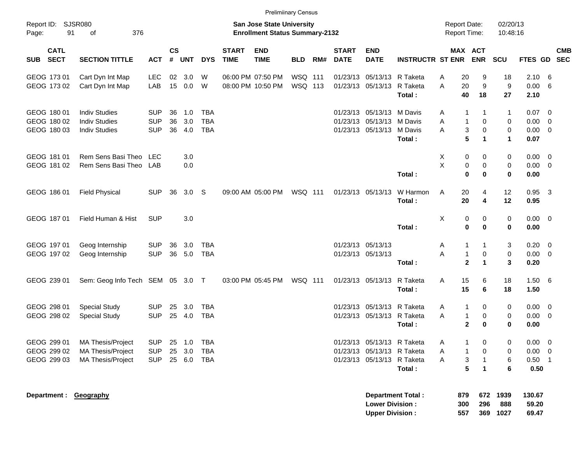|                             |                            |                                  |            |                 |                  |            |                             | <b>Prelimiinary Census</b>                                         |                |     |                             |                                                  |                          |   |                                            |                      |                         |                          |                          |            |
|-----------------------------|----------------------------|----------------------------------|------------|-----------------|------------------|------------|-----------------------------|--------------------------------------------------------------------|----------------|-----|-----------------------------|--------------------------------------------------|--------------------------|---|--------------------------------------------|----------------------|-------------------------|--------------------------|--------------------------|------------|
| Report ID: SJSR080<br>Page: | 91                         | 376<br>of                        |            |                 |                  |            |                             | San Jose State University<br><b>Enrollment Status Summary-2132</b> |                |     |                             |                                                  |                          |   | <b>Report Date:</b><br><b>Report Time:</b> |                      | 02/20/13<br>10:48:16    |                          |                          |            |
| <b>SUB</b>                  | <b>CATL</b><br><b>SECT</b> | <b>SECTION TITTLE</b>            | <b>ACT</b> | <b>CS</b><br>#  | <b>UNT</b>       | <b>DYS</b> | <b>START</b><br><b>TIME</b> | <b>END</b><br><b>TIME</b>                                          | <b>BLD</b>     | RM# | <b>START</b><br><b>DATE</b> | <b>END</b><br><b>DATE</b>                        | <b>INSTRUCTR ST ENR</b>  |   | MAX ACT                                    | <b>ENR</b>           | <b>SCU</b>              | FTES GD SEC              |                          | <b>CMB</b> |
| GEOG 173 01                 |                            | Cart Dyn Int Map                 | <b>LEC</b> | 02              | 3.0              | W          |                             | 06:00 PM 07:50 PM                                                  | WSQ 111        |     |                             | 01/23/13 05/13/13 R Taketa                       |                          | Α | 20                                         | 9                    | 18                      | 2.10                     | -6                       |            |
| GEOG 173 02                 |                            | Cart Dyn Int Map                 | LAB        | 15 <sub>1</sub> | 0.0              | W          |                             | 08:00 PM 10:50 PM                                                  | WSQ 113        |     |                             | 01/23/13 05/13/13 R Taketa                       | Total:                   | A | 20<br>40                                   | 9<br>18              | $\boldsymbol{9}$<br>27  | 0.00<br>2.10             | - 6                      |            |
| GEOG 180 01                 |                            | <b>Indiv Studies</b>             | <b>SUP</b> | 36              | 1.0              | <b>TBA</b> |                             |                                                                    |                |     |                             | 01/23/13 05/13/13 M Davis                        |                          | A | 1                                          | 1                    | $\mathbf{1}$            | 0.07                     | $\overline{\phantom{0}}$ |            |
| GEOG 180 02                 |                            | <b>Indiv Studies</b>             | <b>SUP</b> | 36              | 3.0              | <b>TBA</b> |                             |                                                                    |                |     |                             | 01/23/13 05/13/13 M Davis                        |                          | A | $\mathbf{1}$                               | $\mathbf 0$          | 0                       | 0.00                     | $\overline{\phantom{0}}$ |            |
| GEOG 180 03                 |                            | <b>Indiv Studies</b>             | <b>SUP</b> | 36              | 4.0              | <b>TBA</b> |                             |                                                                    |                |     |                             | 01/23/13 05/13/13                                | M Davis                  | A | 3                                          | $\mathbf 0$          | $\pmb{0}$               | $0.00 \t 0$              |                          |            |
|                             |                            |                                  |            |                 |                  |            |                             |                                                                    |                |     |                             |                                                  | Total:                   |   | $5\phantom{1}$                             | $\mathbf{1}$         | $\mathbf{1}$            | 0.07                     |                          |            |
| GEOG 181 01                 |                            | Rem Sens Basi Theo LEC           |            |                 | 3.0              |            |                             |                                                                    |                |     |                             |                                                  |                          | X | 0                                          | 0                    | 0                       | $0.00 \t 0$              |                          |            |
| GEOG 181 02                 |                            | Rem Sens Basi Theo LAB           |            |                 | 0.0              |            |                             |                                                                    |                |     |                             |                                                  |                          | X | 0                                          | 0                    | 0                       | $0.00 \t 0$              |                          |            |
|                             |                            |                                  |            |                 |                  |            |                             |                                                                    |                |     |                             |                                                  | Total:                   |   | $\bf{0}$                                   | $\bf{0}$             | $\bf{0}$                | 0.00                     |                          |            |
| GEOG 186 01                 |                            | <b>Field Physical</b>            | <b>SUP</b> | 36              | 3.0 <sub>S</sub> |            |                             | 09:00 AM 05:00 PM                                                  | <b>WSQ 111</b> |     |                             | 01/23/13 05/13/13                                | W Harmon                 | Α | 20                                         | 4                    | 12                      | $0.95$ 3                 |                          |            |
|                             |                            |                                  |            |                 |                  |            |                             |                                                                    |                |     |                             |                                                  | Total:                   |   | 20                                         | 4                    | 12                      | 0.95                     |                          |            |
| GEOG 187 01                 |                            | Field Human & Hist               | <b>SUP</b> |                 | 3.0              |            |                             |                                                                    |                |     |                             |                                                  |                          | Χ | 0                                          | 0                    | 0                       | $0.00 \t 0$              |                          |            |
|                             |                            |                                  |            |                 |                  |            |                             |                                                                    |                |     |                             |                                                  | Total:                   |   | 0                                          | $\bf{0}$             | 0                       | 0.00                     |                          |            |
| GEOG 197 01                 |                            | Geog Internship                  | <b>SUP</b> | 36              | 3.0              | <b>TBA</b> |                             |                                                                    |                |     |                             | 01/23/13 05/13/13                                |                          | A | 1                                          | 1                    | 3                       | $0.20 \ 0$               |                          |            |
| GEOG 197 02                 |                            | Geog Internship                  | <b>SUP</b> |                 | 36 5.0           | <b>TBA</b> |                             |                                                                    |                |     |                             | 01/23/13 05/13/13                                |                          | A | $\mathbf{1}$                               | $\mathbf 0$          | $\mathbf 0$             | $0.00 \t 0$              |                          |            |
|                             |                            |                                  |            |                 |                  |            |                             |                                                                    |                |     |                             |                                                  | Total:                   |   | $\overline{2}$                             | $\blacktriangleleft$ | 3                       | 0.20                     |                          |            |
| GEOG 239 01                 |                            | Sem: Geog Info Tech SEM 05 3.0 T |            |                 |                  |            |                             | 03:00 PM 05:45 PM                                                  | WSQ 111        |     |                             | 01/23/13 05/13/13                                | R Taketa                 | Α | 15                                         | 6                    | 18                      | 1.50 6                   |                          |            |
|                             |                            |                                  |            |                 |                  |            |                             |                                                                    |                |     |                             |                                                  | Total:                   |   | 15                                         | 6                    | 18                      | 1.50                     |                          |            |
| GEOG 298 01                 |                            | <b>Special Study</b>             | <b>SUP</b> | 25              | 3.0              | <b>TBA</b> |                             |                                                                    |                |     |                             | 01/23/13 05/13/13 R Taketa                       |                          | A | $\mathbf{1}$                               | 0                    | 0                       | $0.00 \t 0$              |                          |            |
| GEOG 298 02                 |                            | <b>Special Study</b>             | <b>SUP</b> | 25              | 4.0              | <b>TBA</b> |                             |                                                                    |                |     |                             | 01/23/13 05/13/13 R Taketa                       |                          | A | $\mathbf{1}$                               | 0                    | 0                       | $0.00 \t 0$              |                          |            |
|                             |                            |                                  |            |                 |                  |            |                             |                                                                    |                |     |                             |                                                  | Total:                   |   | $\mathbf{2}$                               | $\bf{0}$             | 0                       | 0.00                     |                          |            |
| GEOG 299 01                 |                            | MA Thesis/Project                | <b>SUP</b> |                 | 25 1.0           | TBA        |                             |                                                                    |                |     |                             | 01/23/13 05/13/13 R Taketa                       |                          | A |                                            | 0                    | 0                       | $0.00 \t 0$              |                          |            |
| GEOG 299 02                 |                            | MA Thesis/Project                | <b>SUP</b> |                 | 25 3.0           | TBA        |                             |                                                                    |                |     |                             | 01/23/13 05/13/13 R Taketa                       |                          | A |                                            | 0                    | 0                       | $0.00 \t 0$              |                          |            |
| GEOG 299 03                 |                            | MA Thesis/Project                | <b>SUP</b> |                 | 25 6.0           | TBA        |                             |                                                                    |                |     |                             | 01/23/13 05/13/13 R Taketa                       |                          | Α | 3                                          | $\mathbf{1}$         | 6                       | $0.50$ 1                 |                          |            |
|                             |                            |                                  |            |                 |                  |            |                             |                                                                    |                |     |                             |                                                  | Total:                   |   | 5                                          | $\mathbf{1}$         | 6                       | 0.50                     |                          |            |
|                             |                            | Department : Geography           |            |                 |                  |            |                             |                                                                    |                |     |                             | <b>Lower Division:</b><br><b>Upper Division:</b> | <b>Department Total:</b> |   | 879<br>300<br>557                          | 672<br>296           | 1939<br>888<br>369 1027 | 130.67<br>59.20<br>69.47 |                          |            |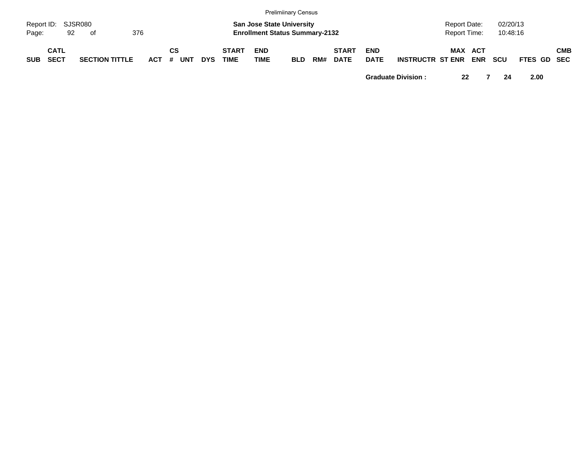|                             |                            |    |    |                       |         |    |            |            |                             |                           | <b>Prelimiinary Census</b>                                                |     |                             |                           |                         |                              |            |                      |             |            |
|-----------------------------|----------------------------|----|----|-----------------------|---------|----|------------|------------|-----------------------------|---------------------------|---------------------------------------------------------------------------|-----|-----------------------------|---------------------------|-------------------------|------------------------------|------------|----------------------|-------------|------------|
| Report ID: SJSR080<br>Page: |                            | 92 | of |                       | 376     |    |            |            |                             |                           | <b>San Jose State University</b><br><b>Enrollment Status Summary-2132</b> |     |                             |                           |                         | Report Date:<br>Report Time: |            | 02/20/13<br>10:48:16 |             |            |
| <b>SUB</b>                  | <b>CATL</b><br><b>SECT</b> |    |    | <b>SECTION TITTLE</b> | $ACT$ # | СS | <b>UNT</b> | <b>DYS</b> | <b>START</b><br><b>TIME</b> | <b>END</b><br><b>TIME</b> | <b>BLD</b>                                                                | RM# | <b>START</b><br><b>DATE</b> | <b>END</b><br><b>DATE</b> | <b>INSTRUCTR ST ENR</b> | <b>MAX ACT</b>               | <b>ENR</b> | <b>SCU</b>           | FTES GD SEC | <b>CMB</b> |

**Graduate Division : 22 7 24 2.00**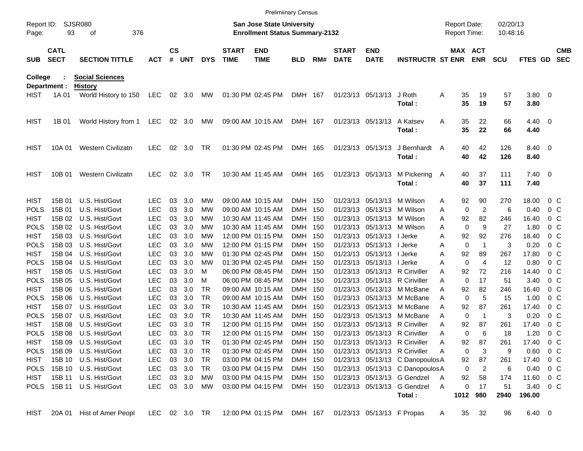|             |                                          |                            |               |               |        |            |                             | <b>Prelimiinary Census</b>                                                |            |     |                             |                           |                                 |   |                                     |                |                      |                   |                |                          |
|-------------|------------------------------------------|----------------------------|---------------|---------------|--------|------------|-----------------------------|---------------------------------------------------------------------------|------------|-----|-----------------------------|---------------------------|---------------------------------|---|-------------------------------------|----------------|----------------------|-------------------|----------------|--------------------------|
| Page:       | SJSR080<br>Report ID:<br>93<br>376<br>οf |                            |               |               |        |            |                             | <b>San Jose State University</b><br><b>Enrollment Status Summary-2132</b> |            |     |                             |                           |                                 |   | <b>Report Date:</b><br>Report Time: |                | 02/20/13<br>10:48:16 |                   |                |                          |
| <b>SUB</b>  | <b>CATL</b><br><b>SECT</b>               | <b>SECTION TITTLE</b>      | <b>ACT</b>    | $\mathsf{cs}$ | # UNT  | <b>DYS</b> | <b>START</b><br><b>TIME</b> | <b>END</b><br><b>TIME</b>                                                 | <b>BLD</b> | RM# | <b>START</b><br><b>DATE</b> | <b>END</b><br><b>DATE</b> | <b>INSTRUCTR ST ENR</b>         |   | MAX ACT                             | <b>ENR</b>     | <b>SCU</b>           | <b>FTES GD</b>    |                | <b>CMB</b><br><b>SEC</b> |
| College     |                                          | <b>Social Sciences</b>     |               |               |        |            |                             |                                                                           |            |     |                             |                           |                                 |   |                                     |                |                      |                   |                |                          |
|             | Department :                             | <b>History</b>             |               |               |        |            |                             |                                                                           |            |     |                             |                           |                                 |   |                                     |                |                      |                   |                |                          |
| HIST        | 1A 01                                    | World History to 150       | LEC           |               | 02 3.0 | МW         |                             | 01:30 PM 02:45 PM                                                         | DMH 167    |     |                             | 01/23/13 05/13/13         | J Roth<br>Total:                | A | 35<br>35                            | 19<br>19       | 57<br>57             | $3.80\ 0$<br>3.80 |                |                          |
| <b>HIST</b> | 1B 01                                    | World History from 1       | LEC           |               | 02 3.0 | МW         |                             | 09:00 AM 10:15 AM                                                         | DMH 167    |     |                             | 01/23/13 05/13/13         | A Katsev                        | A | 35                                  | 22             | 66                   | $4.40 \quad 0$    |                |                          |
|             |                                          |                            |               |               |        |            |                             |                                                                           |            |     |                             |                           | Total:                          |   | 35                                  | 22             | 66                   | 4.40              |                |                          |
| <b>HIST</b> | 10A 01                                   | <b>Western Civilizatn</b>  | <b>LEC</b>    | 02            | 3.0    | TR         |                             | 01:30 PM 02:45 PM                                                         | DMH 165    |     |                             | 01/23/13 05/13/13         | J Bernhardt                     | A | 40                                  | 42             | 126                  | 8.40 0            |                |                          |
|             |                                          |                            |               |               |        |            |                             |                                                                           |            |     |                             |                           | Total:                          |   | 40                                  | 42             | 126                  | 8.40              |                |                          |
| <b>HIST</b> | 10B 01                                   | <b>Western Civilizatn</b>  | <b>LEC</b>    | 02            | 3.0    | TR         |                             | 10:30 AM 11:45 AM                                                         | DMH 165    |     |                             | 01/23/13 05/13/13         | M Pickering A                   |   | 40                                  | 37             | 111                  | $7.40 \quad 0$    |                |                          |
|             |                                          |                            |               |               |        |            |                             |                                                                           |            |     |                             |                           | Total:                          |   | 40                                  | 37             | 111                  | 7.40              |                |                          |
| <b>HIST</b> | 15B 01                                   | U.S. Hist/Govt             | <b>LEC</b>    | 03            | 3.0    | МW         |                             | 09:00 AM 10:15 AM                                                         | DMH 150    |     | 01/23/13                    | 05/13/13                  | M Wilson                        | A | 92                                  | 90             | 270                  | 18.00             | $0\,$ C        |                          |
| POLS        | 15B 01                                   | U.S. Hist/Govt             | <b>LEC</b>    | 03            | 3.0    | МW         |                             | 09:00 AM 10:15 AM                                                         | DMH 150    |     | 01/23/13                    | 05/13/13                  | M Wilson                        | A | 0                                   | $\overline{c}$ | 6                    | 0.40              | $0\,$ C        |                          |
| <b>HIST</b> | 15B 02                                   | U.S. Hist/Govt             | <b>LEC</b>    | 03            | 3.0    | МW         |                             | 10:30 AM 11:45 AM                                                         | DMH 150    |     | 01/23/13                    | 05/13/13                  | M Wilson                        | A | 92                                  | 82             | 246                  | 16.40             | $0\,$ C        |                          |
| <b>POLS</b> | 15B 02                                   | U.S. Hist/Govt             | <b>LEC</b>    | 03            | 3.0    | МW         |                             | 10:30 AM 11:45 AM                                                         | DMH 150    |     | 01/23/13                    | 05/13/13                  | M Wilson                        | A | 0                                   | 9              | 27                   | 1.80              | 0 <sup>o</sup> |                          |
| <b>HIST</b> | 15B 03                                   | U.S. Hist/Govt             | <b>LEC</b>    | 03            | 3.0    | МW         |                             | 12:00 PM 01:15 PM                                                         | DMH 150    |     | 01/23/13                    | 05/13/13                  | I Jerke                         | A | 92                                  | 92             | 276                  | 18.40             | $0\,$ C        |                          |
| <b>POLS</b> | 15B 03                                   | U.S. Hist/Govt             | <b>LEC</b>    | 03            | 3.0    | МW         |                             | 12:00 PM 01:15 PM                                                         | DMH 150    |     | 01/23/13                    | 05/13/13                  | I Jerke                         | A | 0                                   | -1             | 3                    | 0.20              | $0\,$ C        |                          |
| <b>HIST</b> | 15B 04                                   | U.S. Hist/Govt             | <b>LEC</b>    | 03            | 3.0    | МW         |                             | 01:30 PM 02:45 PM                                                         | DMH 150    |     | 01/23/13                    | 05/13/13                  | I Jerke                         | A | 92                                  | 89             | 267                  | 17.80             | 0 <sup>o</sup> |                          |
| <b>POLS</b> | 15B 04                                   | U.S. Hist/Govt             | <b>LEC</b>    | 03            | 3.0    | МW         |                             | 01:30 PM 02:45 PM                                                         | DMH 150    |     | 01/23/13                    | 05/13/13   Jerke          |                                 | A | $\mathbf 0$                         | 4              | 12                   | 0.80              | 0 <sup>o</sup> |                          |
| <b>HIST</b> | 15B 05                                   | U.S. Hist/Govt             | <b>LEC</b>    | 03            | 3.0    | м          |                             | 06:00 PM 08:45 PM                                                         | DMH 150    |     | 01/23/13                    |                           | 05/13/13 R Ciriviller           | A | 92                                  | 72             | 216                  | 14.40             | 0 <sup>o</sup> |                          |
| <b>POLS</b> | 15B 05                                   | U.S. Hist/Govt             | <b>LEC</b>    | 03            | 3.0    | м          |                             | 06:00 PM 08:45 PM                                                         | DMH 150    |     | 01/23/13                    |                           | 05/13/13 R Ciriviller           | A | 0                                   | 17             | 51                   | 3.40              | 0 <sup>o</sup> |                          |
| <b>HIST</b> | 15B 06                                   | U.S. Hist/Govt             | <b>LEC</b>    | 03            | 3.0    | TR         |                             | 09:00 AM 10:15 AM                                                         | DMH 150    |     | 01/23/13                    | 05/13/13                  | M McBane                        | A | 92                                  | 82             | 246                  | 16.40             | 0 <sup>o</sup> |                          |
| <b>POLS</b> | 15B 06                                   | U.S. Hist/Govt             | <b>LEC</b>    | 03            | 3.0    | TR         |                             | 09:00 AM 10:15 AM                                                         | DMH 150    |     | 01/23/13                    | 05/13/13                  | M McBane                        | A | 0                                   | 5              | 15                   | 1.00              | 0 <sup>o</sup> |                          |
| <b>HIST</b> | 15B 07                                   | U.S. Hist/Govt             | <b>LEC</b>    | 03            | 3.0    | TR         |                             | 10:30 AM 11:45 AM                                                         | DMH 150    |     | 01/23/13                    | 05/13/13                  | M McBane                        | A | 92                                  | 87             | 261                  | 17.40             | 0 <sup>o</sup> |                          |
| <b>POLS</b> | 15B 07                                   | U.S. Hist/Govt             | <b>LEC</b>    | 03            | 3.0    | TR         |                             | 10:30 AM 11:45 AM                                                         | DMH 150    |     | 01/23/13                    | 05/13/13                  | M McBane                        | A | 0                                   | $\overline{1}$ | 3                    | 0.20              | 0 <sup>o</sup> |                          |
| <b>HIST</b> | 15B 08                                   | U.S. Hist/Govt             | <b>LEC</b>    | 03            | 3.0    | TR         |                             | 12:00 PM 01:15 PM                                                         | DMH 150    |     | 01/23/13                    | 05/13/13                  | R Ciriviller                    | A | 92                                  | 87             | 261                  | 17.40             | 0 <sup>o</sup> |                          |
| <b>POLS</b> | 15B 08                                   | U.S. Hist/Govt             | <b>LEC</b>    | 03            | 3.0    | TR         |                             | 12:00 PM 01:15 PM                                                         | DMH 150    |     |                             |                           | 01/23/13 05/13/13 R Ciriviller  | A | 0                                   | 6              | 18                   | 1.20              | 0 <sup>o</sup> |                          |
| <b>HIST</b> |                                          | 15B 09 U.S. Hist/Govt      | <b>LEC</b>    | 03            | 3.0    | <b>TR</b>  |                             | 01:30 PM 02:45 PM                                                         | DMH 150    |     |                             |                           | 01/23/13 05/13/13 R Ciriviller  | Α | 92                                  | 87             | 261                  | 17.40             | 0 C            |                          |
| <b>POLS</b> | 15B 09                                   | U.S. Hist/Govt             | <b>LEC</b>    |               | 03 3.0 | TR         |                             | 01:30 PM 02:45 PM                                                         | DMH 150    |     |                             |                           | 01/23/13 05/13/13 R Ciriviller  | Α | 0                                   | 3              | 9                    | $0.60 \t 0 C$     |                |                          |
| HIST        |                                          | 15B 10 U.S. Hist/Govt      | <b>LEC</b>    |               | 03 3.0 | TR         |                             | 03:00 PM 04:15 PM                                                         | DMH 150    |     |                             |                           | 01/23/13 05/13/13 C DanopoulosA |   | 92                                  | 87             | 261                  | 17.40             | $0\,$ C        |                          |
|             |                                          | POLS 15B 10 U.S. Hist/Govt | <b>LEC</b>    |               | 03 3.0 | TR         |                             | 03:00 PM 04:15 PM                                                         | DMH 150    |     |                             |                           | 01/23/13 05/13/13 C DanopoulosA |   | 0                                   | $\overline{c}$ | 6                    | 0.40              | $0\,$ C        |                          |
| HIST        |                                          | 15B 11 U.S. Hist/Govt      | LEC           |               | 03 3.0 | МW         |                             | 03:00 PM 04:15 PM                                                         | DMH 150    |     |                             |                           | 01/23/13 05/13/13 G Gendzel     | A | 92                                  | 58             | 174                  | 11.60             | $0\,$ C        |                          |
|             |                                          | POLS 15B 11 U.S. Hist/Govt | LEC           |               | 03 3.0 | МW         |                             | 03:00 PM 04:15 PM                                                         | DMH 150    |     |                             |                           | 01/23/13 05/13/13 G Gendzel     | A | 0                                   | 17             | 51                   | 3.40 0 C          |                |                          |
|             |                                          |                            |               |               |        |            |                             |                                                                           |            |     |                             |                           | Total:                          |   |                                     | 1012 980       | 2940                 | 196.00            |                |                          |
| HIST        |                                          | 20A 01 Hist of Amer Peopl  | LEC 02 3.0 TR |               |        |            |                             | 12:00 PM 01:15 PM DMH 167                                                 |            |     | 01/23/13 05/13/13 F Propas  |                           |                                 | A | 35                                  | 32             | 96                   | $6.40\ 0$         |                |                          |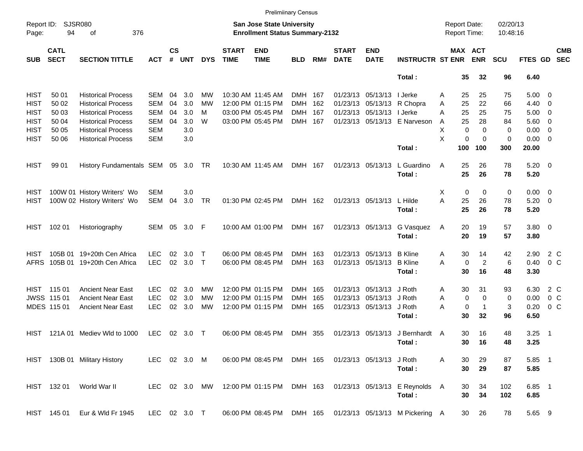|                     |                            |                                    |               |                    |            |            |                             | <b>Prelimiinary Census</b>                                         |            |     |                             |                           |                                                           |                                            |                       |                      |             |                          |                          |
|---------------------|----------------------------|------------------------------------|---------------|--------------------|------------|------------|-----------------------------|--------------------------------------------------------------------|------------|-----|-----------------------------|---------------------------|-----------------------------------------------------------|--------------------------------------------|-----------------------|----------------------|-------------|--------------------------|--------------------------|
| Report ID:<br>Page: | 94                         | SJSR080<br>376<br>оf               |               |                    |            |            |                             | San Jose State University<br><b>Enrollment Status Summary-2132</b> |            |     |                             |                           |                                                           | <b>Report Date:</b><br><b>Report Time:</b> |                       | 02/20/13<br>10:48:16 |             |                          |                          |
| <b>SUB</b>          | <b>CATL</b><br><b>SECT</b> | <b>SECTION TITTLE</b>              | <b>ACT</b>    | $\mathsf{cs}$<br># | <b>UNT</b> | <b>DYS</b> | <b>START</b><br><b>TIME</b> | <b>END</b><br><b>TIME</b>                                          | <b>BLD</b> | RM# | <b>START</b><br><b>DATE</b> | <b>END</b><br><b>DATE</b> | <b>INSTRUCTR ST ENR</b>                                   |                                            | MAX ACT<br><b>ENR</b> | <b>SCU</b>           | FTES GD     |                          | <b>CMB</b><br><b>SEC</b> |
|                     |                            |                                    |               |                    |            |            |                             |                                                                    |            |     |                             |                           | Total:                                                    | 35                                         | 32                    | 96                   | 6.40        |                          |                          |
| <b>HIST</b>         | 50 01                      | <b>Historical Process</b>          | <b>SEM</b>    | 04                 | 3.0        | МW         |                             | 10:30 AM 11:45 AM                                                  | DMH        | 167 |                             | 01/23/13 05/13/13         | l Jerke                                                   | 25<br>Α                                    | 25                    | 75                   | $5.00 \t 0$ |                          |                          |
| <b>HIST</b>         | 50 02                      | <b>Historical Process</b>          | <b>SEM</b>    | 04                 | 3.0        | МW         |                             | 12:00 PM 01:15 PM                                                  | <b>DMH</b> | 162 |                             |                           | 01/23/13 05/13/13 R Chopra                                | 25<br>Α                                    | 22                    | 66                   | 4.40        | $\overline{\phantom{0}}$ |                          |
| <b>HIST</b>         | 50 03                      | <b>Historical Process</b>          | <b>SEM</b>    | 04                 | 3.0        | м          |                             | 03:00 PM 05:45 PM                                                  | <b>DMH</b> | 167 |                             | 01/23/13 05/13/13         | I Jerke                                                   | 25<br>A                                    | 25                    | 75                   | 5.00        | $\overline{\phantom{0}}$ |                          |
| <b>HIST</b>         | 50 04                      | <b>Historical Process</b>          | <b>SEM</b>    | 04                 | 3.0        | W          |                             | 03:00 PM 05:45 PM                                                  | DMH 167    |     |                             |                           | 01/23/13 05/13/13 E Narveson                              | 25<br>A                                    | 28                    | 84                   | $5.60$ 0    |                          |                          |
| <b>HIST</b>         | 50 05                      | <b>Historical Process</b>          | <b>SEM</b>    |                    | 3.0        |            |                             |                                                                    |            |     |                             |                           |                                                           | Х<br>$\mathbf 0$                           | $\Omega$              | 0                    | 0.00        | $\overline{\phantom{0}}$ |                          |
| <b>HIST</b>         | 50 06                      | <b>Historical Process</b>          | <b>SEM</b>    |                    | 3.0        |            |                             |                                                                    |            |     |                             |                           |                                                           | X                                          | 0<br>$\mathbf 0$      | 0                    | $0.00 \t 0$ |                          |                          |
|                     |                            |                                    |               |                    |            |            |                             |                                                                    |            |     |                             |                           | Total:                                                    | 100                                        | 100                   | 300                  | 20.00       |                          |                          |
| <b>HIST</b>         | 99 01                      | History Fundamentals SEM 05 3.0 TR |               |                    |            |            |                             | 10:30 AM 11:45 AM                                                  | DMH 167    |     |                             | 01/23/13 05/13/13         | L Guardino                                                | A<br>25                                    | 26                    | 78                   | $5.20 \ 0$  |                          |                          |
|                     |                            |                                    |               |                    |            |            |                             |                                                                    |            |     |                             |                           | Total:                                                    | 25                                         | 26                    | 78                   | 5.20        |                          |                          |
| HIST                |                            | 100W 01 History Writers' Wo        | <b>SEM</b>    |                    | 3.0        |            |                             |                                                                    |            |     |                             |                           |                                                           | 0<br>Х                                     | 0                     | 0                    | $0.00 \t 0$ |                          |                          |
| HIST                |                            | 100W 02 History Writers' Wo        | SEM           | 04                 | 3.0        | <b>TR</b>  |                             | 01:30 PM 02:45 PM                                                  | DMH 162    |     |                             | 01/23/13 05/13/13         | L Hilde                                                   | A<br>25                                    | 26                    | 78                   | $5.20 \t 0$ |                          |                          |
|                     |                            |                                    |               |                    |            |            |                             |                                                                    |            |     |                             |                           | Total:                                                    | 25                                         | 26                    | 78                   | 5.20        |                          |                          |
| <b>HIST</b>         | 102 01                     | Historiography                     | SEM 05        |                    | 3.0        | - F        |                             | 10:00 AM 01:00 PM                                                  | DMH 167    |     |                             | 01/23/13 05/13/13         | G Vasquez                                                 | 20<br>A                                    | 19                    | 57                   | 3.80 0      |                          |                          |
|                     |                            |                                    |               |                    |            |            |                             |                                                                    |            |     |                             |                           | Total:                                                    | 20                                         | 19                    | 57                   | 3.80        |                          |                          |
| HIST                | 105B 01                    | 19+20th Cen Africa                 | <b>LEC</b>    | 02                 | 3.0        | Т          |                             | 06:00 PM 08:45 PM                                                  | DMH        | 163 |                             | 01/23/13 05/13/13         | <b>B</b> Kline                                            | 30<br>A                                    | 14                    | 42                   | 2.90        | 2 C                      |                          |
| <b>AFRS</b>         | 105B 01                    | 19+20th Cen Africa                 | <b>LEC</b>    | 02                 | 3.0        | $\top$     |                             | 06:00 PM 08:45 PM                                                  | DMH 163    |     |                             | 01/23/13 05/13/13         | <b>B</b> Kline                                            | 0<br>Α                                     | $\overline{c}$        | 6                    | 0.40        | 0 <sup>o</sup>           |                          |
|                     |                            |                                    |               |                    |            |            |                             |                                                                    |            |     |                             |                           | Total:                                                    | 30                                         | 16                    | 48                   | 3.30        |                          |                          |
|                     | HIST 11501                 | <b>Ancient Near East</b>           | <b>LEC</b>    | 02                 | 3.0        | MW         |                             | 12:00 PM 01:15 PM                                                  | DMH        | 165 |                             | 01/23/13 05/13/13         | J Roth                                                    | 30<br>A                                    | 31                    | 93                   | 6.30        | 2 C                      |                          |
|                     | <b>JWSS 11501</b>          | <b>Ancient Near East</b>           | <b>LEC</b>    | 02                 | 3.0        | МW         |                             | 12:00 PM 01:15 PM                                                  | <b>DMH</b> | 165 |                             | 01/23/13 05/13/13 J Roth  |                                                           | 0<br>A                                     | $\mathbf 0$           | 0                    | 0.00        | 0 <sup>o</sup>           |                          |
|                     | MDES 115 01                | <b>Ancient Near East</b>           | <b>LEC</b>    | 02                 | 3.0        | MW         |                             | 12:00 PM 01:15 PM                                                  | DMH 165    |     |                             | 01/23/13 05/13/13         | J Roth                                                    | 0<br>Α                                     | $\mathbf 1$           | 3                    | 0.20        | 0 <sup>o</sup>           |                          |
|                     |                            |                                    |               |                    |            |            |                             |                                                                    |            |     |                             |                           | Total:                                                    | 30                                         | 32                    | 96                   | 6.50        |                          |                          |
| HIST                | 121A 01                    | Mediev Wld to 1000                 | <b>LEC</b>    |                    | 02 3.0 T   |            |                             | 06:00 PM 08:45 PM                                                  | DMH 355    |     |                             |                           | 01/23/13 05/13/13 J Bernhardt A                           | 30                                         | 16                    | 48                   | 3.25        | $\overline{\phantom{1}}$ |                          |
|                     |                            |                                    |               |                    |            |            |                             |                                                                    |            |     |                             |                           | Total:                                                    |                                            | 30 16                 | 48                   | 3.25        |                          |                          |
|                     |                            | HIST 130B 01 Military History      | LEC 02 3.0 M  |                    |            |            |                             | 06:00 PM 08:45 PM DMH 165                                          |            |     |                             | 01/23/13 05/13/13 J Roth  |                                                           | Α<br>30                                    | 29                    | 87                   | 5.85 1      |                          |                          |
|                     |                            |                                    |               |                    |            |            |                             |                                                                    |            |     |                             |                           | Total:                                                    | 30                                         | 29                    | 87                   | 5.85        |                          |                          |
|                     | HIST 132 01                | World War II                       | LEC 02 3.0 MW |                    |            |            |                             | 12:00 PM 01:15 PM DMH 163                                          |            |     |                             |                           | 01/23/13 05/13/13 E Reynolds A                            | 30                                         | 34                    | 102                  | 6.85 1      |                          |                          |
|                     |                            |                                    |               |                    |            |            |                             |                                                                    |            |     |                             |                           | Total:                                                    | 30                                         | 34                    | 102                  | 6.85        |                          |                          |
|                     | HIST 145 01                | Eur & Wld Fr 1945                  | LEC 02 3.0 T  |                    |            |            |                             |                                                                    |            |     |                             |                           | 06:00 PM 08:45 PM DMH 165 01/23/13 05/13/13 M Pickering A |                                            | 30<br>26              | 78                   | 5.65 9      |                          |                          |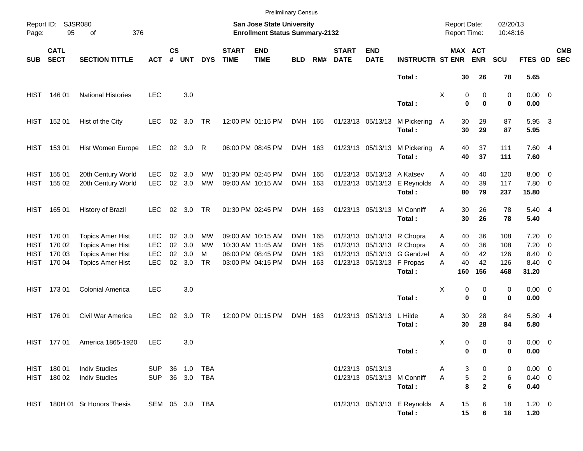|                                                   |                                       |                                                                                                          |                                                |                      |                          |                            |                             | <b>Prelimiinary Census</b>                                                       |                                                |            |                             |                                                 |                                                                                                               |                                                 |                                                              |                                 |                                                |                                                      |                          |
|---------------------------------------------------|---------------------------------------|----------------------------------------------------------------------------------------------------------|------------------------------------------------|----------------------|--------------------------|----------------------------|-----------------------------|----------------------------------------------------------------------------------|------------------------------------------------|------------|-----------------------------|-------------------------------------------------|---------------------------------------------------------------------------------------------------------------|-------------------------------------------------|--------------------------------------------------------------|---------------------------------|------------------------------------------------|------------------------------------------------------|--------------------------|
| Page:                                             | Report ID: SJSR080<br>95<br>376<br>оf |                                                                                                          |                                                |                      |                          |                            |                             | San Jose State University<br><b>Enrollment Status Summary-2132</b>               |                                                |            |                             |                                                 |                                                                                                               | <b>Report Date:</b><br><b>Report Time:</b>      |                                                              | 02/20/13<br>10:48:16            |                                                |                                                      |                          |
| <b>SUB</b>                                        | <b>CATL</b><br><b>SECT</b>            | <b>SECTION TITTLE</b>                                                                                    | <b>ACT</b>                                     | $\mathsf{cs}$<br>#   | <b>UNT</b>               | <b>DYS</b>                 | <b>START</b><br><b>TIME</b> | <b>END</b><br><b>TIME</b>                                                        | <b>BLD</b>                                     | RM#        | <b>START</b><br><b>DATE</b> | <b>END</b><br><b>DATE</b>                       | <b>INSTRUCTR ST ENR</b>                                                                                       |                                                 | MAX ACT<br><b>ENR</b>                                        | <b>SCU</b>                      | FTES GD                                        |                                                      | <b>CMB</b><br><b>SEC</b> |
|                                                   |                                       |                                                                                                          |                                                |                      |                          |                            |                             |                                                                                  |                                                |            |                             |                                                 | Total:                                                                                                        | 30                                              | 26                                                           | 78                              | 5.65                                           |                                                      |                          |
| <b>HIST</b>                                       | 146 01                                | <b>National Histories</b>                                                                                | <b>LEC</b>                                     |                      | 3.0                      |                            |                             |                                                                                  |                                                |            |                             |                                                 | Total:                                                                                                        | X                                               | 0<br>0<br>$\bf{0}$<br>0                                      | 0<br>0                          | $0.00 \t 0$<br>0.00                            |                                                      |                          |
| HIST                                              | 152 01                                | Hist of the City                                                                                         | <b>LEC</b>                                     | 02                   | 3.0                      | TR                         |                             | 12:00 PM 01:15 PM                                                                | DMH 165                                        |            |                             | 01/23/13 05/13/13                               | M Pickering<br>Total:                                                                                         | 30<br>A<br>30                                   | 29<br>29                                                     | 87<br>87                        | 5.95<br>5.95                                   | $\overline{\mathbf{3}}$                              |                          |
| HIST                                              | 153 01                                | Hist Women Europe                                                                                        | LEC                                            |                      | 02 3.0                   | R                          |                             | 06:00 PM 08:45 PM                                                                | DMH 163                                        |            |                             | 01/23/13 05/13/13                               | M Pickering<br>Total:                                                                                         | 40<br>A<br>40                                   | 37<br>37                                                     | 111<br>111                      | 7.60 4<br>7.60                                 |                                                      |                          |
| <b>HIST</b><br>HIST                               | 155 01<br>155 02                      | 20th Century World<br>20th Century World                                                                 | <b>LEC</b><br><b>LEC</b>                       | 02<br>02             | 3.0<br>3.0               | MW<br><b>MW</b>            |                             | 01:30 PM 02:45 PM<br>09:00 AM 10:15 AM                                           | DMH<br>DMH 163                                 | 165        |                             | 01/23/13 05/13/13 A Katsev<br>01/23/13 05/13/13 | E Reynolds<br>Total:                                                                                          | 40<br>A<br>40<br>A<br>80                        | 40<br>39<br>79                                               | 120<br>117<br>237               | $8.00 \t 0$<br>7.80 0<br>15.80                 |                                                      |                          |
| HIST                                              | 165 01                                | History of Brazil                                                                                        | LEC.                                           | 02                   | 3.0                      | TR                         |                             | 01:30 PM 02:45 PM                                                                | DMH 163                                        |            |                             | 01/23/13 05/13/13                               | M Conniff<br>Total:                                                                                           | 30<br>A<br>30                                   | 26<br>26                                                     | 78<br>78                        | 5.40 4<br>5.40                                 |                                                      |                          |
| <b>HIST</b><br><b>HIST</b><br><b>HIST</b><br>HIST | 170 01<br>170 02<br>170 03<br>170 04  | <b>Topics Amer Hist</b><br><b>Topics Amer Hist</b><br><b>Topics Amer Hist</b><br><b>Topics Amer Hist</b> | LEC.<br><b>LEC</b><br><b>LEC</b><br><b>LEC</b> | 02<br>02<br>02<br>02 | 3.0<br>3.0<br>3.0<br>3.0 | МW<br>МW<br>м<br><b>TR</b> |                             | 09:00 AM 10:15 AM<br>10:30 AM 11:45 AM<br>06:00 PM 08:45 PM<br>03:00 PM 04:15 PM | DMH 165<br><b>DMH</b><br><b>DMH</b><br>DMH 163 | 165<br>163 |                             | 01/23/13 05/13/13                               | 01/23/13 05/13/13 R Chopra<br>01/23/13 05/13/13 R Chopra<br>01/23/13 05/13/13 G Gendzel<br>F Propas<br>Total: | 40<br>A<br>A<br>40<br>40<br>A<br>40<br>А<br>160 | 36<br>36<br>42<br>42<br>156                                  | 108<br>108<br>126<br>126<br>468 | $7.20 \t 0$<br>7.20<br>8.40<br>8.40 0<br>31.20 | $\overline{\phantom{0}}$<br>$\overline{\phantom{0}}$ |                          |
| HIST                                              | 17301                                 | <b>Colonial America</b>                                                                                  | <b>LEC</b>                                     |                      | 3.0                      |                            |                             |                                                                                  |                                                |            |                             |                                                 | Total:                                                                                                        | X                                               | 0<br>0<br>$\bf{0}$<br>$\bf{0}$                               | 0<br>0                          | $0.00 \t 0$<br>0.00                            |                                                      |                          |
| HIST                                              | 176 01                                | Civil War America                                                                                        | <b>LEC</b>                                     | 02                   | 3.0                      | TR                         |                             | 12:00 PM 01:15 PM                                                                | DMH 163                                        |            |                             | 01/23/13 05/13/13                               | L Hilde<br>Total:                                                                                             | Α<br>30<br>30                                   | 28<br>28                                                     | 84<br>84                        | 5.80 4<br>5.80                                 |                                                      |                          |
|                                                   |                                       | HIST 177 01 America 1865-1920 LEC                                                                        |                                                |                      | 3.0                      |                            |                             |                                                                                  |                                                |            |                             |                                                 | Total:                                                                                                        | Х                                               | 0<br>0<br>$\mathbf 0$<br>$\bf{0}$                            | 0<br>0                          | $0.00 \t 0$<br>0.00                            |                                                      |                          |
|                                                   | HIST 180 01<br>HIST 180 02            | <b>Indiv Studies</b><br><b>Indiv Studies</b>                                                             | SUP 36 1.0 TBA<br>SUP 36 3.0 TBA               |                      |                          |                            |                             |                                                                                  |                                                |            |                             | 01/23/13 05/13/13                               | 01/23/13 05/13/13 M Conniff<br>Total:                                                                         | A<br>A                                          | 3<br>0<br>$\,$ 5 $\,$<br>$\overline{a}$<br>8<br>$\mathbf{2}$ | 0<br>6<br>6                     | $0.00 \t 0$<br>$0.40 \ 0$<br>0.40              |                                                      |                          |
|                                                   |                                       | HIST 180H 01 Sr Honors Thesis                                                                            | SEM 05 3.0 TBA                                 |                      |                          |                            |                             |                                                                                  |                                                |            |                             |                                                 | 01/23/13 05/13/13 E Reynolds A<br>Total:                                                                      | 15<br>15                                        | 6<br>6                                                       | 18<br>18                        | $1.20 \t 0$<br>1.20                            |                                                      |                          |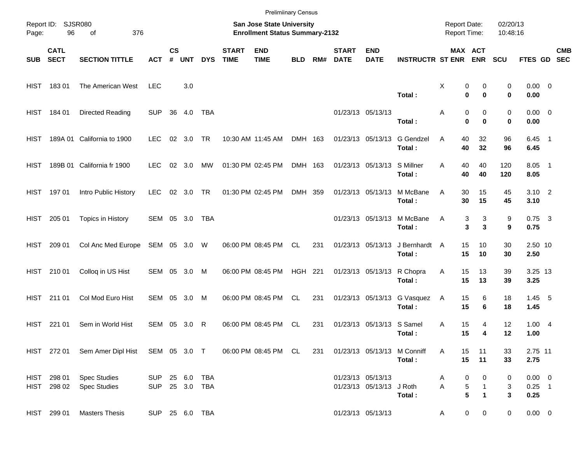|       |                            |                                                                  |                                  |                    |                |              |                             | <b>Prelimiinary Census</b>                                                |            |     |                             |                                               |                                       |                                            |                                             |                      |                                 |            |
|-------|----------------------------|------------------------------------------------------------------|----------------------------------|--------------------|----------------|--------------|-----------------------------|---------------------------------------------------------------------------|------------|-----|-----------------------------|-----------------------------------------------|---------------------------------------|--------------------------------------------|---------------------------------------------|----------------------|---------------------------------|------------|
| Page: | Report ID: SJSR080<br>96   | 376<br>of                                                        |                                  |                    |                |              |                             | <b>San Jose State University</b><br><b>Enrollment Status Summary-2132</b> |            |     |                             |                                               |                                       | <b>Report Date:</b><br><b>Report Time:</b> |                                             | 02/20/13<br>10:48:16 |                                 |            |
| SUB   | <b>CATL</b><br><b>SECT</b> | <b>SECTION TITTLE</b>                                            | <b>ACT</b>                       | $\mathsf{cs}$<br># | <b>UNT</b>     | <b>DYS</b>   | <b>START</b><br><b>TIME</b> | <b>END</b><br><b>TIME</b>                                                 | <b>BLD</b> | RM# | <b>START</b><br><b>DATE</b> | <b>END</b><br><b>DATE</b>                     | <b>INSTRUCTR ST ENR</b>               |                                            | MAX ACT<br><b>ENR</b>                       | <b>SCU</b>           | FTES GD SEC                     | <b>CMB</b> |
|       | HIST 18301                 | The American West                                                | <b>LEC</b>                       |                    | 3.0            |              |                             |                                                                           |            |     |                             |                                               | Total:                                | Χ<br>$\bf{0}$                              | 0<br>0<br>$\bf{0}$                          | 0<br>0               | $0.00 \t 0$<br>0.00             |            |
|       | HIST 184 01                | Directed Reading                                                 | <b>SUP</b>                       |                    | 36 4.0         | TBA          |                             |                                                                           |            |     |                             | 01/23/13 05/13/13                             | Total:                                | Α<br>$\mathbf 0$                           | 0<br>0<br>$\bf{0}$                          | 0<br>0               | $0.00 \t 0$<br>0.00             |            |
| HIST  |                            | 189A 01 California to 1900                                       | <b>LEC</b>                       |                    | 02 3.0         | <b>TR</b>    |                             | 10:30 AM 11:45 AM                                                         | DMH 163    |     |                             | 01/23/13 05/13/13                             | G Gendzel<br>Total:                   | A<br>40<br>40                              | 32<br>32                                    | 96<br>96             | $6.45$ 1<br>6.45                |            |
| HIST. |                            | 189B 01 California fr 1900                                       | <b>LEC</b>                       |                    | $02 \quad 3.0$ | МW           |                             | 01:30 PM 02:45 PM                                                         | DMH 163    |     |                             | 01/23/13 05/13/13                             | S Millner<br>Total:                   | 40<br>A<br>40                              | 40<br>40                                    | 120<br>120           | $8.05$ 1<br>8.05                |            |
|       | HIST 197 01                | Intro Public History                                             | <b>LEC</b>                       |                    | 02 3.0 TR      |              |                             | 01:30 PM 02:45 PM                                                         | DMH 359    |     |                             | 01/23/13 05/13/13                             | M McBane<br>Total:                    | 30<br>A<br>30                              | 15<br>15                                    | 45<br>45             | $3.10$ 2<br>3.10                |            |
| HIST  | 205 01                     | Topics in History                                                | SEM 05 3.0                       |                    |                | TBA          |                             |                                                                           |            |     |                             | 01/23/13 05/13/13                             | M McBane<br>Total:                    | Α<br>3                                     | 3<br>3<br>3                                 | 9<br>9               | $0.75$ 3<br>0.75                |            |
| HIST  | 209 01                     | Col Anc Med Europe                                               | SEM 05 3.0 W                     |                    |                |              |                             | 06:00 PM 08:45 PM                                                         | CL.        | 231 |                             | 01/23/13 05/13/13                             | J Bernhardt<br>Total:                 | 15<br>A<br>15                              | 10<br>10                                    | 30<br>30             | 2.50 10<br>2.50                 |            |
|       | HIST 210 01                | Colloq in US Hist                                                | SEM 05 3.0 M                     |                    |                |              |                             | 06:00 PM 08:45 PM                                                         | HGH 221    |     |                             | 01/23/13 05/13/13                             | R Chopra<br>Total:                    | 15<br>Α<br>15                              | 13<br>13                                    | 39<br>39             | 3.25 13<br>3.25                 |            |
|       | HIST 211 01                | Col Mod Euro Hist                                                | SEM 05 3.0 M                     |                    |                |              |                             | 06:00 PM 08:45 PM                                                         | CL.        | 231 |                             | 01/23/13 05/13/13                             | G Vasquez<br>Total:                   | 15<br>A<br>15                              | 6<br>6                                      | 18<br>18             | $1.45$ 5<br>1.45                |            |
| HIST  | 221 01                     | Sem in World Hist                                                | SEM                              | 05                 | 3.0            | $\mathsf{R}$ |                             | 06:00 PM 08:45 PM                                                         | <b>CL</b>  | 231 |                             | 01/23/13 05/13/13                             | S Samel<br>Total:                     | 15<br>A<br>15                              | 4<br>4                                      | 12<br>12             | 1.004<br>1.00                   |            |
|       |                            | HIST 272 01 Sem Amer Dipl Hist SEM 05 3.0 T 06:00 PM 08:45 PM CL |                                  |                    |                |              |                             |                                                                           |            | 231 |                             |                                               | 01/23/13 05/13/13 M Conniff<br>Total: | 15<br>A<br>15                              | 11<br>11                                    | 33<br>33             | 2.75 11<br>2.75                 |            |
|       | HIST 298 01<br>HIST 298 02 | <b>Spec Studies</b><br><b>Spec Studies</b>                       | SUP 25 6.0 TBA<br>SUP 25 3.0 TBA |                    |                |              |                             |                                                                           |            |     |                             | 01/23/13 05/13/13<br>01/23/13 05/13/13 J Roth | Total:                                | 0<br>Α<br>A                                | 0<br>5<br>$\mathbf{1}$<br>5<br>$\mathbf{1}$ | 0<br>3<br>3          | $0.00 \t 0$<br>$0.25$ 1<br>0.25 |            |
|       | HIST 299 01                | <b>Masters Thesis</b>                                            | SUP 25 6.0 TBA                   |                    |                |              |                             |                                                                           |            |     |                             | 01/23/13 05/13/13                             |                                       | A                                          | $\mathbf 0$<br>$\mathbf 0$                  | 0                    | $0.00 \t 0$                     |            |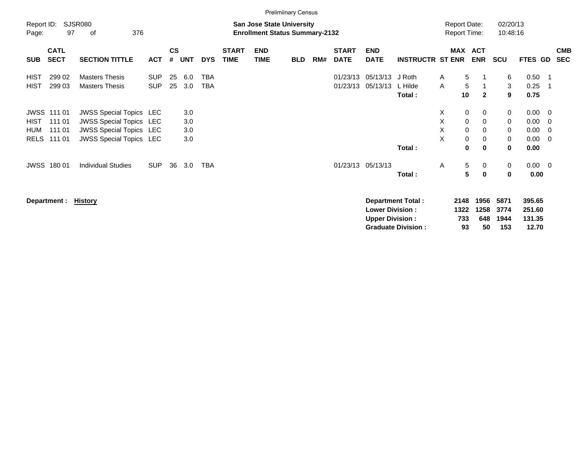|                            |                                                       |                                                                                                                                      |                          |                    |                          |                          |                             |                                                                           | <b>Prelimiinary Census</b> |     |                             |                                                   |                             |                                            |                                                                                     |                              |                                             |                                 |                          |
|----------------------------|-------------------------------------------------------|--------------------------------------------------------------------------------------------------------------------------------------|--------------------------|--------------------|--------------------------|--------------------------|-----------------------------|---------------------------------------------------------------------------|----------------------------|-----|-----------------------------|---------------------------------------------------|-----------------------------|--------------------------------------------|-------------------------------------------------------------------------------------|------------------------------|---------------------------------------------|---------------------------------|--------------------------|
| Report ID:<br>Page:        | 97                                                    | <b>SJSR080</b><br>376<br>οf                                                                                                          |                          |                    |                          |                          |                             | <b>San Jose State University</b><br><b>Enrollment Status Summary-2132</b> |                            |     |                             |                                                   |                             | <b>Report Date:</b><br><b>Report Time:</b> |                                                                                     | 02/20/13<br>10:48:16         |                                             |                                 |                          |
| <b>SUB</b>                 | <b>CATL</b><br><b>SECT</b>                            | <b>SECTION TITTLE</b>                                                                                                                | <b>ACT</b>               | $\mathsf{cs}$<br># | <b>UNT</b>               | <b>DYS</b>               | <b>START</b><br><b>TIME</b> | <b>END</b><br><b>TIME</b>                                                 | <b>BLD</b>                 | RM# | <b>START</b><br><b>DATE</b> | <b>END</b><br><b>DATE</b>                         | <b>INSTRUCTR ST ENR</b>     |                                            | MAX ACT<br><b>ENR</b>                                                               | <b>SCU</b>                   | <b>FTES GD</b>                              |                                 | <b>CMB</b><br><b>SEC</b> |
| <b>HIST</b><br><b>HIST</b> | 299 02<br>299 03                                      | <b>Masters Thesis</b><br><b>Masters Thesis</b>                                                                                       | <b>SUP</b><br><b>SUP</b> | 25<br>25           | 6.0<br>3.0               | <b>TBA</b><br><b>TBA</b> |                             |                                                                           |                            |     | 01/23/13<br>01/23/13        | 05/13/13<br>05/13/13                              | J Roth<br>L Hilde<br>Total: | A<br>Α<br>10                               | 5<br>5<br>$\mathbf{2}$                                                              | 6<br>3<br>9                  | 0.50<br>0.25<br>0.75                        | $\overline{\phantom{1}}$<br>- 1 |                          |
| HIST<br>HUM                | <b>JWSS 111 01</b><br>111 01<br>111 01<br>RELS 111 01 | <b>JWSS Special Topics LEC</b><br><b>JWSS Special Topics LEC</b><br><b>JWSS Special Topics LEC</b><br><b>JWSS Special Topics LEC</b> |                          |                    | 3.0<br>3.0<br>3.0<br>3.0 |                          |                             |                                                                           |                            |     |                             |                                                   | Total:                      | X<br>X<br>X<br>X                           | 0<br>0<br>$\mathbf 0$<br>0<br>$\mathbf 0$<br>0<br>0<br>0<br>$\bf{0}$<br>$\mathbf 0$ | 0<br>0<br>0<br>0<br>$\bf{0}$ | $0.00 \t 0$<br>0.00<br>0.00<br>0.00<br>0.00 | - 0<br>- 0<br>- 0               |                          |
|                            | JWSS 180 01                                           | <b>Individual Studies</b>                                                                                                            | <b>SUP</b>               | 36                 | 3.0                      | <b>TBA</b>               |                             |                                                                           |                            |     |                             | 01/23/13 05/13/13                                 | Total:                      | Α                                          | $5\phantom{.0}$<br>0<br>$5\phantom{.0}$<br>$\mathbf 0$                              | 0<br>0                       | $0.00 \t 0$<br>0.00                         |                                 |                          |
|                            | Department :                                          | <u>History</u>                                                                                                                       |                          |                    |                          |                          |                             |                                                                           |                            |     |                             | <b>Lower Division :</b><br><b>Upper Division:</b> | <b>Department Total:</b>    | 2148<br>1322<br>733                        | 1956<br>1258<br>648                                                                 | 5871<br>3774<br>1944         | 395.65<br>251.60<br>131.35                  |                                 |                          |

**Graduate Division : 93 50 153 12.70**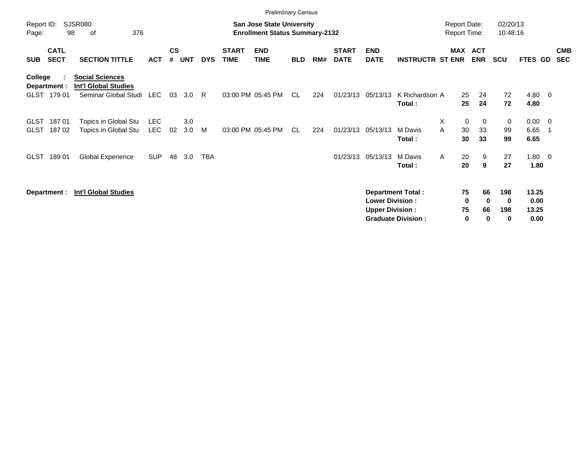|                     |                            |                                                       |            |                    |            |            |                             | <b>Prelimiinary Census</b>                                                |            |     |                             |                                                  |                                                       |   |                                            |                           |                      |                                |                          |
|---------------------|----------------------------|-------------------------------------------------------|------------|--------------------|------------|------------|-----------------------------|---------------------------------------------------------------------------|------------|-----|-----------------------------|--------------------------------------------------|-------------------------------------------------------|---|--------------------------------------------|---------------------------|----------------------|--------------------------------|--------------------------|
| Report ID:<br>Page: | 98                         | <b>SJSR080</b><br>376<br>οf                           |            |                    |            |            |                             | <b>San Jose State University</b><br><b>Enrollment Status Summary-2132</b> |            |     |                             |                                                  |                                                       |   | <b>Report Date:</b><br><b>Report Time:</b> |                           | 02/20/13<br>10:48:16 |                                |                          |
| <b>SUB</b>          | <b>CATL</b><br><b>SECT</b> | <b>SECTION TITTLE</b>                                 | <b>ACT</b> | $\mathsf{cs}$<br># | <b>UNT</b> | <b>DYS</b> | <b>START</b><br><b>TIME</b> | <b>END</b><br><b>TIME</b>                                                 | <b>BLD</b> | RM# | <b>START</b><br><b>DATE</b> | <b>END</b><br><b>DATE</b>                        | <b>INSTRUCTR ST ENR</b>                               |   | <b>MAX</b>                                 | <b>ACT</b><br><b>ENR</b>  | <b>SCU</b>           | FTES GD                        | <b>CMB</b><br><b>SEC</b> |
| College             | Department :               | <b>Social Sciences</b><br><b>Int'l Global Studies</b> |            |                    |            |            |                             |                                                                           |            |     |                             |                                                  |                                                       |   |                                            |                           |                      |                                |                          |
| <b>GLST</b>         | 179 01                     | Seminar Global Studi                                  | LEC        | 03                 | 3.0        | R.         |                             | 03:00 PM 05:45 PM                                                         | <b>CL</b>  | 224 | 01/23/13                    | 05/13/13                                         | K Richardson A<br>Total:                              |   | 25<br>25                                   | 24<br>24                  | 72<br>72             | 4.80 0<br>4.80                 |                          |
| <b>GLST</b>         | 18701                      | Topics in Global Stu                                  | <b>LEC</b> |                    | 3.0        |            |                             |                                                                           |            |     |                             |                                                  |                                                       | Χ | $\pmb{0}$                                  | 0                         | 0                    | $0.00 \t 0$                    |                          |
| <b>GLST</b>         | 18702                      | Topics in Global Stu                                  | <b>LEC</b> | 02                 | 3.0        | M          |                             | 03:00 PM 05:45 PM                                                         | CL.        | 224 |                             | 01/23/13 05/13/13                                | M Davis<br>Total:                                     | A | 30<br>30                                   | 33<br>33                  | 99<br>99             | 6.65<br>6.65                   |                          |
| GLST                | 18901                      | Global Experience                                     | <b>SUP</b> | 48                 | 3.0        | <b>TBA</b> |                             |                                                                           |            |     | 01/23/13                    | 05/13/13                                         | M Davis<br>Total:                                     | A | 20<br>20                                   | 9<br>9                    | 27<br>27             | $1.80 \t 0$<br>1.80            |                          |
|                     | Department :               | <b>Int'l Global Studies</b>                           |            |                    |            |            |                             |                                                                           |            |     |                             | <b>Lower Division:</b><br><b>Upper Division:</b> | <b>Department Total:</b><br><b>Graduate Division:</b> |   | 75<br>0<br>75<br>$\mathbf 0$               | 66<br>$\bf{0}$<br>66<br>0 | 198<br>0<br>198<br>0 | 13.25<br>0.00<br>13.25<br>0.00 |                          |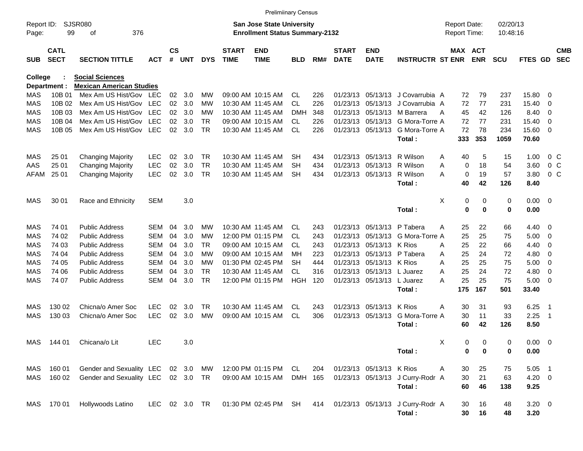|                     |                            |                                    |               |                |            |            |                             | <b>Prelimiinary Census</b>                                         |            |     |                             |                           |                                  |                                     |            |                      |                |                |                          |
|---------------------|----------------------------|------------------------------------|---------------|----------------|------------|------------|-----------------------------|--------------------------------------------------------------------|------------|-----|-----------------------------|---------------------------|----------------------------------|-------------------------------------|------------|----------------------|----------------|----------------|--------------------------|
| Report ID:<br>Page: | 99                         | <b>SJSR080</b><br>376<br>оf        |               |                |            |            |                             | San Jose State University<br><b>Enrollment Status Summary-2132</b> |            |     |                             |                           |                                  | <b>Report Date:</b><br>Report Time: |            | 02/20/13<br>10:48:16 |                |                |                          |
|                     |                            |                                    |               |                |            |            |                             |                                                                    |            |     |                             |                           |                                  |                                     |            |                      |                |                |                          |
| <b>SUB</b>          | <b>CATL</b><br><b>SECT</b> | <b>SECTION TITTLE</b>              | <b>ACT</b>    | <b>CS</b><br># | <b>UNT</b> | <b>DYS</b> | <b>START</b><br><b>TIME</b> | <b>END</b><br><b>TIME</b>                                          | BLD        | RM# | <b>START</b><br><b>DATE</b> | <b>END</b><br><b>DATE</b> | <b>INSTRUCTR ST ENR</b>          | MAX ACT                             | <b>ENR</b> | <b>SCU</b>           | <b>FTES GD</b> |                | <b>CMB</b><br><b>SEC</b> |
| College             |                            | <b>Social Sciences</b>             |               |                |            |            |                             |                                                                    |            |     |                             |                           |                                  |                                     |            |                      |                |                |                          |
|                     | Department :               | <b>Mexican American Studies</b>    |               |                |            |            |                             |                                                                    |            |     |                             |                           |                                  |                                     |            |                      |                |                |                          |
| MAS                 | 10B 01                     | Mex Am US Hist/Gov                 | LEC           | 02             | 3.0        | MW         |                             | 09:00 AM 10:15 AM                                                  | CL.        | 226 | 01/23/13                    | 05/13/13                  | J Covarrubia A                   | 72                                  | 79         | 237                  | 15.80          | 0              |                          |
| MAS                 | 10B 02                     | Mex Am US Hist/Gov                 | <b>LEC</b>    | 02             | 3.0        | МW         |                             | 10:30 AM 11:45 AM                                                  | <b>CL</b>  | 226 |                             | 01/23/13 05/13/13         | J Covarrubia A                   | 72                                  | 77         | 231                  | 15.40          | 0              |                          |
| MAS                 | 10B 03                     | Mex Am US Hist/Gov                 | <b>LEC</b>    | 02             | 3.0        | МW         |                             | 10:30 AM 11:45 AM                                                  | DMH        | 348 |                             | 01/23/13 05/13/13         | M Barrera                        | 45<br>A                             | 42         | 126                  | 8.40           | 0              |                          |
| <b>MAS</b>          | 10B 04                     | Mex Am US Hist/Gov                 | <b>LEC</b>    | 02             | 3.0        | <b>TR</b>  |                             | 09:00 AM 10:15 AM                                                  | CL.        | 226 |                             | 01/23/13 05/13/13         | G Mora-Torre A                   | 72                                  | 77         | 231                  | 15.40          | 0              |                          |
| MAS                 | 10B 05                     | Mex Am US Hist/Gov                 | LEC           | 02             | 3.0        | <b>TR</b>  |                             | 10:30 AM 11:45 AM                                                  | CL.        | 226 |                             | 01/23/13 05/13/13         | G Mora-Torre A                   | 72                                  | 78         | 234                  | 15.60          | - 0            |                          |
|                     |                            |                                    |               |                |            |            |                             |                                                                    |            |     |                             |                           | Total:                           | 333                                 | 353        | 1059                 | 70.60          |                |                          |
| MAS                 | 25 01                      | <b>Changing Majority</b>           | <b>LEC</b>    | 02             | 3.0        | TR         |                             | 10:30 AM 11:45 AM                                                  | SН         | 434 |                             | 01/23/13 05/13/13         | R Wilson                         | 40<br>A                             | 5          | 15                   | 1.00           | $0\,$ C        |                          |
| AAS                 | 25 01                      | <b>Changing Majority</b>           | <b>LEC</b>    | 02             | 3.0        | <b>TR</b>  |                             | 10:30 AM 11:45 AM                                                  | SН         | 434 |                             | 01/23/13 05/13/13         | R Wilson                         | 0<br>Α                              | 18         | 54                   | 3.60           | 0 <sup>o</sup> |                          |
| AFAM                | 25 01                      | <b>Changing Majority</b>           | <b>LEC</b>    | 02             | 3.0        | TR         |                             | 10:30 AM 11:45 AM                                                  | <b>SH</b>  | 434 |                             | 01/23/13 05/13/13         | R Wilson                         | 0<br>А                              | 19         | 57                   | 3.80           | 0 <sup>o</sup> |                          |
|                     |                            |                                    |               |                |            |            |                             |                                                                    |            |     |                             |                           | Total:                           | 40                                  | 42         | 126                  | 8.40           |                |                          |
| MAS                 | 30 01                      | Race and Ethnicity                 | <b>SEM</b>    |                | 3.0        |            |                             |                                                                    |            |     |                             |                           |                                  | Χ<br>0                              | 0          | 0                    | $0.00 \t 0$    |                |                          |
|                     |                            |                                    |               |                |            |            |                             |                                                                    |            |     |                             |                           | Total:                           | $\mathbf 0$                         | $\bf{0}$   | 0                    | 0.00           |                |                          |
| MAS                 | 74 01                      | <b>Public Address</b>              | <b>SEM</b>    | 04             | 3.0        | MW         |                             | 10:30 AM 11:45 AM                                                  | CL.        | 243 |                             | 01/23/13 05/13/13         | P Tabera                         | 25<br>A                             | 22         | 66                   | 4.40           | $\overline{0}$ |                          |
| <b>MAS</b>          | 74 02                      | <b>Public Address</b>              | <b>SEM</b>    | 04             | 3.0        | МW         |                             | 12:00 PM 01:15 PM                                                  | CL.        | 243 |                             | 01/23/13 05/13/13         | G Mora-Torre A                   | 25                                  | 25         | 75                   | 5.00           | 0              |                          |
| MAS                 | 74 03                      | <b>Public Address</b>              | <b>SEM</b>    | 04             | 3.0        | TR         |                             | 09:00 AM 10:15 AM                                                  | CL.        | 243 |                             | 01/23/13 05/13/13         | K Rios                           | 25<br>A                             | 22         | 66                   | 4.40           | 0              |                          |
| MAS                 | 74 04                      | <b>Public Address</b>              | <b>SEM</b>    | 04             | 3.0        | МW         |                             | 09:00 AM 10:15 AM                                                  | MН         | 223 |                             | 01/23/13 05/13/13         | P Tabera                         | 25<br>A                             | 24         | 72                   | 4.80           | 0              |                          |
| <b>MAS</b>          | 74 05                      | <b>Public Address</b>              | <b>SEM</b>    | 04             | 3.0        | МW         |                             | 01:30 PM 02:45 PM                                                  | SН         | 444 |                             | 01/23/13 05/13/13 K Rios  |                                  | 25<br>Α                             | 25         | 75                   | 5.00           | 0              |                          |
| MAS                 | 74 06                      | <b>Public Address</b>              | SEM           | 04             | 3.0        | TR         |                             | 10:30 AM 11:45 AM                                                  | CL         | 316 |                             | 01/23/13 05/13/13         | L Juarez                         | 25<br>Α                             | 24         | 72                   | 4.80           | 0              |                          |
| MAS                 | 74 07                      | <b>Public Address</b>              | <b>SEM</b>    | 04             | 3.0        | <b>TR</b>  |                             | 12:00 PM 01:15 PM                                                  | <b>HGH</b> | 120 |                             | 01/23/13 05/13/13         | L Juarez                         | 25<br>А                             | 25         | 75                   | 5.00           | 0              |                          |
|                     |                            |                                    |               |                |            |            |                             |                                                                    |            |     |                             |                           | Total:                           | 175                                 | 167        | 501                  | 33.40          |                |                          |
| MAS                 | 130 02                     | Chicna/o Amer Soc                  | <b>LEC</b>    | 02             | 3.0        | TR         |                             | 10:30 AM 11:45 AM                                                  | CL         | 243 |                             | 01/23/13 05/13/13         | K Rios                           | 30<br>A                             | 31         | 93                   | 6.25           | -1             |                          |
| MAS                 | 130 03                     | Chicna/o Amer Soc                  | <b>LEC</b>    | 02             | 3.0        | MW         |                             | 09:00 AM 10:15 AM                                                  | CL         | 306 |                             | 01/23/13 05/13/13         | G Mora-Torre A                   | 30                                  | 11         | 33                   | 2.25           | -1             |                          |
|                     |                            |                                    |               |                |            |            |                             |                                                                    |            |     |                             |                           | Total:                           | 60                                  | 42         | 126                  | 8.50           |                |                          |
|                     | MAS 144 01                 | Chicana/o Lit                      | <b>LEC</b>    |                | 3.0        |            |                             |                                                                    |            |     |                             |                           |                                  | х<br>0                              | 0          | 0                    | $0.00 \t 0$    |                |                          |
|                     |                            |                                    |               |                |            |            |                             |                                                                    |            |     |                             |                           | Total:                           | 0                                   | 0          | 0                    | 0.00           |                |                          |
| MAS                 | 160 01                     | Gender and Sexuality LEC 02 3.0    |               |                |            | MW         |                             | 12:00 PM 01:15 PM                                                  | CL         | 204 |                             | 01/23/13 05/13/13 K Rios  |                                  | 30<br>Α                             | 25         | 75                   | $5.05$ 1       |                |                          |
| MAS                 | 160 02                     | Gender and Sexuality LEC 02 3.0 TR |               |                |            |            |                             | 09:00 AM 10:15 AM                                                  | DMH 165    |     |                             |                           | 01/23/13 05/13/13 J Curry-Rodr A | 30                                  | 21         | 63                   | $4.20 \ 0$     |                |                          |
|                     |                            |                                    |               |                |            |            |                             |                                                                    |            |     |                             |                           | Total:                           | 60                                  | 46         | 138                  | 9.25           |                |                          |
|                     | MAS 170 01                 | Hollywoods Latino                  | LEC 02 3.0 TR |                |            |            |                             | 01:30 PM 02:45 PM SH 414                                           |            |     |                             |                           | 01/23/13 05/13/13 J Curry-Rodr A | 30                                  | 16         | 48                   | $3.20 \ 0$     |                |                          |
|                     |                            |                                    |               |                |            |            |                             |                                                                    |            |     |                             |                           | Total:                           | 30                                  | 16         | 48                   | 3.20           |                |                          |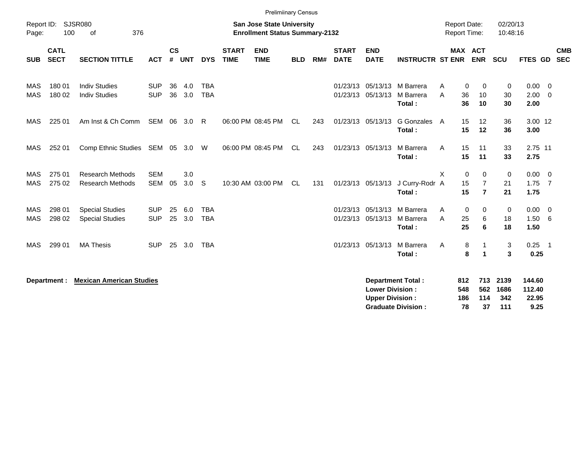|                     |                            |                                                    |                          |                                            |               |                          |                             | <b>Prelimiinary Census</b> |            |     |                             |                                                  |                                                       |                   |                                                                                   |                            |                                   |                                            |                          |
|---------------------|----------------------------|----------------------------------------------------|--------------------------|--------------------------------------------|---------------|--------------------------|-----------------------------|----------------------------|------------|-----|-----------------------------|--------------------------------------------------|-------------------------------------------------------|-------------------|-----------------------------------------------------------------------------------|----------------------------|-----------------------------------|--------------------------------------------|--------------------------|
| Report ID:<br>Page: | 100                        | <b>SJSR080</b><br>376<br>of                        |                          | <b>Report Date:</b><br><b>Report Time:</b> |               | 02/20/13<br>10:48:16     |                             |                            |            |     |                             |                                                  |                                                       |                   |                                                                                   |                            |                                   |                                            |                          |
| <b>SUB</b>          | <b>CATL</b><br><b>SECT</b> | <b>SECTION TITTLE</b>                              | <b>ACT</b>               | $\mathsf{cs}$<br>#                         | <b>UNT</b>    | <b>DYS</b>               | <b>START</b><br><b>TIME</b> | <b>END</b><br><b>TIME</b>  | <b>BLD</b> | RM# | <b>START</b><br><b>DATE</b> | <b>END</b><br><b>DATE</b>                        | <b>INSTRUCTR ST ENR</b>                               |                   | <b>MAX ACT</b><br><b>ENR</b>                                                      | <b>SCU</b>                 | <b>FTES GD</b>                    |                                            | <b>CMB</b><br><b>SEC</b> |
| MAS<br><b>MAS</b>   | 180 01<br>180 02           | <b>Indiv Studies</b><br><b>Indiv Studies</b>       | <b>SUP</b><br><b>SUP</b> | 36<br>36                                   | 4.0<br>3.0    | <b>TBA</b><br><b>TBA</b> |                             |                            |            |     |                             | 01/23/13 05/13/13                                | 01/23/13 05/13/13 M Barrera<br>M Barrera<br>Total:    | A<br>A            | 0<br>0<br>36<br>10<br>36<br>10                                                    | 0<br>30<br>30              | 0.00<br>2.00<br>2.00              | $\overline{\phantom{0}}$<br>$\overline{0}$ |                          |
| MAS                 | 225 01                     | Am Inst & Ch Comm                                  | SEM                      | 06                                         | 3.0           | R                        |                             | 06:00 PM 08:45 PM          | <b>CL</b>  | 243 |                             | 01/23/13 05/13/13                                | G Gonzales<br>Total:                                  | A                 | 15<br>12<br>15<br>12                                                              | 36<br>36                   | 3.00 12<br>3.00                   |                                            |                          |
| <b>MAS</b>          | 252 01                     | Comp Ethnic Studies SEM 05 3.0                     |                          |                                            |               | W                        |                             | 06:00 PM 08:45 PM          | CL         | 243 |                             | 01/23/13 05/13/13                                | M Barrera<br>Total:                                   | A                 | 15<br>11<br>15<br>11                                                              | 33<br>33                   | 2.75 11<br>2.75                   |                                            |                          |
| MAS<br><b>MAS</b>   | 275 01<br>275 02           | <b>Research Methods</b><br><b>Research Methods</b> | <b>SEM</b><br><b>SEM</b> | 05                                         | 3.0<br>3.0    | S                        |                             | 10:30 AM 03:00 PM          | CL         | 131 |                             | 01/23/13 05/13/13                                | J Curry-Rodr A<br>Total:                              | X                 | $\mathbf{0}$<br>$\Omega$<br>15<br>$\overline{7}$<br>15<br>$\overline{\mathbf{r}}$ | $\mathbf 0$<br>21<br>21    | $0.00 \t 0$<br>$1.75$ 7<br>1.75   |                                            |                          |
| MAS<br>MAS          | 298 01<br>298 02           | <b>Special Studies</b><br><b>Special Studies</b>   | <b>SUP</b><br><b>SUP</b> | 25                                         | 6.0<br>25 3.0 | <b>TBA</b><br><b>TBA</b> |                             |                            |            |     |                             | 01/23/13 05/13/13<br>01/23/13 05/13/13           | M Barrera<br>M Barrera<br>Total:                      | A<br>A            | 0<br>0<br>25<br>6<br>25<br>6                                                      | 0<br>18<br>18              | 0.00<br>1.50<br>1.50              | $\overline{\phantom{0}}$<br>6              |                          |
| <b>MAS</b>          | 299 01                     | <b>MA Thesis</b>                                   | <b>SUP</b>               |                                            | 25 3.0        | <b>TBA</b>               |                             |                            |            |     |                             | 01/23/13 05/13/13                                | M Barrera<br>Total:                                   | Α                 | 8<br>8<br>1                                                                       | 3<br>3                     | 0.25<br>0.25                      | $\overline{\phantom{0}}$ 1                 |                          |
|                     | Department :               | <b>Mexican American Studies</b>                    |                          |                                            |               |                          |                             |                            |            |     |                             | <b>Lower Division:</b><br><b>Upper Division:</b> | <b>Department Total:</b><br><b>Graduate Division:</b> | 812<br>548<br>186 | 713<br>562<br>114<br>37<br>78                                                     | 2139<br>1686<br>342<br>111 | 144.60<br>112.40<br>22.95<br>9.25 |                                            |                          |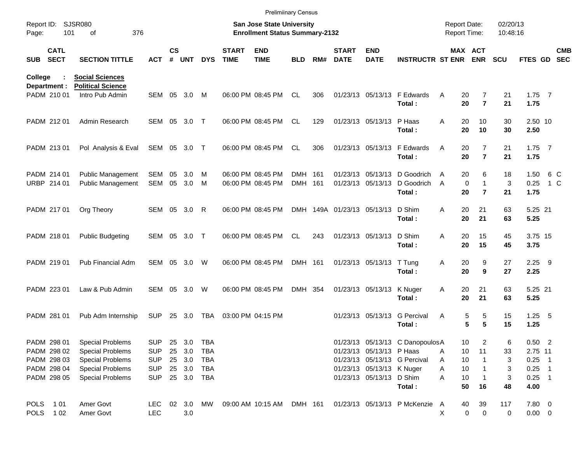|             |                             |                                             |              |                    |            |            |                             | <b>Prelimiinary Census</b>                                         |            |     |                             |                            |                                 |                                     |                |                      |             |     |                          |
|-------------|-----------------------------|---------------------------------------------|--------------|--------------------|------------|------------|-----------------------------|--------------------------------------------------------------------|------------|-----|-----------------------------|----------------------------|---------------------------------|-------------------------------------|----------------|----------------------|-------------|-----|--------------------------|
| Page:       | Report ID: SJSR080          | 101<br>376<br>of                            |              |                    |            |            |                             | San Jose State University<br><b>Enrollment Status Summary-2132</b> |            |     |                             |                            |                                 | <b>Report Date:</b><br>Report Time: |                | 02/20/13<br>10:48:16 |             |     |                          |
| SUB         | <b>CATL</b><br><b>SECT</b>  | <b>SECTION TITTLE</b>                       | <b>ACT</b>   | $\mathsf{cs}$<br># | UNT        | <b>DYS</b> | <b>START</b><br><b>TIME</b> | <b>END</b><br><b>TIME</b>                                          | <b>BLD</b> | RM# | <b>START</b><br><b>DATE</b> | <b>END</b><br><b>DATE</b>  | <b>INSTRUCTR ST ENR</b>         | MAX ACT                             | <b>ENR</b>     | <b>SCU</b>           | FTES GD     |     | <b>CMB</b><br><b>SEC</b> |
| College     |                             | <b>Social Sciences</b>                      |              |                    |            |            |                             |                                                                    |            |     |                             |                            |                                 |                                     |                |                      |             |     |                          |
|             | Department :<br>PADM 210 01 | <b>Political Science</b><br>Intro Pub Admin | SEM 05       |                    | 3.0        | M          |                             | 06:00 PM 08:45 PM                                                  | CL.        | 306 |                             |                            | 01/23/13 05/13/13 F Edwards     | 20                                  | 7              |                      | $1.75$ 7    |     |                          |
|             |                             |                                             |              |                    |            |            |                             |                                                                    |            |     |                             |                            | Total:                          | Α<br>20                             | $\overline{7}$ | 21<br>21             | 1.75        |     |                          |
|             | PADM 212 01                 | Admin Research                              | SEM 05       |                    | 3.0        | $\top$     |                             | 06:00 PM 08:45 PM                                                  | CL.        | 129 |                             | 01/23/13 05/13/13 P Haas   |                                 | 20<br>A                             | 10             | 30                   | 2.50 10     |     |                          |
|             |                             |                                             |              |                    |            |            |                             |                                                                    |            |     |                             |                            | Total:                          | 20                                  | 10             | 30                   | 2.50        |     |                          |
|             | PADM 213 01                 | Pol Analysis & Eval                         | SEM 05 3.0 T |                    |            |            |                             | 06:00 PM 08:45 PM                                                  | CL.        | 306 |                             |                            | 01/23/13 05/13/13 F Edwards     | A<br>20                             | $\overline{7}$ | 21                   | $1.75$ 7    |     |                          |
|             |                             |                                             |              |                    |            |            |                             |                                                                    |            |     |                             |                            | Total:                          | 20                                  | $\overline{7}$ | 21                   | 1.75        |     |                          |
|             | PADM 214 01                 | <b>Public Management</b>                    | SEM          | 05                 | 3.0        | M          |                             | 06:00 PM 08:45 PM                                                  | DMH 161    |     |                             | 01/23/13 05/13/13          | D Goodrich                      | 20<br>A                             | 6              | 18                   | 1.50        | 6 C |                          |
|             | URBP 214 01                 | Public Management                           | SEM          |                    | 05 3.0     | M          |                             | 06:00 PM 08:45 PM                                                  | DMH 161    |     |                             | 01/23/13 05/13/13          | D Goodrich                      | $\mathbf 0$<br>A                    | $\mathbf{1}$   | 3                    | 0.25        | 1 C |                          |
|             |                             |                                             |              |                    |            |            |                             |                                                                    |            |     |                             |                            | Total:                          | 20                                  | $\overline{7}$ | 21                   | 1.75        |     |                          |
|             | PADM 217 01                 | Org Theory                                  |              |                    | SEM 05 3.0 | R          |                             | 06:00 PM 08:45 PM                                                  |            |     |                             | DMH 149A 01/23/13 05/13/13 | D Shim                          | 20<br>Α                             | 21             | 63                   | 5.25 21     |     |                          |
|             |                             |                                             |              |                    |            |            |                             |                                                                    |            |     |                             |                            | Total:                          | 20                                  | 21             | 63                   | 5.25        |     |                          |
|             | PADM 218 01                 | <b>Public Budgeting</b>                     | SEM 05       |                    | 3.0        | $\top$     |                             | 06:00 PM 08:45 PM                                                  | <b>CL</b>  | 243 |                             | 01/23/13 05/13/13          | D Shim                          | 20<br>Α                             | 15             | 45                   | 3.75 15     |     |                          |
|             |                             |                                             |              |                    |            |            |                             |                                                                    |            |     |                             |                            | Total:                          | 20                                  | 15             | 45                   | 3.75        |     |                          |
|             | PADM 219 01                 | Pub Financial Adm                           | SEM 05       |                    | 3.0        | W          |                             | 06:00 PM 08:45 PM                                                  | DMH 161    |     |                             | 01/23/13 05/13/13          | T Tung                          | 20<br>Α                             | 9              | 27                   | $2.25$ 9    |     |                          |
|             |                             |                                             |              |                    |            |            |                             |                                                                    |            |     |                             |                            | Total:                          | 20                                  | 9              | 27                   | 2.25        |     |                          |
|             | PADM 223 01                 | Law & Pub Admin                             | SEM 05       |                    | 3.0        | W          |                             | 06:00 PM 08:45 PM                                                  | DMH 354    |     |                             | 01/23/13 05/13/13          | K Nuger                         | 20<br>Α                             | 21             | 63                   | 5.25 21     |     |                          |
|             |                             |                                             |              |                    |            |            |                             |                                                                    |            |     |                             |                            | Total:                          | 20                                  | 21             | 63                   | 5.25        |     |                          |
|             | PADM 281 01                 | Pub Adm Internship                          | SUP          |                    | 25 3.0     | TBA        |                             | 03:00 PM 04:15 PM                                                  |            |     |                             | 01/23/13 05/13/13          | <b>G</b> Percival               | Α<br>5                              | 5              | 15                   | $1.25$ 5    |     |                          |
|             |                             |                                             |              |                    |            |            |                             |                                                                    |            |     |                             |                            | Total:                          | 5                                   | 5              | 15                   | 1.25        |     |                          |
|             | PADM 298 01                 | <b>Special Problems</b>                     | <b>SUP</b>   |                    | 25 3.0     | TBA        |                             |                                                                    |            |     |                             |                            | 01/23/13 05/13/13 C DanopoulosA | 10                                  | 2              | 6                    | $0.50$ 2    |     |                          |
|             | PADM 298 02                 | <b>Special Problems</b>                     | <b>SUP</b>   |                    | 25 3.0     | TBA        |                             |                                                                    |            |     |                             | 01/23/13 05/13/13 P Haas   |                                 | 10<br>Α                             | 11             | 33                   | 2.75 11     |     |                          |
|             | PADM 298 03                 | <b>Special Problems</b>                     | <b>SUP</b>   |                    | 25 3.0     | TBA        |                             |                                                                    |            |     |                             |                            | 01/23/13 05/13/13 G Percival    | 10<br>Α                             |                | 3                    | $0.25$ 1    |     |                          |
|             | PADM 298 04                 | <b>Special Problems</b>                     | <b>SUP</b>   |                    | 25 3.0     | TBA        |                             |                                                                    |            |     |                             | 01/23/13 05/13/13 K Nuger  |                                 | 10<br>Α                             |                | 3                    | $0.25$ 1    |     |                          |
|             | PADM 298 05                 | <b>Special Problems</b>                     | <b>SUP</b>   |                    | 25 3.0     | TBA        |                             |                                                                    |            |     |                             | 01/23/13 05/13/13 D Shim   |                                 | Α<br>10                             |                | 3                    | $0.25$ 1    |     |                          |
|             |                             |                                             |              |                    |            |            |                             |                                                                    |            |     |                             |                            | Total:                          | 50                                  | 16             | 48                   | 4.00        |     |                          |
|             | POLS 101                    | Amer Govt                                   | LEC.         |                    | 02 3.0     | MW         |                             | 09:00 AM 10:15 AM                                                  | DMH 161    |     |                             |                            | 01/23/13 05/13/13 P McKenzie A  | 40                                  | 39             | 117                  | 7.80 0      |     |                          |
| <b>POLS</b> | 1 0 2                       | Amer Govt                                   | <b>LEC</b>   |                    | 3.0        |            |                             |                                                                    |            |     |                             |                            |                                 | $\mathbf 0$<br>Χ                    | $\overline{0}$ | 0                    | $0.00 \t 0$ |     |                          |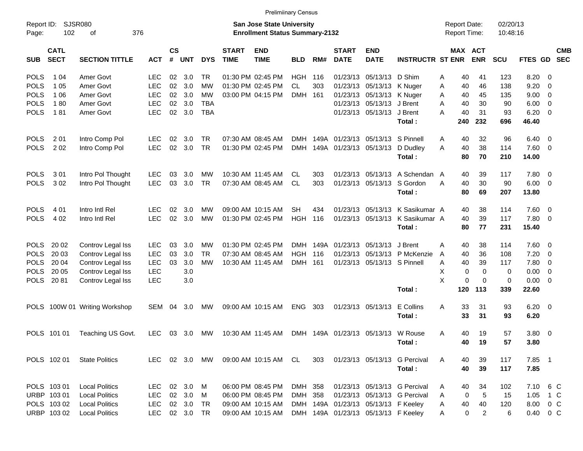|                     |                            |                          |            |                    |            |               |                             | <b>Prelimiinary Census</b>                                         |            |      |                             |                                     |                                 |   |                                            |             |                      |                |                          |                          |
|---------------------|----------------------------|--------------------------|------------|--------------------|------------|---------------|-----------------------------|--------------------------------------------------------------------|------------|------|-----------------------------|-------------------------------------|---------------------------------|---|--------------------------------------------|-------------|----------------------|----------------|--------------------------|--------------------------|
| Report ID:<br>Page: | <b>SJSR080</b><br>102      | 376<br>οf                |            |                    |            |               |                             | San Jose State University<br><b>Enrollment Status Summary-2132</b> |            |      |                             |                                     |                                 |   | <b>Report Date:</b><br><b>Report Time:</b> |             | 02/20/13<br>10:48:16 |                |                          |                          |
| <b>SUB</b>          | <b>CATL</b><br><b>SECT</b> | <b>SECTION TITTLE</b>    | <b>ACT</b> | $\mathsf{cs}$<br># | <b>UNT</b> | <b>DYS</b>    | <b>START</b><br><b>TIME</b> | <b>END</b><br><b>TIME</b>                                          | <b>BLD</b> | RM#  | <b>START</b><br><b>DATE</b> | <b>END</b><br><b>DATE</b>           | <b>INSTRUCTR ST ENR</b>         |   | MAX ACT                                    | <b>ENR</b>  | <b>SCU</b>           | FTES GD        |                          | <b>CMB</b><br><b>SEC</b> |
| <b>POLS</b>         | 1 04                       | Amer Govt                | LEC        | 02                 | 3.0        | TR.           |                             | 01:30 PM 02:45 PM                                                  | HGH.       | 116  |                             | 01/23/13 05/13/13 D Shim            |                                 | Α | 40                                         | 41          | 123                  | 8.20           | $\overline{\phantom{0}}$ |                          |
| <b>POLS</b>         | 1 0 5                      | Amer Govt                | <b>LEC</b> | 02                 | 3.0        | <b>MW</b>     |                             | 01:30 PM 02:45 PM                                                  | <b>CL</b>  | 303  |                             | 01/23/13 05/13/13 K Nuger           |                                 | Α | 40                                         | 46          | 138                  | 9.20           | $\overline{\mathbf{0}}$  |                          |
| <b>POLS</b>         | 1 0 6                      | Amer Govt                | <b>LEC</b> | 02                 | 3.0        | MW            |                             | 03:00 PM 04:15 PM                                                  | DMH 161    |      |                             | 01/23/13 05/13/13 K Nuger           |                                 | A | 40                                         | 45          | 135                  | $9.00 \t 0$    |                          |                          |
| <b>POLS</b>         | 180                        | Amer Govt                | <b>LEC</b> | 02                 | 3.0        | TBA           |                             |                                                                    |            |      |                             | 01/23/13 05/13/13 J Brent           |                                 | A | 40                                         | 30          | 90                   | $6.00 \quad 0$ |                          |                          |
| <b>POLS</b>         | 181                        | Amer Govt                | <b>LEC</b> | 02                 | 3.0        | <b>TBA</b>    |                             |                                                                    |            |      |                             | 01/23/13 05/13/13 J Brent           |                                 | А | 40                                         | 31          | 93                   | $6.20 \quad 0$ |                          |                          |
|                     |                            |                          |            |                    |            |               |                             |                                                                    |            |      |                             |                                     | Total:                          |   | 240                                        | 232         | 696                  | 46.40          |                          |                          |
| <b>POLS</b>         | 2 0 1                      | Intro Comp Pol           | LEC.       | 02                 | 3.0        | TR.           |                             | 07:30 AM 08:45 AM                                                  | DMH        | 149A |                             | 01/23/13 05/13/13 S Pinnell         |                                 | Α | 40                                         | 32          | 96                   | $6.40 \quad 0$ |                          |                          |
| <b>POLS</b>         | 2 0 2                      | Intro Comp Pol           | <b>LEC</b> | 02                 | 3.0        | <b>TR</b>     |                             | 01:30 PM 02:45 PM                                                  | DMH        |      |                             | 149A 01/23/13 05/13/13              | D Dudley                        | А | 40                                         | 38          | 114                  | $7.60 \t 0$    |                          |                          |
|                     |                            |                          |            |                    |            |               |                             |                                                                    |            |      |                             |                                     | Total:                          |   | 80                                         | 70          | 210                  | 14.00          |                          |                          |
| <b>POLS</b>         | 301                        | Intro Pol Thought        | <b>LEC</b> | 03                 | 3.0        | MW            |                             | 10:30 AM 11:45 AM                                                  | CL         | 303  |                             |                                     | 01/23/13 05/13/13 A Schendan A  |   | 40                                         | 39          | 117                  | 7.80 0         |                          |                          |
| <b>POLS</b>         | 302                        | Intro Pol Thought        | <b>LEC</b> | 03                 | 3.0        | <b>TR</b>     |                             | 07:30 AM 08:45 AM                                                  | <b>CL</b>  | 303  |                             |                                     | 01/23/13 05/13/13 S Gordon      | Α | 40                                         | 30          | 90                   | $6.00 \quad 0$ |                          |                          |
|                     |                            |                          |            |                    |            |               |                             |                                                                    |            |      |                             |                                     | Total:                          |   | 80                                         | 69          | 207                  | 13.80          |                          |                          |
| <b>POLS</b>         | 4 0 1                      | Intro Intl Rel           | LEC        | 02                 | 3.0        | MW            |                             | 09:00 AM 10:15 AM                                                  | SН         | 434  |                             |                                     | 01/23/13 05/13/13 K Sasikumar A |   | 40                                         | 38          | 114                  | $7.60 \t 0$    |                          |                          |
| <b>POLS</b>         | 4 0 2                      | Intro Intl Rel           | <b>LEC</b> | 02                 | 3.0        | <b>MW</b>     |                             | 01:30 PM 02:45 PM                                                  | <b>HGH</b> | 116  |                             | 01/23/13 05/13/13                   | K Sasikumar A                   |   | 40                                         | 39          | 117                  | 7.80 0         |                          |                          |
|                     |                            |                          |            |                    |            |               |                             |                                                                    |            |      |                             |                                     | Total:                          |   | 80                                         | 77          | 231                  | 15.40          |                          |                          |
| <b>POLS</b>         | 20 02                      | Controv Legal Iss        | <b>LEC</b> | 03                 | 3.0        | MW            |                             | 01:30 PM 02:45 PM                                                  | DMH        | 149A |                             | 01/23/13 05/13/13                   | J Brent                         | A | 40                                         | 38          | 114                  | $7.60 \t 0$    |                          |                          |
| <b>POLS</b>         | 20 03                      | Controv Legal Iss        | <b>LEC</b> | 03                 | 3.0        | TR.           |                             | 07:30 AM 08:45 AM                                                  | <b>HGH</b> | 116  |                             |                                     | 01/23/13 05/13/13 P McKenzie    | A | 40                                         | 36          | 108                  | 7.20           | $\overline{\phantom{0}}$ |                          |
| <b>POLS</b>         | 20 04                      | Controv Legal Iss        | <b>LEC</b> | 03                 | 3.0        | <b>MW</b>     |                             | 10:30 AM 11:45 AM                                                  | DMH 161    |      |                             | 01/23/13 05/13/13 S Pinnell         |                                 | Α | 40                                         | 39          | 117                  | 7.80 0         |                          |                          |
| <b>POLS</b>         | 20 05                      | Controv Legal Iss        | <b>LEC</b> |                    | 3.0        |               |                             |                                                                    |            |      |                             |                                     |                                 | х | 0                                          | $\mathbf 0$ | 0                    | $0.00 \t 0$    |                          |                          |
| <b>POLS</b>         | 2081                       | Controv Legal Iss        | <b>LEC</b> |                    | 3.0        |               |                             |                                                                    |            |      |                             |                                     |                                 | X | 0                                          | $\Omega$    | 0                    | $0.00 \t 0$    |                          |                          |
|                     |                            |                          |            |                    |            |               |                             |                                                                    |            |      |                             |                                     | Total:                          |   | 120                                        | 113         | 339                  | 22.60          |                          |                          |
| <b>POLS</b>         |                            | 100W 01 Writing Workshop | SEM        | 04                 | 3.0        | MW            |                             | 09:00 AM 10:15 AM                                                  | <b>ENG</b> | 303  |                             | 01/23/13 05/13/13                   | E Collins                       | Α | 33                                         | 31          | 93                   | $6.20\ 0$      |                          |                          |
|                     |                            |                          |            |                    |            |               |                             |                                                                    |            |      |                             |                                     | Total:                          |   | 33                                         | 31          | 93                   | 6.20           |                          |                          |
|                     | POLS 101 01                | Teaching US Govt.        | <b>LEC</b> |                    | 03 3.0     | <b>MW</b>     |                             | 10:30 AM 11:45 AM                                                  |            |      |                             | DMH 149A 01/23/13 05/13/13 W Rouse  |                                 | Α | 40                                         | 19          | 57                   | 3.80 0         |                          |                          |
|                     |                            |                          |            |                    |            |               |                             |                                                                    |            |      |                             |                                     | Total:                          |   | 40                                         | 19          | 57                   | 3.80           |                          |                          |
|                     | POLS 102 01                | <b>State Politics</b>    |            |                    |            | LEC 02 3.0 MW |                             | 09:00 AM 10:15 AM CL                                               |            | 303  |                             |                                     | 01/23/13 05/13/13 G Percival    | A | 40                                         | 39          | 117                  | 7.85 1         |                          |                          |
|                     |                            |                          |            |                    |            |               |                             |                                                                    |            |      |                             |                                     | Total:                          |   | 40                                         | 39          | 117                  | 7.85           |                          |                          |
|                     | POLS 103 01                | <b>Local Politics</b>    | <b>LEC</b> |                    | 02 3.0 M   |               |                             | 06:00 PM 08:45 PM                                                  | DMH 358    |      |                             |                                     | 01/23/13 05/13/13 G Percival    | Α | 40                                         | 34          | 102                  | 7.10 6 C       |                          |                          |
|                     | URBP 103 01                | <b>Local Politics</b>    | <b>LEC</b> |                    | 02 3.0 M   |               |                             | 06:00 PM 08:45 PM                                                  | DMH 358    |      |                             |                                     | 01/23/13 05/13/13 G Percival    | A | 0                                          | 5           | 15                   | 1.05 1 C       |                          |                          |
|                     | POLS 103 02                | <b>Local Politics</b>    | <b>LEC</b> |                    | 02 3.0 TR  |               |                             | 09:00 AM 10:15 AM                                                  |            |      |                             | DMH 149A 01/23/13 05/13/13 F Keeley |                                 | Α | 40                                         | 40          | 120                  | 8.00 0 C       |                          |                          |

URBP 103 02 Local Politics LEC 02 3.0 TR 09:00 AM 10:15 AM DMH 149A 01/23/13 05/13/13 F Keeley A 0 2 6 0.40 0 C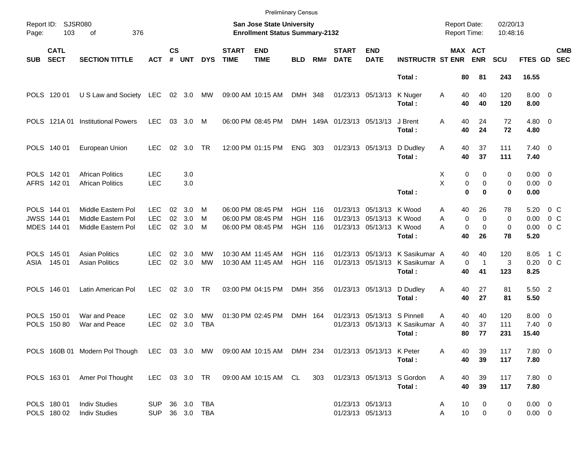|            |                                           |                                                                                                  |                                  |                    |                   |                          |                             | <b>Prelimiinary Census</b>                                         |                                            |              |                             |                                                                           |                                           |                                             |                                        |                      |                                       |                                     |
|------------|-------------------------------------------|--------------------------------------------------------------------------------------------------|----------------------------------|--------------------|-------------------|--------------------------|-----------------------------|--------------------------------------------------------------------|--------------------------------------------|--------------|-----------------------------|---------------------------------------------------------------------------|-------------------------------------------|---------------------------------------------|----------------------------------------|----------------------|---------------------------------------|-------------------------------------|
| Page:      | Report ID: SJSR080<br>103                 | 376<br>οf                                                                                        |                                  |                    |                   |                          |                             | San Jose State University<br><b>Enrollment Status Summary-2132</b> |                                            |              |                             |                                                                           |                                           | <b>Report Date:</b><br><b>Report Time:</b>  |                                        | 02/20/13<br>10:48:16 |                                       |                                     |
| <b>SUB</b> | <b>CATL</b><br><b>SECT</b>                | <b>SECTION TITTLE</b>                                                                            | <b>ACT</b>                       | $\mathsf{cs}$<br># | <b>UNT</b>        | <b>DYS</b>               | <b>START</b><br><b>TIME</b> | <b>END</b><br><b>TIME</b>                                          | <b>BLD</b>                                 | RM#          | <b>START</b><br><b>DATE</b> | <b>END</b><br><b>DATE</b>                                                 | <b>INSTRUCTR ST ENR</b>                   | MAX ACT                                     | <b>ENR</b>                             | <b>SCU</b>           | FTES GD                               | <b>CMB</b><br><b>SEC</b>            |
|            |                                           |                                                                                                  |                                  |                    |                   |                          |                             |                                                                    |                                            |              |                             |                                                                           | Total:                                    | 80                                          | 81                                     | 243                  | 16.55                                 |                                     |
|            | POLS 120 01                               | U S Law and Society LEC                                                                          |                                  |                    | 02 3.0            | МW                       |                             | 09:00 AM 10:15 AM                                                  | DMH 348                                    |              |                             | 01/23/13 05/13/13                                                         | K Nuger<br>Total:                         | 40<br>A<br>40                               | 40<br>40                               | 120<br>120           | $8.00 \t 0$<br>8.00                   |                                     |
|            | POLS 121A 01                              | <b>Institutional Powers</b>                                                                      | <b>LEC</b>                       |                    | 03 3.0            | M                        |                             | 06:00 PM 08:45 PM                                                  |                                            |              | DMH 149A 01/23/13 05/13/13  |                                                                           | J Brent<br>Total:                         | A<br>40<br>40                               | 24<br>24                               | 72<br>72             | $4.80$ 0<br>4.80                      |                                     |
|            | POLS 140 01                               | European Union                                                                                   | LEC.                             | 02                 | 3.0               | TR                       |                             | 12:00 PM 01:15 PM                                                  | <b>ENG</b>                                 | 303          |                             | 01/23/13 05/13/13                                                         | D Dudley<br>Total:                        | 40<br>A<br>40                               | 37<br>37                               | 111<br>111           | $7.40 \quad 0$<br>7.40                |                                     |
|            | POLS 142 01<br>AFRS 142 01                | <b>African Politics</b><br><b>African Politics</b>                                               | <b>LEC</b><br><b>LEC</b>         |                    | 3.0<br>3.0        |                          |                             |                                                                    |                                            |              |                             |                                                                           | Total:                                    | 0<br>X<br>X<br>0<br>$\mathbf 0$             | 0<br>0<br>$\bf{0}$                     | 0<br>0<br>0          | $0.00 \quad 0$<br>$0.00 \t 0$<br>0.00 |                                     |
|            | POLS 144 01<br>JWSS 144 01<br>MDES 144 01 | Middle Eastern Pol<br>Middle Eastern Pol<br>Middle Eastern Pol                                   | LEC.<br><b>LEC</b><br><b>LEC</b> | 02<br>02<br>02     | 3.0<br>3.0<br>3.0 | M<br>м<br>M              |                             | 06:00 PM 08:45 PM<br>06:00 PM 08:45 PM<br>06:00 PM 08:45 PM        | <b>HGH</b><br><b>HGH</b><br><b>HGH 116</b> | - 116<br>116 |                             | 01/23/13 05/13/13 K Wood<br>01/23/13 05/13/13 K Wood<br>01/23/13 05/13/13 | K Wood<br>Total:                          | 40<br>Α<br>$\mathbf 0$<br>A<br>0<br>А<br>40 | 26<br>$\mathbf 0$<br>$\mathbf 0$<br>26 | 78<br>0<br>0<br>78   | 5.20<br>0.00<br>0.00<br>5.20          | $0\,$ C<br>$0\,C$<br>0 <sup>o</sup> |
| ASIA       | POLS 145 01<br>145 01                     | <b>Asian Politics</b><br><b>Asian Politics</b>                                                   | LEC<br><b>LEC</b>                | 02<br>02           | 3.0<br>3.0        | MW<br>MW                 |                             | 10:30 AM 11:45 AM<br>10:30 AM 11:45 AM                             | <b>HGH 116</b><br><b>HGH 116</b>           |              |                             | 01/23/13 05/13/13<br>01/23/13 05/13/13                                    | K Sasikumar A<br>K Sasikumar A<br>Total:  | 40<br>0<br>40                               | 40<br>$\mathbf{1}$<br>41               | 120<br>3<br>123      | 8.05<br>0.20<br>8.25                  | 1 C<br>0 <sup>o</sup>               |
|            | POLS 146 01                               | Latin American Pol                                                                               | LEC.                             | 02                 | 3.0               | TR                       |                             | 03:00 PM 04:15 PM                                                  | DMH 356                                    |              |                             | 01/23/13 05/13/13                                                         | D Dudley<br>Total:                        | 40<br>Α<br>40                               | 27<br>27                               | 81<br>81             | 5.50 2<br>5.50                        |                                     |
|            | POLS 150 01<br>POLS 150 80                | War and Peace<br>War and Peace                                                                   | LEC<br><b>LEC</b>                | 02<br>02           | 3.0<br>3.0        | МW<br><b>TBA</b>         |                             | 01:30 PM 02:45 PM                                                  | DMH 164                                    |              |                             | 01/23/13 05/13/13 S Pinnell                                               | 01/23/13 05/13/13 K Sasikumar A<br>Total: | 40<br>Α<br>40<br>80                         | 40<br>37<br>77                         | 120<br>111<br>231    | $8.00 \quad 0$<br>7.40<br>15.40       | $\overline{\phantom{0}}$            |
|            |                                           | POLS 160B 01 Modern Pol Though LEC 03 3.0 MW 09:00 AM 10:15 AM DMH 234 01/23/13 05/13/13 K Peter |                                  |                    |                   |                          |                             |                                                                    |                                            |              |                             |                                                                           | Total:                                    | A<br>40<br>40                               | 39<br>39                               | 117<br>117           | 7.80 0<br>7.80                        |                                     |
|            | POLS 163 01                               | Amer Pol Thought                                                                                 | LEC 03 3.0 TR                    |                    |                   |                          |                             | 09:00 AM 10:15 AM CL                                               |                                            | 303          |                             |                                                                           | 01/23/13 05/13/13 S Gordon<br>Total:      | Α<br>40<br>40                               | 39<br>39                               | 117<br>117           | 7.80 0<br>7.80                        |                                     |
|            | POLS 180 01<br>POLS 180 02                | <b>Indiv Studies</b><br><b>Indiv Studies</b>                                                     | SUP<br>SUP                       |                    |                   | 36 3.0 TBA<br>36 3.0 TBA |                             |                                                                    |                                            |              |                             | 01/23/13 05/13/13<br>01/23/13 05/13/13                                    |                                           | 10<br>Α<br>10<br>Α                          | 0<br>0                                 | 0<br>0               | $0.00 \t 0$<br>$0.00 \t 0$            |                                     |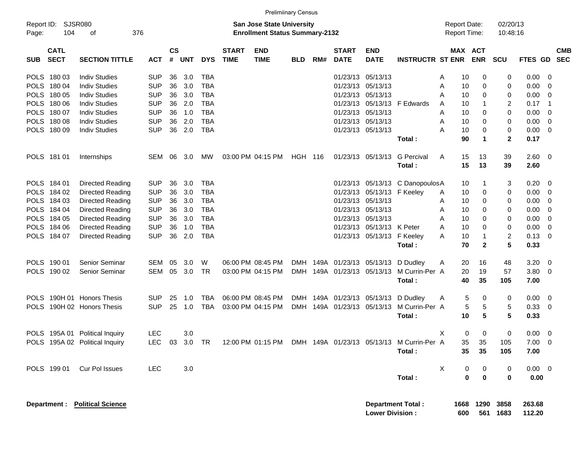|                     |                            |                                |            |                    |            |            |                             |                                                                           | <b>Prelimiinary Census</b> |     |                             |                           |                                                                           |   |                     |                       |                      |                  |                          |  |
|---------------------|----------------------------|--------------------------------|------------|--------------------|------------|------------|-----------------------------|---------------------------------------------------------------------------|----------------------------|-----|-----------------------------|---------------------------|---------------------------------------------------------------------------|---|---------------------|-----------------------|----------------------|------------------|--------------------------|--|
| Report ID:<br>Page: | 104                        | SJSR080<br>οf                  | 376        |                    |            |            |                             | <b>San Jose State University</b><br><b>Enrollment Status Summary-2132</b> |                            |     |                             |                           |                                                                           |   | <b>Report Date:</b> | <b>Report Time:</b>   | 02/20/13<br>10:48:16 |                  |                          |  |
| <b>SUB</b>          | <b>CATL</b><br><b>SECT</b> | <b>SECTION TITTLE</b>          | <b>ACT</b> | $\mathsf{cs}$<br># | <b>UNT</b> | <b>DYS</b> | <b>START</b><br><b>TIME</b> | <b>END</b><br><b>TIME</b>                                                 | <b>BLD</b>                 | RM# | <b>START</b><br><b>DATE</b> | <b>END</b><br><b>DATE</b> | <b>INSTRUCTR ST ENR</b>                                                   |   |                     | MAX ACT<br><b>ENR</b> | <b>SCU</b>           | FTES GD          | <b>CMB</b><br><b>SEC</b> |  |
| <b>POLS</b>         | 18003                      | <b>Indiv Studies</b>           | <b>SUP</b> | 36                 | 3.0        | <b>TBA</b> |                             |                                                                           |                            |     | 01/23/13                    | 05/13/13                  |                                                                           | A | 10                  | 0                     | 0                    | 0.00             | - 0                      |  |
| <b>POLS</b>         | 180 04                     | <b>Indiv Studies</b>           | <b>SUP</b> | 36                 | 3.0        | <b>TBA</b> |                             |                                                                           |                            |     | 01/23/13                    | 05/13/13                  |                                                                           | A | 10                  | 0                     | 0                    | 0.00             | 0                        |  |
| <b>POLS</b>         | 180 05                     | <b>Indiv Studies</b>           | <b>SUP</b> | 36                 | 3.0        | <b>TBA</b> |                             |                                                                           |                            |     | 01/23/13                    | 05/13/13                  |                                                                           | A | 10                  | 0                     | 0                    | 0.00             | 0                        |  |
| <b>POLS</b>         | 180 06                     | <b>Indiv Studies</b>           | <b>SUP</b> | 36                 | 2.0        | <b>TBA</b> |                             |                                                                           |                            |     | 01/23/13                    | 05/13/13                  | F Edwards                                                                 | A | 10                  | 1                     | 2                    | 0.17             | $\overline{1}$           |  |
| <b>POLS</b>         | 180 07                     | <b>Indiv Studies</b>           | <b>SUP</b> | 36                 | 1.0        | <b>TBA</b> |                             |                                                                           |                            |     | 01/23/13                    | 05/13/13                  |                                                                           | A | 10                  | 0                     | 0                    | 0.00             | 0                        |  |
|                     | POLS 180 08                | <b>Indiv Studies</b>           | <b>SUP</b> | 36                 | 2.0        | <b>TBA</b> |                             |                                                                           |                            |     | 01/23/13                    | 05/13/13                  |                                                                           | A | 10                  | 0                     | 0                    | 0.00             | 0                        |  |
|                     | POLS 180 09                | <b>Indiv Studies</b>           | <b>SUP</b> | 36                 | 2.0        | <b>TBA</b> |                             |                                                                           |                            |     | 01/23/13                    | 05/13/13                  |                                                                           | A | 10                  | 0                     | 0                    | 0.00             | 0                        |  |
|                     |                            |                                |            |                    |            |            |                             |                                                                           |                            |     |                             |                           | Total:                                                                    |   | 90                  | $\blacktriangleleft$  | $\mathbf{2}$         | 0.17             |                          |  |
|                     | POLS 181 01                | Internships                    | SEM        | 06                 | 3.0        | MW         |                             | 03:00 PM 04:15 PM                                                         | HGH 116                    |     | 01/23/13                    | 05/13/13                  | <b>G</b> Percival<br>Total:                                               | A | 15<br>15            | 13<br>13              | 39<br>39             | 2.60<br>2.60     | - 0                      |  |
|                     | POLS 184 01                | <b>Directed Reading</b>        | <b>SUP</b> | 36                 | 3.0        | <b>TBA</b> |                             |                                                                           |                            |     | 01/23/13                    | 05/13/13                  | C DanopoulosA                                                             |   | 10                  | -1                    | 3                    | 0.20             | -0                       |  |
|                     | POLS 184 02                | <b>Directed Reading</b>        | <b>SUP</b> | 36                 | 3.0        | <b>TBA</b> |                             |                                                                           |                            |     | 01/23/13                    | 05/13/13                  | F Keeley                                                                  | A | 10                  | 0                     | 0                    | 0.00             | 0                        |  |
|                     | POLS 184 03                | Directed Reading               | <b>SUP</b> | 36                 | 3.0        | <b>TBA</b> |                             |                                                                           |                            |     | 01/23/13                    | 05/13/13                  |                                                                           | A | 10                  | 0                     | 0                    | 0.00             | 0                        |  |
|                     | POLS 184 04                | Directed Reading               | <b>SUP</b> | 36                 | 3.0        | <b>TBA</b> |                             |                                                                           |                            |     | 01/23/13                    | 05/13/13                  |                                                                           | A | 10                  | 0                     | 0                    | 0.00             | 0                        |  |
|                     | POLS 184 05                | Directed Reading               | <b>SUP</b> | 36                 | 3.0        | <b>TBA</b> |                             |                                                                           |                            |     | 01/23/13                    | 05/13/13                  |                                                                           | A | 10                  | 0                     | 0                    | 0.00             | 0                        |  |
|                     | POLS 184 06                | Directed Reading               | <b>SUP</b> | 36                 | 1.0        | <b>TBA</b> |                             |                                                                           |                            |     | 01/23/13                    | 05/13/13                  | K Peter                                                                   | A | 10                  | 0                     | 0                    | 0.00             | 0                        |  |
|                     | POLS 184 07                | <b>Directed Reading</b>        | <b>SUP</b> | 36                 | 2.0        | <b>TBA</b> |                             |                                                                           |                            |     | 01/23/13                    | 05/13/13                  | F Keeley                                                                  | A | 10                  | $\mathbf{1}$          | 2                    | 0.13             | - 0                      |  |
|                     |                            |                                |            |                    |            |            |                             |                                                                           |                            |     |                             |                           | Total:                                                                    |   | 70                  | $\mathbf{2}$          | 5                    | 0.33             |                          |  |
|                     |                            |                                |            |                    |            |            |                             |                                                                           |                            |     |                             |                           |                                                                           |   |                     |                       |                      |                  |                          |  |
|                     | POLS 190 01                | Senior Seminar                 | <b>SEM</b> | 05                 | 3.0        | W          |                             | 06:00 PM 08:45 PM                                                         | DMH                        |     | 149A 01/23/13               | 05/13/13                  | D Dudley                                                                  | A | 20                  | 16                    | 48                   | 3.20             | - 0                      |  |
|                     | POLS 190 02                | Senior Seminar                 | SEM        | 05                 | 3.0        | TR         |                             | 03:00 PM 04:15 PM                                                         |                            |     | DMH 149A 01/23/13           | 05/13/13                  | M Currin-Per A                                                            |   | 20                  | 19                    | 57                   | 3.80             | - 0                      |  |
|                     |                            |                                |            |                    |            |            |                             |                                                                           |                            |     |                             |                           | Total:                                                                    |   | 40                  | 35                    | 105                  | 7.00             |                          |  |
| <b>POLS</b>         |                            | 190H 01 Honors Thesis          | <b>SUP</b> | 25                 | 1.0        | TBA        |                             | 06:00 PM 08:45 PM                                                         |                            |     | DMH 149A 01/23/13           | 05/13/13                  | D Dudley                                                                  | A | 5                   | 0                     | 0                    | 0.00             | - 0                      |  |
| <b>POLS</b>         |                            | 190H 02 Honors Thesis          | <b>SUP</b> | 25                 | 1.0        | <b>TBA</b> |                             | 03:00 PM 04:15 PM                                                         |                            |     | DMH 149A 01/23/13           | 05/13/13                  | M Currin-Per A                                                            |   | 5                   | 5                     | 5                    | 0.33             | - 0                      |  |
|                     |                            |                                |            |                    |            |            |                             |                                                                           |                            |     |                             |                           | Total:                                                                    |   | 10                  | 5                     | 5                    | 0.33             |                          |  |
|                     |                            | POLS 195A 01 Political Inquiry | <b>LEC</b> |                    | 3.0        |            |                             |                                                                           |                            |     |                             |                           |                                                                           | X | 0                   | 0                     | 0                    | 0.00             | - 0                      |  |
|                     |                            | POLS 195A 02 Political Inquiry |            |                    |            |            |                             |                                                                           |                            |     |                             |                           | LEC 03 3.0 TR 12:00 PM 01:15 PM DMH 149A 01/23/13 05/13/13 M Currin-Per A |   | 35                  | 35                    | 105                  | 7.00             | $\overline{\mathbf{0}}$  |  |
|                     |                            |                                |            |                    |            |            |                             |                                                                           |                            |     |                             |                           | Total:                                                                    |   | 35                  | 35                    | 105                  | 7.00             |                          |  |
|                     | POLS 199 01                | Cur Pol Issues                 | <b>LEC</b> |                    | 3.0        |            |                             |                                                                           |                            |     |                             |                           |                                                                           | X | 0                   | 0                     | 0                    | $0.00 \t 0$      |                          |  |
|                     |                            |                                |            |                    |            |            |                             |                                                                           |                            |     |                             |                           | Total:                                                                    |   | 0                   | $\mathbf 0$           | 0                    | 0.00             |                          |  |
|                     | Department :               | <b>Political Science</b>       |            |                    |            |            |                             |                                                                           |                            |     |                             | <b>Lower Division:</b>    | <b>Department Total:</b>                                                  |   | 1668<br>600         | 1290                  | 3858<br>561 1683     | 263.68<br>112.20 |                          |  |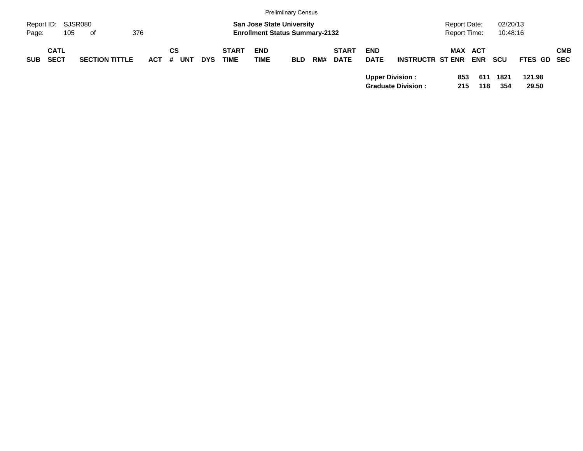|                                          |                       |         |                  |            |                             |                                                                           | <b>Prelimiinary Census</b> |     |                             |                           |                                                     |                                            |            |                      |                 |            |
|------------------------------------------|-----------------------|---------|------------------|------------|-----------------------------|---------------------------------------------------------------------------|----------------------------|-----|-----------------------------|---------------------------|-----------------------------------------------------|--------------------------------------------|------------|----------------------|-----------------|------------|
| Report ID: SJSR080<br>105<br>Page:       | of                    | 376     |                  |            |                             | <b>San Jose State University</b><br><b>Enrollment Status Summary-2132</b> |                            |     |                             |                           |                                                     | <b>Report Date:</b><br><b>Report Time:</b> |            | 02/20/13<br>10:48:16 |                 |            |
| <b>CATL</b><br><b>SECT</b><br><b>SUB</b> | <b>SECTION TITTLE</b> | $ACT$ # | СS<br><b>UNT</b> | <b>DYS</b> | <b>START</b><br><b>TIME</b> | <b>END</b><br><b>TIME</b>                                                 | <b>BLD</b>                 | RM# | <b>START</b><br><b>DATE</b> | <b>END</b><br><b>DATE</b> | <b>INSTRUCTR ST ENR</b>                             | <b>MAX ACT</b>                             | <b>ENR</b> | scu                  | FTES GD SEC     | <b>CMB</b> |
|                                          |                       |         |                  |            |                             |                                                                           |                            |     |                             |                           | <b>Upper Division:</b><br><b>Graduate Division:</b> | 853<br>215                                 | 611<br>118 | 1821<br>354          | 121.98<br>29.50 |            |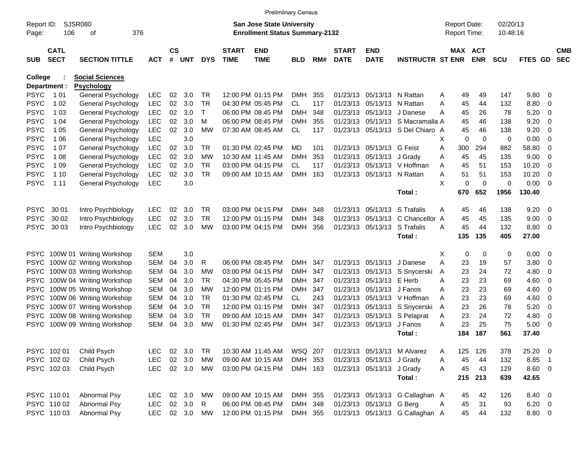|                |                            |                          |            |                    |                  |              |                             |                                       | <b>Prelimiinary Census</b> |     |                             |                              |                                  |                     |     |             |            |                |                          |                          |
|----------------|----------------------------|--------------------------|------------|--------------------|------------------|--------------|-----------------------------|---------------------------------------|----------------------------|-----|-----------------------------|------------------------------|----------------------------------|---------------------|-----|-------------|------------|----------------|--------------------------|--------------------------|
| Report ID:     |                            | SJSR080                  |            |                    |                  |              |                             | <b>San Jose State University</b>      |                            |     |                             |                              |                                  | <b>Report Date:</b> |     |             | 02/20/13   |                |                          |                          |
| Page:          | 106                        | 376<br>оf                |            |                    |                  |              |                             | <b>Enrollment Status Summary-2132</b> |                            |     |                             |                              |                                  | Report Time:        |     |             | 10:48:16   |                |                          |                          |
| <b>SUB</b>     | <b>CATL</b><br><b>SECT</b> | <b>SECTION TITTLE</b>    | <b>ACT</b> | $\mathsf{cs}$<br># | <b>UNT</b>       | <b>DYS</b>   | <b>START</b><br><b>TIME</b> | <b>END</b><br><b>TIME</b>             | <b>BLD</b>                 | RM# | <b>START</b><br><b>DATE</b> | <b>END</b><br><b>DATE</b>    | <b>INSTRUCTR ST ENR</b>          | <b>MAX ACT</b>      |     | <b>ENR</b>  | <b>SCU</b> | <b>FTES GD</b> |                          | <b>CMB</b><br><b>SEC</b> |
| <b>College</b> |                            | <b>Social Sciences</b>   |            |                    |                  |              |                             |                                       |                            |     |                             |                              |                                  |                     |     |             |            |                |                          |                          |
|                | Department :               | <b>Psychology</b>        |            |                    |                  |              |                             |                                       |                            |     |                             |                              |                                  |                     |     |             |            |                |                          |                          |
| <b>PSYC</b>    | 1 0 1                      | General Psychology       | <b>LEC</b> | 02                 | 3.0              | TR           |                             | 12:00 PM 01:15 PM                     | <b>DMH</b>                 | 355 |                             | 01/23/13 05/13/13 N Rattan   |                                  | Α                   | 49  | 49          | 147        | 9.80           | - 0                      |                          |
| PSYC           | 1 0 2                      | General Psychology       | LEC        | 02                 | 3.0              | TR           |                             | 04:30 PM 05:45 PM                     | CL                         | 117 |                             | 01/23/13 05/13/13 N Rattan   |                                  | Α                   | 45  | 44          | 132        | 8.80           | - 0                      |                          |
| PSYC           | 1 0 3                      | General Psychology       | <b>LEC</b> | 02                 | 3.0              | $\mathsf{T}$ |                             | 06:00 PM 08:45 PM                     | DMH                        | 348 |                             | 01/23/13 05/13/13 J Danese   |                                  | A                   | 45  | 26          | 78         | 5.20           | 0                        |                          |
| PSYC           | 1 04                       | General Psychology       | <b>LEC</b> | 02                 | 3.0              | M            |                             | 06:00 PM 08:45 PM                     | DMH                        | 355 |                             |                              | 01/23/13 05/13/13 S Macramalla A |                     | 45  | 46          | 138        | 9.20           | 0                        |                          |
| PSYC           | 1 0 5                      | General Psychology       | <b>LEC</b> | 02                 | 3.0              | МW           |                             | 07:30 AM 08:45 AM                     | CL                         | 117 |                             |                              | 01/23/13 05/13/13 S Del Chiaro A |                     | 45  | 46          | 138        | 9.20           | 0                        |                          |
| PSYC           | 1 0 6                      | General Psychology       | <b>LEC</b> |                    | 3.0              |              |                             |                                       |                            |     |                             |                              |                                  | х                   | 0   | 0           | 0          | 0.00           | $\overline{0}$           |                          |
| PSYC           | 1 0 7                      | General Psychology       | <b>LEC</b> | 02                 | 3.0              | TR           |                             | 01:30 PM 02:45 PM                     | MD                         | 101 |                             | 01/23/13 05/13/13 G Feist    |                                  | Α                   | 300 | 294         | 882        | 58.80          | 0                        |                          |
| PSYC           | 1 0 8                      | General Psychology       | <b>LEC</b> | 02                 | 3.0              | МW           |                             | 10:30 AM 11:45 AM                     | DMH                        | 353 |                             | 01/23/13 05/13/13 J Grady    |                                  | Α                   | 45  | 45          | 135        | 9.00           | -0                       |                          |
| PSYC           | 1 0 9                      | General Psychology       | <b>LEC</b> | 02                 | 3.0              | TR           |                             | 03:00 PM 04:15 PM                     | CL.                        | 117 |                             |                              | 01/23/13 05/13/13 V Hoffman      | Α                   | 45  | 51          | 153        | 10.20          | -0                       |                          |
| <b>PSYC</b>    | 1 1 0                      | General Psychology       | <b>LEC</b> | 02                 | 3.0              | <b>TR</b>    |                             | 09:00 AM 10:15 AM                     | <b>DMH</b>                 | 163 |                             | 01/23/13 05/13/13 N Rattan   |                                  | Α                   | 51  | 51          | 153        | 10.20          | -0                       |                          |
| <b>PSYC</b>    | 1 1 1                      | General Psychology       | <b>LEC</b> |                    | 3.0              |              |                             |                                       |                            |     |                             |                              |                                  | X                   | 0   | $\mathbf 0$ | 0          | 0.00           | - 0                      |                          |
|                |                            |                          |            |                    |                  |              |                             |                                       |                            |     |                             |                              | Total:                           |                     | 670 | 652         | 1956       | 130.40         |                          |                          |
| <b>PSYC</b>    | 30 01                      | Intro Psychbiology       | <b>LEC</b> | 02                 | 3.0              | TR           |                             | 03:00 PM 04:15 PM                     | DMH                        | 348 |                             | 01/23/13 05/13/13            | S Trafalis                       | Α                   | 45  | 46          | 138        | 9.20           | - 0                      |                          |
| <b>PSYC</b>    | 30 02                      | Intro Psychbiology       | <b>LEC</b> | 02                 | 3.0              | <b>TR</b>    |                             | 12:00 PM 01:15 PM                     | <b>DMH</b>                 | 348 |                             | 01/23/13 05/13/13            | C Chancellor A                   |                     | 45  | 45          | 135        | 9.00           | 0                        |                          |
| <b>PSYC</b>    | 30 03                      | Intro Psychbiology       | <b>LEC</b> | 02                 | 3.0              | МW           |                             | 03:00 PM 04:15 PM                     | DMH                        | 356 |                             | 01/23/13 05/13/13 S Trafalis |                                  | A                   | 45  | 44          | 132        | 8.80           | - 0                      |                          |
|                |                            |                          |            |                    |                  |              |                             |                                       |                            |     |                             |                              | Total:                           |                     | 135 | 135         | 405        | 27.00          |                          |                          |
| <b>PSYC</b>    |                            | 100W 01 Writing Workshop | <b>SEM</b> |                    | 3.0              |              |                             |                                       |                            |     |                             |                              |                                  | х                   | 0   | 0           | 0          | 0.00           | $\overline{\phantom{0}}$ |                          |
| <b>PSYC</b>    |                            | 100W 02 Writing Workshop | <b>SEM</b> | 04                 | 3.0              | R            |                             | 06:00 PM 08:45 PM                     | DMH                        | 347 |                             | 01/23/13 05/13/13 J Danese   |                                  | Α                   | 23  | 19          | 57         | 3.80           | - 0                      |                          |
| <b>PSYC</b>    |                            | 100W 03 Writing Workshop | <b>SEM</b> | 04                 | 3.0              | МW           |                             | 03:00 PM 04:15 PM                     | <b>DMH</b>                 | 347 |                             |                              | 01/23/13 05/13/13 S Snycerski    | A                   | 23  | 24          | 72         | 4.80           | 0                        |                          |
| <b>PSYC</b>    |                            | 100W 04 Writing Workshop | <b>SEM</b> | 04                 | 3.0              | TR           |                             | 04:30 PM 05:45 PM                     | DMH                        | 347 |                             | 01/23/13 05/13/13 E Herb     |                                  | Α                   | 23  | 23          | 69         | 4.60           | - 0                      |                          |
| <b>PSYC</b>    |                            | 100W 05 Writing Workshop | <b>SEM</b> | 04                 | 3.0              | МW           |                             | 12:00 PM 01:15 PM                     | DMH                        | 347 |                             | 01/23/13 05/13/13 J Fanos    |                                  | Α                   | 23  | 23          | 69         | 4.60           | - 0                      |                          |
| <b>PSYC</b>    |                            | 100W 06 Writing Workshop | <b>SEM</b> | 04                 | 3.0              | TR           |                             | 01:30 PM 02:45 PM                     | CL                         | 243 |                             |                              | 01/23/13 05/13/13 V Hoffman      | A                   | 23  | 23          | 69         | 4.60           | - 0                      |                          |
| <b>PSYC</b>    |                            | 100W 07 Writing Workshop | <b>SEM</b> | 04                 | 3.0              | TR           |                             | 12:00 PM 01:15 PM                     | DMH                        | 347 |                             |                              | 01/23/13 05/13/13 S Snycerski    | A                   | 23  | 26          | 78         | 5.20           | 0                        |                          |
| <b>PSYC</b>    |                            | 100W 08 Writing Workshop | <b>SEM</b> | 04                 | 3.0              | TR           |                             | 09:00 AM 10:15 AM                     | DMH                        | 347 |                             |                              | 01/23/13 05/13/13 S Pelaprat     | Α                   | 23  | 24          | 72         | 4.80           | 0                        |                          |
| PSYC           |                            | 100W 09 Writing Workshop | <b>SEM</b> | 04                 | 3.0              | МW           |                             | 01:30 PM 02:45 PM                     | DMH                        | 347 |                             | 01/23/13 05/13/13 J Fanos    |                                  | Α                   | 23  | 25          | 75         | 5.00           | - 0                      |                          |
|                |                            |                          |            |                    |                  |              |                             |                                       |                            |     |                             |                              | Total :                          |                     | 184 | 187         | 561        | 37.40          |                          |                          |
|                | PSYC 102 01                | Child Psych              | <b>LEC</b> |                    | 02 3.0           | TR           |                             | 10:30 AM 11:45 AM                     | WSQ 207                    |     |                             |                              | 01/23/13 05/13/13 M Alvarez      | A                   | 125 | 126         | 378        | 25.20 0        |                          |                          |
|                | PSYC 102 02                | Child Psych              | <b>LEC</b> |                    | 02 3.0           | МW           |                             | 09:00 AM 10:15 AM                     | DMH 353                    |     |                             | 01/23/13 05/13/13 J Grady    |                                  | Α                   | 45  | 44          | 132        | 8.85 1         |                          |                          |
|                | PSYC 102 03                | Child Psych              | <b>LEC</b> |                    | 02 3.0           | MW           |                             | 03:00 PM 04:15 PM                     | DMH 163                    |     |                             | 01/23/13 05/13/13 J Grady    |                                  | A                   | 45  | 43          | 129        | $8.60$ 0       |                          |                          |
|                |                            |                          |            |                    |                  |              |                             |                                       |                            |     |                             |                              | Total:                           |                     |     | 215 213     | 639        | 42.65          |                          |                          |
|                |                            |                          |            |                    |                  |              |                             |                                       |                            |     |                             |                              |                                  |                     |     |             |            |                |                          |                          |
|                | PSYC 110 01                | Abnormal Psy             | LEC.       |                    | 02 3.0<br>02 3.0 | МW           |                             | 09:00 AM 10:15 AM                     | DMH 355                    |     |                             |                              | 01/23/13 05/13/13 G Callaghan A  |                     | 45  | 42          | 126        | 8.40 0         |                          |                          |
|                | PSYC 110 02                | Abnormal Psy             | <b>LEC</b> |                    |                  | $\mathsf{R}$ |                             | 06:00 PM 08:45 PM                     | DMH 348                    |     |                             | 01/23/13 05/13/13 G Berg     | 01/23/13 05/13/13 G Callaghan A  | A                   | 45  | 31          | 93         | $6.20 \quad 0$ |                          |                          |
|                | PSYC 11003                 | Abnormal Psy             | <b>LEC</b> |                    | 02 3.0           | MW           |                             | 12:00 PM 01:15 PM                     | DMH 355                    |     |                             |                              |                                  |                     | 45  | 44          | 132        | 8.80 0         |                          |                          |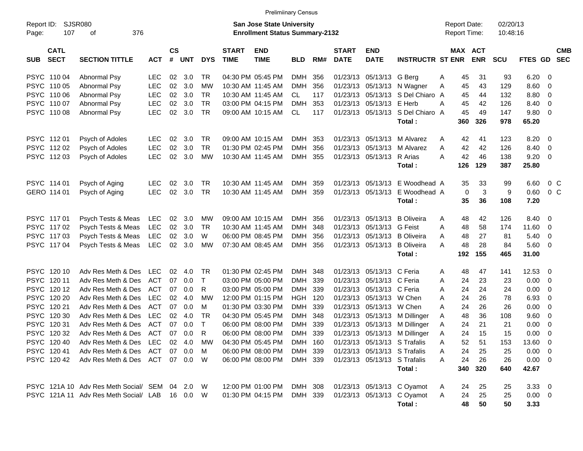|                     |                            |                                                |            |                             |            |              |                             | <b>Prelimiinary Census</b>                                         |            |     |                             |                           |                                        |   |                                            |            |                      |                      |                          |                          |
|---------------------|----------------------------|------------------------------------------------|------------|-----------------------------|------------|--------------|-----------------------------|--------------------------------------------------------------------|------------|-----|-----------------------------|---------------------------|----------------------------------------|---|--------------------------------------------|------------|----------------------|----------------------|--------------------------|--------------------------|
| Report ID:<br>Page: | <b>SJSR080</b><br>107      | 376<br>оf                                      |            |                             |            |              |                             | San Jose State University<br><b>Enrollment Status Summary-2132</b> |            |     |                             |                           |                                        |   | <b>Report Date:</b><br><b>Report Time:</b> |            | 02/20/13<br>10:48:16 |                      |                          |                          |
| SUB                 | <b>CATL</b><br><b>SECT</b> | <b>SECTION TITTLE</b>                          | <b>ACT</b> | $\mathsf{cs}$<br>$\pmb{\#}$ | <b>UNT</b> | <b>DYS</b>   | <b>START</b><br><b>TIME</b> | <b>END</b><br><b>TIME</b>                                          | <b>BLD</b> | RM# | <b>START</b><br><b>DATE</b> | <b>END</b><br><b>DATE</b> | <b>INSTRUCTR ST ENR</b>                |   | MAX ACT                                    | <b>ENR</b> | <b>SCU</b>           | <b>FTES GD</b>       |                          | <b>CMB</b><br><b>SEC</b> |
|                     | PSYC 11004                 | Abnormal Psy                                   | <b>LEC</b> | 02                          | 3.0        | TR           |                             | 04:30 PM 05:45 PM                                                  | <b>DMH</b> | 356 |                             | 01/23/13 05/13/13 G Berg  |                                        | Α | 45                                         | 31         | 93                   | $6.20 \quad 0$       |                          |                          |
|                     | PSYC 110 05                | Abnormal Psy                                   | <b>LEC</b> | 02                          | 3.0        | <b>MW</b>    |                             | 10:30 AM 11:45 AM                                                  | <b>DMH</b> | 356 |                             |                           | 01/23/13 05/13/13 N Wagner             | A | 45                                         | 43         | 129                  | 8.60                 | $\overline{\phantom{0}}$ |                          |
|                     | PSYC 11006                 | Abnormal Psy                                   | <b>LEC</b> | 02                          | 3.0        | TR           |                             | 10:30 AM 11:45 AM                                                  | CL         | 117 |                             |                           | 01/23/13 05/13/13 S Del Chiaro A       |   | 45                                         | 44         | 132                  | 8.80                 | $\overline{\mathbf{0}}$  |                          |
|                     | PSYC 11007                 | Abnormal Psy                                   | <b>LEC</b> | 02                          | 3.0        | <b>TR</b>    |                             | 03:00 PM 04:15 PM                                                  | <b>DMH</b> | 353 |                             | 01/23/13 05/13/13 E Herb  |                                        | А | 45                                         | 42         | 126                  | 8.40                 | $\overline{\phantom{0}}$ |                          |
|                     | PSYC 110 08                | <b>Abnormal Psy</b>                            | <b>LEC</b> | 02                          | 3.0        | <b>TR</b>    |                             | 09:00 AM 10:15 AM                                                  | CL.        | 117 |                             |                           | 01/23/13 05/13/13 S Del Chiaro A       |   | 45                                         | 49         | 147                  | 9.80 0               |                          |                          |
|                     |                            |                                                |            |                             |            |              |                             |                                                                    |            |     |                             |                           | Total:                                 |   | 360                                        | 326        | 978                  | 65.20                |                          |                          |
|                     | PSYC 11201                 | Psych of Adoles                                | <b>LEC</b> | 02                          | 3.0        | <b>TR</b>    |                             | 09:00 AM 10:15 AM                                                  | <b>DMH</b> | 353 |                             | 01/23/13 05/13/13         | M Alvarez                              | A | 42                                         | 41         | 123                  | 8.20                 | $\overline{\phantom{0}}$ |                          |
|                     | PSYC 11202                 | Psych of Adoles                                | <b>LEC</b> | 02                          | 3.0        | <b>TR</b>    |                             | 01:30 PM 02:45 PM                                                  | DMH        | 356 |                             | 01/23/13 05/13/13         | M Alvarez                              | A | 42                                         | 42         | 126                  | 8.40                 | $\overline{\phantom{0}}$ |                          |
|                     | PSYC 11203                 | Psych of Adoles                                | <b>LEC</b> | 02                          | 3.0        | MW           |                             | 10:30 AM 11:45 AM                                                  | DMH        | 355 |                             | 01/23/13 05/13/13         | R Arias                                | A | 42                                         | 46         | 138                  | $9.20 \ 0$           |                          |                          |
|                     |                            |                                                |            |                             |            |              |                             |                                                                    |            |     |                             |                           | Total:                                 |   | 126                                        | 129        | 387                  | 25.80                |                          |                          |
|                     | PSYC 114 01                | Psych of Aging                                 | <b>LEC</b> | 02                          | 3.0        | TR           |                             | 10:30 AM 11:45 AM                                                  | <b>DMH</b> | 359 |                             |                           | 01/23/13 05/13/13 E Woodhead A         |   | 35                                         | 33         | 99                   | 6.60                 | 0 <sup>o</sup>           |                          |
|                     | GERO 114 01                | Psych of Aging                                 | <b>LEC</b> | 02                          | 3.0        | TR           |                             | 10:30 AM 11:45 AM                                                  | <b>DMH</b> | 359 |                             | 01/23/13 05/13/13         | E Woodhead A                           |   | $\mathbf 0$                                | 3          | 9                    | 0.60                 | 0 <sup>o</sup>           |                          |
|                     |                            |                                                |            |                             |            |              |                             |                                                                    |            |     |                             |                           | Total:                                 |   | 35                                         | 36         | 108                  | 7.20                 |                          |                          |
|                     | PSYC 11701                 | Psych Tests & Meas                             | LEC        | 02                          | 3.0        | MW           |                             | 09:00 AM 10:15 AM                                                  | DMH        | 356 |                             | 01/23/13 05/13/13         | <b>B</b> Oliveira                      | Α | 48                                         | 42         | 126                  | 8.40 0               |                          |                          |
|                     | PSYC 11702                 | Psych Tests & Meas                             | LEC        | 02                          | 3.0        | TR           |                             | 10:30 AM 11:45 AM                                                  | DMH        | 348 |                             | 01/23/13 05/13/13 G Feist |                                        | A | 48                                         | 58         | 174                  | 11.60 0              |                          |                          |
|                     | PSYC 11703                 | Psych Tests & Meas                             | LEC        | 02                          | 3.0        | W            |                             | 06:00 PM 08:45 PM                                                  | DMH        | 356 |                             |                           | 01/23/13 05/13/13 B Oliveira           | A | 48                                         | 27         | 81                   | 5.40                 | $\overline{\phantom{0}}$ |                          |
|                     | PSYC 11704                 | Psych Tests & Meas                             | LEC        | 02                          | 3.0        | <b>MW</b>    |                             | 07:30 AM 08:45 AM                                                  | DMH        | 356 |                             | 01/23/13 05/13/13         | <b>B</b> Oliveira                      | A | 48                                         | 28         | 84                   | 5.60 0               |                          |                          |
|                     |                            |                                                |            |                             |            |              |                             |                                                                    |            |     |                             |                           | Total:                                 |   | 192                                        | 155        | 465                  | 31.00                |                          |                          |
|                     | PSYC 120 10                | Adv Res Meth & Des                             | <b>LEC</b> | 02                          | 4.0        | TR           |                             | 01:30 PM 02:45 PM                                                  | DMH        | 348 |                             | 01/23/13 05/13/13 C Feria |                                        | A | 48                                         | 47         | 141                  | 12.53 0              |                          |                          |
|                     | PSYC 12011                 | Adv Res Meth & Des                             | <b>ACT</b> | 07                          | 0.0        | $\top$       |                             | 03:00 PM 05:00 PM                                                  | <b>DMH</b> | 339 |                             | 01/23/13 05/13/13 C Feria |                                        | Α | 24                                         | 23         | 23                   | $0.00 \t 0$          |                          |                          |
|                     | PSYC 12012                 | Adv Res Meth & Des                             | <b>ACT</b> | 07                          | 0.0        | R            |                             | 03:00 PM 05:00 PM                                                  | DMH        | 339 |                             | 01/23/13 05/13/13 C Feria |                                        | A | 24                                         | 24         | 24                   | 0.00                 | $\overline{\phantom{0}}$ |                          |
|                     | PSYC 120 20                | Adv Res Meth & Des                             | <b>LEC</b> | 02                          | 4.0        | МW           |                             | 12:00 PM 01:15 PM                                                  | HGH        | 120 |                             | 01/23/13 05/13/13 W Chen  |                                        | A | 24                                         | 26         | 78                   | 6.93                 | $\overline{\mathbf{0}}$  |                          |
|                     | PSYC 120 21                | Adv Res Meth & Des                             | <b>ACT</b> | 07                          | 0.0        | м            |                             | 01:30 PM 03:30 PM                                                  | <b>DMH</b> | 339 |                             | 01/23/13 05/13/13 W Chen  |                                        | A | 24                                         | 26         | 26                   | 0.00                 | $\overline{\mathbf{0}}$  |                          |
|                     | PSYC 120 30                | Adv Res Meth & Des                             | <b>LEC</b> | 02                          | 4.0        | <b>TR</b>    |                             | 04:30 PM 05:45 PM                                                  | <b>DMH</b> | 348 |                             |                           | 01/23/13 05/13/13 M Dillinger          | Α | 48                                         | 36         | 108                  | 9.60 0               |                          |                          |
|                     | PSYC 12031                 | Adv Res Meth & Des                             | <b>ACT</b> | 07                          | 0.0        | $\mathsf{T}$ |                             | 06:00 PM 08:00 PM                                                  | <b>DMH</b> | 339 |                             |                           | 01/23/13 05/13/13 M Dillinger          | A | 24                                         | 21         | 21                   | 0.00                 | $\overline{\mathbf{0}}$  |                          |
|                     | PSYC 12032                 | Adv Res Meth & Des                             | ACT        | 07                          | 0.0        | R            |                             | 06:00 PM 08:00 PM                                                  | <b>DMH</b> | 339 |                             |                           | 01/23/13 05/13/13 M Dillinger          | Α | 24                                         | 15         | 15                   | 0.00                 | $\overline{\phantom{0}}$ |                          |
|                     | PSYC 120 40                | Adv Res Meth & Des LEC                         |            |                             | 02 4.0     | MW           |                             | 04:30 PM 05:45 PM                                                  | DMH 160    |     |                             |                           | 01/23/13 05/13/13 S Trafalis           | A | 52                                         | 51         | 153                  | 13.60 0              |                          |                          |
|                     | PSYC 12041                 | Adv Res Meth & Des                             | ACT        |                             | 07 0.0     | M            |                             | 06:00 PM 08:00 PM                                                  | DMH 339    |     |                             |                           | 01/23/13 05/13/13 S Trafalis           | Α | 24                                         | 25         | 25                   | $0.00 \t 0$          |                          |                          |
|                     | PSYC 120 42                | Adv Res Meth & Des ACT 07 0.0 W                |            |                             |            |              |                             | 06:00 PM 08:00 PM                                                  | DMH 339    |     |                             |                           | 01/23/13 05/13/13 S Trafalis<br>Total: | A | 24<br>340                                  | 26<br>320  | 26<br>640            | $0.00 \t 0$<br>42.67 |                          |                          |
|                     |                            |                                                |            |                             |            |              |                             |                                                                    |            |     |                             |                           |                                        |   |                                            |            |                      |                      |                          |                          |
|                     |                            | PSYC 121A 10 Adv Res Meth Social/ SEM 04 2.0 W |            |                             |            |              |                             | 12:00 PM 01:00 PM                                                  | DMH 308    |     |                             |                           | 01/23/13 05/13/13 C Oyamot             | A | 24                                         | 25         | 25                   | 3.3300               |                          |                          |
|                     |                            | PSYC 121A 11 Adv Res Meth Social/ LAB 16 0.0 W |            |                             |            |              |                             | 01:30 PM 04:15 PM                                                  | DMH 339    |     |                             |                           | 01/23/13 05/13/13 C Oyamot             | A | 24                                         | 25         | 25                   | $0.00 \t 0$          |                          |                          |
|                     |                            |                                                |            |                             |            |              |                             |                                                                    |            |     |                             |                           | Total:                                 |   | 48                                         | 50         | 50                   | 3.33                 |                          |                          |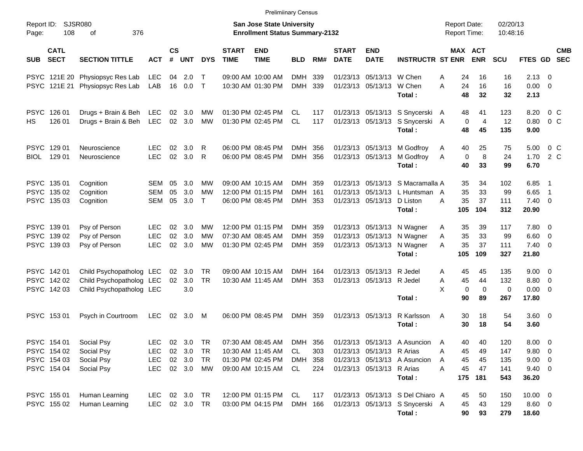PSYC 121E 20 Physiopsyc Res Lab LEC 04 2.0 T 09:00 AM 10:00 AM DMH 339 01/23/13 05/13/13 W Chen A 24 16 16 2.13 0 PSYC 121E 21 Physiopsyc Res Lab LAB 16 0.0 T 10:30 AM 01:30 PM DMH 339 01/23/13 05/13/13 W Chen A 24 16 16 0.00 0 **Total : 48 32 32 2.13** PSYC 126 01 Drugs + Brain & Beh LEC 02 3.0 MW 01:30 PM 02:45 PM CL 117 01/23/13 05/13/13 S Snycerski A 48 41 123 8.20 0 C HS 126 01 Drugs + Brain & Beh LEC 02 3.0 MW 01:30 PM 02:45 PM CL 117 01/23/13 05/13/13 S Snycerski A 0 4 12 0.80 0 C **Total : 48 45 135 9.00** PSYC 129 01 Neuroscience LEC 02 3.0 R 06:00 PM 08:45 PM DMH 356 01/23/13 05/13/13 M Godfroy A 40 25 75 5.00 0 C BIOL 129 01 Neuroscience LEC 02 3.0 R 06:00 PM 08:45 PM DMH 356 01/23/13 05/13/13 M Godfroy A 0 8 24 1.70 2 C **Total : 40 33 99 6.70** PSYC 135 01 Cognition SEM 05 3.0 MW 09:00 AM 10:15 AM DMH 359 01/23/13 05/13/13 S Macramalla A 35 34 102 6.85 1 PSYC 135 02 Cognition SEM 05 3.0 MW 12:00 PM 01:15 PM DMH 161 01/23/13 05/13/13 L Huntsman A 35 33 99 6.65 1 PSYC 135 03 Cognition SEM 05 3.0 T 06:00 PM 08:45 PM DMH 353 01/23/13 05/13/13 D Liston A 35 37 111 7.40 0 **Total : 105 104 312 20.90** PSYC 139 01 Psy of Person LEC 02 3.0 MW 12:00 PM 01:15 PM DMH 359 01/23/13 05/13/13 N Wagner A 35 39 117 7.80 0 PSYC 139 02 Psy of Person LEC 02 3.0 MW 07:30 AM 08:45 AM DMH 359 01/23/13 05/13/13 N Wagner A 35 33 99 6.60 0 PSYC 139 03 Psy of Person LEC 02 3.0 MW 01:30 PM 02:45 PM DMH 359 01/23/13 05/13/13 N Wagner A 35 37 111 7.40 0 **Total : 105 109 327 21.80** PSYC 142 01 Child Psychopatholog LEC 02 3.0 TR 09:00 AM 10:15 AM DMH 164 01/23/13 05/13/13 R Jedel A 45 45 135 9.00 0 PSYC 142 02 Child Psychopatholog LEC 02 3.0 TR 10:30 AM 11:45 AM DMH 353 01/23/13 05/13/13 R Jedel A 45 44 132 8.80 0 PSYC 142 03 Child Psychopatholog LEC 3.0  $X = 0$  0 0 0.00 0 **Total : 90 89 267 17.80** PSYC 153 01 Psych in Courtroom LEC 02 3.0 M 06:00 PM 08:45 PM DMH 359 01/23/13 05/13/13 R Karlsson A 30 18 54 3.60 0 **Total : 30 18 54 3.60** PSYC 154 01 Social Psy LEC 02 3.0 TR 07:30 AM 08:45 AM DMH 356 01/23/13 05/13/13 A Asuncion A 40 40 120 8.00 0 PSYC 154 02 Social Psy LEC 02 3.0 TR 10:30 AM 11:45 AM CL 303 01/23/13 05/13/13 R Arias A 45 49 147 9.80 0 PSYC 154 03 Social Psy LEC 02 3.0 TR 01:30 PM 02:45 PM DMH 358 01/23/13 05/13/13 A Asuncion A 45 45 135 9.00 0 PSYC 154 04 Social Psy CLEC 02 3.0 MW 09:00 AM 10:15 AM CL 224 01/23/13 05/13/13 R Arias A 45 47 141 9.40 0 **Total : 175 181 543 36.20** PSYC 155 01 Human Learning LEC 02 3.0 TR 12:00 PM 01:15 PM CL 117 01/23/13 05/13/13 S Del Chiaro A 45 50 150 10.00 0 PSYC 155 02 Human Learning LEC 02 3.0 TR 03:00 PM 04:15 PM DMH 166 01/23/13 05/13/13 S Snycerski A 45 43 129 8.60 0 **Total : 90 93 279 18.60** Report ID: SJSR080 **San Jose State University San Jose State University San Jose State University Report Date:** 02/20/13 Page: 108 of 376 **Enrollment Status Summary-2132** Report Time: 10:48:16 **CATL CS START END START END MAX ACT CMB SUB SECT SECTION TITTLE ACT # UNT DYS TIME TIME BLD RM# DATE DATE INSTRUCTR ST ENR ENR SCU FTES GD SEC** Prelimiinary Census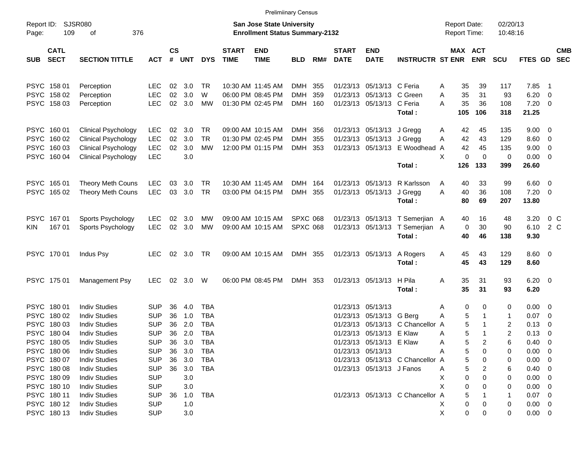|                                                                                                     |                                                                                                                                                                      |                                                                                                |                                  |                                               |                                                             |                             |                                                                           | <b>Prelimiinary Census</b>         |                   |                             |                                                                                                                            |                                                                              |                                                           |                                   |                                                    |                                                                                 |                                                                                              |                          |
|-----------------------------------------------------------------------------------------------------|----------------------------------------------------------------------------------------------------------------------------------------------------------------------|------------------------------------------------------------------------------------------------|----------------------------------|-----------------------------------------------|-------------------------------------------------------------|-----------------------------|---------------------------------------------------------------------------|------------------------------------|-------------------|-----------------------------|----------------------------------------------------------------------------------------------------------------------------|------------------------------------------------------------------------------|-----------------------------------------------------------|-----------------------------------|----------------------------------------------------|---------------------------------------------------------------------------------|----------------------------------------------------------------------------------------------|--------------------------|
| Report ID:<br>109<br>Page:                                                                          | <b>SJSR080</b><br>376<br>οf                                                                                                                                          |                                                                                                |                                  |                                               |                                                             |                             | <b>San Jose State University</b><br><b>Enrollment Status Summary-2132</b> |                                    |                   |                             |                                                                                                                            |                                                                              | <b>Report Date:</b><br><b>Report Time:</b>                |                                   | 02/20/13<br>10:48:16                               |                                                                                 |                                                                                              |                          |
| <b>CATL</b><br><b>SECT</b><br><b>SUB</b>                                                            | <b>SECTION TITTLE</b>                                                                                                                                                | <b>ACT</b>                                                                                     | $\mathsf{cs}$<br>#               | UNT                                           | <b>DYS</b>                                                  | <b>START</b><br><b>TIME</b> | <b>END</b><br><b>TIME</b>                                                 | <b>BLD</b>                         | RM#               | <b>START</b><br><b>DATE</b> | <b>END</b><br><b>DATE</b>                                                                                                  | <b>INSTRUCTR ST ENR ENR</b>                                                  | MAX ACT                                                   |                                   | <b>SCU</b>                                         | FTES GD                                                                         |                                                                                              | <b>CMB</b><br><b>SEC</b> |
| PSYC 158 01<br>PSYC 158 02<br>PSYC 158 03                                                           | Perception<br>Perception<br>Perception                                                                                                                               | LEC<br><b>LEC</b><br><b>LEC</b>                                                                | 02<br>02                         | 3.0<br>3.0<br>02 3.0                          | TR<br>W<br>МW                                               |                             | 10:30 AM 11:45 AM<br>06:00 PM 08:45 PM<br>01:30 PM 02:45 PM               | DMH<br><b>DMH</b><br>DMH           | 355<br>359<br>160 |                             | 01/23/13 05/13/13 C Feria<br>01/23/13 05/13/13 C Green<br>01/23/13 05/13/13 C Feria                                        | Total:                                                                       | 35<br>Α<br>35<br>Α<br>A<br>35<br>105                      | 39<br>31<br>36<br>106             | 117<br>93<br>108<br>318                            | 7.85<br>6.20<br>$7.20 \t 0$<br>21.25                                            | $\overline{\phantom{1}}$<br>$\overline{0}$                                                   |                          |
| PSYC 160 01<br>PSYC 160 02<br>PSYC 160 03<br>PSYC 160 04                                            | <b>Clinical Psychology</b><br><b>Clinical Psychology</b><br><b>Clinical Psychology</b><br><b>Clinical Psychology</b>                                                 | <b>LEC</b><br><b>LEC</b><br><b>LEC</b><br><b>LEC</b>                                           | 02<br>02<br>02                   | - 3.0<br>3.0<br>3.0<br>3.0                    | TR<br><b>TR</b><br><b>MW</b>                                |                             | 09:00 AM 10:15 AM<br>01:30 PM 02:45 PM<br>12:00 PM 01:15 PM               | DMH<br><b>DMH</b><br>DMH           | 356<br>355<br>353 |                             | 01/23/13 05/13/13 J Gregg<br>01/23/13 05/13/13 J Gregg                                                                     | 01/23/13 05/13/13 E Woodhead<br>Total:                                       | 42<br>Α<br>42<br>A<br>42<br>A<br>X<br>0<br>126            | 45<br>43<br>45<br>$\Omega$<br>133 | 135<br>129<br>135<br>$\mathbf 0$<br>399            | 9.00<br>8.60<br>9.00<br>0.00<br>26.60                                           | $\overline{\mathbf{0}}$<br>$\overline{0}$<br>$\mathbf 0$<br>$\overline{\mathbf{0}}$          |                          |
| PSYC 165 01<br>PSYC 165 02                                                                          | <b>Theory Meth Couns</b><br><b>Theory Meth Couns</b>                                                                                                                 | LEC<br><b>LEC</b>                                                                              | 03                               | 3.0<br>03 3.0                                 | TR<br><b>TR</b>                                             |                             | 10:30 AM 11:45 AM<br>03:00 PM 04:15 PM                                    | DMH<br>DMH                         | 164<br>355        |                             | 01/23/13 05/13/13<br>01/23/13 05/13/13                                                                                     | R Karlsson<br>J Gregg<br>Total:                                              | 40<br>Α<br>A<br>40<br>80                                  | 33<br>36<br>69                    | 99<br>108<br>207                                   | $6.60 \quad 0$<br>7.20<br>13.80                                                 | $\overline{\mathbf{0}}$                                                                      |                          |
| PSYC 167 01<br>167 01<br>KIN.                                                                       | Sports Psychology<br>Sports Psychology                                                                                                                               | <b>LEC</b><br><b>LEC</b>                                                                       | 02<br>02                         | 3.0<br>3.0                                    | МW<br>MW                                                    |                             | 09:00 AM 10:15 AM<br>09:00 AM 10:15 AM                                    | <b>SPXC 068</b><br><b>SPXC 068</b> |                   |                             |                                                                                                                            | 01/23/13 05/13/13 T Semerjian A<br>01/23/13 05/13/13 T Semerjian A<br>Total: | 40<br>0<br>40                                             | 16<br>30<br>46                    | 48<br>90<br>138                                    | 3.20<br>6.10<br>9.30                                                            | 0 <sup>o</sup><br>2 C                                                                        |                          |
| PSYC 170 01                                                                                         | Indus Psy                                                                                                                                                            | <b>LEC</b>                                                                                     |                                  | 02 3.0                                        | TR                                                          |                             | 09:00 AM 10:15 AM                                                         | DMH 355                            |                   |                             | 01/23/13 05/13/13                                                                                                          | A Rogers<br>Total:                                                           | 45<br>Α<br>45                                             | 43<br>43                          | 129<br>129                                         | $8.60 \quad 0$<br>8.60                                                          |                                                                                              |                          |
| PSYC 175 01                                                                                         | Management Psy                                                                                                                                                       | <b>LEC</b>                                                                                     | 02                               | 3.0                                           | W                                                           |                             | 06:00 PM 08:45 PM                                                         | DMH 353                            |                   |                             | 01/23/13 05/13/13                                                                                                          | H Pila<br>Total:                                                             | 35<br>Α<br>35                                             | 31<br>31                          | 93<br>93                                           | $6.20 \quad 0$<br>6.20                                                          |                                                                                              |                          |
| PSYC 18001<br>PSYC 180 02<br>PSYC 180 03<br>PSYC 180 04<br>PSYC 180 05<br>PSYC 180 06               | <b>Indiv Studies</b><br><b>Indiv Studies</b><br><b>Indiv Studies</b><br><b>Indiv Studies</b><br><b>Indiv Studies</b><br><b>Indiv Studies</b>                         | SUP<br><b>SUP</b><br><b>SUP</b><br><b>SUP</b><br><b>SUP</b><br><b>SUP</b>                      | 36<br>36<br>36<br>36<br>36<br>36 | 4.0<br>1.0<br>2.0<br>2.0<br>3.0<br>3.0        | TBA<br><b>TBA</b><br><b>TBA</b><br><b>TBA</b><br>TBA<br>TBA |                             |                                                                           |                                    |                   |                             | 01/23/13 05/13/13<br>01/23/13 05/13/13 G Berg<br>01/23/13 05/13/13 E Klaw<br>01/23/13 05/13/13 E Klaw<br>01/23/13 05/13/13 | 01/23/13 05/13/13 C Chancellor                                               | 0<br>Α<br>5<br>Α<br>5<br>A<br>5<br>Α<br>5<br>5<br>A       | 0<br>2<br>0                       | 0<br>$\mathbf{1}$<br>2<br>$\overline{2}$<br>6<br>0 | 0.00<br>0.07<br>0.13<br>0.13<br>$0.40 \quad 0$<br>$0.00 \t 0$                   | $\overline{\mathbf{0}}$<br>$\overline{\mathbf{0}}$<br>$\mathbf 0$<br>$\overline{\mathbf{0}}$ |                          |
| PSYC 180 07<br>PSYC 180 08<br>PSYC 180 09<br>PSYC 180 10<br>PSYC 18011<br>PSYC 180 12<br>PSYC 18013 | <b>Indiv Studies</b><br><b>Indiv Studies</b><br><b>Indiv Studies</b><br><b>Indiv Studies</b><br><b>Indiv Studies</b><br><b>Indiv Studies</b><br><b>Indiv Studies</b> | <b>SUP</b><br><b>SUP</b><br><b>SUP</b><br><b>SUP</b><br><b>SUP</b><br><b>SUP</b><br><b>SUP</b> | 36<br>36<br>36                   | 3.0<br>3.0<br>3.0<br>3.0<br>1.0<br>1.0<br>3.0 | TBA<br>TBA<br>TBA                                           |                             |                                                                           |                                    |                   |                             | 01/23/13 05/13/13 J Fanos                                                                                                  | 01/23/13 05/13/13 C Chancellor A<br>01/23/13 05/13/13 C Chancellor A         | 5<br>5<br>Α<br>X<br>0<br>X<br>0<br>5<br>0<br>X.<br>X<br>0 | 0<br>0<br>0                       | 0<br>6<br>0<br>0<br>-1<br>0<br>0                   | 0.00<br>0.40<br>0.00<br>0.00<br>$0.07 \quad 0$<br>$0.00 \quad 0$<br>$0.00 \t 0$ | $\overline{\phantom{0}}$<br>$\overline{0}$<br>- 0<br>$\overline{0}$                          |                          |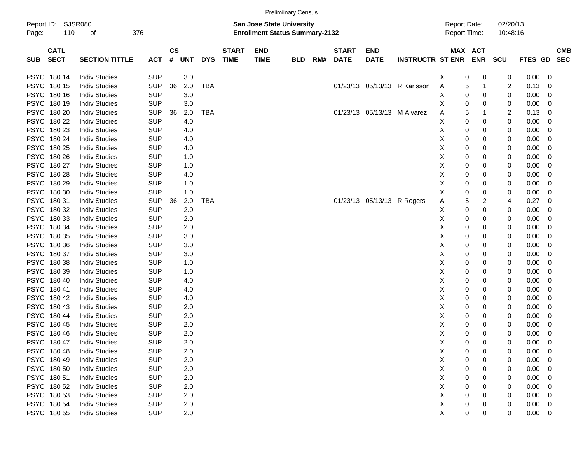|                                          |                             |            |                               |            |            |                             |                                                                           | <b>Prelimiinary Census</b> |     |                             |                            |                              |                                            |                       |                      |             |                          |
|------------------------------------------|-----------------------------|------------|-------------------------------|------------|------------|-----------------------------|---------------------------------------------------------------------------|----------------------------|-----|-----------------------------|----------------------------|------------------------------|--------------------------------------------|-----------------------|----------------------|-------------|--------------------------|
| Report ID:<br>110<br>Page:               | <b>SJSR080</b><br>376<br>οf |            |                               |            |            |                             | <b>San Jose State University</b><br><b>Enrollment Status Summary-2132</b> |                            |     |                             |                            |                              | <b>Report Date:</b><br><b>Report Time:</b> |                       | 02/20/13<br>10:48:16 |             |                          |
| <b>CATL</b><br><b>SECT</b><br><b>SUB</b> | <b>SECTION TITTLE</b>       | <b>ACT</b> | $\mathsf{CS}\phantom{0}$<br># | <b>UNT</b> | <b>DYS</b> | <b>START</b><br><b>TIME</b> | <b>END</b><br><b>TIME</b>                                                 | <b>BLD</b>                 | RM# | <b>START</b><br><b>DATE</b> | <b>END</b><br><b>DATE</b>  | <b>INSTRUCTR ST ENR</b>      |                                            | MAX ACT<br><b>ENR</b> | <b>SCU</b>           | FTES GD SEC | <b>CMB</b>               |
| PSYC 180 14                              | <b>Indiv Studies</b>        | <b>SUP</b> |                               | 3.0        |            |                             |                                                                           |                            |     |                             |                            |                              | 0<br>Х                                     | 0                     | 0                    | $0.00 \t 0$ |                          |
| PSYC 180 15                              | <b>Indiv Studies</b>        | <b>SUP</b> | 36                            | 2.0        | <b>TBA</b> |                             |                                                                           |                            |     |                             |                            | 01/23/13 05/13/13 R Karlsson | 5<br>A                                     | 1                     | 2                    | 0.13        | $\overline{\phantom{0}}$ |
| PSYC 180 16                              | <b>Indiv Studies</b>        | <b>SUP</b> |                               | 3.0        |            |                             |                                                                           |                            |     |                             |                            |                              | Χ<br>0                                     | 0                     | 0                    | 0.00        | $\overline{\mathbf{0}}$  |
| PSYC 180 19                              | <b>Indiv Studies</b>        | <b>SUP</b> |                               | 3.0        |            |                             |                                                                           |                            |     |                             |                            |                              | Χ<br>0                                     | 0                     | 0                    | 0.00        | $\overline{\phantom{0}}$ |
| PSYC 180 20                              | <b>Indiv Studies</b>        | <b>SUP</b> | 36                            | 2.0        | <b>TBA</b> |                             |                                                                           |                            |     |                             |                            | 01/23/13 05/13/13 M Alvarez  | 5<br>Α                                     |                       | 2                    | 0.13        | $\overline{\phantom{0}}$ |
| PSYC 180 22                              | <b>Indiv Studies</b>        | <b>SUP</b> |                               | 4.0        |            |                             |                                                                           |                            |     |                             |                            |                              | Χ<br>0                                     | 0                     | 0                    | 0.00        | $\overline{\mathbf{0}}$  |
| PSYC 180 23                              | <b>Indiv Studies</b>        | <b>SUP</b> |                               | 4.0        |            |                             |                                                                           |                            |     |                             |                            |                              | Χ<br>0                                     | 0                     | 0                    | 0.00        | $\overline{\mathbf{0}}$  |
| PSYC 180 24                              | <b>Indiv Studies</b>        | <b>SUP</b> |                               | 4.0        |            |                             |                                                                           |                            |     |                             |                            |                              | Χ<br>0                                     | 0                     | 0                    | 0.00        | $\overline{\phantom{0}}$ |
| PSYC 180 25                              | <b>Indiv Studies</b>        | <b>SUP</b> |                               | 4.0        |            |                             |                                                                           |                            |     |                             |                            |                              | Χ<br>0                                     | 0                     | 0                    | 0.00        | $\overline{\phantom{0}}$ |
| PSYC 180 26                              | <b>Indiv Studies</b>        | <b>SUP</b> |                               | 1.0        |            |                             |                                                                           |                            |     |                             |                            |                              | Χ<br>0                                     | 0                     | 0                    | 0.00        | $\overline{\mathbf{0}}$  |
| PSYC 180 27                              | <b>Indiv Studies</b>        | <b>SUP</b> |                               | 1.0        |            |                             |                                                                           |                            |     |                             |                            |                              | Χ<br>0                                     | 0                     | 0                    | 0.00        | $\overline{\mathbf{0}}$  |
| PSYC 180 28                              | <b>Indiv Studies</b>        | <b>SUP</b> |                               | 4.0        |            |                             |                                                                           |                            |     |                             |                            |                              | Χ<br>0                                     | 0                     | 0                    | 0.00        | $\overline{\mathbf{0}}$  |
| PSYC 180 29                              | <b>Indiv Studies</b>        | <b>SUP</b> |                               | 1.0        |            |                             |                                                                           |                            |     |                             |                            |                              | Χ<br>0                                     | 0                     | 0                    | 0.00        | $\overline{\mathbf{0}}$  |
| PSYC 180 30                              | <b>Indiv Studies</b>        | <b>SUP</b> |                               | 1.0        |            |                             |                                                                           |                            |     |                             |                            |                              | Χ<br>0                                     | 0                     | 0                    | 0.00        | $\overline{\mathbf{0}}$  |
| PSYC 180 31                              | <b>Indiv Studies</b>        | <b>SUP</b> | 36                            | 2.0        | <b>TBA</b> |                             |                                                                           |                            |     |                             | 01/23/13 05/13/13 R Rogers |                              | 5<br>Α                                     | 2                     | 4                    | 0.27        | $\overline{\mathbf{0}}$  |
| PSYC 180 32                              | <b>Indiv Studies</b>        | <b>SUP</b> |                               | 2.0        |            |                             |                                                                           |                            |     |                             |                            |                              | Χ<br>0                                     | 0                     | 0                    | 0.00        | $\overline{\mathbf{0}}$  |
| PSYC 180 33                              | <b>Indiv Studies</b>        | <b>SUP</b> |                               | 2.0        |            |                             |                                                                           |                            |     |                             |                            |                              | Χ<br>0                                     | 0                     | 0                    | 0.00        | $\overline{\mathbf{0}}$  |
| PSYC 180 34                              | <b>Indiv Studies</b>        | <b>SUP</b> |                               | 2.0        |            |                             |                                                                           |                            |     |                             |                            |                              | Χ<br>0                                     | 0                     | 0                    | 0.00        | $\overline{\mathbf{0}}$  |
| PSYC 180 35                              | <b>Indiv Studies</b>        | <b>SUP</b> |                               | 3.0        |            |                             |                                                                           |                            |     |                             |                            |                              | Χ<br>0                                     | 0                     | 0                    | 0.00        | $\overline{\phantom{0}}$ |
| PSYC 180 36                              | <b>Indiv Studies</b>        | <b>SUP</b> |                               | 3.0        |            |                             |                                                                           |                            |     |                             |                            |                              | Χ<br>0                                     | 0                     | 0                    | 0.00        | $\overline{\mathbf{0}}$  |
| PSYC 180 37                              | <b>Indiv Studies</b>        | <b>SUP</b> |                               | 3.0        |            |                             |                                                                           |                            |     |                             |                            |                              | Χ<br>0                                     | 0                     | 0                    | 0.00        | $\overline{\mathbf{0}}$  |
| PSYC 180 38                              | <b>Indiv Studies</b>        | <b>SUP</b> |                               | 1.0        |            |                             |                                                                           |                            |     |                             |                            |                              | Χ<br>0                                     | 0                     | 0                    | 0.00        | $\overline{\mathbf{0}}$  |
| PSYC 180 39                              | <b>Indiv Studies</b>        | <b>SUP</b> |                               | 1.0        |            |                             |                                                                           |                            |     |                             |                            |                              | Χ<br>0                                     | 0                     | 0                    | 0.00        | $\overline{\mathbf{0}}$  |
| PSYC 180 40                              | <b>Indiv Studies</b>        | <b>SUP</b> |                               | 4.0        |            |                             |                                                                           |                            |     |                             |                            |                              | Χ<br>0                                     | 0                     | 0                    | 0.00        | $\overline{\mathbf{0}}$  |
| PSYC 180 41                              | <b>Indiv Studies</b>        | <b>SUP</b> |                               | 4.0        |            |                             |                                                                           |                            |     |                             |                            |                              | Χ<br>0                                     | 0                     | 0                    | 0.00        | $\overline{\mathbf{0}}$  |
| PSYC 180 42                              | <b>Indiv Studies</b>        | <b>SUP</b> |                               | 4.0        |            |                             |                                                                           |                            |     |                             |                            |                              | Χ<br>0                                     | 0                     | 0                    | 0.00        | $\overline{\mathbf{0}}$  |
| PSYC 180 43                              | <b>Indiv Studies</b>        | <b>SUP</b> |                               | 2.0        |            |                             |                                                                           |                            |     |                             |                            |                              | Χ<br>0                                     | 0                     | 0                    | 0.00        | $\overline{\mathbf{0}}$  |
| PSYC 180 44                              | <b>Indiv Studies</b>        | <b>SUP</b> |                               | 2.0        |            |                             |                                                                           |                            |     |                             |                            |                              | Χ<br>0                                     | 0                     | 0                    | 0.00        | $\overline{\phantom{0}}$ |
| PSYC 180 45                              | <b>Indiv Studies</b>        | <b>SUP</b> |                               | 2.0        |            |                             |                                                                           |                            |     |                             |                            |                              | Χ<br>0                                     | 0                     | 0                    | 0.00        | $\overline{\mathbf{0}}$  |
| PSYC 18046                               | <b>Indiv Studies</b>        | <b>SUP</b> |                               | 2.0        |            |                             |                                                                           |                            |     |                             |                            |                              | Χ<br>0                                     | 0                     | 0                    | 0.00        | $\overline{\phantom{0}}$ |
| PSYC 180 47                              | <b>Indiv Studies</b>        | <b>SUP</b> |                               | 2.0        |            |                             |                                                                           |                            |     |                             |                            |                              | 0                                          | 0                     | 0                    | $0.00 \t 0$ |                          |
| PSYC 18048                               | <b>Indiv Studies</b>        | <b>SUP</b> |                               | 2.0        |            |                             |                                                                           |                            |     |                             |                            |                              | х<br>Х<br>0                                | 0                     | 0                    | $0.00 \t 0$ |                          |
| PSYC 180 49                              | <b>Indiv Studies</b>        | <b>SUP</b> |                               | 2.0        |            |                             |                                                                           |                            |     |                             |                            |                              | х<br>0                                     | 0                     | 0                    | $0.00 \t 0$ |                          |
| PSYC 180 50                              | <b>Indiv Studies</b>        | <b>SUP</b> |                               | 2.0        |            |                             |                                                                           |                            |     |                             |                            |                              | х<br>0                                     | 0                     | 0                    | $0.00 \t 0$ |                          |
| PSYC 180 51                              | <b>Indiv Studies</b>        | <b>SUP</b> |                               | 2.0        |            |                             |                                                                           |                            |     |                             |                            |                              | х<br>0                                     | 0                     | 0                    | $0.00 \t 0$ |                          |
| PSYC 180 52                              | <b>Indiv Studies</b>        | <b>SUP</b> |                               | 2.0        |            |                             |                                                                           |                            |     |                             |                            |                              | х<br>0                                     | 0                     | 0                    | $0.00 \t 0$ |                          |
| PSYC 180 53                              | <b>Indiv Studies</b>        | <b>SUP</b> |                               | 2.0        |            |                             |                                                                           |                            |     |                             |                            |                              | Χ<br>0                                     | 0                     | 0                    | $0.00 \t 0$ |                          |
| PSYC 180 54                              | <b>Indiv Studies</b>        | <b>SUP</b> |                               |            |            |                             |                                                                           |                            |     |                             |                            |                              |                                            |                       |                      | $0.00 \t 0$ |                          |
| PSYC 180 55                              |                             |            |                               | 2.0        |            |                             |                                                                           |                            |     |                             |                            |                              | Χ<br>0                                     | 0                     | 0                    |             |                          |
|                                          | <b>Indiv Studies</b>        | <b>SUP</b> |                               | 2.0        |            |                             |                                                                           |                            |     |                             |                            |                              | Χ<br>0                                     | 0                     | 0                    | $0.00 \t 0$ |                          |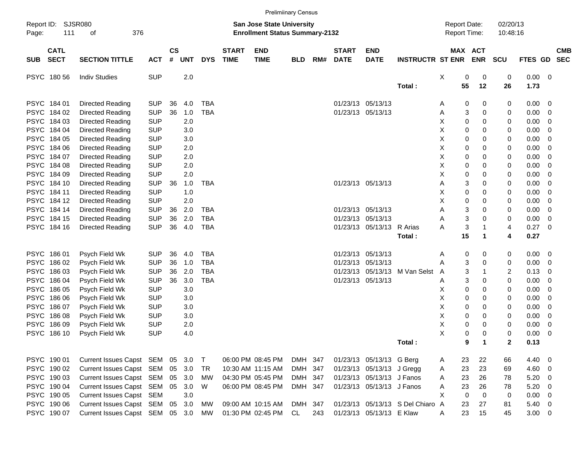|             |                            |                                 |            |                    |            |            |                             |                                                                    | <b>Prelimiinary Census</b> |     |                             |                           |                                  |                                     |                   |                      |             |                          |            |
|-------------|----------------------------|---------------------------------|------------|--------------------|------------|------------|-----------------------------|--------------------------------------------------------------------|----------------------------|-----|-----------------------------|---------------------------|----------------------------------|-------------------------------------|-------------------|----------------------|-------------|--------------------------|------------|
| Page:       | Report ID: SJSR080<br>111  | 376<br>οf                       |            |                    |            |            |                             | San Jose State University<br><b>Enrollment Status Summary-2132</b> |                            |     |                             |                           |                                  | <b>Report Date:</b><br>Report Time: |                   | 02/20/13<br>10:48:16 |             |                          |            |
| <b>SUB</b>  | <b>CATL</b><br><b>SECT</b> | <b>SECTION TITTLE</b>           | <b>ACT</b> | $\mathsf{cs}$<br># | <b>UNT</b> | <b>DYS</b> | <b>START</b><br><b>TIME</b> | <b>END</b><br><b>TIME</b>                                          | <b>BLD</b>                 | RM# | <b>START</b><br><b>DATE</b> | <b>END</b><br><b>DATE</b> | <b>INSTRUCTR ST ENR ENR</b>      |                                     | MAX ACT           | <b>SCU</b>           | FTES GD SEC |                          | <b>CMB</b> |
|             | PSYC 18056                 | <b>Indiv Studies</b>            | <b>SUP</b> |                    | 2.0        |            |                             |                                                                    |                            |     |                             |                           |                                  | X<br>0                              | 0                 | 0                    | 0.00 0      |                          |            |
|             |                            |                                 |            |                    |            |            |                             |                                                                    |                            |     |                             |                           | Total:                           | 55                                  | 12                | 26                   | 1.73        |                          |            |
|             | PSYC 184 01                | <b>Directed Reading</b>         | <b>SUP</b> | 36                 | 4.0        | <b>TBA</b> |                             |                                                                    |                            |     |                             | 01/23/13 05/13/13         |                                  | 0<br>Α                              | 0                 | 0                    | $0.00 \t 0$ |                          |            |
|             | PSYC 184 02                | Directed Reading                | <b>SUP</b> | 36                 | 1.0        | <b>TBA</b> |                             |                                                                    |                            |     |                             | 01/23/13 05/13/13         |                                  | Α                                   | 3<br>0            | 0                    | 0.00        | $\overline{\phantom{0}}$ |            |
|             | PSYC 184 03                | Directed Reading                | <b>SUP</b> |                    | 2.0        |            |                             |                                                                    |                            |     |                             |                           |                                  | х<br>0                              | 0                 | 0                    | 0.00        | $\overline{\mathbf{0}}$  |            |
|             | PSYC 184 04                | Directed Reading                | <b>SUP</b> |                    | 3.0        |            |                             |                                                                    |                            |     |                             |                           |                                  | х<br>0                              | 0                 | 0                    | 0.00        | $\overline{\mathbf{0}}$  |            |
|             | PSYC 184 05                | Directed Reading                | <b>SUP</b> |                    | 3.0        |            |                             |                                                                    |                            |     |                             |                           |                                  | х<br>0                              | 0                 | 0                    | 0.00        | 0                        |            |
|             | PSYC 184 06                | Directed Reading                | <b>SUP</b> |                    | 2.0        |            |                             |                                                                    |                            |     |                             |                           |                                  | х<br>0                              | 0                 | 0                    | 0.00        | - 0                      |            |
|             | PSYC 184 07                | Directed Reading                | <b>SUP</b> |                    | 2.0        |            |                             |                                                                    |                            |     |                             |                           |                                  | х<br>0                              | 0                 | 0                    | 0.00        | $\overline{\mathbf{0}}$  |            |
|             | PSYC 184 08                | Directed Reading                | <b>SUP</b> |                    | 2.0        |            |                             |                                                                    |                            |     |                             |                           |                                  | х<br>0                              | 0                 | 0                    | 0.00        | - 0                      |            |
|             | PSYC 184 09                | Directed Reading                | <b>SUP</b> |                    | 2.0        |            |                             |                                                                    |                            |     |                             |                           |                                  | х<br>0                              | 0                 | 0                    | 0.00        | - 0                      |            |
|             | PSYC 184 10                | Directed Reading                | <b>SUP</b> | 36                 | 1.0        | <b>TBA</b> |                             |                                                                    |                            |     |                             | 01/23/13 05/13/13         |                                  | Α                                   | 3<br>0            | 0                    | 0.00        | - 0                      |            |
|             | PSYC 184 11                | Directed Reading                | <b>SUP</b> |                    | 1.0        |            |                             |                                                                    |                            |     |                             |                           |                                  | Χ<br>0                              | 0                 | 0                    | 0.00        | - 0                      |            |
|             | PSYC 184 12                | <b>Directed Reading</b>         | <b>SUP</b> |                    | 2.0        |            |                             |                                                                    |                            |     |                             |                           |                                  | Χ<br>0                              | 0                 | 0                    | 0.00        | - 0                      |            |
|             | PSYC 184 14                | Directed Reading                | <b>SUP</b> | 36                 | 2.0        | <b>TBA</b> |                             |                                                                    |                            |     |                             | 01/23/13 05/13/13         |                                  | Α                                   | 3<br>0            | 0                    | 0.00        | $\overline{\mathbf{0}}$  |            |
|             | PSYC 184 15                | Directed Reading                | <b>SUP</b> | 36                 | 2.0        | <b>TBA</b> |                             |                                                                    |                            |     |                             | 01/23/13 05/13/13         |                                  | А                                   | 3<br>0            | 0                    | 0.00        | $\overline{\mathbf{0}}$  |            |
|             | PSYC 184 16                | Directed Reading                | <b>SUP</b> | 36                 | 4.0        | <b>TBA</b> |                             |                                                                    |                            |     |                             | 01/23/13 05/13/13 R Arias |                                  | 3<br>Α                              |                   | 4                    | 0.27        | $\overline{\phantom{0}}$ |            |
|             |                            |                                 |            |                    |            |            |                             |                                                                    |                            |     |                             |                           | Total:                           | 15                                  | 1                 | 4                    | 0.27        |                          |            |
|             | PSYC 186 01                | Psych Field Wk                  | <b>SUP</b> | 36                 | 4.0        | <b>TBA</b> |                             |                                                                    |                            |     |                             | 01/23/13 05/13/13         |                                  | 0<br>Α                              | 0                 | 0                    | 0.00 0      |                          |            |
|             | PSYC 186 02                | Psych Field Wk                  | <b>SUP</b> | 36                 | 1.0        | <b>TBA</b> |                             |                                                                    |                            |     |                             | 01/23/13 05/13/13         |                                  | А                                   | 3<br>0            | 0                    | 0.00        | $\overline{\phantom{0}}$ |            |
|             | PSYC 186 03                | Psych Field Wk                  | <b>SUP</b> | 36                 | 2.0        | <b>TBA</b> |                             |                                                                    |                            |     |                             |                           | 01/23/13 05/13/13 M Van Selst    | A                                   | 3                 | 2                    | 0.13        | - 0                      |            |
|             | PSYC 186 04                | Psych Field Wk                  | <b>SUP</b> | 36                 | 3.0        | <b>TBA</b> |                             |                                                                    |                            |     |                             | 01/23/13 05/13/13         |                                  | Α                                   | 3<br>0            | 0                    | 0.00        | - 0                      |            |
|             | PSYC 186 05                | Psych Field Wk                  | <b>SUP</b> |                    | 3.0        |            |                             |                                                                    |                            |     |                             |                           |                                  | 0<br>х                              | 0                 | 0                    | 0.00        | - 0                      |            |
|             | PSYC 186 06                | Psych Field Wk                  | <b>SUP</b> |                    | 3.0        |            |                             |                                                                    |                            |     |                             |                           |                                  | х<br>0                              | 0                 | 0                    | 0.00        | - 0                      |            |
|             | PSYC 186 07                | Psych Field Wk                  | <b>SUP</b> |                    | 3.0        |            |                             |                                                                    |                            |     |                             |                           |                                  | х<br>0                              | 0                 | 0                    | 0.00        | - 0                      |            |
|             | PSYC 186 08                | Psych Field Wk                  | <b>SUP</b> |                    | 3.0        |            |                             |                                                                    |                            |     |                             |                           |                                  | х<br>0                              | 0                 | 0                    | 0.00        | $\overline{\mathbf{0}}$  |            |
| <b>PSYC</b> | 186 09                     | Psych Field Wk                  | <b>SUP</b> |                    | 2.0        |            |                             |                                                                    |                            |     |                             |                           |                                  | Χ<br>0                              | 0                 | 0                    | 0.00        | 0                        |            |
|             | PSYC 186 10                | Psych Field Wk                  | <b>SUP</b> |                    | 4.0        |            |                             |                                                                    |                            |     |                             |                           |                                  | X                                   | 0<br>$\Omega$     | 0                    | 0.00        | $\overline{\phantom{0}}$ |            |
|             |                            |                                 |            |                    |            |            |                             |                                                                    |                            |     |                             |                           | Total:                           |                                     | 9<br>$\mathbf{1}$ | 2                    | 0.13        |                          |            |
|             |                            |                                 |            |                    |            |            |                             |                                                                    |                            |     |                             |                           |                                  |                                     |                   |                      |             |                          |            |
|             | PSYC 190 01                | Current Issues Capst SEM 05 3.0 |            |                    |            | $\top$     |                             | 06:00 PM 08:45 PM                                                  | DMH 347                    |     |                             | 01/23/13 05/13/13 G Berg  |                                  | 23<br>A                             | 22                | 66                   | 4.40 0      |                          |            |
|             | PSYC 190 02                | Current Issues Capst SEM        |            | 05                 | 3.0        | TR         |                             | 10:30 AM 11:15 AM                                                  | DMH 347                    |     |                             | 01/23/13 05/13/13 J Gregg |                                  | 23<br>A                             | 23                | 69                   | 4.60 0      |                          |            |
|             | PSYC 190 03                | Current Issues Capst SEM        |            | 05                 | 3.0        | МW         |                             | 04:30 PM 05:45 PM                                                  | DMH 347                    |     |                             | 01/23/13 05/13/13 J Fanos |                                  | 23<br>Α                             | 26                | 78                   | $5.20 \ 0$  |                          |            |
|             | PSYC 190 04                | Current Issues Capst SEM 05 3.0 |            |                    |            | W          |                             | 06:00 PM 08:45 PM                                                  | DMH 347                    |     |                             | 01/23/13 05/13/13 J Fanos |                                  | 23<br>Α                             | 26                | 78                   | $5.20 \ 0$  |                          |            |
|             | PSYC 190 05                | Current Issues Capst SEM        |            |                    | 3.0        |            |                             |                                                                    |                            |     |                             |                           |                                  | X<br>$\mathbf 0$                    | $\mathbf 0$       | 0                    | $0.00 \t 0$ |                          |            |
|             | PSYC 190 06                | Current Issues Capst SEM        |            |                    | 05 3.0     | МW         |                             | 09:00 AM 10:15 AM                                                  | DMH 347                    |     |                             |                           | 01/23/13 05/13/13 S Del Chiaro A | 23                                  | 27                | 81                   | $5.40 \ 0$  |                          |            |
|             | PSYC 190 07                | Current Issues Capst SEM 05 3.0 |            |                    |            | MW         |                             | 01:30 PM 02:45 PM                                                  | CL                         | 243 |                             | 01/23/13 05/13/13 E Klaw  |                                  | 23<br>Α                             | 15                | 45                   | $3.00 \t 0$ |                          |            |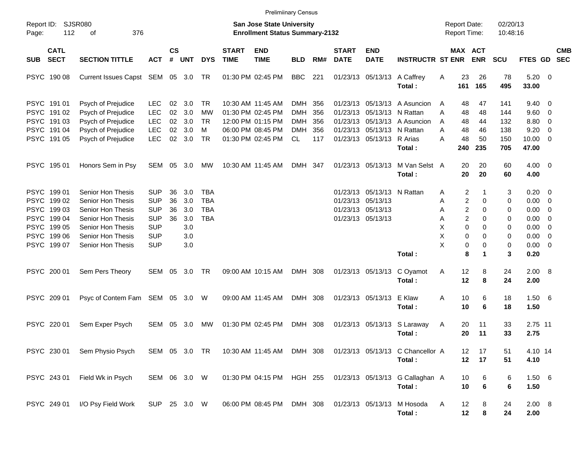|                                                                                                      |                                                                                                                                                 |                                                                                         |                            |                                               |                                                      |                             | <b>Prelimiinary Census</b>                                                                            |                                                      |                                 |                             |                                                                                           |                                                                        |                                                                         |                                                 |                                        |                                                                                  |                                                                                        |            |
|------------------------------------------------------------------------------------------------------|-------------------------------------------------------------------------------------------------------------------------------------------------|-----------------------------------------------------------------------------------------|----------------------------|-----------------------------------------------|------------------------------------------------------|-----------------------------|-------------------------------------------------------------------------------------------------------|------------------------------------------------------|---------------------------------|-----------------------------|-------------------------------------------------------------------------------------------|------------------------------------------------------------------------|-------------------------------------------------------------------------|-------------------------------------------------|----------------------------------------|----------------------------------------------------------------------------------|----------------------------------------------------------------------------------------|------------|
| Report ID: SJSR080<br>112<br>Page:                                                                   | 376<br>οf                                                                                                                                       |                                                                                         |                            |                                               |                                                      |                             | <b>San Jose State University</b><br><b>Enrollment Status Summary-2132</b>                             |                                                      |                                 |                             |                                                                                           |                                                                        | <b>Report Date:</b><br><b>Report Time:</b>                              |                                                 | 02/20/13<br>10:48:16                   |                                                                                  |                                                                                        |            |
| <b>CATL</b><br><b>SECT</b><br><b>SUB</b>                                                             | <b>SECTION TITTLE</b>                                                                                                                           | <b>ACT</b>                                                                              | <b>CS</b><br>#             | <b>UNT</b>                                    | <b>DYS</b>                                           | <b>START</b><br><b>TIME</b> | <b>END</b><br><b>TIME</b>                                                                             | <b>BLD</b>                                           | RM#                             | <b>START</b><br><b>DATE</b> | <b>END</b><br><b>DATE</b>                                                                 | <b>INSTRUCTR ST ENR</b>                                                | MAX ACT                                                                 | <b>ENR</b>                                      | <b>SCU</b>                             | FTES GD SEC                                                                      |                                                                                        | <b>CMB</b> |
| PSYC 190 08                                                                                          | Current Issues Capst SEM 05 3.0                                                                                                                 |                                                                                         |                            |                                               | TR                                                   |                             | 01:30 PM 02:45 PM                                                                                     | <b>BBC</b>                                           | 221                             |                             |                                                                                           | 01/23/13 05/13/13 A Caffrey<br>Total:                                  | 23<br>Α<br>161                                                          | 26<br>165                                       | 78<br>495                              | $5.20 \ 0$<br>33.00                                                              |                                                                                        |            |
| PSYC 191 01<br>PSYC 191 02<br>PSYC 191 03<br>PSYC 191 04<br>PSYC 191 05                              | Psych of Prejudice<br>Psych of Prejudice<br>Psych of Prejudice<br>Psych of Prejudice<br>Psych of Prejudice                                      | <b>LEC</b><br><b>LEC</b><br><b>LEC</b><br><b>LEC</b><br><b>LEC</b>                      | 02<br>02<br>02<br>02<br>02 | 3.0<br>3.0<br>3.0<br>3.0<br>3.0               | TR<br>МW<br>TR<br>м<br>TR                            |                             | 10:30 AM 11:45 AM<br>01:30 PM 02:45 PM<br>12:00 PM 01:15 PM<br>06:00 PM 08:45 PM<br>01:30 PM 02:45 PM | DMH<br><b>DMH</b><br><b>DMH</b><br><b>DMH</b><br>CL. | 356<br>356<br>356<br>356<br>117 |                             | 01/23/13 05/13/13 N Rattan<br>01/23/13 05/13/13 N Rattan<br>01/23/13 05/13/13 R Arias     | 01/23/13 05/13/13 A Asuncion<br>01/23/13 05/13/13 A Asuncion<br>Total: | 48<br>A<br>Α<br>48<br>48<br>A<br>48<br>A<br>48<br>А<br>240              | 47<br>48<br>44<br>46<br>50<br>235               | 141<br>144<br>132<br>138<br>150<br>705 | $9.40 \quad 0$<br>9.60 0<br>8.80<br>9.20<br>$10.00 \t 0$<br>47.00                | $\overline{\mathbf{0}}$<br>- 0                                                         |            |
| PSYC 195 01                                                                                          | Honors Sem in Psy                                                                                                                               | SEM 05 3.0                                                                              |                            |                                               | MW                                                   |                             | 10:30 AM 11:45 AM                                                                                     | DMH 347                                              |                                 |                             | 01/23/13 05/13/13                                                                         | M Van Selst A<br>Total:                                                | 20<br>20                                                                | 20<br>20                                        | 60<br>60                               | $4.00 \ 0$<br>4.00                                                               |                                                                                        |            |
| PSYC 199 01<br>PSYC 199 02<br>PSYC 199 03<br>PSYC 199 04<br>PSYC 199 05<br>PSYC 199 06<br>PSYC 19907 | Senior Hon Thesis<br>Senior Hon Thesis<br>Senior Hon Thesis<br>Senior Hon Thesis<br>Senior Hon Thesis<br>Senior Hon Thesis<br>Senior Hon Thesis | SUP<br><b>SUP</b><br><b>SUP</b><br><b>SUP</b><br><b>SUP</b><br><b>SUP</b><br><b>SUP</b> | 36<br>36<br>36<br>36       | 3.0<br>3.0<br>3.0<br>3.0<br>3.0<br>3.0<br>3.0 | <b>TBA</b><br><b>TBA</b><br><b>TBA</b><br><b>TBA</b> |                             |                                                                                                       |                                                      |                                 |                             | 01/23/13 05/13/13 N Rattan<br>01/23/13 05/13/13<br>01/23/13 05/13/13<br>01/23/13 05/13/13 | Total:                                                                 | 2<br>Α<br>2<br>Α<br>2<br>Α<br>2<br>Α<br>X<br>0<br>X<br>0<br>X<br>0<br>8 | 0<br>$\Omega$<br>$\Omega$<br>0<br>$\Omega$<br>0 | 3<br>0<br>0<br>0<br>0<br>0<br>0<br>3   | $0.20 \ 0$<br>$0.00 \t 0$<br>0.00<br>0.00<br>0.00<br>0.00<br>$0.00 \t 0$<br>0.20 | $\overline{\phantom{0}}$<br>- 0<br>$\overline{\mathbf{0}}$<br>$\overline{\phantom{0}}$ |            |
| PSYC 200 01                                                                                          | Sem Pers Theory                                                                                                                                 | SEM 05                                                                                  |                            | 3.0                                           | TR                                                   |                             | 09:00 AM 10:15 AM                                                                                     | DMH 308                                              |                                 |                             | 01/23/13 05/13/13                                                                         | C Oyamot<br>Total:                                                     | 12<br>A<br>12                                                           | 8<br>8                                          | 24<br>24                               | 2.00 8<br>2.00                                                                   |                                                                                        |            |
| PSYC 209 01                                                                                          | Psyc of Contem Fam SEM 05 3.0 W                                                                                                                 |                                                                                         |                            |                                               |                                                      |                             | 09:00 AM 11:45 AM                                                                                     | DMH 308                                              |                                 |                             | 01/23/13 05/13/13                                                                         | E Klaw<br>Total:                                                       | Α<br>10<br>10                                                           | 6<br>6                                          | 18<br>18                               | 1.506<br>1.50                                                                    |                                                                                        |            |
| PSYC 220 01                                                                                          | Sem Exper Psych                                                                                                                                 | SEM                                                                                     | 05                         | 3.0                                           | <b>MW</b>                                            |                             | 01:30 PM 02:45 PM                                                                                     | DMH 308                                              |                                 |                             | 01/23/13 05/13/13                                                                         | S Laraway<br>Total :                                                   | 20<br>A<br>20                                                           | 11<br>11                                        | 33<br>33                               | 2.75 11<br>2.75                                                                  |                                                                                        |            |
| PSYC 230 01                                                                                          | Sem Physio Psych                                                                                                                                | SEM 05 3.0 TR                                                                           |                            |                                               |                                                      |                             | 10:30 AM 11:45 AM DMH 308                                                                             |                                                      |                                 |                             |                                                                                           | 01/23/13 05/13/13 C Chancellor A<br>Total:                             | 12 <sup>12</sup>                                                        | 17<br>17<br>12                                  | 51<br>51                               | 4.10 14<br>4.10                                                                  |                                                                                        |            |
| PSYC 243 01                                                                                          | Field Wk in Psych                                                                                                                               | SEM 06 3.0 W                                                                            |                            |                                               |                                                      |                             | 01:30 PM 04:15 PM HGH 255                                                                             |                                                      |                                 |                             |                                                                                           | 01/23/13 05/13/13 G Callaghan A<br>Total:                              | 10<br>10                                                                | 6<br>6                                          | 6<br>6                                 | 1.506<br>1.50                                                                    |                                                                                        |            |
| PSYC 249 01                                                                                          | I/O Psy Field Work                                                                                                                              | SUP 25 3.0 W                                                                            |                            |                                               |                                                      |                             | 06:00 PM 08:45 PM                                                                                     | DMH 308                                              |                                 |                             | 01/23/13 05/13/13                                                                         | M Hosoda<br>Total:                                                     | 12<br>A<br>12                                                           | 8<br>8                                          | 24<br>24                               | 2.00 8<br>2.00                                                                   |                                                                                        |            |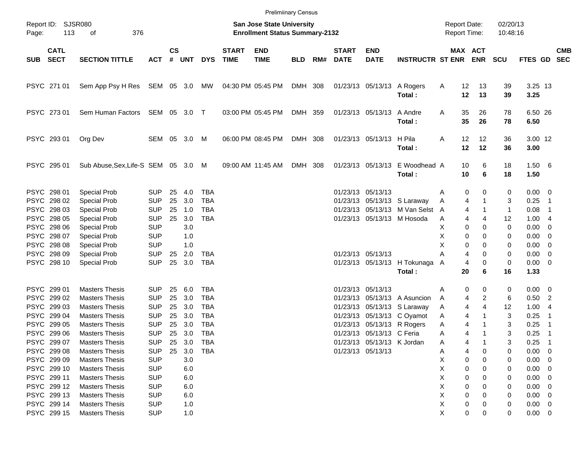|            |                                           |                                                                         |                                        |                    |                   |                                 |                             | <b>Prelimiinary Census</b>                                                |            |     |                             |                                                                              |                                                             |                                     |                                    |                                   |                             |                                       |            |
|------------|-------------------------------------------|-------------------------------------------------------------------------|----------------------------------------|--------------------|-------------------|---------------------------------|-----------------------------|---------------------------------------------------------------------------|------------|-----|-----------------------------|------------------------------------------------------------------------------|-------------------------------------------------------------|-------------------------------------|------------------------------------|-----------------------------------|-----------------------------|---------------------------------------|------------|
| Page:      | Report ID: SJSR080<br>113<br>376<br>оf    |                                                                         |                                        |                    |                   |                                 |                             | <b>San Jose State University</b><br><b>Enrollment Status Summary-2132</b> |            |     |                             |                                                                              |                                                             | <b>Report Date:</b><br>Report Time: |                                    | 02/20/13<br>10:48:16              |                             |                                       |            |
| <b>SUB</b> | <b>CATL</b><br><b>SECT</b>                | <b>SECTION TITTLE</b>                                                   | <b>ACT</b>                             | $\mathsf{cs}$<br># | UNT               | <b>DYS</b>                      | <b>START</b><br><b>TIME</b> | <b>END</b><br><b>TIME</b>                                                 | <b>BLD</b> | RM# | <b>START</b><br><b>DATE</b> | <b>END</b><br><b>DATE</b>                                                    | <b>INSTRUCTR ST ENR ENR</b>                                 |                                     | MAX ACT                            | <b>SCU</b>                        | FTES GD SEC                 |                                       | <b>CMB</b> |
|            | PSYC 271 01                               | Sem App Psy H Res SEM 05 3.0 MW                                         |                                        |                    |                   |                                 |                             | 04:30 PM 05:45 PM                                                         | DMH 308    |     |                             |                                                                              | 01/23/13 05/13/13 A Rogers<br>Total:                        | 12<br>A<br>12                       | 13<br>13                           | 39<br>39                          | 3.25 13<br>3.25             |                                       |            |
|            | PSYC 273 01                               | Sem Human Factors                                                       | SEM 05 3.0 T                           |                    |                   |                                 |                             | 03:00 PM 05:45 PM                                                         | DMH 359    |     |                             | 01/23/13 05/13/13 A Andre                                                    | Total:                                                      | 35<br>Α<br>35                       | 26<br>26                           | 78<br>78                          | 6.50 26<br>6.50             |                                       |            |
|            | PSYC 293 01                               | Org Dev                                                                 | SEM 05 3.0 M                           |                    |                   |                                 |                             | 06:00 PM 08:45 PM                                                         | DMH 308    |     |                             | 01/23/13 05/13/13 H Pila                                                     | Total:                                                      | 12<br>Α<br>12                       | 12<br>12                           | 36<br>36                          | 3.00 12<br>3.00             |                                       |            |
|            | PSYC 295 01                               | Sub Abuse, Sex, Life-S SEM 05 3.0 M                                     |                                        |                    |                   |                                 |                             | 09:00 AM 11:45 AM                                                         | DMH 308    |     |                             | 01/23/13 05/13/13                                                            | E Woodhead A<br>Total:                                      | 10<br>10                            | 6<br>6                             | 18<br>18                          | 1.506<br>1.50               |                                       |            |
|            | PSYC 298 01<br>PSYC 298 02                | Special Prob<br><b>Special Prob</b>                                     | <b>SUP</b><br><b>SUP</b>               | 25<br>25           | 4.0<br>3.0        | TBA<br><b>TBA</b>               |                             |                                                                           |            |     |                             | 01/23/13 05/13/13                                                            | 01/23/13 05/13/13 S Laraway                                 | Α<br>Α                              | 0<br>0<br>4                        | 0<br>3                            | $0.00 \quad 0$<br>0.25      | $\overline{1}$                        |            |
|            | PSYC 298 03<br>PSYC 298 05<br>PSYC 298 06 | <b>Special Prob</b><br><b>Special Prob</b><br><b>Special Prob</b>       | <b>SUP</b><br><b>SUP</b><br><b>SUP</b> | 25<br>25           | 1.0<br>3.0<br>3.0 | <b>TBA</b><br><b>TBA</b>        |                             |                                                                           |            |     |                             |                                                                              | 01/23/13 05/13/13 M Van Selst<br>01/23/13 05/13/13 M Hosoda | A<br>A<br>х                         | 4<br>4<br>4<br>0<br>0              | $\mathbf{1}$<br>12<br>$\mathbf 0$ | 0.08<br>1.00<br>0.00        | -1<br>- 4<br>0                        |            |
|            | PSYC 298 07<br>PSYC 298 08<br>PSYC 298 09 | <b>Special Prob</b><br><b>Special Prob</b><br><b>Special Prob</b>       | <b>SUP</b><br><b>SUP</b><br><b>SUP</b> | 25                 | 1.0<br>1.0<br>2.0 | TBA                             |                             |                                                                           |            |     |                             | 01/23/13 05/13/13                                                            |                                                             | х<br>Χ<br>А                         | 0<br>0<br>0<br>0<br>4<br>0         | 0<br>0<br>0                       | 0.00<br>0.00<br>0.00        | 0<br>0<br>0                           |            |
|            | PSYC 298 10                               | <b>Special Prob</b>                                                     | <b>SUP</b>                             | 25                 | 3.0               | <b>TBA</b>                      |                             |                                                                           |            |     |                             |                                                                              | 01/23/13 05/13/13 H Tokunaga<br>Total:                      | A<br>20                             | 4<br>$\mathbf 0$<br>6              | 0<br>16                           | $0.00 \t 0$<br>1.33         |                                       |            |
|            | PSYC 299 01<br>PSYC 299 02<br>PSYC 299 03 | <b>Masters Thesis</b><br><b>Masters Thesis</b><br><b>Masters Thesis</b> | <b>SUP</b><br><b>SUP</b><br><b>SUP</b> | 25<br>25<br>25     | 6.0<br>3.0<br>3.0 | TBA<br><b>TBA</b><br><b>TBA</b> |                             |                                                                           |            |     |                             | 01/23/13 05/13/13                                                            | 01/23/13 05/13/13 A Asuncion<br>01/23/13 05/13/13 S Laraway | 0<br>Α<br>A<br>Α                    | 0<br>$\overline{2}$<br>4<br>4<br>4 | 0<br>6<br>12                      | $0.00 \t 0$<br>0.50<br>1.00 | $\overline{2}$<br>- 4                 |            |
|            | PSYC 299 04<br>PSYC 299 05                | <b>Masters Thesis</b><br><b>Masters Thesis</b>                          | <b>SUP</b><br><b>SUP</b>               | 25<br>25           | 3.0<br>3.0        | TBA<br><b>TBA</b>               |                             |                                                                           |            |     |                             |                                                                              | 01/23/13 05/13/13 C Oyamot<br>01/23/13 05/13/13 R Rogers    | A<br>Α                              | 4<br>4                             | 3<br>3                            | 0.25<br>0.25                | $\overline{1}$<br>$\overline{1}$      |            |
|            | PSYC 299 06<br>PSYC 299 07<br>PSYC 299 08 | <b>Masters Thesis</b><br><b>Masters Thesis</b><br><b>Masters Thesis</b> | <b>SUP</b><br><b>SUP</b><br><b>SUP</b> | 25<br>25<br>25     | 3.0<br>3.0<br>3.0 | TBA<br><b>TBA</b><br><b>TBA</b> |                             |                                                                           |            |     |                             | 01/23/13 05/13/13 C Feria<br>01/23/13 05/13/13 K Jordan<br>01/23/13 05/13/13 |                                                             | A<br>4<br>A<br>Α                    | 4<br>0<br>4                        | 3<br>3<br>0                       | 0.25<br>0.25<br>0.00        | - 1<br>$\overline{\mathbf{1}}$<br>- 0 |            |
|            | PSYC 299 09<br>PSYC 299 10<br>PSYC 299 11 | <b>Masters Thesis</b><br><b>Masters Thesis</b><br><b>Masters Thesis</b> | <b>SUP</b><br><b>SUP</b><br><b>SUP</b> |                    | 3.0<br>6.0<br>6.0 |                                 |                             |                                                                           |            |     |                             |                                                                              |                                                             | X<br>х<br>х                         | 0<br>0<br>0<br>0<br>0<br>0         | 0<br>0<br>0                       | 0.00<br>0.00<br>0.00        | 0<br>0<br>0                           |            |
|            | PSYC 299 12<br>PSYC 299 13<br>PSYC 299 14 | <b>Masters Thesis</b><br><b>Masters Thesis</b><br><b>Masters Thesis</b> | <b>SUP</b><br><b>SUP</b><br><b>SUP</b> |                    | 6.0<br>6.0<br>1.0 |                                 |                             |                                                                           |            |     |                             |                                                                              |                                                             | х<br>х<br>х                         | 0<br>n<br>0<br>n<br>0              | 0<br>0<br>0                       | 0.00<br>0.00<br>0.00        | 0<br>0<br>$\overline{0}$              |            |
|            | PSYC 299 15                               | <b>Masters Thesis</b>                                                   | <b>SUP</b>                             |                    | 1.0               |                                 |                             |                                                                           |            |     |                             |                                                                              |                                                             | Χ                                   | 0<br>0                             | 0                                 | $0.00 \t 0$                 |                                       |            |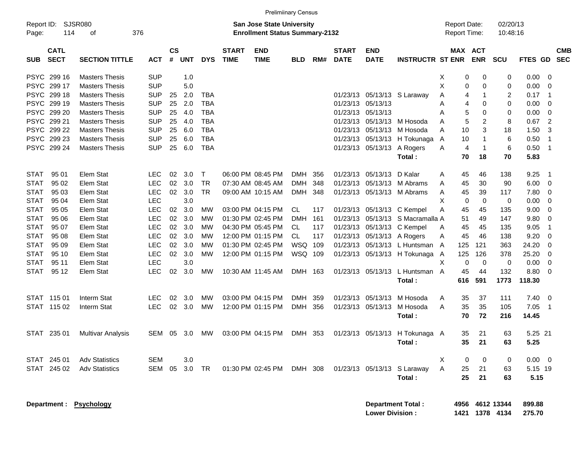|                                                                                                                      |                                                                                                                                                    |                                                                                  |                                   |                                        |                                                               |                             |                                                                                                       | <b>Prelimiinary Census</b>                                   |                          |                                              |                           |                                                                                                                        |                                                                            |                                                                    |                                                |                                              |                                                                                                       |
|----------------------------------------------------------------------------------------------------------------------|----------------------------------------------------------------------------------------------------------------------------------------------------|----------------------------------------------------------------------------------|-----------------------------------|----------------------------------------|---------------------------------------------------------------|-----------------------------|-------------------------------------------------------------------------------------------------------|--------------------------------------------------------------|--------------------------|----------------------------------------------|---------------------------|------------------------------------------------------------------------------------------------------------------------|----------------------------------------------------------------------------|--------------------------------------------------------------------|------------------------------------------------|----------------------------------------------|-------------------------------------------------------------------------------------------------------|
| Report ID:<br>Page:                                                                                                  | SJSR080<br>376<br>114<br>οf                                                                                                                        |                                                                                  |                                   |                                        |                                                               |                             | San Jose State University<br><b>Enrollment Status Summary-2132</b>                                    |                                                              |                          |                                              |                           |                                                                                                                        | Report Date:<br><b>Report Time:</b>                                        |                                                                    | 02/20/13<br>10:48:16                           |                                              |                                                                                                       |
| <b>CATL</b><br><b>SECT</b><br><b>SUB</b>                                                                             | <b>SECTION TITTLE</b>                                                                                                                              | <b>ACT</b>                                                                       | $\mathsf{cs}$<br>#                | <b>UNT</b>                             | <b>DYS</b>                                                    | <b>START</b><br><b>TIME</b> | <b>END</b><br><b>TIME</b>                                                                             | <b>BLD</b>                                                   | RM#                      | <b>START</b><br><b>DATE</b>                  | <b>END</b><br><b>DATE</b> | <b>INSTRUCTR ST ENR</b>                                                                                                |                                                                            | MAX ACT<br><b>ENR</b>                                              | SCU                                            |                                              | <b>CMB</b><br>FTES GD SEC                                                                             |
| PSYC 299 16<br>PSYC 299 17<br>PSYC 299 18<br>PSYC 299 19<br>PSYC 299 20<br>PSYC 299 21                               | <b>Masters Thesis</b><br><b>Masters Thesis</b><br><b>Masters Thesis</b><br><b>Masters Thesis</b><br><b>Masters Thesis</b><br><b>Masters Thesis</b> | <b>SUP</b><br><b>SUP</b><br><b>SUP</b><br><b>SUP</b><br><b>SUP</b><br><b>SUP</b> | 25<br>25<br>25<br>25              | 1.0<br>5.0<br>2.0<br>2.0<br>4.0<br>4.0 | <b>TBA</b><br><b>TBA</b><br><b>TBA</b><br><b>TBA</b>          |                             |                                                                                                       |                                                              |                          | 01/23/13<br>01/23/13<br>01/23/13<br>01/23/13 | 05/13/13<br>05/13/13      | 05/13/13 S Laraway<br>05/13/13 M Hosoda                                                                                | $\mathbf 0$<br>X<br>X<br>$\pmb{0}$<br>A<br>4<br>A<br>4<br>5<br>A<br>5<br>A | $\Omega$<br>$\mathbf 0$<br>1<br>$\mathbf 0$<br>0<br>$\overline{c}$ | $\mathbf 0$<br>$\mathbf 0$<br>2<br>0<br>0<br>8 | 0.00<br>0.00<br>0.17<br>0.00<br>0.00<br>0.67 | $\overline{0}$<br>$\overline{0}$<br>$\overline{1}$<br>$\overline{0}$<br>$\mathbf 0$<br>$\overline{c}$ |
| PSYC 299 22<br>PSYC 299 23<br>PSYC 299 24                                                                            | <b>Masters Thesis</b><br><b>Masters Thesis</b><br><b>Masters Thesis</b>                                                                            | <b>SUP</b><br><b>SUP</b><br><b>SUP</b>                                           | 25<br>25<br>25                    | 6.0<br>6.0<br>6.0                      | <b>TBA</b><br><b>TBA</b><br><b>TBA</b>                        |                             |                                                                                                       |                                                              |                          | 01/23/13<br>01/23/13                         |                           | 05/13/13 M Hosoda<br>05/13/13 H Tokunaga<br>01/23/13 05/13/13 A Rogers<br>Total:                                       | A<br>10<br>$\overline{A}$<br>10<br>$\overline{4}$<br>A<br>70               | 3<br>1<br>$\mathbf{1}$<br>18                                       | 18<br>6<br>6<br>70                             | 1.50<br>0.50<br>0.50<br>5.83                 | 3<br>$\overline{1}$<br>$\overline{1}$                                                                 |
| 95 01<br><b>STAT</b><br>95 02<br><b>STAT</b><br><b>STAT</b><br>95 03<br><b>STAT</b><br>95 04                         | Elem Stat<br>Elem Stat<br>Elem Stat<br>Elem Stat                                                                                                   | <b>LEC</b><br><b>LEC</b><br><b>LEC</b><br><b>LEC</b>                             | 02<br>02<br>02                    | 3.0<br>3.0<br>3.0<br>3.0               | $\mathsf{T}$<br><b>TR</b><br><b>TR</b>                        |                             | 06:00 PM 08:45 PM<br>07:30 AM 08:45 AM<br>09:00 AM 10:15 AM                                           | <b>DMH</b><br><b>DMH</b><br><b>DMH</b>                       | 356<br>348<br>348        | 01/23/13<br>01/23/13<br>01/23/13             | 05/13/13 D Kalar          | 05/13/13 M Abrams<br>05/13/13 M Abrams                                                                                 | A<br>45<br>45<br>A<br>A<br>45<br>X<br>$\mathbf 0$                          | 46<br>30<br>39<br>$\mathbf 0$                                      | 138<br>90<br>117<br>0                          | 9.25<br>6.00<br>7.80<br>0.00                 | $\overline{1}$<br>$\overline{0}$<br>$\mathbf 0$<br>$\overline{0}$                                     |
| <b>STAT</b><br>95 05<br><b>STAT</b><br>95 06<br><b>STAT</b><br>95 07<br><b>STAT</b><br>95 08<br><b>STAT</b><br>95 09 | Elem Stat<br>Elem Stat<br>Elem Stat<br>Elem Stat<br>Elem Stat                                                                                      | <b>LEC</b><br><b>LEC</b><br><b>LEC</b><br><b>LEC</b><br><b>LEC</b>               | 02 <sub>2</sub><br>02<br>02<br>02 | 3.0<br>3.0<br>3.0<br>02 3.0<br>3.0     | <b>MW</b><br><b>MW</b><br><b>MW</b><br><b>MW</b><br><b>MW</b> |                             | 03:00 PM 04:15 PM<br>01:30 PM 02:45 PM<br>04:30 PM 05:45 PM<br>12:00 PM 01:15 PM<br>01:30 PM 02:45 PM | <b>CL</b><br><b>DMH</b><br><b>CL</b><br><b>CL</b><br>WSQ 109 | 117<br>161<br>117<br>117 | 01/23/13<br>01/23/13<br>01/23/13<br>01/23/13 |                           | 01/23/13 05/13/13 C Kempel<br>05/13/13 S Macramalla A<br>05/13/13 C Kempel<br>05/13/13 A Rogers<br>05/13/13 L Huntsman | 45<br>A<br>51<br>45<br>A<br>A<br>45<br>$\overline{A}$<br>125               | 45<br>49<br>45<br>46<br>121                                        | 135<br>147<br>135<br>138<br>363                | 9.00<br>9.80<br>9.05<br>9.20<br>24.20        | $\overline{0}$<br>0<br>$\overline{1}$<br>$\mathbf 0$<br>$\overline{0}$                                |
| <b>STAT</b><br>95 10<br><b>STAT</b><br>95 11<br>STAT<br>95 12                                                        | Elem Stat<br>Elem Stat<br>Elem Stat                                                                                                                | <b>LEC</b><br><b>LEC</b><br><b>LEC</b>                                           | 02                                | 3.0<br>3.0<br>02 3.0                   | MW<br><b>MW</b>                                               |                             | 12:00 PM 01:15 PM<br>10:30 AM 11:45 AM                                                                | WSQ 109<br>DMH 163                                           |                          | 01/23/13                                     |                           | 05/13/13 H Tokunaga<br>01/23/13 05/13/13 L Huntsman A<br>Total:                                                        | A<br>125<br>$\mathbf 0$<br>X<br>45<br>616                                  | 126<br>$\mathbf 0$<br>44<br>591                                    | 378<br>$\mathbf 0$<br>132<br>1773              | 25.20<br>0.00<br>8.80<br>118.30              | $\Omega$<br>$\mathbf 0$<br>$\Omega$                                                                   |
| STAT 115 01<br>STAT 115 02                                                                                           | <b>Interm Stat</b><br>Interm Stat                                                                                                                  | <b>LEC</b><br><b>LEC</b>                                                         | 02 <sub>2</sub><br>02             | 3.0<br>3.0                             | <b>MW</b><br><b>MW</b>                                        |                             | 03:00 PM 04:15 PM<br>12:00 PM 01:15 PM                                                                | <b>DMH</b><br>DMH                                            | 359<br>356               | 01/23/13<br>01/23/13                         |                           | 05/13/13 M Hosoda<br>05/13/13 M Hosoda<br>Total:                                                                       | 35<br>A<br>A<br>35<br>70                                                   | 37<br>35<br>72                                                     | 111<br>105<br>216                              | 7.40<br>7.05<br>14.45                        | $\overline{0}$<br>$\overline{1}$                                                                      |
| STAT 235 01                                                                                                          | <b>Multivar Analysis</b>                                                                                                                           | SEM                                                                              | 05                                | 3.0                                    | MW                                                            |                             | 03:00 PM 04:15 PM                                                                                     | DMH 353                                                      |                          |                                              |                           | 01/23/13 05/13/13 H Tokunaga A<br>Total:                                                                               | 35<br>35                                                                   | 21<br>21                                                           | 63<br>63                                       | 5.25 21<br>5.25                              |                                                                                                       |
| STAT 245 01<br>STAT 245 02                                                                                           | <b>Adv Statistics</b><br><b>Adv Statistics</b>                                                                                                     | <b>SEM</b><br>SEM                                                                | 05                                | 3.0<br>3.0                             | TR                                                            |                             | 01:30 PM 02:45 PM                                                                                     | DMH                                                          | 308                      |                                              |                           | 01/23/13 05/13/13 S Laraway<br>Total:                                                                                  | $\mathbf 0$<br>X<br>A<br>25<br>25                                          | $\mathbf 0$<br>21<br>21                                            | $\mathbf 0$<br>63<br>63                        | $0.00 \t 0$<br>5.15 19<br>5.15               |                                                                                                       |

| Department Total:      | 4956 4612 13344 | 899.88 |
|------------------------|-----------------|--------|
| <b>Lower Division:</b> | 1421 1378 4134  | 275.70 |

**Department : Psychology**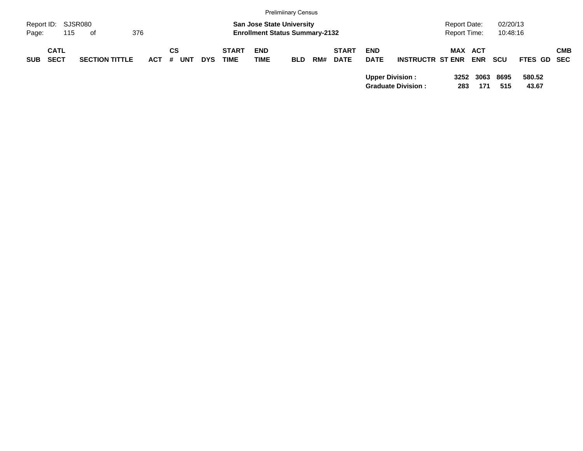|                             |                            |                       |         |    |            |            |                             |                           | <b>Prelimiinary Census</b>                                                |     |                             |                           |                                                     |                                            |             |                      |                 |            |
|-----------------------------|----------------------------|-----------------------|---------|----|------------|------------|-----------------------------|---------------------------|---------------------------------------------------------------------------|-----|-----------------------------|---------------------------|-----------------------------------------------------|--------------------------------------------|-------------|----------------------|-----------------|------------|
| Report ID: SJSR080<br>Page: | 115                        | . of                  | 376     |    |            |            |                             |                           | <b>San Jose State University</b><br><b>Enrollment Status Summary-2132</b> |     |                             |                           |                                                     | <b>Report Date:</b><br><b>Report Time:</b> |             | 02/20/13<br>10:48:16 |                 |            |
| <b>SUB</b>                  | <b>CATL</b><br><b>SECT</b> | <b>SECTION TITTLE</b> | $ACT$ # | СS | <b>UNT</b> | <b>DYS</b> | <b>START</b><br><b>TIME</b> | <b>END</b><br><b>TIME</b> | <b>BLD</b>                                                                | RM# | <b>START</b><br><b>DATE</b> | <b>END</b><br><b>DATE</b> | <b>INSTRUCTR ST ENR</b>                             | <b>MAX ACT</b>                             | <b>ENR</b>  | <b>SCU</b>           | FTES GD SEC     | <b>CMB</b> |
|                             |                            |                       |         |    |            |            |                             |                           |                                                                           |     |                             |                           | <b>Upper Division:</b><br><b>Graduate Division:</b> | 3252<br>283                                | 3063<br>171 | 8695<br>515          | 580.52<br>43.67 |            |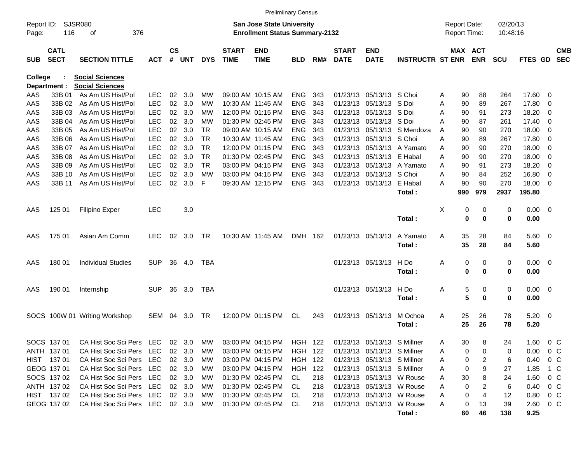|                     |                            |                                                      |                          |                |                  |                 |                             | <b>Prelimiinary Census</b>                                                |                           |            |                             |                                                            |                         |        |                                     |            |                      |                |                                          |                          |
|---------------------|----------------------------|------------------------------------------------------|--------------------------|----------------|------------------|-----------------|-----------------------------|---------------------------------------------------------------------------|---------------------------|------------|-----------------------------|------------------------------------------------------------|-------------------------|--------|-------------------------------------|------------|----------------------|----------------|------------------------------------------|--------------------------|
| Report ID:<br>Page: | 116                        | SJSR080<br>376<br>оf                                 |                          |                |                  |                 |                             | <b>San Jose State University</b><br><b>Enrollment Status Summary-2132</b> |                           |            |                             |                                                            |                         |        | <b>Report Date:</b><br>Report Time: |            | 02/20/13<br>10:48:16 |                |                                          |                          |
| <b>SUB</b>          | <b>CATL</b><br><b>SECT</b> | <b>SECTION TITTLE</b>                                | <b>ACT</b>               | <b>CS</b><br># | <b>UNT</b>       | <b>DYS</b>      | <b>START</b><br><b>TIME</b> | <b>END</b><br><b>TIME</b>                                                 | <b>BLD</b>                | RM#        | <b>START</b><br><b>DATE</b> | <b>END</b><br><b>DATE</b>                                  | <b>INSTRUCTR ST ENR</b> |        | MAX ACT                             | <b>ENR</b> | <b>SCU</b>           | <b>FTES GD</b> |                                          | <b>CMB</b><br><b>SEC</b> |
| College             |                            | <b>Social Sciences</b>                               |                          |                |                  |                 |                             |                                                                           |                           |            |                             |                                                            |                         |        |                                     |            |                      |                |                                          |                          |
|                     | Department :               | <b>Social Sciences</b>                               |                          |                |                  |                 |                             |                                                                           |                           |            |                             |                                                            |                         |        |                                     |            |                      |                |                                          |                          |
| AAS                 | 33B 01                     | As Am US Hist/Pol                                    | <b>LEC</b>               | 02             | 3.0              | МW              |                             | 09:00 AM 10:15 AM                                                         | <b>ENG</b>                | 343        | 01/23/13                    | 05/13/13                                                   | S Choi                  | A      | 90                                  | 88         | 264                  | 17.60          | - 0                                      |                          |
| AAS                 | 33B 02                     | As Am US Hist/Pol                                    | <b>LEC</b>               | 02             | 3.0              | МW              |                             | 10:30 AM 11:45 AM                                                         | <b>ENG</b>                | 343        | 01/23/13                    | 05/13/13                                                   | S Doi                   | A      | 90                                  | 89         | 267                  | 17.80          | 0                                        |                          |
| AAS                 | 33B 03                     | As Am US Hist/Pol                                    | <b>LEC</b>               | 02             | 3.0              | МW              |                             | 12:00 PM 01:15 PM<br>01:30 PM 02:45 PM                                    | <b>ENG</b>                | 343        | 01/23/13                    | 05/13/13                                                   | S Doi                   | A      | 90                                  | 91         | 273                  | 18.20          | 0                                        |                          |
| AAS<br>AAS          | 33B 04<br>33B 05           | As Am US Hist/Pol<br>As Am US Hist/Pol               | <b>LEC</b>               | 02<br>02       | 3.0<br>3.0       | МW<br><b>TR</b> |                             |                                                                           | <b>ENG</b><br><b>ENG</b>  | 343<br>343 | 01/23/13                    | 05/13/13                                                   | S Doi<br>S Mendoza      | Α      | 90                                  | 87         | 261                  | 17.40          | 0                                        |                          |
| AAS                 | 33B 06                     | As Am US Hist/Pol                                    | <b>LEC</b><br><b>LEC</b> | 02             | 3.0              | <b>TR</b>       |                             | 09:00 AM 10:15 AM<br>10:30 AM 11:45 AM                                    | <b>ENG</b>                | 343        | 01/23/13<br>01/23/13        | 05/13/13<br>05/13/13                                       | S Choi                  | A<br>Α | 90<br>90                            | 90<br>89   | 270<br>267           | 18.00<br>17.80 | 0<br>0                                   |                          |
| AAS                 | 33B 07                     | As Am US Hist/Pol                                    | <b>LEC</b>               | 02             | 3.0              | <b>TR</b>       |                             | 12:00 PM 01:15 PM                                                         | <b>ENG</b>                | 343        | 01/23/13                    | 05/13/13                                                   | A Yamato                | A      | 90                                  | 90         | 270                  | 18.00          | 0                                        |                          |
| AAS                 | 33B 08                     | As Am US Hist/Pol                                    | <b>LEC</b>               | 02             | 3.0              | <b>TR</b>       |                             | 01:30 PM 02:45 PM                                                         | <b>ENG</b>                | 343        | 01/23/13                    | 05/13/13                                                   | E Habal                 | Α      | 90                                  | 90         | 270                  | 18.00          | 0                                        |                          |
| AAS                 | 33B 09                     | As Am US Hist/Pol                                    | <b>LEC</b>               | 02             | 3.0              | <b>TR</b>       |                             | 03:00 PM 04:15 PM                                                         | <b>ENG</b>                | 343        | 01/23/13                    | 05/13/13                                                   | A Yamato                | A      | 90                                  | 91         | 273                  | 18.20          | 0                                        |                          |
| AAS                 | 33B 10                     | As Am US Hist/Pol                                    | <b>LEC</b>               | 02             | 3.0              | МW              |                             | 03:00 PM 04:15 PM                                                         | <b>ENG</b>                | 343        | 01/23/13                    | 05/13/13                                                   | S Choi                  | A      | 90                                  | 84         | 252                  | 16.80          | 0                                        |                          |
| AAS                 | 33B 11                     | As Am US Hist/Pol                                    | <b>LEC</b>               | 02             | 3.0              | F               |                             | 09:30 AM 12:15 PM                                                         | <b>ENG</b>                | 343        |                             | 01/23/13 05/13/13                                          | E Habal                 | A      | 90                                  | 90         | 270                  | 18.00          | - 0                                      |                          |
|                     |                            |                                                      |                          |                |                  |                 |                             |                                                                           |                           |            |                             |                                                            | Total:                  |        | 990                                 | 979        | 2937                 | 195.80         |                                          |                          |
|                     |                            |                                                      |                          |                |                  |                 |                             |                                                                           |                           |            |                             |                                                            |                         |        |                                     |            |                      |                |                                          |                          |
| AAS                 | 125 01                     | Filipino Exper                                       | <b>LEC</b>               |                | 3.0              |                 |                             |                                                                           |                           |            |                             |                                                            |                         | X      | 0                                   | 0          | 0                    | $0.00\,$       | $\overline{\mathbf{0}}$                  |                          |
|                     |                            |                                                      |                          |                |                  |                 |                             |                                                                           |                           |            |                             |                                                            | Total:                  |        | $\mathbf 0$                         | 0          | $\bf{0}$             | 0.00           |                                          |                          |
|                     |                            |                                                      |                          |                |                  |                 |                             |                                                                           |                           |            |                             |                                                            |                         |        |                                     |            |                      |                |                                          |                          |
| AAS                 | 175 01                     | Asian Am Comm                                        | <b>LEC</b>               | 02             | 3.0              | <b>TR</b>       |                             | 10:30 AM 11:45 AM                                                         | DMH 162                   |            |                             | 01/23/13 05/13/13                                          | A Yamato                | A      | 35                                  | 28         | 84                   | 5.60           | $\overline{\mathbf{0}}$                  |                          |
|                     |                            |                                                      |                          |                |                  |                 |                             |                                                                           |                           |            |                             |                                                            | Total:                  |        | 35                                  | 28         | 84                   | 5.60           |                                          |                          |
|                     |                            |                                                      |                          |                |                  |                 |                             |                                                                           |                           |            |                             |                                                            |                         |        |                                     |            |                      |                |                                          |                          |
| AAS                 | 180 01                     | <b>Individual Studies</b>                            | <b>SUP</b>               | 36             | 4.0              | TBA             |                             |                                                                           |                           |            |                             | 01/23/13 05/13/13                                          | H Do                    | Α      | 0                                   | 0          | 0                    | 0.00           | $\overline{\mathbf{0}}$                  |                          |
|                     |                            |                                                      |                          |                |                  |                 |                             |                                                                           |                           |            |                             |                                                            | Total:                  |        | $\bf{0}$                            | 0          | 0                    | 0.00           |                                          |                          |
|                     |                            |                                                      |                          |                |                  |                 |                             |                                                                           |                           |            |                             |                                                            |                         |        |                                     |            |                      |                |                                          |                          |
| AAS                 | 190 01                     | Internship                                           | <b>SUP</b>               | 36             | 3.0              | TBA             |                             |                                                                           |                           |            |                             | 01/23/13 05/13/13                                          | H Do                    | Α      | 5                                   | 0          | 0                    | 0.00           | $\overline{\mathbf{0}}$                  |                          |
|                     |                            |                                                      |                          |                |                  |                 |                             |                                                                           |                           |            |                             |                                                            | Total:                  |        | 5                                   | 0          | 0                    | 0.00           |                                          |                          |
|                     |                            |                                                      |                          |                |                  |                 |                             |                                                                           |                           |            |                             |                                                            |                         |        |                                     |            |                      |                |                                          |                          |
|                     |                            | SOCS 100W 01 Writing Workshop                        | <b>SEM</b>               | 04             | 3.0              | <b>TR</b>       |                             | 12:00 PM 01:15 PM                                                         | CL                        | 243        |                             | 01/23/13 05/13/13                                          | M Ochoa                 | A      | 25                                  | 26         | 78                   | 5.20           | $\overline{\phantom{0}}$                 |                          |
|                     |                            |                                                      |                          |                |                  |                 |                             |                                                                           |                           |            |                             |                                                            | Total:                  |        | 25                                  | 26         | 78                   | 5.20           |                                          |                          |
|                     |                            |                                                      |                          |                |                  |                 |                             |                                                                           |                           |            |                             |                                                            |                         |        |                                     |            |                      |                |                                          |                          |
|                     | SOCS 137 01<br>ANTH 137 01 | CA Hist Soc Sci Pers LEC                             |                          | 02             | 3.0<br>02 3.0    | <b>MW</b>       |                             | 03:00 PM 04:15 PM<br>03:00 PM 04:15 PM                                    | HGH 122                   |            |                             | 01/23/13 05/13/13 S Millner                                |                         | Α      | 30                                  | 8          | 24                   | 1.60           | $\begin{array}{ccc} & 0 & C \end{array}$ |                          |
|                     |                            | CA Hist Soc Sci Pers                                 | LEC                      |                |                  | МW              |                             |                                                                           | HGH 122<br><b>HGH 122</b> |            |                             | 01/23/13 05/13/13 S Millner                                |                         | Α      | 0                                   |            | 0                    | 0.00           | $0\,$ C                                  |                          |
|                     | HIST 137 01<br>GEOG 137 01 | CA Hist Soc Sci Pers LEC<br>CA Hist Soc Sci Pers LEC |                          |                | 02 3.0<br>02 3.0 | МW<br>МW        |                             | 03:00 PM 04:15 PM<br>03:00 PM 04:15 PM                                    | HGH 122                   |            |                             | 01/23/13 05/13/13 S Millner<br>01/23/13 05/13/13 S Millner |                         | Α<br>Α | 0<br>0                              | 2<br>9     | 6<br>27              | 0.40<br>1.85   | $0\,$ C<br>1 C                           |                          |
|                     | SOCS 137 02                | CA Hist Soc Sci Pers LEC                             |                          |                | 02 3.0           | МW              |                             | 01:30 PM 02:45 PM                                                         | CL.                       | 218        |                             | 01/23/13 05/13/13 W Rouse                                  |                         | Α      | 30                                  | 8          | 24                   | 1.60           | $0\,$ C                                  |                          |
|                     | ANTH 137 02                | CA Hist Soc Sci Pers LEC                             |                          |                | 02 3.0           | МW              |                             | 01:30 PM 02:45 PM                                                         | CL.                       | 218        |                             | 01/23/13 05/13/13 W Rouse                                  |                         | Α      | 0                                   | 2          | 6                    | 0.40           | $0\,$ C                                  |                          |
|                     | HIST 13702                 | CA Hist Soc Sci Pers LEC                             |                          |                | 02 3.0           | МW              |                             | 01:30 PM 02:45 PM                                                         | CL.                       | 218        |                             | 01/23/13 05/13/13 W Rouse                                  |                         | Α      | 0                                   | 4          | 12                   | 0.80           | 0 C                                      |                          |
|                     | GEOG 137 02                | CA Hist Soc Sci Pers LEC                             |                          |                | 02 3.0           | MW.             |                             | 01:30 PM 02:45 PM                                                         | -CL                       | 218        |                             | 01/23/13 05/13/13 W Rouse                                  |                         | Α      | 0                                   | 13         | 39                   | 2.60           | $0\,$ C                                  |                          |
|                     |                            |                                                      |                          |                |                  |                 |                             |                                                                           |                           |            |                             |                                                            | Total:                  |        | 60                                  | 46         | 138                  | 9.25           |                                          |                          |
|                     |                            |                                                      |                          |                |                  |                 |                             |                                                                           |                           |            |                             |                                                            |                         |        |                                     |            |                      |                |                                          |                          |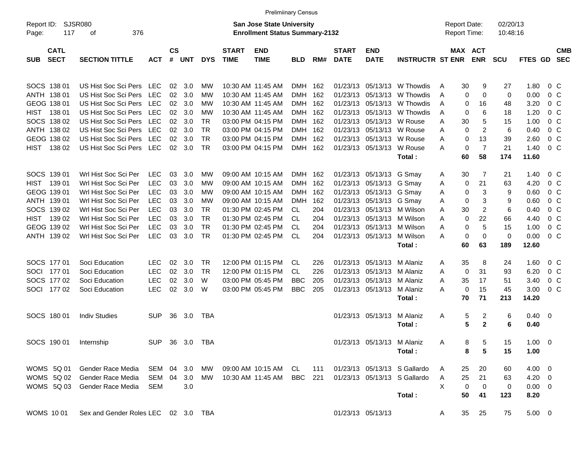|                                                                                                                                          |                                                                                                                                                                                              |                                                                                                              |                                              |                                                      |                                                                          |                             | <b>Prelimiinary Census</b>                                                                                                                                           |                                                                                                   |                                                      |                                                                      |                                                                                                                |                                                                                                |                                            |                                                                                                                     |                                                           |                                                                       |                                                                                            |                          |
|------------------------------------------------------------------------------------------------------------------------------------------|----------------------------------------------------------------------------------------------------------------------------------------------------------------------------------------------|--------------------------------------------------------------------------------------------------------------|----------------------------------------------|------------------------------------------------------|--------------------------------------------------------------------------|-----------------------------|----------------------------------------------------------------------------------------------------------------------------------------------------------------------|---------------------------------------------------------------------------------------------------|------------------------------------------------------|----------------------------------------------------------------------|----------------------------------------------------------------------------------------------------------------|------------------------------------------------------------------------------------------------|--------------------------------------------|---------------------------------------------------------------------------------------------------------------------|-----------------------------------------------------------|-----------------------------------------------------------------------|--------------------------------------------------------------------------------------------|--------------------------|
| Report ID:<br>117<br>Page:                                                                                                               | SJSR080<br>376<br>οf                                                                                                                                                                         |                                                                                                              |                                              |                                                      |                                                                          |                             | <b>San Jose State University</b><br><b>Enrollment Status Summary-2132</b>                                                                                            |                                                                                                   |                                                      |                                                                      |                                                                                                                |                                                                                                | <b>Report Date:</b><br><b>Report Time:</b> |                                                                                                                     | 02/20/13<br>10:48:16                                      |                                                                       |                                                                                            |                          |
| <b>CATL</b><br><b>SECT</b><br><b>SUB</b>                                                                                                 | <b>SECTION TITTLE</b>                                                                                                                                                                        | <b>ACT</b>                                                                                                   | <b>CS</b><br>$\#$                            | <b>UNT</b>                                           | <b>DYS</b>                                                               | <b>START</b><br><b>TIME</b> | <b>END</b><br><b>TIME</b>                                                                                                                                            | <b>BLD</b>                                                                                        | RM#                                                  | <b>START</b><br><b>DATE</b>                                          | <b>END</b><br><b>DATE</b>                                                                                      | <b>INSTRUCTR ST ENR</b>                                                                        |                                            | MAX ACT<br><b>ENR</b>                                                                                               | <b>SCU</b>                                                | FTES GD                                                               |                                                                                            | <b>CMB</b><br><b>SEC</b> |
| SOCS 138 01<br>ANTH 138 01<br>GEOG 138 01<br><b>HIST</b><br>138 01<br>SOCS 138 02<br>ANTH 138 02                                         | US Hist Soc Sci Pers<br>US Hist Soc Sci Pers<br>US Hist Soc Sci Pers<br>US Hist Soc Sci Pers<br>US Hist Soc Sci Pers<br>US Hist Soc Sci Pers                                                 | <b>LEC</b><br><b>LEC</b><br><b>LEC</b><br><b>LEC</b><br><b>LEC</b><br><b>LEC</b>                             | 02<br>02<br>02<br>02<br>02<br>02             | 3.0<br>3.0<br>3.0<br>3.0<br>3.0<br>3.0               | МW<br>МW<br>МW<br>МW<br><b>TR</b><br><b>TR</b>                           |                             | 10:30 AM 11:45 AM<br>10:30 AM 11:45 AM<br>10:30 AM 11:45 AM<br>10:30 AM 11:45 AM<br>03:00 PM 04:15 PM<br>03:00 PM 04:15 PM                                           | <b>DMH</b><br><b>DMH</b><br><b>DMH</b><br><b>DMH</b><br><b>DMH</b><br><b>DMH</b>                  | 162<br>162<br>162<br>162<br>162<br>162               | 01/23/13<br>01/23/13<br>01/23/13<br>01/23/13<br>01/23/13             | 05/13/13<br>05/13/13<br>05/13/13<br>05/13/13<br>05/13/13                                                       | 01/23/13 05/13/13 W Thowdis<br>W Thowdis<br>W Thowdis<br>W Thowdis<br>W Rouse<br>W Rouse       | A<br>A<br>A<br>A<br>Α<br>Α                 | 30<br>9<br>0<br>0<br>16<br>0<br>6<br>0<br>5<br>30<br>$\overline{c}$<br>0                                            | 27<br>0<br>48<br>18<br>15<br>6                            | 1.80<br>0.00<br>3.20<br>1.20<br>1.00<br>0.40                          | 0 C<br>$0\,C$<br>$0\,C$<br>$0\,C$<br>$0\,C$<br>$0\,$ C                                     |                          |
| GEOG 138 02<br><b>HIST</b><br>138 02                                                                                                     | US Hist Soc Sci Pers<br>US Hist Soc Sci Pers                                                                                                                                                 | <b>LEC</b><br>LEC                                                                                            | 02<br>02                                     | 3.0<br>3.0                                           | <b>TR</b><br><b>TR</b>                                                   |                             | 03:00 PM 04:15 PM<br>03:00 PM 04:15 PM                                                                                                                               | <b>DMH</b><br>DMH 162                                                                             | 162                                                  | 01/23/13                                                             | 05/13/13<br>01/23/13 05/13/13                                                                                  | W Rouse<br>W Rouse<br>Total:                                                                   | Α<br>Α                                     | 13<br>0<br>$\mathbf 0$<br>$\overline{7}$<br>60<br>58                                                                | 39<br>21<br>174                                           | 2.60<br>1.40<br>11.60                                                 | 0 <sup>o</sup><br>0 <sup>o</sup>                                                           |                          |
| SOCS 139 01<br><b>HIST</b><br>139 01<br>GEOG 139 01<br>ANTH 139 01<br>SOCS 139 02<br><b>HIST</b><br>139 02<br>GEOG 139 02<br>ANTH 139 02 | Wrl Hist Soc Sci Per<br>Wrl Hist Soc Sci Per<br>Wrl Hist Soc Sci Per<br>Wrl Hist Soc Sci Per<br>Wrl Hist Soc Sci Per<br>Wrl Hist Soc Sci Per<br>Wrl Hist Soc Sci Per<br>Wrl Hist Soc Sci Per | <b>LEC</b><br><b>LEC</b><br><b>LEC</b><br><b>LEC</b><br><b>LEC</b><br><b>LEC</b><br><b>LEC</b><br><b>LEC</b> | 03<br>03<br>03<br>03<br>03<br>03<br>03<br>03 | 3.0<br>3.0<br>3.0<br>3.0<br>3.0<br>3.0<br>3.0<br>3.0 | МW<br>МW<br>МW<br>MW<br><b>TR</b><br><b>TR</b><br><b>TR</b><br><b>TR</b> |                             | 09:00 AM 10:15 AM<br>09:00 AM 10:15 AM<br>09:00 AM 10:15 AM<br>09:00 AM 10:15 AM<br>01:30 PM 02:45 PM<br>01:30 PM 02:45 PM<br>01:30 PM 02:45 PM<br>01:30 PM 02:45 PM | DMH<br><b>DMH</b><br><b>DMH</b><br><b>DMH</b><br><b>CL</b><br><b>CL</b><br><b>CL</b><br><b>CL</b> | 162<br>162<br>162<br>162<br>204<br>204<br>204<br>204 | 01/23/13<br>01/23/13<br>01/23/13<br>01/23/13<br>01/23/13<br>01/23/13 | 01/23/13 05/13/13<br>05/13/13<br>05/13/13<br>05/13/13<br>05/13/13<br>05/13/13<br>05/13/13<br>01/23/13 05/13/13 | G Smay<br>G Smay<br>G Smay<br>G Smay<br>M Wilson<br>M Wilson<br>M Wilson<br>M Wilson<br>Total: | A<br>Α<br>Α<br>Α<br>Α<br>Α<br>Α<br>А       | 7<br>30<br>21<br>0<br>3<br>0<br>3<br>0<br>$\overline{2}$<br>30<br>22<br>0<br>5<br>0<br>$\mathbf 0$<br>0<br>60<br>63 | 21<br>63<br>9<br>9<br>6<br>66<br>15<br>$\mathbf 0$<br>189 | 1.40<br>4.20<br>0.60<br>0.60<br>0.40<br>4.40<br>1.00<br>0.00<br>12.60 | 0 C<br>$0\,C$<br>$0\,C$<br>$0\,C$<br>$0\,C$<br>$0\,$ C<br>0 <sup>o</sup><br>0 <sup>o</sup> |                          |
| SOCS 177 01<br><b>SOCI</b><br>17701<br>SOCS 177 02<br>SOCI<br>17702                                                                      | Soci Education<br>Soci Education<br>Soci Education<br>Soci Education                                                                                                                         | LEC.<br><b>LEC</b><br><b>LEC</b><br><b>LEC</b>                                                               | 02<br>02<br>02<br>02                         | 3.0<br>3.0<br>3.0<br>3.0                             | TR<br><b>TR</b><br>W<br>W                                                |                             | 12:00 PM 01:15 PM<br>12:00 PM 01:15 PM<br>03:00 PM 05:45 PM<br>03:00 PM 05:45 PM                                                                                     | CL<br><b>CL</b><br><b>BBC</b><br><b>BBC</b>                                                       | 226<br>226<br>205<br>205                             | 01/23/13<br>01/23/13                                                 | 01/23/13 05/13/13<br>05/13/13<br>05/13/13<br>01/23/13 05/13/13                                                 | M Alaniz<br>M Alaniz<br>M Alaniz<br>M Alaniz<br>Total:                                         | Α<br>Α<br>A<br>Α                           | 35<br>8<br>31<br>$\mathbf 0$<br>35<br>17<br>15<br>0<br>71<br>70                                                     | 24<br>93<br>51<br>45<br>213                               | 1.60<br>6.20<br>3.40<br>3.00<br>14.20                                 | 0 C<br>$0\,$ C<br>0 <sup>o</sup><br>0 <sup>o</sup>                                         |                          |
| SOCS 180 01                                                                                                                              | <b>Indiv Studies</b>                                                                                                                                                                         | SUP                                                                                                          | 36                                           | 3.0                                                  | <b>TBA</b>                                                               |                             |                                                                                                                                                                      |                                                                                                   |                                                      |                                                                      | 01/23/13 05/13/13                                                                                              | M Alaniz<br>Total:                                                                             | Α                                          | 5<br>$\overline{c}$<br>5<br>$\mathbf{2}$                                                                            | 6<br>6                                                    | $0.40 \quad 0$<br>0.40                                                |                                                                                            |                          |
| SOCS 190 01 Internship                                                                                                                   |                                                                                                                                                                                              | SUP 36 3.0 TBA                                                                                               |                                              |                                                      |                                                                          |                             |                                                                                                                                                                      |                                                                                                   |                                                      |                                                                      | 01/23/13 05/13/13 M Alaniz                                                                                     | Total:                                                                                         |                                            | 5<br>8<br>$5\phantom{1}$<br>8                                                                                       | 15<br>15                                                  | $1.00 \t 0$<br>1.00                                                   |                                                                                            |                          |
| WOMS 5Q 01<br>WOMS 5Q 02                                                                                                                 | Gender Race Media<br>Gender Race Media<br>WOMS 5Q 03 Gender Race Media                                                                                                                       | SEM 04 3.0<br>SEM 04 3.0<br>SEM                                                                              |                                              | 3.0                                                  | МW<br>MW                                                                 |                             | 09:00 AM 10:15 AM CL<br>10:30 AM 11:45 AM                                                                                                                            | BBC 221                                                                                           | 111                                                  |                                                                      |                                                                                                                | 01/23/13 05/13/13 S Gallardo<br>01/23/13 05/13/13 S Gallardo<br>Total:                         | A<br>X                                     | 20<br>25<br>25<br>21<br>0<br>0<br>50<br>41                                                                          | 60<br>63<br>0<br>123                                      | $4.00 \t 0$<br>$4.20 \ 0$<br>$0.00 \t 0$<br>8.20                      |                                                                                            |                          |
| <b>WOMS 1001</b>                                                                                                                         | Sex and Gender Roles LEC 02 3.0 TBA                                                                                                                                                          |                                                                                                              |                                              |                                                      |                                                                          |                             |                                                                                                                                                                      |                                                                                                   |                                                      |                                                                      | 01/23/13 05/13/13                                                                                              |                                                                                                | A                                          | 35<br>25                                                                                                            | 75                                                        | $5.00 \t 0$                                                           |                                                                                            |                          |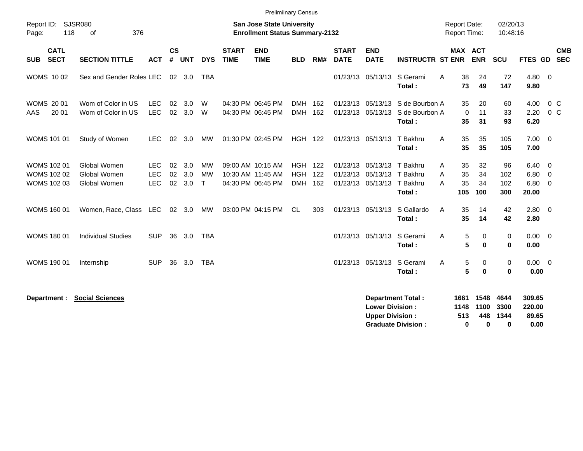| Report ID:<br>118<br>Page:                              | <b>SJSR080</b><br>376<br>of                  |                                        |                    |                   |                           |                             | <b>Prelimiinary Census</b><br><b>San Jose State University</b><br><b>Enrollment Status Summary-2132</b> |                                        |                   |                             |                                                    |                                                       | <b>Report Date:</b><br><b>Report Time:</b> |                                 | 02/20/13<br>10:48:16      |                                                           |                          |  |
|---------------------------------------------------------|----------------------------------------------|----------------------------------------|--------------------|-------------------|---------------------------|-----------------------------|---------------------------------------------------------------------------------------------------------|----------------------------------------|-------------------|-----------------------------|----------------------------------------------------|-------------------------------------------------------|--------------------------------------------|---------------------------------|---------------------------|-----------------------------------------------------------|--------------------------|--|
| <b>CATL</b><br><b>SECT</b><br><b>SUB</b>                | <b>SECTION TITTLE</b>                        | <b>ACT</b>                             | $\mathsf{cs}$<br># | <b>UNT</b>        | <b>DYS</b>                | <b>START</b><br><b>TIME</b> | <b>END</b><br><b>TIME</b>                                                                               | <b>BLD</b>                             | RM#               | <b>START</b><br><b>DATE</b> | <b>END</b><br><b>DATE</b>                          | <b>INSTRUCTR ST ENR</b>                               | MAX ACT                                    | <b>ENR</b>                      | SCU                       | <b>FTES GD</b>                                            | <b>CMB</b><br><b>SEC</b> |  |
| <b>WOMS 1002</b>                                        | Sex and Gender Roles LEC                     |                                        |                    | $02 \quad 3.0$    | <b>TBA</b>                |                             |                                                                                                         |                                        |                   |                             |                                                    | 01/23/13 05/13/13 S Gerami<br>Total:                  | 38<br>A<br>73                              | 24<br>49                        | 72<br>147                 | $4.80\ 0$<br>9.80                                         |                          |  |
| <b>WOMS 2001</b><br>20 01<br>AAS                        | Wom of Color in US<br>Wom of Color in US     | <b>LEC</b><br><b>LEC</b>               | 02                 | 3.0<br>02 3.0     | W<br>W                    |                             | 04:30 PM 06:45 PM<br>04:30 PM 06:45 PM                                                                  | <b>DMH</b><br><b>DMH</b>               | 162<br>162        |                             | 01/23/13 05/13/13<br>01/23/13 05/13/13             | S de Bourbon A<br>S de Bourbon A<br>Total:            | 35<br>$\mathbf 0$<br>35                    | 20<br>11<br>31                  | 60<br>33<br>93            | 4.00<br>2.20<br>6.20                                      | $0\,C$<br>$0\,C$         |  |
| WOMS 101 01                                             | Study of Women                               | <b>LEC</b>                             | 02                 | 3.0               | <b>MW</b>                 |                             | 01:30 PM 02:45 PM                                                                                       | <b>HGH 122</b>                         |                   |                             | 01/23/13 05/13/13                                  | T Bakhru<br>Total:                                    | 35<br>A<br>35                              | 35<br>35                        | 105<br>105                | $7.00 \t 0$<br>7.00                                       |                          |  |
| <b>WOMS 102 01</b><br>WOMS 102 02<br><b>WOMS 102 03</b> | Global Women<br>Global Women<br>Global Women | <b>LEC</b><br><b>LEC</b><br><b>LEC</b> | 02<br>02<br>02     | 3.0<br>3.0<br>3.0 | <b>MW</b><br>МW<br>$\top$ |                             | 09:00 AM 10:15 AM<br>10:30 AM 11:45 AM<br>04:30 PM 06:45 PM                                             | <b>HGH</b><br><b>HGH</b><br><b>DMH</b> | 122<br>122<br>162 | 01/23/13                    | 01/23/13 05/13/13<br>05/13/13<br>01/23/13 05/13/13 | T Bakhru<br>T Bakhru<br>T Bakhru<br>Total:            | A<br>35<br>35<br>A<br>35<br>A<br>105       | 32<br>34<br>34<br>100           | 96<br>102<br>102<br>300   | $6.40 \quad 0$<br>$6.80\quad 0$<br>$6.80\quad 0$<br>20.00 |                          |  |
| <b>WOMS 160 01</b>                                      | Women, Race, Class LEC                       |                                        |                    | 02 3.0            | <b>MW</b>                 |                             | 03:00 PM 04:15 PM                                                                                       | CL.                                    | 303               |                             | 01/23/13 05/13/13                                  | S Gallardo<br>Total:                                  | 35<br>A<br>35                              | 14<br>14                        | 42<br>42                  | $2.80 \ 0$<br>2.80                                        |                          |  |
| <b>WOMS 180 01</b>                                      | <b>Individual Studies</b>                    | <b>SUP</b>                             | 36                 | 3.0               | <b>TBA</b>                |                             |                                                                                                         |                                        |                   |                             | 01/23/13 05/13/13                                  | S Gerami<br>Total:                                    | 5<br>A<br>5                                | 0<br>$\bf{0}$                   | 0<br>0                    | $0.00 \t 0$<br>0.00                                       |                          |  |
| <b>WOMS 190 01</b>                                      | Internship                                   | <b>SUP</b>                             | 36                 | 3.0               | <b>TBA</b>                |                             |                                                                                                         |                                        |                   |                             | 01/23/13 05/13/13                                  | S Gerami<br>Total:                                    | A<br>5<br>5                                | 0<br>0                          | 0<br>$\mathbf 0$          | $0.00 \t 0$<br>0.00                                       |                          |  |
| Department :                                            | <b>Social Sciences</b>                       |                                        |                    |                   |                           |                             |                                                                                                         |                                        |                   |                             | <b>Lower Division:</b><br><b>Upper Division:</b>   | <b>Department Total:</b><br><b>Graduate Division:</b> | 1661<br>1148<br>513<br>$\bf{0}$            | 1548<br>1100<br>448<br>$\bf{0}$ | 4644<br>3300<br>1344<br>0 | 309.65<br>220.00<br>89.65<br>0.00                         |                          |  |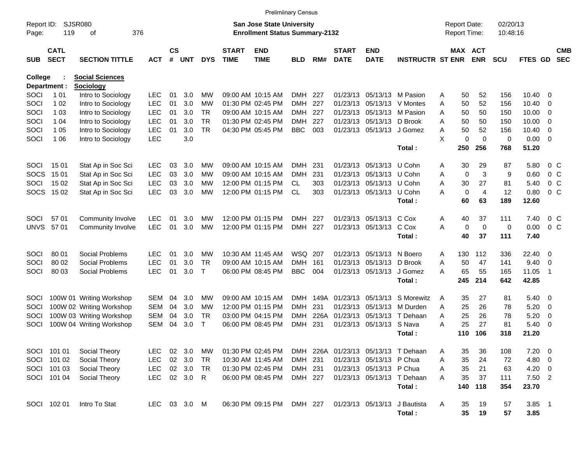|                     |                            |                             |              |                    |            |              |                             | <b>Prelimiinary Census</b>                                         |            |      |                             |                           |                                     |                                            |                |                      |               |                          |                          |
|---------------------|----------------------------|-----------------------------|--------------|--------------------|------------|--------------|-----------------------------|--------------------------------------------------------------------|------------|------|-----------------------------|---------------------------|-------------------------------------|--------------------------------------------|----------------|----------------------|---------------|--------------------------|--------------------------|
| Report ID:<br>Page: | 119                        | <b>SJSR080</b><br>376<br>оf |              |                    |            |              |                             | San Jose State University<br><b>Enrollment Status Summary-2132</b> |            |      |                             |                           |                                     | <b>Report Date:</b><br><b>Report Time:</b> |                | 02/20/13<br>10:48:16 |               |                          |                          |
| <b>SUB</b>          | <b>CATL</b><br><b>SECT</b> | <b>SECTION TITTLE</b>       | <b>ACT</b>   | $\mathsf{cs}$<br># | <b>UNT</b> | <b>DYS</b>   | <b>START</b><br><b>TIME</b> | <b>END</b><br><b>TIME</b>                                          | BLD        | RM#  | <b>START</b><br><b>DATE</b> | <b>END</b><br><b>DATE</b> | <b>INSTRUCTR ST ENR</b>             | MAX ACT                                    | <b>ENR</b>     | <b>SCU</b>           | FTES GD       |                          | <b>CMB</b><br><b>SEC</b> |
| <b>College</b>      |                            | <b>Social Sciences</b>      |              |                    |            |              |                             |                                                                    |            |      |                             |                           |                                     |                                            |                |                      |               |                          |                          |
|                     | Department :               | <b>Sociology</b>            |              |                    |            |              |                             |                                                                    |            |      |                             |                           |                                     |                                            |                |                      |               |                          |                          |
| SOCI                | 1 0 1                      | Intro to Sociology          | <b>LEC</b>   | 01                 | 3.0        | МW           |                             | 09:00 AM 10:15 AM                                                  | DMH.       | 227  |                             | 01/23/13 05/13/13         | M Pasion                            | 50<br>Α                                    | 52             | 156                  | 10.40         | 0                        |                          |
| SOCI                | 1 0 2                      | Intro to Sociology          | <b>LEC</b>   | 01                 | 3.0        | МW           |                             | 01:30 PM 02:45 PM                                                  | DMH.       | 227  |                             | 01/23/13 05/13/13         | V Montes                            | 50<br>Α                                    | 52             | 156                  | 10.40         | 0                        |                          |
| SOCI                | 1 0 3                      | Intro to Sociology          | <b>LEC</b>   | 01                 | 3.0        | TR           |                             | 09:00 AM 10:15 AM                                                  | DMH.       | 227  |                             |                           | 01/23/13 05/13/13 M Pasion          | 50<br>A                                    | 50             | 150                  | 10.00         | 0                        |                          |
| SOCI                | 1 04                       | Intro to Sociology          | <b>LEC</b>   | 01                 | 3.0        | <b>TR</b>    |                             | 01:30 PM 02:45 PM                                                  | DMH.       | 227  |                             | 01/23/13 05/13/13         | D Brook                             | Α<br>50                                    | 50             | 150                  | 10.00         | 0                        |                          |
| SOCI                | 1 0 5                      | Intro to Sociology          | <b>LEC</b>   | 01                 | 3.0        | <b>TR</b>    |                             | 04:30 PM 05:45 PM                                                  | <b>BBC</b> | 003  |                             | 01/23/13 05/13/13 J Gomez |                                     | 50<br>Α<br>X                               | 52<br>$\Omega$ | 156                  | 10.40         | 0                        |                          |
| SOCI                | 1 0 6                      | Intro to Sociology          | <b>LEC</b>   |                    | 3.0        |              |                             |                                                                    |            |      |                             |                           | Total:                              | 0<br>250                                   | 256            | 0<br>768             | 0.00<br>51.20 | $\mathbf{0}$             |                          |
| SOCI                | 1501                       | Stat Ap in Soc Sci          | <b>LEC</b>   | 03                 | 3.0        | МW           |                             | 09:00 AM 10:15 AM                                                  | DMH.       | 231  |                             | 01/23/13 05/13/13         | U Cohn                              | 30<br>Α                                    | 29             | 87                   | 5.80          | $0\,$ C                  |                          |
| <b>SOCS</b>         | 1501                       | Stat Ap in Soc Sci          | <b>LEC</b>   | 03                 | 3.0        | МW           |                             | 09:00 AM 10:15 AM                                                  | DMH        | 231  |                             | 01/23/13 05/13/13         | U Cohn                              | $\mathbf 0$<br>Α                           | 3              | 9                    | 0.60          | 0 <sup>o</sup>           |                          |
| SOCI                | 15 02                      | Stat Ap in Soc Sci          | <b>LEC</b>   | 03                 | 3.0        | МW           |                             | 12:00 PM 01:15 PM                                                  | CL.        | 303  |                             | 01/23/13 05/13/13 U Cohn  |                                     | 30<br>Α                                    | 27             | 81                   | 5.40          | 0 <sup>o</sup>           |                          |
|                     | SOCS 1502                  | Stat Ap in Soc Sci          | <b>LEC</b>   | 03                 | 3.0        | МW           |                             | 12:00 PM 01:15 PM                                                  | <b>CL</b>  | 303  |                             | 01/23/13 05/13/13         | U Cohn                              | 0<br>А                                     | 4              | 12                   | 0.80          | 0 <sup>o</sup>           |                          |
|                     |                            |                             |              |                    |            |              |                             |                                                                    |            |      |                             |                           | Total:                              | 60                                         | 63             | 189                  | 12.60         |                          |                          |
|                     |                            |                             |              |                    |            |              |                             |                                                                    |            |      |                             |                           |                                     |                                            |                |                      |               |                          |                          |
| SOCI                | 57 01                      | Community Involve           | <b>LEC</b>   | 01                 | 3.0        | МW           |                             | 12:00 PM 01:15 PM                                                  | DMH.       | -227 |                             | 01/23/13 05/13/13         | C Cox                               | 40<br>A                                    | 37             | 111                  | 7.40          | 0 <sup>o</sup>           |                          |
| <b>UNVS</b>         | 5701                       | Community Involve           | <b>LEC</b>   | 01                 | 3.0        | МW           |                             | 12:00 PM 01:15 PM                                                  | <b>DMH</b> | 227  |                             | 01/23/13 05/13/13         | C Cox                               | 0<br>Α                                     | $\mathbf 0$    | 0                    | 0.00          | 0 <sup>o</sup>           |                          |
|                     |                            |                             |              |                    |            |              |                             |                                                                    |            |      |                             |                           | Total:                              | 40                                         | 37             | 111                  | 7.40          |                          |                          |
| SOCI                | 80 01                      | Social Problems             | <b>LEC</b>   | 01                 | 3.0        | МW           |                             | 10:30 AM 11:45 AM                                                  | WSQ 207    |      |                             | 01/23/13 05/13/13         | N Boero                             | 130<br>A                                   | 112            | 336                  | 22.40         | 0                        |                          |
| SOCI                | 80 02                      | Social Problems             | <b>LEC</b>   | 01                 | 3.0        | <b>TR</b>    |                             | 09:00 AM 10:15 AM                                                  | <b>DMH</b> | 161  |                             | 01/23/13 05/13/13         | D Brook                             | 50<br>Α                                    | 47             | 141                  | 9.40          | 0                        |                          |
| SOCI                | 80 03                      | Social Problems             | <b>LEC</b>   | 01                 | 3.0        | $\mathsf{T}$ |                             | 06:00 PM 08:45 PM                                                  | <b>BBC</b> | 004  |                             | 01/23/13 05/13/13         | J Gomez                             | 65<br>А                                    | 55             | 165                  | 11.05         | -1                       |                          |
|                     |                            |                             |              |                    |            |              |                             |                                                                    |            |      |                             |                           | Total:                              | 245                                        | 214            | 642                  | 42.85         |                          |                          |
| <b>SOCI</b>         |                            | 100W 01 Writing Workshop    | <b>SEM</b>   | 04                 | 3.0        | МW           |                             | 09:00 AM 10:15 AM                                                  | DMH        | 149A |                             | 01/23/13 05/13/13         | S Morewitz                          | 35<br>A                                    | 27             | 81                   | 5.40          | 0                        |                          |
| SOCI                |                            | 100W 02 Writing Workshop    | <b>SEM</b>   | 04                 | 3.0        | МW           |                             | 12:00 PM 01:15 PM                                                  | DMH        | 231  |                             | 01/23/13 05/13/13         | M Durden                            | 25<br>Α                                    | 26             | 78                   | 5.20          | 0                        |                          |
| SOCI                |                            | 100W 03 Writing Workshop    | <b>SEM</b>   | 04                 | 3.0        | TR           |                             | 03:00 PM 04:15 PM                                                  | DMH        | 226A |                             | 01/23/13 05/13/13         | T Dehaan                            | 25<br>Α                                    | 26             | 78                   | 5.20          | 0                        |                          |
| SOCI                |                            | 100W 04 Writing Workshop    | <b>SEM</b>   | 04                 | 3.0        | $\top$       |                             | 06:00 PM 08:45 PM                                                  | DMH        | 231  |                             | 01/23/13 05/13/13 S Nava  |                                     | 25<br>А                                    | 27             | 81                   | 5.40          | 0                        |                          |
|                     |                            |                             |              |                    |            |              |                             |                                                                    |            |      |                             |                           | Total :                             | 110                                        | 106            | 318                  | 21.20         |                          |                          |
|                     | SOCI 101 01                | Social Theory               | <b>LEC</b>   |                    | 02 3.0     | МW           |                             | 01:30 PM 02:45 PM                                                  |            |      |                             |                           | DMH 226A 01/23/13 05/13/13 T Dehaan | 35<br>A                                    | 36             | 108                  | 7.20          | $\overline{\phantom{0}}$ |                          |
|                     | SOCI 101 02                | Social Theory               | <b>LEC</b>   |                    | 02 3.0     | TR           |                             | 10:30 AM 11:45 AM                                                  | DMH 231    |      |                             | 01/23/13 05/13/13 P Chua  |                                     | 35<br>Α                                    | 24             | 72                   | 4.80 0        |                          |                          |
|                     | SOCI 101 03                | Social Theory               | <b>LEC</b>   |                    | 02 3.0     | TR           |                             | 01:30 PM 02:45 PM                                                  | DMH 231    |      |                             | 01/23/13 05/13/13 P Chua  |                                     | 35<br>Α                                    | 21             | 63                   | $4.20 \ 0$    |                          |                          |
|                     | SOCI 101 04                | Social Theory               | <b>LEC</b>   |                    | 02 3.0 R   |              |                             | 06:00 PM 08:45 PM                                                  | DMH 227    |      |                             |                           | 01/23/13 05/13/13 T Dehaan          | 35<br>А                                    | 37             | 111                  | $7.50$ 2      |                          |                          |
|                     |                            |                             |              |                    |            |              |                             |                                                                    |            |      |                             |                           | Total:                              | 140                                        | 118            | 354                  | 23.70         |                          |                          |
|                     | SOCI 102 01                | Intro To Stat               | LEC 03 3.0 M |                    |            |              |                             | 06:30 PM 09:15 PM                                                  | DMH 227    |      |                             | 01/23/13 05/13/13         | J Bautista                          | 35<br>A                                    | 19             | 57                   | $3.85$ 1      |                          |                          |
|                     |                            |                             |              |                    |            |              |                             |                                                                    |            |      |                             |                           | Total:                              | 35                                         | 19             | 57                   | 3.85          |                          |                          |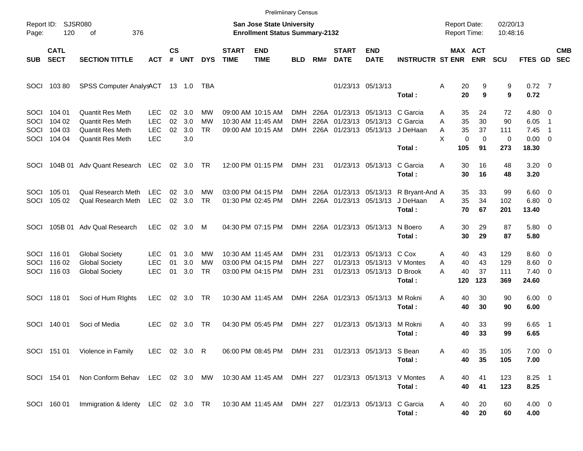|                                     |                                      |                                                                                            |                                                      |                    |                          |                       |                             | <b>Prelimiinary Census</b>                                                |                                 |             |                             |                                                               |                                                 |                                                          |                                     |                             |                                                   |                            |                          |
|-------------------------------------|--------------------------------------|--------------------------------------------------------------------------------------------|------------------------------------------------------|--------------------|--------------------------|-----------------------|-----------------------------|---------------------------------------------------------------------------|---------------------------------|-------------|-----------------------------|---------------------------------------------------------------|-------------------------------------------------|----------------------------------------------------------|-------------------------------------|-----------------------------|---------------------------------------------------|----------------------------|--------------------------|
| Report ID:<br>Page:                 | 120                                  | <b>SJSR080</b><br>376<br>оf                                                                |                                                      |                    |                          |                       |                             | <b>San Jose State University</b><br><b>Enrollment Status Summary-2132</b> |                                 |             |                             |                                                               |                                                 | <b>Report Date:</b><br>Report Time:                      |                                     | 02/20/13<br>10:48:16        |                                                   |                            |                          |
| <b>SUB</b>                          | <b>CATL</b><br><b>SECT</b>           | <b>SECTION TITTLE</b>                                                                      | <b>ACT</b>                                           | $\mathsf{cs}$<br># | UNT                      | <b>DYS</b>            | <b>START</b><br><b>TIME</b> | <b>END</b><br><b>TIME</b>                                                 | <b>BLD</b>                      | RM#         | <b>START</b><br><b>DATE</b> | <b>END</b><br><b>DATE</b>                                     | <b>INSTRUCTR ST ENR</b>                         | MAX ACT                                                  | <b>ENR</b>                          | <b>SCU</b>                  | FTES GD                                           |                            | <b>CMB</b><br><b>SEC</b> |
| <b>SOCI</b>                         | 10380                                | SPSS Computer AnalysACT                                                                    |                                                      |                    | 13 1.0 TBA               |                       |                             |                                                                           |                                 |             |                             | 01/23/13 05/13/13                                             | Total:                                          | Α<br>20<br>20                                            | 9<br>9                              | 9<br>9                      | $0.72$ 7<br>0.72                                  |                            |                          |
| <b>SOCI</b><br>SOCI<br>SOCI<br>SOCI | 104 01<br>104 02<br>104 03<br>104 04 | <b>Quantit Res Meth</b><br><b>Quantit Res Meth</b><br>Quantit Res Meth<br>Quantit Res Meth | <b>LEC</b><br><b>LEC</b><br><b>LEC</b><br><b>LEC</b> | 02<br>02<br>02     | 3.0<br>3.0<br>3.0<br>3.0 | МW<br>МW<br><b>TR</b> |                             | 09:00 AM 10:15 AM<br>10:30 AM 11:45 AM<br>09:00 AM 10:15 AM               | <b>DMH</b><br>DMH<br><b>DMH</b> | 226A        |                             | 226A 01/23/13 05/13/13 C Garcia<br>01/23/13 05/13/13 C Garcia | 226A 01/23/13 05/13/13 J DeHaan<br>Total:       | 35<br>Α<br>35<br>Α<br>35<br>A<br>X<br>$\mathbf 0$<br>105 | 24<br>30<br>37<br>$\mathbf 0$<br>91 | 72<br>90<br>111<br>0<br>273 | $4.80\ 0$<br>6.05<br>7.45<br>$0.00 \t 0$<br>18.30 | -1<br>$\overline{1}$       |                          |
| SOCI                                |                                      | 104B 01 Adv Quant Research LEC                                                             |                                                      |                    | 02 3.0                   | - TR                  |                             | 12:00 PM 01:15 PM                                                         | DMH 231                         |             |                             | 01/23/13 05/13/13                                             | C Garcia<br>Total:                              | A<br>30<br>30                                            | 16<br>16                            | 48<br>48                    | $3.20 \ 0$<br>3.20                                |                            |                          |
| <b>SOCI</b><br>SOCI                 | 105 01<br>105 02                     | <b>Qual Research Meth</b><br><b>Qual Research Meth</b>                                     | <b>LEC</b><br><b>LEC</b>                             | 02<br>02           | 3.0<br>3.0               | MW<br><b>TR</b>       |                             | 03:00 PM 04:15 PM<br>01:30 PM 02:45 PM                                    | DMH<br><b>DMH</b>               |             | 226A 01/23/13 05/13/13      | 226A 01/23/13 05/13/13                                        | R Bryant-And A<br>J DeHaan<br>Total:            | 35<br>35<br>A<br>70                                      | 33<br>34<br>67                      | 99<br>102<br>201            | $6.60 \quad 0$<br>$6.80$ 0<br>13.40               |                            |                          |
| SOCI                                |                                      | 105B 01 Adv Qual Research                                                                  | <b>LEC</b>                                           | 02                 | 3.0                      | M                     |                             | 04:30 PM 07:15 PM                                                         |                                 |             | DMH 226A 01/23/13 05/13/13  |                                                               | N Boero<br>Total:                               | 30<br>Α<br>30                                            | 29<br>29                            | 87<br>87                    | 5.80 0<br>5.80                                    |                            |                          |
| SOCI                                | SOCI 116 01<br>116 02<br>SOCI 116 03 | <b>Global Society</b><br><b>Global Society</b><br><b>Global Society</b>                    | <b>LEC</b><br><b>LEC</b><br><b>LEC</b>               | 01<br>01<br>01     | 3.0<br>3.0<br>3.0        | МW<br>MW<br>TR        |                             | 10:30 AM 11:45 AM<br>03:00 PM 04:15 PM<br>03:00 PM 04:15 PM               | DMH<br><b>DMH</b><br>DMH 231    | -231<br>227 |                             | 01/23/13 05/13/13 C Cox<br>01/23/13 05/13/13                  | 01/23/13 05/13/13 V Montes<br>D Brook<br>Total: | 40<br>Α<br>40<br>A<br>40<br>Α<br>120                     | 43<br>43<br>37<br>123               | 129<br>129<br>111<br>369    | $8.60 \quad 0$<br>8.60<br>$7.40 \quad 0$<br>24.60 | $\overline{\phantom{0}}$   |                          |
|                                     | SOCI 118 01                          | Soci of Hum Rights                                                                         | LEC.                                                 |                    | 02 3.0                   | TR                    |                             | 10:30 AM 11:45 AM                                                         |                                 |             | DMH 226A 01/23/13 05/13/13  |                                                               | M Rokni<br>Total:                               | 40<br>A<br>40                                            | 30<br>30                            | 90<br>90                    | $6.00 \quad 0$<br>6.00                            |                            |                          |
| SOCI                                | 140 01                               | Soci of Media                                                                              | <b>LEC</b>                                           | 02                 | 3.0                      | <b>TR</b>             |                             | 04:30 PM 05:45 PM                                                         | DMH 227                         |             |                             | 01/23/13 05/13/13                                             | M Rokni<br>Total:                               | 40<br>A<br>40                                            | 33<br>33                            | 99<br>99                    | 6.65<br>6.65                                      | $\overline{\phantom{0}}$ 1 |                          |
|                                     | SOCI 151 01                          | Violence in Family                                                                         | LEC 02 3.0 R                                         |                    |                          |                       |                             | 06:00 PM 08:45 PM DMH 231                                                 |                                 |             |                             | 01/23/13 05/13/13 S Bean                                      | Total:                                          | 40<br>A<br>40                                            | 35<br>35                            | 105<br>105                  | $7.00 \t 0$<br>7.00                               |                            |                          |
|                                     | SOCI 154 01                          | Non Conform Behav LEC 02 3.0 MW 10:30 AM 11:45 AM DMH 227                                  |                                                      |                    |                          |                       |                             |                                                                           |                                 |             |                             |                                                               | 01/23/13 05/13/13 V Montes<br>Total:            | 40<br>Α<br>40                                            | 41<br>41                            | 123<br>123                  | $8.25$ 1<br>8.25                                  |                            |                          |
|                                     | SOCI 160 01                          | Immigration & Identy LEC 02 3.0 TR 10:30 AM 11:45 AM DMH 227                               |                                                      |                    |                          |                       |                             |                                                                           |                                 |             |                             | 01/23/13 05/13/13 C Garcia                                    | Total:                                          | Α<br>40<br>40                                            | 20<br>20                            | 60<br>60                    | $4.00 \ 0$<br>4.00                                |                            |                          |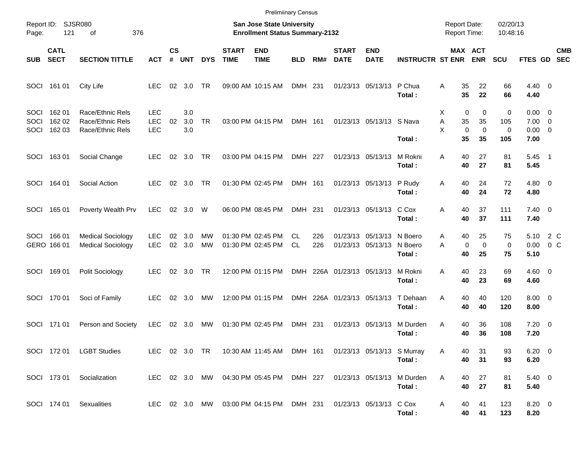|                      |                            |                                                          |                                        |                |                   |                 |                             | <b>Prelimiinary Census</b>                                         |            |            |                             |                                        |                              |                                                       |                              |                      |                                                   |                          |
|----------------------|----------------------------|----------------------------------------------------------|----------------------------------------|----------------|-------------------|-----------------|-----------------------------|--------------------------------------------------------------------|------------|------------|-----------------------------|----------------------------------------|------------------------------|-------------------------------------------------------|------------------------------|----------------------|---------------------------------------------------|--------------------------|
| Page:                | Report ID: SJSR080<br>121  | 376<br>οf                                                |                                        |                |                   |                 |                             | San Jose State University<br><b>Enrollment Status Summary-2132</b> |            |            |                             |                                        |                              | <b>Report Date:</b><br>Report Time:                   |                              | 02/20/13<br>10:48:16 |                                                   |                          |
| <b>SUB</b>           | <b>CATL</b><br><b>SECT</b> | <b>SECTION TITTLE</b>                                    | <b>ACT</b>                             | <b>CS</b><br># | <b>UNT</b>        | <b>DYS</b>      | <b>START</b><br><b>TIME</b> | <b>END</b><br><b>TIME</b>                                          | <b>BLD</b> | RM#        | <b>START</b><br><b>DATE</b> | <b>END</b><br><b>DATE</b>              | <b>INSTRUCTR ST ENR</b>      |                                                       | MAX ACT<br><b>ENR</b>        | <b>SCU</b>           | FTES GD                                           | <b>CMB</b><br><b>SEC</b> |
| SOCI                 | 161 01                     | City Life                                                | <b>LEC</b>                             | 02             | 3.0               | TR              |                             | 09:00 AM 10:15 AM                                                  | DMH 231    |            |                             | 01/23/13 05/13/13                      | P Chua<br>Total:             | 35<br>A<br>35                                         | 22<br>22                     | 66<br>66             | $4.40 \ 0$<br>4.40                                |                          |
| SOCI<br>SOCI<br>SOCI | 162 01<br>162 02<br>162 03 | Race/Ethnic Rels<br>Race/Ethnic Rels<br>Race/Ethnic Rels | <b>LEC</b><br><b>LEC</b><br><b>LEC</b> | 02             | 3.0<br>3.0<br>3.0 | <b>TR</b>       |                             | 03:00 PM 04:15 PM                                                  | DMH 161    |            |                             | 01/23/13 05/13/13 S Nava               | Total:                       | $\mathbf 0$<br>Х<br>Α<br>35<br>X<br>$\mathbf 0$<br>35 | 0<br>35<br>$\mathbf 0$<br>35 | 0<br>105<br>0<br>105 | $0.00 \t 0$<br>$7.00 \t 0$<br>$0.00 \t 0$<br>7.00 |                          |
| SOCI                 | 16301                      | Social Change                                            | <b>LEC</b>                             |                | $02 \quad 3.0$    | TR              |                             | 03:00 PM 04:15 PM                                                  | DMH 227    |            |                             | 01/23/13 05/13/13                      | M Rokni<br>Total:            | 40<br>A<br>40                                         | 27<br>27                     | 81<br>81             | $5.45$ 1<br>5.45                                  |                          |
| SOCI                 | 164 01                     | Social Action                                            | <b>LEC</b>                             |                | 02 3.0            | TR              |                             | 01:30 PM 02:45 PM                                                  | DMH 161    |            |                             | 01/23/13 05/13/13                      | P Rudy<br>Total:             | 40<br>Α<br>40                                         | 24<br>24                     | 72<br>72             | $4.80\ 0$<br>4.80                                 |                          |
| SOCI                 | 165 01                     | Poverty Wealth Prv                                       | <b>LEC</b>                             |                | 02 3.0            | W               |                             | 06:00 PM 08:45 PM                                                  | DMH 231    |            |                             | 01/23/13 05/13/13                      | C Cox<br>Total:              | 40<br>Α<br>40                                         | 37<br>37                     | 111<br>111           | $7.40 \quad 0$<br>7.40                            |                          |
| SOCI                 | 166 01<br>GERO 166 01      | <b>Medical Sociology</b><br><b>Medical Sociology</b>     | <b>LEC</b><br><b>LEC</b>               | 02<br>02       | 3.0<br>3.0        | MW<br><b>MW</b> |                             | 01:30 PM 02:45 PM<br>01:30 PM 02:45 PM                             | CL.<br>CL. | 226<br>226 |                             | 01/23/13 05/13/13<br>01/23/13 05/13/13 | N Boero<br>N Boero<br>Total: | 40<br>A<br>0<br>A<br>40                               | 25<br>$\mathbf 0$<br>25      | 75<br>0<br>75        | 5.10<br>0.00<br>5.10                              | 2 C<br>0 <sup>o</sup>    |
| SOCI                 | 16901                      | Polit Sociology                                          | <b>LEC</b>                             |                | $02 \quad 3.0$    | TR              |                             | 12:00 PM 01:15 PM                                                  |            |            | DMH 226A 01/23/13 05/13/13  |                                        | M Rokni<br>Total:            | 40<br>A<br>40                                         | 23<br>23                     | 69<br>69             | $4.60 \ 0$<br>4.60                                |                          |
| SOCI                 | 170 01                     | Soci of Family                                           | <b>LEC</b>                             |                | 02 3.0            | MW              |                             | 12:00 PM 01:15 PM                                                  |            |            | DMH 226A 01/23/13 05/13/13  |                                        | T Dehaan<br>Total:           | 40<br>Α<br>40                                         | 40<br>40                     | 120<br>120           | $8.00 \t 0$<br>8.00                               |                          |
| SOCI                 | 171 01                     | Person and Society                                       | <b>LEC</b>                             | 02             | 3.0               | <b>MW</b>       |                             | 01:30 PM 02:45 PM                                                  | DMH 231    |            |                             | 01/23/13 05/13/13                      | M Durden<br>Total:           | Α<br>40<br>40                                         | 36<br>36                     | 108<br>108           | $7.20 \t 0$<br>7.20                               |                          |
|                      |                            | SOCI 172 01 LGBT Studies                                 |                                        |                |                   |                 |                             | LEC 02 3.0 TR 10:30 AM 11:45 AM DMH 161 01/23/13 05/13/13 S Murray |            |            |                             |                                        | Total:                       | A<br>40<br>40                                         | 31<br>31                     | 93<br>93             | $6.20 \t 0$<br>6.20                               |                          |
|                      |                            | SOCI 173 01 Socialization                                |                                        |                |                   |                 |                             | LEC 02 3.0 MW 04:30 PM 05:45 PM DMH 227                            |            |            | 01/23/13 05/13/13           |                                        | M Durden<br>Total:           | Α<br>40<br>40                                         | 27<br>27                     | 81<br>81             | $5.40\ 0$<br>5.40                                 |                          |
|                      |                            | SOCI 174 01 Sexualities                                  |                                        |                |                   |                 |                             | LEC 02 3.0 MW 03:00 PM 04:15 PM DMH 231 01/23/13 05/13/13 C Cox    |            |            |                             |                                        | Total:                       | A<br>40<br>40                                         | 41<br>41                     | 123<br>123           | $8.20 \ 0$<br>8.20                                |                          |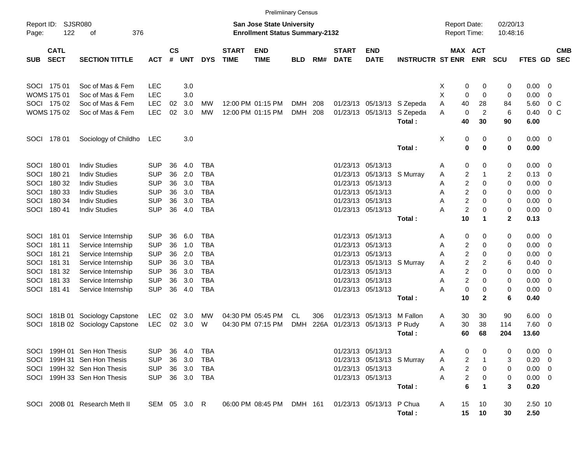|                     |                            |                               |            |                    |              |            |                             | <b>Prelimiinary Census</b>                                                |            |      |                             |                            |                             |                                            |                  |                      |                     |                          |                          |
|---------------------|----------------------------|-------------------------------|------------|--------------------|--------------|------------|-----------------------------|---------------------------------------------------------------------------|------------|------|-----------------------------|----------------------------|-----------------------------|--------------------------------------------|------------------|----------------------|---------------------|--------------------------|--------------------------|
| Report ID:<br>Page: | 122                        | <b>SJSR080</b><br>376<br>оf   |            |                    |              |            |                             | <b>San Jose State University</b><br><b>Enrollment Status Summary-2132</b> |            |      |                             |                            |                             | <b>Report Date:</b><br><b>Report Time:</b> |                  | 02/20/13<br>10:48:16 |                     |                          |                          |
| <b>SUB</b>          | <b>CATL</b><br><b>SECT</b> | <b>SECTION TITTLE</b>         | <b>ACT</b> | $\mathsf{cs}$<br># | <b>UNT</b>   | <b>DYS</b> | <b>START</b><br><b>TIME</b> | <b>END</b><br><b>TIME</b>                                                 | <b>BLD</b> | RM#  | <b>START</b><br><b>DATE</b> | <b>END</b><br><b>DATE</b>  | <b>INSTRUCTR ST ENR ENR</b> | MAX ACT                                    |                  | <b>SCU</b>           | <b>FTES GD</b>      |                          | <b>CMB</b><br><b>SEC</b> |
|                     | SOCI 175 01                | Soc of Mas & Fem              | <b>LEC</b> |                    | 3.0          |            |                             |                                                                           |            |      |                             |                            |                             | X<br>0                                     | 0                | 0                    | 0.00                | $\overline{\phantom{0}}$ |                          |
|                     | <b>WOMS 175 01</b>         | Soc of Mas & Fem              | <b>LEC</b> |                    | 3.0          |            |                             |                                                                           |            |      |                             |                            |                             | х<br>0                                     | $\mathbf 0$      | 0                    | 0.00                | 0                        |                          |
|                     | SOCI 175 02                | Soc of Mas & Fem              | <b>LEC</b> | 02                 | 3.0          | MW         |                             | 12:00 PM 01:15 PM                                                         | <b>DMH</b> | 208  |                             |                            | 01/23/13 05/13/13 S Zepeda  | Α<br>40                                    | 28               | 84                   | 5.60                | 0 <sup>o</sup>           |                          |
|                     | <b>WOMS 175 02</b>         | Soc of Mas & Fem              | <b>LEC</b> | 02                 | 3.0          | <b>MW</b>  |                             | 12:00 PM 01:15 PM                                                         | <b>DMH</b> | 208  |                             | 01/23/13 05/13/13          | S Zepeda                    | 0<br>A                                     | 2                | 6                    | 0.40                | $0\,$ C                  |                          |
|                     |                            |                               |            |                    |              |            |                             |                                                                           |            |      |                             |                            | Total:                      | 40                                         | 30               | 90                   | 6.00                |                          |                          |
| SOCI                | 178 01                     | Sociology of Childho          | LEC        |                    | 3.0          |            |                             |                                                                           |            |      |                             |                            | Total:                      | Χ<br>0<br>0                                | 0<br>$\mathbf 0$ | 0<br>0               | $0.00 \t 0$<br>0.00 |                          |                          |
| SOCI                | 18001                      | <b>Indiv Studies</b>          | <b>SUP</b> | 36                 | 4.0          | <b>TBA</b> |                             |                                                                           |            |      |                             | 01/23/13 05/13/13          |                             | 0<br>Α                                     | 0                | 0                    | $0.00 \t 0$         |                          |                          |
| SOCI                | 180 21                     | <b>Indiv Studies</b>          | <b>SUP</b> | 36                 | 2.0          | <b>TBA</b> |                             |                                                                           |            |      |                             | 01/23/13 05/13/13 S Murray |                             | 2<br>Α                                     |                  | 2                    | 0.13                | $\overline{\phantom{0}}$ |                          |
| SOCI                | 180 32                     | <b>Indiv Studies</b>          | <b>SUP</b> | 36                 | 3.0          | TBA        |                             |                                                                           |            |      |                             | 01/23/13 05/13/13          |                             | 2<br>Α                                     | 0                | 0                    | 0.00                | 0                        |                          |
| SOCI                | 180 33                     | <b>Indiv Studies</b>          | <b>SUP</b> | 36                 | 3.0          | TBA        |                             |                                                                           |            |      |                             | 01/23/13 05/13/13          |                             | 2<br>Α                                     | 0                | 0                    | 0.00                | 0                        |                          |
| SOCI                | 180 34                     | <b>Indiv Studies</b>          | <b>SUP</b> | 36                 | 3.0          | <b>TBA</b> |                             |                                                                           |            |      |                             | 01/23/13 05/13/13          |                             | $\overline{c}$<br>A                        | 0                | 0                    | 0.00                | $\overline{\mathbf{0}}$  |                          |
| SOCI                | 180 41                     | <b>Indiv Studies</b>          | <b>SUP</b> | 36                 | 4.0          | <b>TBA</b> |                             |                                                                           |            |      |                             | 01/23/13 05/13/13          |                             | $\overline{c}$<br>А                        | 0                | 0                    | 0.00                | $\overline{\phantom{0}}$ |                          |
|                     |                            |                               |            |                    |              |            |                             |                                                                           |            |      |                             |                            | Total:                      | 10                                         | 1                | $\mathbf{2}$         | 0.13                |                          |                          |
| <b>SOCI</b>         | 18101                      | Service Internship            | <b>SUP</b> | 36                 | 6.0          | <b>TBA</b> |                             |                                                                           |            |      |                             | 01/23/13 05/13/13          |                             | 0<br>Α                                     | 0                | 0                    | $0.00 \t 0$         |                          |                          |
| SOCI                | 181 11                     | Service Internship            | <b>SUP</b> | 36                 | 1.0          | <b>TBA</b> |                             |                                                                           |            |      |                             | 01/23/13 05/13/13          |                             | 2<br>Α                                     | 0                | 0                    | 0.00                | $\overline{\mathbf{0}}$  |                          |
| SOCI                | 181 21                     | Service Internship            | <b>SUP</b> | 36                 | 2.0          | TBA        |                             |                                                                           |            |      |                             | 01/23/13 05/13/13          |                             | 2<br>A                                     | 0                | 0                    | 0.00                | 0                        |                          |
| SOCI                | 181 31                     | Service Internship            | <b>SUP</b> | 36                 | 3.0          | TBA        |                             |                                                                           |            |      |                             | 01/23/13 05/13/13 S Murray |                             | 2<br>Α                                     | 2                | 6                    | 0.40                | - 0                      |                          |
| SOCI                | 181 32                     | Service Internship            | <b>SUP</b> | 36                 | 3.0          | <b>TBA</b> |                             |                                                                           |            |      |                             | 01/23/13 05/13/13          |                             | 2<br>Α                                     | 0                | 0                    | 0.00                | $\overline{\mathbf{0}}$  |                          |
| SOCI                | 181 33                     | Service Internship            | <b>SUP</b> | 36                 | 3.0          | <b>TBA</b> |                             |                                                                           |            |      |                             | 01/23/13 05/13/13          |                             | $\overline{c}$<br>A                        | 0                | 0                    | 0.00                | 0                        |                          |
| SOCI                | 18141                      | Service Internship            | <b>SUP</b> | 36                 | 4.0          | <b>TBA</b> |                             |                                                                           |            |      |                             | 01/23/13 05/13/13          |                             | 0<br>А                                     | 0                | 0                    | 0.00                | $\overline{\mathbf{0}}$  |                          |
|                     |                            |                               |            |                    |              |            |                             |                                                                           |            |      |                             |                            | Total:                      | 10                                         | $\mathbf{2}$     | 6                    | 0.40                |                          |                          |
| <b>SOCI</b>         |                            | 181B 01 Sociology Capstone    | <b>LEC</b> | 02                 | 3.0          | MW         |                             | 04:30 PM 05:45 PM                                                         | CL.        | 306  |                             | 01/23/13 05/13/13          | M Fallon                    | 30<br>A                                    | 30               | 90                   | $6.00 \quad 0$      |                          |                          |
| SOCI                |                            | 181B 02 Sociology Capstone    | <b>LEC</b> | 02                 | 3.0          | W          |                             | 04:30 PM 07:15 PM                                                         | <b>DMH</b> | 226A |                             | 01/23/13 05/13/13          | P Rudy                      | 30<br>A                                    | 38               | 114                  | 7.60                | $\overline{\phantom{0}}$ |                          |
|                     |                            |                               |            |                    |              |            |                             |                                                                           |            |      |                             |                            | Total :                     | 60                                         | 68               | 204                  | 13.60               |                          |                          |
|                     |                            | SOCI 199H 01 Sen Hon Thesis   | SUP.       | 36                 | - 4.0        | TBA        |                             |                                                                           |            |      |                             | 01/23/13 05/13/13          |                             | 0<br>Α                                     | 0                | 0                    | $0.00 \t 0$         |                          |                          |
|                     |                            | SOCI 199H 31 Sen Hon Thesis   | <b>SUP</b> | 36                 | 3.0          | TBA        |                             |                                                                           |            |      |                             | 01/23/13 05/13/13 S Murray |                             | $\overline{\mathbf{c}}$<br>A               |                  | 3                    | $0.20 \ 0$          |                          |                          |
|                     |                            | SOCI 199H 32 Sen Hon Thesis   | <b>SUP</b> |                    | 36 3.0       | TBA        |                             |                                                                           |            |      |                             | 01/23/13 05/13/13          |                             | $\boldsymbol{2}$<br>Α                      | 0                | 0                    | $0.00 \t 0$         |                          |                          |
|                     |                            | SOCI 199H 33 Sen Hon Thesis   | <b>SUP</b> |                    | 36 3.0       | TBA        |                             |                                                                           |            |      |                             | 01/23/13 05/13/13          |                             | 2<br>Α                                     | 0                | 0                    | $0.00 \t 0$         |                          |                          |
|                     |                            |                               |            |                    |              |            |                             |                                                                           |            |      |                             |                            | Total:                      | 6                                          | 1                | 3                    | 0.20                |                          |                          |
|                     |                            | SOCI 200B 01 Research Meth II |            |                    | SEM 05 3.0 R |            |                             | 06:00 PM 08:45 PM                                                         | DMH 161    |      |                             | 01/23/13 05/13/13 P Chua   |                             | 15<br>A                                    | 10               | 30                   | 2.50 10             |                          |                          |
|                     |                            |                               |            |                    |              |            |                             |                                                                           |            |      |                             |                            | Total:                      | 15                                         | 10               | 30                   | 2.50                |                          |                          |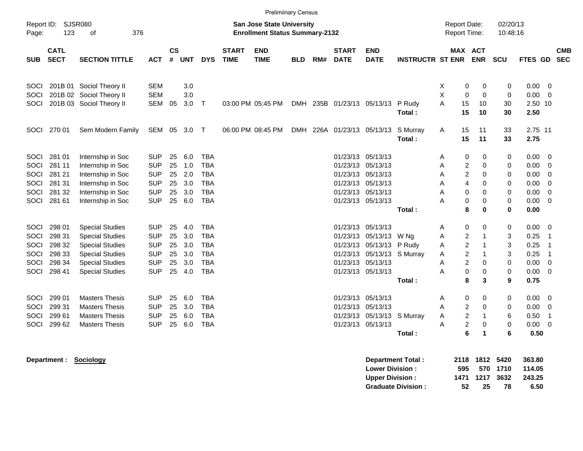| Report ID:<br>Page: |                            | <b>Prelimiinary Census</b><br><b>SJSR080</b><br><b>San Jose State University</b><br><b>Enrollment Status Summary-2132</b><br>123<br>376<br>οf |            |                |            |              |                             |                           |            |     |                             |                           |                         |                     |                                         | 02/20/13<br>10:48:16 |         |                |                          |
|---------------------|----------------------------|-----------------------------------------------------------------------------------------------------------------------------------------------|------------|----------------|------------|--------------|-----------------------------|---------------------------|------------|-----|-----------------------------|---------------------------|-------------------------|---------------------|-----------------------------------------|----------------------|---------|----------------|--------------------------|
|                     |                            |                                                                                                                                               |            |                |            |              |                             |                           |            |     |                             |                           |                         | <b>Report Time:</b> |                                         |                      |         |                |                          |
| <b>SUB</b>          | <b>CATL</b><br><b>SECT</b> | <b>SECTION TITTLE</b>                                                                                                                         | <b>ACT</b> | <b>CS</b><br># | <b>UNT</b> | <b>DYS</b>   | <b>START</b><br><b>TIME</b> | <b>END</b><br><b>TIME</b> | <b>BLD</b> | RM# | <b>START</b><br><b>DATE</b> | <b>END</b><br><b>DATE</b> | <b>INSTRUCTR ST ENR</b> |                     | <b>MAX ACT</b><br><b>ENR</b>            | SCU                  | FTES GD |                | <b>CMB</b><br><b>SEC</b> |
|                     |                            |                                                                                                                                               |            |                |            |              |                             |                           |            |     |                             |                           |                         |                     |                                         |                      |         |                |                          |
| SOCI                |                            | 201B 01 Sociol Theory II                                                                                                                      | <b>SEM</b> |                | 3.0        |              |                             |                           |            |     |                             |                           |                         | X                   | $\mathbf 0$<br>0                        | 0                    | 0.00    | $\overline{0}$ |                          |
| SOCI                |                            | 201B 02 Sociol Theory II                                                                                                                      | <b>SEM</b> |                | 3.0        |              |                             |                           |            |     |                             |                           |                         | X                   | $\mathbf 0$<br>$\mathbf 0$              | $\mathbf 0$          | 0.00    | - 0            |                          |
| <b>SOCI</b>         |                            | 201B 03 Sociol Theory II                                                                                                                      | <b>SEM</b> | 05             | 3.0        | $\mathsf{T}$ |                             | 03:00 PM 05:45 PM         |            |     | DMH 235B 01/23/13 05/13/13  |                           | P Rudy                  | A<br>15             | 10                                      | 30                   | 2.50 10 |                |                          |
|                     |                            |                                                                                                                                               |            |                |            |              |                             |                           |            |     |                             |                           | Total:                  | 15                  | 10                                      | 30                   | 2.50    |                |                          |
| <b>SOCI</b>         | 270 01                     | Sem Modern Family                                                                                                                             | SEM 05     |                | 3.0        | $\top$       |                             | 06:00 PM 08:45 PM         |            |     | DMH 226A 01/23/13           | 05/13/13                  | S Murray                | 15<br>Α             | 11                                      | 33                   | 2.75 11 |                |                          |
|                     |                            |                                                                                                                                               |            |                |            |              |                             |                           |            |     |                             |                           | Total:                  | 15                  | 11                                      | 33                   | 2.75    |                |                          |
| SOCI                | 281 01                     | Internship in Soc                                                                                                                             | <b>SUP</b> | 25             | 6.0        | <b>TBA</b>   |                             |                           |            |     | 01/23/13                    | 05/13/13                  |                         | A                   | 0<br>0                                  | 0                    | 0.00    | - 0            |                          |
| SOCI                | 281 11                     | Internship in Soc                                                                                                                             | <b>SUP</b> | 25             | 1.0        | <b>TBA</b>   |                             |                           |            |     | 01/23/13 05/13/13           |                           |                         | A                   | $\overline{c}$<br>$\mathbf 0$           | 0                    | 0.00    | - 0            |                          |
| SOCI                | 281 21                     | Internship in Soc                                                                                                                             | <b>SUP</b> | 25             | 2.0        | <b>TBA</b>   |                             |                           |            |     | 01/23/13 05/13/13           |                           |                         | A                   | $\overline{\mathbf{c}}$<br>$\mathbf 0$  | 0                    | 0.00    | $\overline{0}$ |                          |
| SOCI                | 281 31                     | Internship in Soc                                                                                                                             | <b>SUP</b> | 25             | 3.0        | <b>TBA</b>   |                             |                           |            |     | 01/23/13 05/13/13           |                           |                         | A                   | $\overline{4}$<br>$\mathbf 0$           | 0                    | 0.00    | $\overline{0}$ |                          |
| SOCI                | 281 32                     | Internship in Soc                                                                                                                             | <b>SUP</b> | 25             | 3.0        | <b>TBA</b>   |                             |                           |            |     | 01/23/13 05/13/13           |                           |                         | Α                   | 0<br>0                                  | 0                    | 0.00    | 0              |                          |
| SOCI                | 281 61                     | Internship in Soc                                                                                                                             | <b>SUP</b> | 25             | 6.0        | <b>TBA</b>   |                             |                           |            |     | 01/23/13 05/13/13           |                           |                         | A                   | $\pmb{0}$<br>0                          | 0                    | 0.00    | $\overline{0}$ |                          |
|                     |                            |                                                                                                                                               |            |                |            |              |                             |                           |            |     |                             |                           | Total:                  |                     | 8<br>$\bf{0}$                           | $\bf{0}$             | 0.00    |                |                          |
| SOCI                | 298 01                     | <b>Special Studies</b>                                                                                                                        | <b>SUP</b> | 25             | 4.0        | <b>TBA</b>   |                             |                           |            |     | 01/23/13                    | 05/13/13                  |                         | Α                   | 0<br>0                                  | 0                    | 0.00    | - 0            |                          |
| SOCI                | 298 31                     | <b>Special Studies</b>                                                                                                                        | <b>SUP</b> | 25             | 3.0        | <b>TBA</b>   |                             |                           |            |     | 01/23/13                    | 05/13/13                  | W Ng                    | A                   | $\boldsymbol{2}$<br>$\overline{1}$      | 3                    | 0.25    | $\overline{1}$ |                          |
| SOCI                | 298 32                     | <b>Special Studies</b>                                                                                                                        | <b>SUP</b> | 25             | 3.0        | <b>TBA</b>   |                             |                           |            |     | 01/23/13                    | 05/13/13                  | P Rudy                  | Α                   | $\overline{\mathbf{c}}$<br>$\mathbf{1}$ | 3                    | 0.25    | $\overline{1}$ |                          |
| SOCI                | 298 33                     | <b>Special Studies</b>                                                                                                                        | <b>SUP</b> | 25             | 3.0        | <b>TBA</b>   |                             |                           |            |     | 01/23/13                    | 05/13/13                  | S Murray                | A                   | $\overline{2}$<br>$\mathbf 1$           | 3                    | 0.25    | $\overline{1}$ |                          |
| SOCI                | 298 34                     | <b>Special Studies</b>                                                                                                                        | <b>SUP</b> | 25             | 3.0        | <b>TBA</b>   |                             |                           |            |     | 01/23/13                    | 05/13/13                  |                         | A                   | $\overline{2}$<br>$\mathbf 0$           | 0                    | 0.00    | $\overline{0}$ |                          |
| SOCI                | 298 41                     | <b>Special Studies</b>                                                                                                                        | <b>SUP</b> | 25             | 4.0        | <b>TBA</b>   |                             |                           |            |     |                             | 01/23/13 05/13/13         |                         | Α                   | $\pmb{0}$<br>0                          | 0                    | 0.00    | - 0            |                          |
|                     |                            |                                                                                                                                               |            |                |            |              |                             |                           |            |     |                             |                           | Total:                  |                     | 8<br>3                                  | 9                    | 0.75    |                |                          |
| SOCI                | 299 01                     | <b>Masters Thesis</b>                                                                                                                         | <b>SUP</b> | 25             | 6.0        | <b>TBA</b>   |                             |                           |            |     | 01/23/13                    | 05/13/13                  |                         | Α                   | 0<br>0                                  | 0                    | 0.00    | 0              |                          |
| SOCI                | 299 31                     | <b>Masters Thesis</b>                                                                                                                         | <b>SUP</b> | 25             | 3.0        | <b>TBA</b>   |                             |                           |            |     | 01/23/13                    | 05/13/13                  |                         | A                   | $\overline{c}$<br>0                     | 0                    | 0.00    | 0              |                          |
| SOCI                | 299 61                     | <b>Masters Thesis</b>                                                                                                                         | <b>SUP</b> | 25             | 6.0        | <b>TBA</b>   |                             |                           |            |     | 01/23/13                    | 05/13/13                  | S Murray                | Α                   | $\overline{c}$<br>$\mathbf{1}$          | 6                    | 0.50    | $\overline{1}$ |                          |
| SOCI                | 299 62                     | <b>Masters Thesis</b>                                                                                                                         | <b>SUP</b> | 25             | 6.0        | <b>TBA</b>   |                             |                           |            |     |                             | 01/23/13 05/13/13         |                         | Α                   | 2<br>0                                  | 0                    | 0.00    | 0              |                          |
|                     |                            |                                                                                                                                               |            |                |            |              |                             |                           |            |     |                             |                           | Total:                  |                     | 6<br>$\mathbf 1$                        | 6                    | 0.50    |                |                          |

**Department : Sociology** 

| <b>Department Total:</b>  |     | 2118 1812 5420 |          | 363.80 |
|---------------------------|-----|----------------|----------|--------|
| <b>Lower Division:</b>    | 595 |                | 570 1710 | 114.05 |
| <b>Upper Division:</b>    |     | 1471 1217 3632 |          | 243.25 |
| <b>Graduate Division:</b> | 52. | 25             | 78       | 6.50   |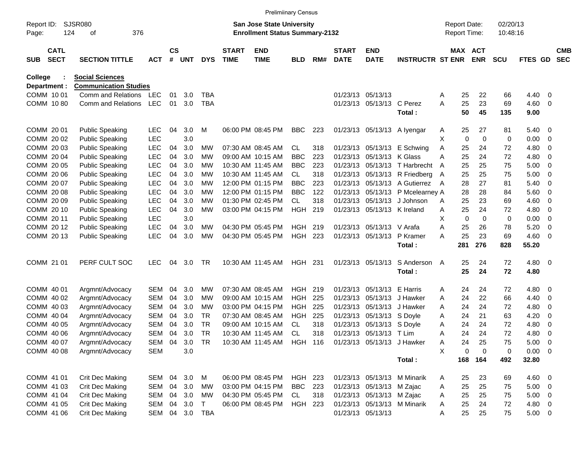|              |                                                  |                            |                              |            |                    |            |                |                             | <b>Prelimiinary Census</b>                                         |                |         |                             |                             |                                  |                                     |             |                      |             |                          |                          |
|--------------|--------------------------------------------------|----------------------------|------------------------------|------------|--------------------|------------|----------------|-----------------------------|--------------------------------------------------------------------|----------------|---------|-----------------------------|-----------------------------|----------------------------------|-------------------------------------|-------------|----------------------|-------------|--------------------------|--------------------------|
| Page:        | <b>SJSR080</b><br>Report ID:<br>124<br>376<br>οf |                            |                              |            |                    |            |                |                             | San Jose State University<br><b>Enrollment Status Summary-2132</b> |                |         |                             |                             |                                  | <b>Report Date:</b><br>Report Time: |             | 02/20/13<br>10:48:16 |             |                          |                          |
| <b>SUB</b>   |                                                  | <b>CATL</b><br><b>SECT</b> | <b>SECTION TITTLE</b>        | <b>ACT</b> | $\mathsf{cs}$<br># | <b>UNT</b> | <b>DYS</b>     | <b>START</b><br><b>TIME</b> | <b>END</b><br><b>TIME</b>                                          | <b>BLD</b>     | RM#     | <b>START</b><br><b>DATE</b> | <b>END</b><br><b>DATE</b>   | <b>INSTRUCTR ST ENR</b>          | MAX ACT                             | <b>ENR</b>  | <b>SCU</b>           | FTES GD     |                          | <b>CMB</b><br><b>SEC</b> |
| College      |                                                  |                            | <b>Social Sciences</b>       |            |                    |            |                |                             |                                                                    |                |         |                             |                             |                                  |                                     |             |                      |             |                          |                          |
| Department : |                                                  |                            | <b>Communication Studies</b> |            |                    |            |                |                             |                                                                    |                |         |                             |                             |                                  |                                     |             |                      |             |                          |                          |
| COMM 10 01   |                                                  |                            | Comm and Relations           | LEC        | 01                 | 3.0        | TBA            |                             |                                                                    |                |         |                             | 01/23/13 05/13/13           |                                  | 25<br>Α                             | 22          | 66                   | 4.40        | - 0                      |                          |
| COMM 1080    |                                                  |                            | Comm and Relations           | LEC        | 01                 | 3.0        | <b>TBA</b>     |                             |                                                                    |                |         |                             | 01/23/13 05/13/13 C Perez   |                                  | A<br>25                             | 23          | 69                   | 4.60        | - 0                      |                          |
|              |                                                  |                            |                              |            |                    |            |                |                             |                                                                    |                |         |                             |                             | Total:                           | 50                                  | 45          | 135                  | 9.00        |                          |                          |
| COMM 20 01   |                                                  |                            | <b>Public Speaking</b>       | <b>LEC</b> | 04                 | 3.0        | M              |                             | 06:00 PM 08:45 PM                                                  | <b>BBC</b>     | 223     |                             | 01/23/13 05/13/13           | A Iyengar                        | 25<br>A                             | 27          | 81                   | 5.40        | $\overline{\phantom{0}}$ |                          |
| COMM 20 02   |                                                  |                            | <b>Public Speaking</b>       | <b>LEC</b> |                    | 3.0        |                |                             |                                                                    |                |         |                             |                             |                                  | х<br>0                              | $\mathbf 0$ | 0                    | 0.00        | - 0                      |                          |
| COMM 2003    |                                                  |                            | <b>Public Speaking</b>       | <b>LEC</b> | 04                 | 3.0        | МW             |                             | 07:30 AM 08:45 AM                                                  | CL             | 318     |                             |                             | 01/23/13 05/13/13 E Schwing      | Α<br>25                             | 24          | 72                   | 4.80        | 0                        |                          |
| COMM 2004    |                                                  |                            | <b>Public Speaking</b>       | LEC        | 04                 | 3.0        | МW             |                             | 09:00 AM 10:15 AM                                                  | <b>BBC</b>     | 223     |                             | 01/23/13 05/13/13 K Glass   |                                  | Α<br>25                             | 24          | 72                   | 4.80        | 0                        |                          |
| COMM 20 05   |                                                  |                            | <b>Public Speaking</b>       | <b>LEC</b> | 04                 | 3.0        | МW             |                             | 10:30 AM 11:45 AM                                                  | <b>BBC</b>     | 223     |                             |                             | 01/23/13 05/13/13 T Harbrecht    | 25<br>A                             | 25          | 75                   | 5.00        | - 0                      |                          |
| COMM 20 06   |                                                  |                            | <b>Public Speaking</b>       | <b>LEC</b> | 04                 | 3.0        | МW             |                             | 10:30 AM 11:45 AM                                                  | CL             | 318     |                             |                             | 01/23/13 05/13/13 R Friedberg    | 25<br>A                             | 25          | 75                   | 5.00        | - 0                      |                          |
| COMM 2007    |                                                  |                            | <b>Public Speaking</b>       | <b>LEC</b> | 04                 | 3.0        | МW             |                             | 12:00 PM 01:15 PM                                                  | <b>BBC</b>     | 223     |                             |                             | 01/23/13 05/13/13 A Gutierrez    | 28<br>A                             | 27          | 81                   | 5.40        | - 0                      |                          |
| COMM 2008    |                                                  |                            | <b>Public Speaking</b>       | <b>LEC</b> | 04                 | 3.0        | МW             |                             | 12:00 PM 01:15 PM                                                  | <b>BBC</b>     | 122     |                             |                             | 01/23/13 05/13/13 P Mcelearney A | 28                                  | 28          | 84                   | 5.60        | - 0                      |                          |
| COMM 20 09   |                                                  |                            | <b>Public Speaking</b>       | <b>LEC</b> | 04                 | 3.0        | МW             |                             | 01:30 PM 02:45 PM                                                  | CL             | 318     |                             | 01/23/13 05/13/13           | J Johnson                        | 25<br>A                             | 23          | 69                   | 4.60        | - 0                      |                          |
| COMM 20 10   |                                                  |                            | <b>Public Speaking</b>       | <b>LEC</b> | 04                 | 3.0        | МW             |                             | 03:00 PM 04:15 PM                                                  | <b>HGH</b>     | 219     |                             | 01/23/13 05/13/13 K Ireland |                                  | 25<br>Α                             | 24          | 72                   | 4.80        | 0                        |                          |
| COMM 2011    |                                                  |                            | <b>Public Speaking</b>       | <b>LEC</b> |                    | 3.0        |                |                             |                                                                    |                |         |                             |                             |                                  | X<br>$\mathbf 0$                    | $\mathbf 0$ | 0                    | 0.00        | 0                        |                          |
| COMM 2012    |                                                  |                            | <b>Public Speaking</b>       | <b>LEC</b> | 04                 | 3.0        | MW             |                             | 04:30 PM 05:45 PM                                                  | HGH            | 219     |                             | 01/23/13 05/13/13 V Arafa   |                                  | 25<br>Α                             | 26          | 78                   | 5.20        | $\overline{0}$           |                          |
| COMM 2013    |                                                  |                            | <b>Public Speaking</b>       | LEC        | 04                 | 3.0        | МW             |                             | 04:30 PM 05:45 PM                                                  | <b>HGH</b>     | 223     |                             | 01/23/13 05/13/13           | P Kramer                         | 25<br>А                             | 23          | 69                   | 4.60        | - 0                      |                          |
|              |                                                  |                            |                              |            |                    |            |                |                             |                                                                    |                |         |                             |                             | Total:                           | 281                                 | 276         | 828                  | 55.20       |                          |                          |
| COMM 21 01   |                                                  |                            | PERF CULT SOC                | <b>LEC</b> | 04                 | 3.0        | TR             |                             | 10:30 AM 11:45 AM                                                  | <b>HGH 231</b> |         |                             | 01/23/13 05/13/13           | S Anderson                       | 25<br>A                             | 24          | 72                   | 4.80 0      |                          |                          |
|              |                                                  |                            |                              |            |                    |            |                |                             |                                                                    |                |         |                             |                             | Total:                           | 25                                  | 24          | 72                   | 4.80        |                          |                          |
| COMM 40 01   |                                                  |                            | Argmnt/Advocacy              | <b>SEM</b> | 04                 | 3.0        | МW             |                             | 07:30 AM 08:45 AM                                                  | HGH            | 219     |                             | 01/23/13 05/13/13           | E Harris                         | 24<br>Α                             | 24          | 72                   | 4.80        | $\overline{\phantom{0}}$ |                          |
| COMM 40 02   |                                                  |                            | Argmnt/Advocacy              | <b>SEM</b> | 04                 | 3.0        | МW             |                             | 09:00 AM 10:15 AM                                                  | <b>HGH</b>     | 225     | 01/23/13                    | 05/13/13                    | J Hawker                         | 24<br>Α                             | 22          | 66                   | 4.40        | - 0                      |                          |
| COMM 40 03   |                                                  |                            | Argmnt/Advocacy              | <b>SEM</b> | 04                 | 3.0        | МW             |                             | 03:00 PM 04:15 PM                                                  | HGH            | 225     |                             | 01/23/13 05/13/13           | J Hawker                         | 24<br>A                             | 24          | 72                   | 4.80        | 0                        |                          |
| COMM 40 04   |                                                  |                            | Argmnt/Advocacy              | <b>SEM</b> | 04                 | 3.0        | TR             |                             | 07:30 AM 08:45 AM                                                  | HGH            | 225     |                             | 01/23/13 05/13/13 S Doyle   |                                  | 24<br>A                             | 21          | 63                   | 4.20        | 0                        |                          |
| COMM 40 05   |                                                  |                            | Argmnt/Advocacy              | <b>SEM</b> | 04                 | 3.0        | <b>TR</b>      |                             | 09:00 AM 10:15 AM                                                  | CL             | 318     |                             | 01/23/13 05/13/13 S Doyle   |                                  | 24<br>Α                             | 24          | 72                   | 4.80        | 0                        |                          |
| COMM 40 06   |                                                  |                            | Argmnt/Advocacy              | <b>SEM</b> | 04                 | 3.0        | <b>TR</b>      |                             | 10:30 AM 11:45 AM                                                  | CL.            | 318     |                             | 01/23/13 05/13/13 T Lim     |                                  | 24<br>Α                             | 24          | 72                   | 4.80        | - 0                      |                          |
| COMM 40 07   |                                                  |                            | Argmnt/Advocacy              | SEM        | 04                 | 3.0        | TR             |                             | 10:30 AM 11:45 AM                                                  |                | HGH 116 |                             | 01/23/13 05/13/13 J Hawker  |                                  | 24<br>A                             | 25          | 75                   | $5.00 \t 0$ |                          |                          |
| COMM 40 08   |                                                  |                            | Argmnt/Advocacy              | <b>SEM</b> |                    | 3.0        |                |                             |                                                                    |                |         |                             |                             |                                  | X<br>0                              | $\mathbf 0$ | 0                    | $0.00 \t 0$ |                          |                          |
|              |                                                  |                            |                              |            |                    |            |                |                             |                                                                    |                |         |                             |                             | Total:                           |                                     | 168 164     | 492                  | 32.80       |                          |                          |
| COMM 41 01   |                                                  |                            | <b>Crit Dec Making</b>       | SEM 04     |                    | 3.0        | M              |                             | 06:00 PM 08:45 PM                                                  | HGH 223        |         |                             |                             | 01/23/13 05/13/13 M Minarik      | 25<br>A                             | 23          | 69                   | $4.60$ 0    |                          |                          |
| COMM 41 03   |                                                  |                            | Crit Dec Making              | SEM        | 04                 | 3.0        | МW             |                             | 03:00 PM 04:15 PM                                                  | <b>BBC</b>     | 223     |                             | 01/23/13 05/13/13 M Zajac   |                                  | 25<br>Α                             | 25          | 75                   | $5.00 \t 0$ |                          |                          |
|              |                                                  | COMM 41 04                 | Crit Dec Making              | SEM        | 04                 | 3.0        | МW             |                             | 04:30 PM 05:45 PM                                                  | CL             | 318     |                             | 01/23/13 05/13/13 M Zajac   |                                  | 25<br>Α                             | 25          | 75                   | $5.00 \t 0$ |                          |                          |
|              |                                                  | COMM 41 05                 | Crit Dec Making              | SEM        | 04                 | 3.0        | $\top$         |                             | 06:00 PM 08:45 PM                                                  | <b>HGH 223</b> |         |                             |                             | 01/23/13 05/13/13 M Minarik      | 25<br>Α                             | 24          | 72                   | 4.80 0      |                          |                          |
|              |                                                  | COMM 41 06                 | Crit Dec Making              |            |                    |            | SEM 04 3.0 TBA |                             |                                                                    |                |         |                             | 01/23/13 05/13/13           |                                  | 25<br>Α                             | 25          | 75                   | $5.00 \t 0$ |                          |                          |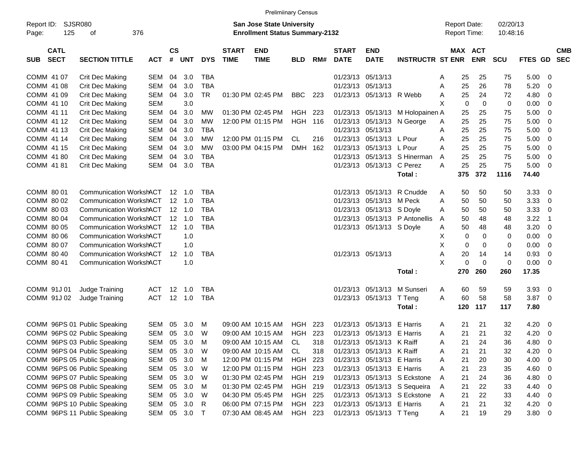|                                          |                                                                                                                 |            |                    |                |            |                             | <b>Prelimiinary Census</b> |                |     |                             |                            |                              |   |                                            |             |                      |         |                          |                          |
|------------------------------------------|-----------------------------------------------------------------------------------------------------------------|------------|--------------------|----------------|------------|-----------------------------|----------------------------|----------------|-----|-----------------------------|----------------------------|------------------------------|---|--------------------------------------------|-------------|----------------------|---------|--------------------------|--------------------------|
| Report ID:<br>Page:                      | <b>SJSR080</b><br><b>San Jose State University</b><br>125<br>376<br><b>Enrollment Status Summary-2132</b><br>оf |            |                    |                |            |                             |                            |                |     |                             |                            |                              |   | <b>Report Date:</b><br><b>Report Time:</b> |             | 02/20/13<br>10:48:16 |         |                          |                          |
| <b>CATL</b><br><b>SECT</b><br><b>SUB</b> | <b>SECTION TITTLE</b>                                                                                           | <b>ACT</b> | $\mathsf{cs}$<br># | <b>UNT</b>     | <b>DYS</b> | <b>START</b><br><b>TIME</b> | <b>END</b><br><b>TIME</b>  | <b>BLD</b>     | RM# | <b>START</b><br><b>DATE</b> | <b>END</b><br><b>DATE</b>  | <b>INSTRUCTR ST ENR</b>      |   | MAX ACT                                    | <b>ENR</b>  | <b>SCU</b>           | FTES GD |                          | <b>CMB</b><br><b>SEC</b> |
| COMM 41 07                               | Crit Dec Making                                                                                                 | SEM        | 04                 | 3.0            | <b>TBA</b> |                             |                            |                |     | 01/23/13                    | 05/13/13                   |                              | A | 25                                         | 25          | 75                   | 5.00    | - 0                      |                          |
| COMM 41 08                               | Crit Dec Making                                                                                                 | <b>SEM</b> | 04                 | 3.0            | <b>TBA</b> |                             |                            |                |     | 01/23/13                    | 05/13/13                   |                              | A | 25                                         | 26          | 78                   | 5.20    | - 0                      |                          |
| COMM 41 09                               | Crit Dec Making                                                                                                 | <b>SEM</b> | 04                 | 3.0            | <b>TR</b>  |                             | 01:30 PM 02:45 PM          | <b>BBC</b>     | 223 | 01/23/13                    | 05/13/13 R Webb            |                              | A | 25                                         | 24          | 72                   | 4.80    | - 0                      |                          |
| COMM 41 10                               | Crit Dec Making                                                                                                 | <b>SEM</b> |                    | 3.0            |            |                             |                            |                |     |                             |                            |                              | X | $\mathbf 0$                                | $\mathbf 0$ | 0                    | 0.00    | $\overline{0}$           |                          |
| COMM 41 11                               | Crit Dec Making                                                                                                 | <b>SEM</b> | 04                 | 3.0            | MW         |                             | 01:30 PM 02:45 PM          | HGH            | 223 | 01/23/13                    | 05/13/13                   | M Holopainen A               |   | 25                                         | 25          | 75                   | 5.00    | $\overline{0}$           |                          |
| COMM 41 12                               | Crit Dec Making                                                                                                 | <b>SEM</b> | 04                 | 3.0            | МW         |                             | 12:00 PM 01:15 PM          | <b>HGH</b>     | 116 | 01/23/13                    | 05/13/13                   | N George                     | Α | 25                                         | 25          | 75                   | 5.00    | $\overline{0}$           |                          |
| COMM 41 13                               | Crit Dec Making                                                                                                 | <b>SEM</b> | 04                 | 3.0            | <b>TBA</b> |                             |                            |                |     | 01/23/13                    | 05/13/13                   |                              | Α | 25                                         | 25          | 75                   | 5.00    | $\overline{0}$           |                          |
| COMM 41 14                               | Crit Dec Making                                                                                                 | <b>SEM</b> | 04                 | 3.0            | МW         |                             | 12:00 PM 01:15 PM          | CL             | 216 | 01/23/13                    | 05/13/13                   | L Pour                       | A | 25                                         | 25          | 75                   | 5.00    | $\overline{0}$           |                          |
| COMM 41 15                               | Crit Dec Making                                                                                                 | <b>SEM</b> | 04                 | 3.0            | МW         |                             | 03:00 PM 04:15 PM          | DMH 162        |     | 01/23/13                    | 05/13/13                   | L Pour                       | A | 25                                         | 25          | 75                   | 5.00    | $\overline{0}$           |                          |
| COMM 41 80                               | <b>Crit Dec Making</b>                                                                                          | <b>SEM</b> | 04                 | 3.0            | <b>TBA</b> |                             |                            |                |     | 01/23/13                    | 05/13/13                   | S Hinerman                   | A | 25                                         | 25          | 75                   | 5.00    | - 0                      |                          |
| COMM 41 81                               | Crit Dec Making                                                                                                 | <b>SEM</b> | 04                 | 3.0            | <b>TBA</b> |                             |                            |                |     | 01/23/13                    | 05/13/13                   | C Perez                      | A | 25                                         | 25          | 75                   | 5.00    | - 0                      |                          |
|                                          |                                                                                                                 |            |                    |                |            |                             |                            |                |     |                             |                            | Total:                       |   | 375                                        | 372         | 1116                 | 74.40   |                          |                          |
| COMM 80 01                               | <b>Communication WorkshACT</b>                                                                                  |            |                    | $12 \quad 1.0$ | <b>TBA</b> |                             |                            |                |     | 01/23/13                    | 05/13/13                   | R Cnudde                     | A | 50                                         | 50          | 50                   | 3.33    | - 0                      |                          |
| COMM 80 02                               | <b>Communication WorkshACT</b>                                                                                  |            |                    | 12 1.0         | <b>TBA</b> |                             |                            |                |     | 01/23/13                    | 05/13/13                   | M Peck                       | A | 50                                         | 50          | 50                   | 3.33    | - 0                      |                          |
| COMM 80 03                               | <b>Communication WorkshACT</b>                                                                                  |            |                    | $12 \quad 1.0$ | <b>TBA</b> |                             |                            |                |     | 01/23/13                    | 05/13/13                   | S Doyle                      | A | 50                                         | 50          | 50                   | 3.33    | $\overline{0}$           |                          |
| COMM 80 04                               | <b>Communication WorkshACT</b>                                                                                  |            |                    | $12 \quad 1.0$ | <b>TBA</b> |                             |                            |                |     | 01/23/13                    | 05/13/13                   | P Antonellis                 | A | 50                                         | 48          | 48                   | 3.22    | $\overline{1}$           |                          |
| COMM 80 05                               | <b>Communication WorkshACT</b>                                                                                  |            |                    | $12 \quad 1.0$ | <b>TBA</b> |                             |                            |                |     | 01/23/13                    | 05/13/13 S Doyle           |                              | Α | 50                                         | 48          | 48                   | 3.20    | $\overline{0}$           |                          |
| COMM 80 06                               | <b>Communication WorkshACT</b>                                                                                  |            |                    | 1.0            |            |                             |                            |                |     |                             |                            |                              | X | 0                                          | 0           | 0                    | 0.00    | $\overline{0}$           |                          |
| COMM 80 07                               | <b>Communication WorkshACT</b>                                                                                  |            |                    | 1.0            |            |                             |                            |                |     |                             |                            |                              | X | 0                                          | 0           | 0                    | 0.00    | $\overline{0}$           |                          |
| COMM 80 40                               | <b>Communication WorkshACT</b>                                                                                  |            | $12 \overline{ }$  | 1.0            | <b>TBA</b> |                             |                            |                |     |                             | 01/23/13 05/13/13          |                              | A | 20                                         | 14          | 14                   | 0.93    | $\overline{0}$           |                          |
| COMM 80 41                               | <b>Communication WorkshACT</b>                                                                                  |            |                    | 1.0            |            |                             |                            |                |     |                             |                            |                              | X | 0                                          | $\mathbf 0$ | $\mathbf 0$          | 0.00    | $\overline{0}$           |                          |
|                                          |                                                                                                                 |            |                    |                |            |                             |                            |                |     |                             |                            | Total:                       |   | 270                                        | 260         | 260                  | 17.35   |                          |                          |
| COMM 91J 01                              | Judge Training                                                                                                  | ACT        | 12                 | 1.0            | <b>TBA</b> |                             |                            |                |     | 01/23/13                    | 05/13/13                   | M Sunseri                    | A | 60                                         | 59          | 59                   | 3.93    | - 0                      |                          |
| COMM 91J 02                              | Judge Training                                                                                                  | <b>ACT</b> |                    | 12 1.0         | <b>TBA</b> |                             |                            |                |     | 01/23/13                    | 05/13/13                   | T Teng                       | A | 60                                         | 58          | 58                   | 3.87    | - 0                      |                          |
|                                          |                                                                                                                 |            |                    |                |            |                             |                            |                |     |                             |                            | Total:                       |   | 120                                        | 117         | 117                  | 7.80    |                          |                          |
|                                          | COMM 96PS 01 Public Speaking                                                                                    | <b>SEM</b> | 05                 | 3.0            | м          |                             | 09:00 AM 10:15 AM          | HGH            | 223 | 01/23/13                    | 05/13/13                   | E Harris                     | A | 21                                         | 21          | 32                   | 4.20    | - 0                      |                          |
|                                          | COMM 96PS 02 Public Speaking                                                                                    | <b>SEM</b> | 05                 | 3.0            | W          |                             | 09:00 AM 10:15 AM          | HGH            | 223 | 01/23/13                    | 05/13/13                   | E Harris                     | A | 21                                         | 21          | 32                   | 4.20    | - 0                      |                          |
|                                          | COMM 96PS 03 Public Speaking                                                                                    | SEM        | 05                 | 3.0            | M          |                             | 09:00 AM 10:15 AM          | CL             | 318 |                             | 01/23/13 05/13/13 K Raiff  |                              | A | 21                                         | 24          | 36                   | 4.80    | $\overline{\mathbf{0}}$  |                          |
|                                          | COMM 96PS 04 Public Speaking                                                                                    | SEM        | 05                 | 3.0            | W          |                             | 09:00 AM 10:15 AM          | CL             | 318 | 01/23/13                    | 05/13/13                   | K Raiff                      | A | 21                                         | 21          | 32                   | 4.20    | $\overline{\mathbf{0}}$  |                          |
|                                          | COMM 96PS 05 Public Speaking                                                                                    | SEM        | 05                 | 3.0            | M          |                             | 12:00 PM 01:15 PM          | HGH 223        |     |                             | 01/23/13 05/13/13 E Harris |                              | A | 21                                         | 20          | 30                   | 4.00    | $\overline{\phantom{0}}$ |                          |
|                                          | COMM 96PS 06 Public Speaking                                                                                    | SEM        | 05                 | 3.0            | W          |                             | 12:00 PM 01:15 PM          | HGH 223        |     |                             | 01/23/13 05/13/13 E Harris |                              | Α | 21                                         | 23          | 35                   | 4.60    | $\overline{\phantom{0}}$ |                          |
|                                          | COMM 96PS 07 Public Speaking                                                                                    | SEM        | 05                 | 3.0            | W          |                             | 01:30 PM 02:45 PM          | HGH 219        |     |                             |                            | 01/23/13 05/13/13 S Eckstone | A | 21                                         | 24          | 36                   | 4.80    | $\overline{\mathbf{0}}$  |                          |
|                                          | COMM 96PS 08 Public Speaking                                                                                    | SEM        | 05                 | 3.0            | M          |                             | 01:30 PM 02:45 PM          | HGH 219        |     |                             |                            | 01/23/13 05/13/13 S Sequeira | A | 21                                         | 22          | 33                   | 4.40    | $\overline{\mathbf{0}}$  |                          |
|                                          | COMM 96PS 09 Public Speaking                                                                                    | SEM        | 05                 | 3.0            | W          |                             | 04:30 PM 05:45 PM          | <b>HGH 225</b> |     |                             |                            | 01/23/13 05/13/13 S Eckstone | A | 21                                         | 22          | 33                   | 4.40    | $\overline{\phantom{0}}$ |                          |
|                                          | COMM 96PS 10 Public Speaking                                                                                    | SEM        | 05                 | 3.0            | R          |                             | 06:00 PM 07:15 PM          | HGH 223        |     |                             | 01/23/13 05/13/13 E Harris |                              | A | 21                                         | 21          | 32                   | 4.20    | $\overline{\phantom{0}}$ |                          |
|                                          | COMM 96PS 11 Public Speaking                                                                                    | SEM 05 3.0 |                    |                | $\top$     |                             | 07:30 AM 08:45 AM          | HGH 223        |     |                             | 01/23/13 05/13/13 T Teng   |                              | A | 21                                         | 19          | 29                   | 3.80 0  |                          |                          |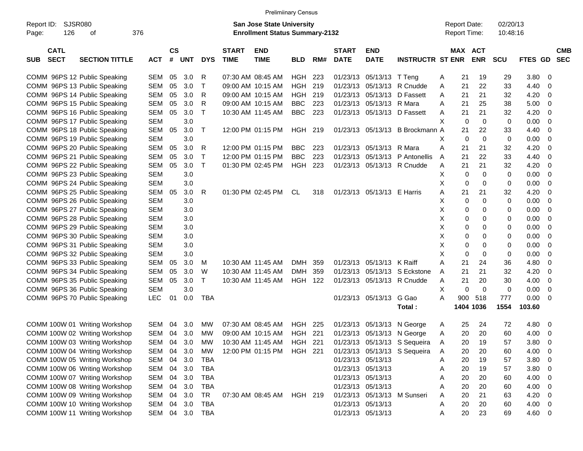|                                             |            |               |            |            |              |                                       | <b>Prelimiinary Census</b> |     |                      |                   |                              |   |                     |                |            |                |                |            |
|---------------------------------------------|------------|---------------|------------|------------|--------------|---------------------------------------|----------------------------|-----|----------------------|-------------------|------------------------------|---|---------------------|----------------|------------|----------------|----------------|------------|
| <b>SJSR080</b><br>Report ID:                |            |               |            |            |              | <b>San Jose State University</b>      |                            |     |                      |                   |                              |   | <b>Report Date:</b> |                | 02/20/13   |                |                |            |
| 126<br>Page:<br>оf                          | 376        |               |            |            |              | <b>Enrollment Status Summary-2132</b> |                            |     |                      |                   |                              |   | <b>Report Time:</b> |                | 10:48:16   |                |                |            |
|                                             |            |               |            |            |              |                                       |                            |     |                      |                   |                              |   |                     |                |            |                |                |            |
| <b>CATL</b>                                 |            | $\mathsf{cs}$ |            |            | <b>START</b> | <b>END</b>                            |                            |     | <b>START</b>         | <b>END</b>        |                              |   |                     | <b>MAX ACT</b> |            |                |                | <b>CMB</b> |
| <b>SECT</b><br><b>SECTION TITTLE</b><br>SUB | ACT        | #             | <b>UNT</b> | <b>DYS</b> | <b>TIME</b>  | <b>TIME</b>                           | <b>BLD</b>                 | RM# | <b>DATE</b>          | <b>DATE</b>       | <b>INSTRUCTR ST ENR</b>      |   |                     | <b>ENR</b>     | <b>SCU</b> | <b>FTES GD</b> |                | <b>SEC</b> |
| COMM 96PS 12 Public Speaking                | <b>SEM</b> | 05            | 3.0        | R          |              | 07:30 AM 08:45 AM                     | HGH                        | 223 | 01/23/13             | 05/13/13          | T Teng                       | A | 21                  | 19             | 29         | 3.80           | 0              |            |
| COMM 96PS 13 Public Speaking                | <b>SEM</b> | 05            | 3.0        | Т          |              | 09:00 AM 10:15 AM                     | HGH                        | 219 | 01/23/13             | 05/13/13          | R Cnudde                     |   | 21                  | 22             | 33         | 4.40           | 0              |            |
| COMM 96PS 14 Public Speaking                |            | 05            | 3.0        | R          |              | 09:00 AM 10:15 AM                     | HGH                        | 219 |                      | 05/13/13          | D Fassett                    | A | 21                  | 21             |            |                | 0              |            |
|                                             | <b>SEM</b> |               | 3.0        |            |              | 09:00 AM 10:15 AM                     | <b>BBC</b>                 | 223 | 01/23/13<br>01/23/13 | 05/13/13          | R Mara                       | Α |                     | 25             | 32<br>38   | 4.20           | 0              |            |
| COMM 96PS 15 Public Speaking                | <b>SEM</b> | 05            |            | R          |              | 10:30 AM 11:45 AM                     |                            |     |                      |                   |                              | A | 21                  |                |            | 5.00           |                |            |
| COMM 96PS 16 Public Speaking                | <b>SEM</b> | 05            | 3.0        | Т          |              |                                       | BBC                        | 223 | 01/23/13             | 05/13/13          | D Fassett                    | A | 21                  | 21             | 32         | 4.20           | 0              |            |
| COMM 96PS 17 Public Speaking                | <b>SEM</b> |               | 3.0        |            |              |                                       |                            |     |                      |                   |                              | Х | 0                   | 0              | 0          | 0.00           | 0              |            |
| COMM 96PS 18 Public Speaking                | <b>SEM</b> | 05            | 3.0        | Т          |              | 12:00 PM 01:15 PM                     | HGH 219                    |     | 01/23/13             | 05/13/13          | B Brockmann A                |   | 21                  | 22             | 33         | 4.40           | 0              |            |
| COMM 96PS 19 Public Speaking                | <b>SEM</b> |               | 3.0        |            |              |                                       |                            |     |                      |                   |                              | х | 0                   | $\mathbf 0$    | 0          | 0.00           | 0              |            |
| COMM 96PS 20 Public Speaking                | <b>SEM</b> | 05            | 3.0        | R          |              | 12:00 PM 01:15 PM                     | <b>BBC</b>                 | 223 | 01/23/13             | 05/13/13          | R Mara                       | Α | 21                  | 21             | 32         | 4.20           | 0              |            |
| COMM 96PS 21 Public Speaking                | <b>SEM</b> | 05            | 3.0        | Т          |              | 12:00 PM 01:15 PM                     | <b>BBC</b>                 | 223 | 01/23/13             | 05/13/13          | P Antonellis                 | A | 21                  | 22             | 33         | 4.40           | 0              |            |
| COMM 96PS 22 Public Speaking                | <b>SEM</b> | 05            | 3.0        | Т          |              | 01:30 PM 02:45 PM                     | HGH                        | 223 | 01/23/13             |                   | 05/13/13 R Cnudde            | Α | 21                  | 21             | 32         | 4.20           | 0              |            |
| COMM 96PS 23 Public Speaking                | <b>SEM</b> |               | 3.0        |            |              |                                       |                            |     |                      |                   |                              | х | 0                   | $\mathbf 0$    | 0          | 0.00           | 0              |            |
| COMM 96PS 24 Public Speaking                | <b>SEM</b> |               | 3.0        |            |              |                                       |                            |     |                      |                   |                              | X | 0                   | 0              | 0          | 0.00           | 0              |            |
| COMM 96PS 25 Public Speaking                | <b>SEM</b> | 05            | 3.0        | R          |              | 01:30 PM 02:45 PM                     | CL.                        | 318 | 01/23/13             | 05/13/13 E Harris |                              | Α | 21                  | 21             | 32         | 4.20           | 0              |            |
| COMM 96PS 26 Public Speaking                | <b>SEM</b> |               | 3.0        |            |              |                                       |                            |     |                      |                   |                              | х | 0                   | 0              | 0          | 0.00           | 0              |            |
| COMM 96PS 27 Public Speaking                | <b>SEM</b> |               | 3.0        |            |              |                                       |                            |     |                      |                   |                              | х | 0                   | 0              | 0          | 0.00           | 0              |            |
| COMM 96PS 28 Public Speaking                | <b>SEM</b> |               | 3.0        |            |              |                                       |                            |     |                      |                   |                              | х | 0                   | 0              | 0          | 0.00           | 0              |            |
| COMM 96PS 29 Public Speaking                | <b>SEM</b> |               | 3.0        |            |              |                                       |                            |     |                      |                   |                              | X | 0                   | 0              | 0          | 0.00           | 0              |            |
| COMM 96PS 30 Public Speaking                | <b>SEM</b> |               | 3.0        |            |              |                                       |                            |     |                      |                   |                              | х | 0                   | 0              | 0          | 0.00           | 0              |            |
| COMM 96PS 31 Public Speaking                | <b>SEM</b> |               | 3.0        |            |              |                                       |                            |     |                      |                   |                              | X | 0                   | 0              | 0          | 0.00           | 0              |            |
| COMM 96PS 32 Public Speaking                | <b>SEM</b> |               | 3.0        |            |              |                                       |                            |     |                      |                   |                              | X | 0                   | 0              | 0          | 0.00           | 0              |            |
| COMM 96PS 33 Public Speaking                | <b>SEM</b> | 05            | 3.0        | м          |              | 10:30 AM 11:45 AM                     | DMH                        | 359 | 01/23/13             | 05/13/13          | K Raiff                      | Α | 21                  | 24             | 36         | 4.80           | 0              |            |
| COMM 96PS 34 Public Speaking                | <b>SEM</b> | 05            | 3.0        | W          |              | 10:30 AM 11:45 AM                     | DMH                        | 359 | 01/23/13             | 05/13/13          | S Eckstone                   | Α | 21                  | 21             | 32         | 4.20           | 0              |            |
| COMM 96PS 35 Public Speaking                | <b>SEM</b> | 05            | 3.0        | т          |              | 10:30 AM 11:45 AM                     | HGH 122                    |     | 01/23/13             |                   | 05/13/13 R Cnudde            | A | 21                  | 20             | 30         | 4.00           | 0              |            |
| COMM 96PS 36 Public Speaking                | <b>SEM</b> |               | 3.0        |            |              |                                       |                            |     |                      |                   |                              | X | 0                   | 0              | 0          | 0.00           | 0              |            |
| COMM 96PS 70 Public Speaking                | LEC.       | 01            | 0.0        | <b>TBA</b> |              |                                       |                            |     |                      | 01/23/13 05/13/13 | G Gao                        | A | 900                 | 518            | 777        | 0.00           | 0              |            |
|                                             |            |               |            |            |              |                                       |                            |     |                      |                   | Total:                       |   |                     | 1404 1036      | 1554       | 103.60         |                |            |
|                                             |            |               |            |            |              |                                       |                            |     |                      |                   |                              |   |                     |                |            |                |                |            |
| COMM 100W 01 Writing Workshop               | <b>SEM</b> | 04            | 3.0        | МW         |              | 07:30 AM 08:45 AM                     | <b>HGH 225</b>             |     | 01/23/13             | 05/13/13          | N George                     | A | 25                  | 24             | 72         | 4.80           | 0              |            |
| COMM 100W 02 Writing Workshop               | SEM        |               | 04 3.0     | MW         |              | 09:00 AM 10:15 AM                     | HGH 221                    |     |                      |                   | 01/23/13 05/13/13 N George   | A | 20                  | 20             | 60         | 4.00           | 0              |            |
| COMM 100W 03 Writing Workshop               | SEM 04 3.0 |               |            | MW         |              | 10:30 AM 11:45 AM HGH 221             |                            |     |                      |                   | 01/23/13 05/13/13 S Sequeira | Α | 20                  | 19             | 57         | 3.80           | $\overline{0}$ |            |
| COMM 100W 04 Writing Workshop               | SEM        | 04            | 3.0        | MW         |              | 12:00 PM 01:15 PM                     | HGH 221                    |     |                      |                   | 01/23/13 05/13/13 S Sequeira | A | 20                  | 20             | 60         | 4.00           | 0              |            |
| COMM 100W 05 Writing Workshop               | SEM        | 04            | 3.0        | TBA        |              |                                       |                            |     |                      | 01/23/13 05/13/13 |                              | A | 20                  | 19             | 57         | 3.80           | 0              |            |
| COMM 100W 06 Writing Workshop               | SEM        | 04            | 3.0        | TBA        |              |                                       |                            |     |                      | 01/23/13 05/13/13 |                              | A | 20                  | 19             | 57         | 3.80           | 0              |            |
| COMM 100W 07 Writing Workshop               | SEM        | 04            | 3.0        | TBA        |              |                                       |                            |     |                      | 01/23/13 05/13/13 |                              | A | 20                  | 20             | 60         | 4.00           | 0              |            |
| COMM 100W 08 Writing Workshop               | SEM        | 04            | 3.0        | TBA        |              |                                       |                            |     |                      | 01/23/13 05/13/13 |                              | Α | 20                  | 20             | 60         | 4.00           | 0              |            |
| COMM 100W 09 Writing Workshop               | SEM        | 04            | 3.0        | TR         |              | 07:30 AM 08:45 AM HGH 219             |                            |     |                      | 01/23/13 05/13/13 | M Sunseri                    | A | 20                  | 21             | 63         | 4.20           | 0              |            |
| COMM 100W 10 Writing Workshop               | SEM        | 04            | 3.0        | TBA        |              |                                       |                            |     |                      | 01/23/13 05/13/13 |                              | A | 20                  | 20             | 60         | 4.00           | 0              |            |
| COMM 100W 11 Writing Workshop               | SEM        |               | 04 3.0     | TBA        |              |                                       |                            |     |                      | 01/23/13 05/13/13 |                              | A | 20                  | 23             | 69         | 4.60           | 0              |            |
|                                             |            |               |            |            |              |                                       |                            |     |                      |                   |                              |   |                     |                |            |                |                |            |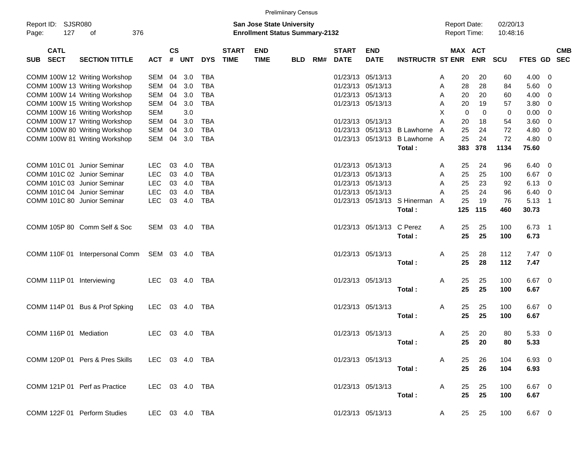|                                              |                                 |                |                    |            |            |                             |                                                                           | <b>Prelimiinary Census</b> |     |                             |                           |                              |   |                     |                       |                      |                |    |                          |
|----------------------------------------------|---------------------------------|----------------|--------------------|------------|------------|-----------------------------|---------------------------------------------------------------------------|----------------------------|-----|-----------------------------|---------------------------|------------------------------|---|---------------------|-----------------------|----------------------|----------------|----|--------------------------|
| Report ID:<br><b>SJSR080</b><br>127<br>Page: | 376<br>of                       |                |                    |            |            |                             | <b>San Jose State University</b><br><b>Enrollment Status Summary-2132</b> |                            |     |                             |                           |                              |   | <b>Report Date:</b> | <b>Report Time:</b>   | 02/20/13<br>10:48:16 |                |    |                          |
| <b>CATL</b><br><b>SECT</b><br><b>SUB</b>     | <b>SECTION TITTLE</b>           | <b>ACT</b>     | $\mathsf{cs}$<br># | <b>UNT</b> | <b>DYS</b> | <b>START</b><br><b>TIME</b> | <b>END</b><br><b>TIME</b>                                                 | <b>BLD</b>                 | RM# | <b>START</b><br><b>DATE</b> | <b>END</b><br><b>DATE</b> | <b>INSTRUCTR ST ENR</b>      |   |                     | MAX ACT<br><b>ENR</b> | <b>SCU</b>           | <b>FTES GD</b> |    | <b>CMB</b><br><b>SEC</b> |
|                                              | COMM 100W 12 Writing Workshop   | SEM            | 04                 | 3.0        | <b>TBA</b> |                             |                                                                           |                            |     |                             | 01/23/13 05/13/13         |                              | A | 20                  | 20                    | 60                   | 4.00           | 0  |                          |
|                                              | COMM 100W 13 Writing Workshop   | <b>SEM</b>     | 04                 | 3.0        | <b>TBA</b> |                             |                                                                           |                            |     |                             | 01/23/13 05/13/13         |                              | A | 28                  | 28                    | 84                   | 5.60           | 0  |                          |
|                                              | COMM 100W 14 Writing Workshop   | <b>SEM</b>     | 04                 | 3.0        | <b>TBA</b> |                             |                                                                           |                            |     |                             | 01/23/13 05/13/13         |                              | A | 20                  | 20                    | 60                   | 4.00           | 0  |                          |
|                                              | COMM 100W 15 Writing Workshop   | <b>SEM</b>     | 04                 | 3.0        | <b>TBA</b> |                             |                                                                           |                            |     |                             | 01/23/13 05/13/13         |                              | A | 20                  | 19                    | 57                   | 3.80           | 0  |                          |
|                                              | COMM 100W 16 Writing Workshop   | <b>SEM</b>     |                    | 3.0        |            |                             |                                                                           |                            |     |                             |                           |                              | X | 0                   | $\mathbf 0$           | 0                    | 0.00           | 0  |                          |
|                                              | COMM 100W 17 Writing Workshop   | <b>SEM</b>     | 04                 | 3.0        | <b>TBA</b> |                             |                                                                           |                            |     |                             | 01/23/13 05/13/13         |                              | A | 20                  | 18                    | 54                   | 3.60           | 0  |                          |
|                                              | COMM 100W 80 Writing Workshop   | <b>SEM</b>     | 04                 | 3.0        | <b>TBA</b> |                             |                                                                           |                            |     | 01/23/13                    | 05/13/13                  | <b>B</b> Lawhorne            | A | 25                  | 24                    | 72                   | 4.80           | 0  |                          |
|                                              | COMM 100W 81 Writing Workshop   | SEM            | 04                 | 3.0        | <b>TBA</b> |                             |                                                                           |                            |     |                             | 01/23/13 05/13/13         | B Lawhorne A                 |   | 25                  | 24                    | 72                   | 4.80           | 0  |                          |
|                                              |                                 |                |                    |            |            |                             |                                                                           |                            |     |                             |                           | Total:                       |   | 383                 | 378                   | 1134                 | 75.60          |    |                          |
| COMM 101C 01 Junior Seminar                  |                                 | <b>LEC</b>     | 03                 | 4.0        | <b>TBA</b> |                             |                                                                           |                            |     |                             | 01/23/13 05/13/13         |                              | A | 25                  | 24                    | 96                   | 6.40           | 0  |                          |
| COMM 101C 02 Junior Seminar                  |                                 | <b>LEC</b>     | 03                 | 4.0        | <b>TBA</b> |                             |                                                                           |                            |     |                             | 01/23/13 05/13/13         |                              | A | 25                  | 25                    | 100                  | 6.67           | 0  |                          |
| COMM 101C 03 Junior Seminar                  |                                 | <b>LEC</b>     | 03                 | 4.0        | <b>TBA</b> |                             |                                                                           |                            |     |                             | 01/23/13 05/13/13         |                              | A | 25                  | 23                    | 92                   | 6.13           | 0  |                          |
| COMM 101C 04 Junior Seminar                  |                                 | <b>LEC</b>     | 03                 | 4.0        | <b>TBA</b> |                             |                                                                           |                            |     |                             | 01/23/13 05/13/13         |                              | A | 25                  | 24                    | 96                   | 6.40           | 0  |                          |
| COMM 101C 80 Junior Seminar                  |                                 | <b>LEC</b>     | 03                 | 4.0        | <b>TBA</b> |                             |                                                                           |                            |     |                             |                           | 01/23/13 05/13/13 S Hinerman | A | 25                  | 19                    | 76                   | 5.13           | -1 |                          |
|                                              |                                 |                |                    |            |            |                             |                                                                           |                            |     |                             |                           | Total:                       |   | 125                 | 115                   | 460                  | 30.73          |    |                          |
|                                              | COMM 105P 80 Comm Self & Soc    | SEM 03 4.0     |                    |            | TBA        |                             |                                                                           |                            |     |                             | 01/23/13 05/13/13         | C Perez                      | A | 25                  | 25                    | 100                  | $6.73$ 1       |    |                          |
|                                              |                                 |                |                    |            |            |                             |                                                                           |                            |     |                             |                           | Total:                       |   | 25                  | 25                    | 100                  | 6.73           |    |                          |
|                                              | COMM 110F 01 Interpersonal Comm | SEM 03 4.0     |                    |            | TBA        |                             |                                                                           |                            |     |                             | 01/23/13 05/13/13         |                              | Α | 25                  | 28                    | 112                  | $7.47\ 0$      |    |                          |
|                                              |                                 |                |                    |            |            |                             |                                                                           |                            |     |                             |                           | Total:                       |   | 25                  | 28                    | 112                  | 7.47           |    |                          |
|                                              |                                 |                |                    |            |            |                             |                                                                           |                            |     |                             |                           |                              |   |                     |                       |                      |                |    |                          |
| COMM 111P 01 Interviewing                    |                                 | <b>LEC</b>     |                    | 03 4.0     | TBA        |                             |                                                                           |                            |     |                             | 01/23/13 05/13/13         |                              | A | 25                  | 25                    | 100                  | $6.67$ 0       |    |                          |
|                                              |                                 |                |                    |            |            |                             |                                                                           |                            |     |                             |                           | Total:                       |   | 25                  | 25                    | 100                  | 6.67           |    |                          |
|                                              | COMM 114P 01 Bus & Prof Spking  | <b>LEC</b>     |                    | 03 4.0     | TBA        |                             |                                                                           |                            |     |                             | 01/23/13 05/13/13         |                              | A | 25                  | 25                    | 100                  | $6.67$ 0       |    |                          |
|                                              |                                 |                |                    |            |            |                             |                                                                           |                            |     |                             |                           | Total:                       |   | 25                  | 25                    | 100                  | 6.67           |    |                          |
|                                              |                                 |                |                    |            |            |                             |                                                                           |                            |     |                             |                           |                              |   |                     |                       |                      |                |    |                          |
| COMM 116P 01 Mediation                       |                                 | <b>LEC</b>     |                    | 03 4.0     | TBA        |                             |                                                                           |                            |     |                             | 01/23/13 05/13/13         |                              | A | 25                  | 20                    | 80                   | 5.3300         |    |                          |
|                                              |                                 |                |                    |            |            |                             |                                                                           |                            |     |                             |                           | Total:                       |   |                     | 25 20                 | 80                   | 5.33           |    |                          |
|                                              | COMM 120P 01 Pers & Pres Skills | LEC 03 4.0 TBA |                    |            |            |                             |                                                                           |                            |     |                             | 01/23/13 05/13/13         |                              | A | 25                  | 26                    | 104                  | 6.93 0         |    |                          |
|                                              |                                 |                |                    |            |            |                             |                                                                           |                            |     |                             |                           | Total:                       |   | 25                  | 26                    | 104                  | 6.93           |    |                          |
|                                              |                                 |                |                    |            |            |                             |                                                                           |                            |     |                             |                           |                              |   |                     |                       |                      |                |    |                          |
| COMM 121P 01 Perf as Practice                |                                 | LEC 03 4.0 TBA |                    |            |            |                             |                                                                           |                            |     |                             | 01/23/13 05/13/13         |                              | A | 25                  | 25                    | 100                  | $6.67$ 0       |    |                          |
|                                              |                                 |                |                    |            |            |                             |                                                                           |                            |     |                             |                           | Total :                      |   | 25                  | 25                    | 100                  | 6.67           |    |                          |
|                                              | COMM 122F 01 Perform Studies    | LEC 03 4.0 TBA |                    |            |            |                             |                                                                           |                            |     |                             | 01/23/13 05/13/13         |                              | A | 25                  | 25                    | 100                  | $6.67$ 0       |    |                          |
|                                              |                                 |                |                    |            |            |                             |                                                                           |                            |     |                             |                           |                              |   |                     |                       |                      |                |    |                          |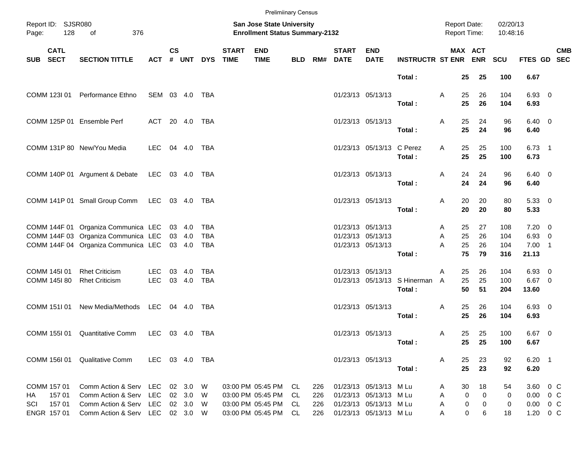|            |                                        |                                                                                                                   |                |                    |                            |                          |                             | <b>Prelimiinary Census</b>                                         |    |                   |                              |                                                                            |                                        |                                            |                                  |                      |                                            |            |
|------------|----------------------------------------|-------------------------------------------------------------------------------------------------------------------|----------------|--------------------|----------------------------|--------------------------|-----------------------------|--------------------------------------------------------------------|----|-------------------|------------------------------|----------------------------------------------------------------------------|----------------------------------------|--------------------------------------------|----------------------------------|----------------------|--------------------------------------------|------------|
| Page:      | Report ID: SJSR080<br>128<br>376<br>of |                                                                                                                   |                |                    |                            |                          |                             | San Jose State University<br><b>Enrollment Status Summary-2132</b> |    |                   |                              |                                                                            |                                        | <b>Report Date:</b><br><b>Report Time:</b> |                                  | 02/20/13<br>10:48:16 |                                            |            |
| <b>SUB</b> | <b>CATL</b><br><b>SECT</b>             | <b>SECTION TITTLE</b>                                                                                             | <b>ACT</b>     | $\mathsf{cs}$<br># |                            | UNT DYS                  | <b>START</b><br><b>TIME</b> | <b>END</b><br><b>TIME</b>                                          |    |                   | <b>START</b><br>BLD RM# DATE | <b>END</b><br><b>DATE</b>                                                  | <b>INSTRUCTR ST ENR ENR</b>            |                                            | MAX ACT                          | SCU                  | FTES GD SEC                                | <b>CMB</b> |
|            |                                        |                                                                                                                   |                |                    |                            |                          |                             |                                                                    |    |                   |                              |                                                                            | Total:                                 | 25                                         | 25                               | 100                  | 6.67                                       |            |
|            | COMM 123I 01                           | Performance Ethno                                                                                                 | SEM 03 4.0     |                    |                            | TBA                      |                             |                                                                    |    |                   |                              | 01/23/13 05/13/13                                                          | Total:                                 | Α<br>25<br>25                              | 26<br>26                         | 104<br>104           | 6.93 0<br>6.93                             |            |
|            |                                        | COMM 125P 01 Ensemble Perf                                                                                        | ACT 20 4.0     |                    |                            | TBA                      |                             |                                                                    |    |                   |                              | 01/23/13 05/13/13                                                          | Total:                                 | Α<br>25<br>25                              | 24<br>24                         | 96<br>96             | $6.40 \quad 0$<br>6.40                     |            |
|            |                                        | COMM 131P 80 New/You Media                                                                                        | LEC.           |                    | 04 4.0                     | TBA                      |                             |                                                                    |    |                   |                              | 01/23/13 05/13/13 C Perez                                                  | Total:                                 | 25<br>A<br>25                              | 25<br>25                         | 100<br>100           | $6.73$ 1<br>6.73                           |            |
|            |                                        | COMM 140P 01 Argument & Debate                                                                                    | LEC 03 4.0 TBA |                    |                            |                          |                             |                                                                    |    |                   |                              | 01/23/13 05/13/13                                                          | Total:                                 | Α<br>24<br>24                              | 24<br>24                         | 96<br>96             | $6.40 \quad 0$<br>6.40                     |            |
|            |                                        | COMM 141P 01 Small Group Comm                                                                                     | LEC 03 4.0 TBA |                    |                            |                          |                             |                                                                    |    |                   |                              | 01/23/13 05/13/13                                                          | Total:                                 | Α<br>20<br>20                              | 20<br>20                         | 80<br>80             | 5.33 0<br>5.33                             |            |
|            |                                        | COMM 144F 01 Organiza Communica LEC<br>COMM 144F 03 Organiza Communica LEC<br>COMM 144F 04 Organiza Communica LEC |                |                    | 03 4.0<br>03 4.0<br>03 4.0 | TBA<br><b>TBA</b><br>TBA |                             |                                                                    |    |                   |                              | 01/23/13 05/13/13<br>01/23/13 05/13/13<br>01/23/13 05/13/13                |                                        | 25<br>A<br>25<br>Α<br>25<br>A              | 27<br>26<br>26                   | 108<br>104<br>104    | $7.20 \t 0$<br>$6.93$ 0<br>$7.00$ 1        |            |
|            | COMM 145I 01                           | <b>Rhet Criticism</b>                                                                                             | <b>LEC</b>     | 03                 | -4.0                       | <b>TBA</b>               |                             |                                                                    |    |                   |                              | 01/23/13 05/13/13                                                          | Total:                                 | 75<br>25<br>A                              | 79<br>26                         | 316<br>104           | 21.13<br>6.93 0                            |            |
|            | COMM 145I 80                           | <b>Rhet Criticism</b>                                                                                             | <b>LEC</b>     |                    | 03 4.0                     | <b>TBA</b>               |                             |                                                                    |    |                   |                              |                                                                            | 01/23/13 05/13/13 S Hinerman<br>Total: | 25<br>$\overline{A}$<br>50                 | 25<br>51                         | 100<br>204           | $6.67$ 0<br>13.60                          |            |
|            | COMM 151I 01                           | New Media/Methods LEC 04 4.0                                                                                      |                |                    |                            | TBA                      |                             |                                                                    |    |                   |                              | 01/23/13 05/13/13                                                          | Total:                                 | Α<br>25<br>25                              | 26<br>26                         | 104<br>104           | 6.93 0<br>6.93                             |            |
|            | COMM 155I 01                           | <b>Quantitative Comm</b>                                                                                          | LEC 03 4.0     |                    |                            | TBA                      |                             |                                                                    |    |                   |                              | 01/23/13 05/13/13                                                          | Total:                                 | 25<br>A<br>25                              | 25<br>25                         | 100<br>100           | $6.67$ 0<br>6.67                           |            |
|            |                                        | COMM 156I 01 Qualitative Comm                                                                                     | LEC 03 4.0 TBA |                    |                            |                          |                             |                                                                    |    |                   |                              | 01/23/13 05/13/13                                                          | Total:                                 | 25<br>A<br>25                              | 23<br>23                         | 92<br>92             | $6.20$ 1<br>6.20                           |            |
| HA<br>SCI  | COMM 157 01<br>157 01<br>15701         | Comm Action & Serv LEC 02 3.0<br>Comm Action & Serv LEC<br>Comm Action & Serv LEC 02 3.0                          |                |                    | 02 3.0                     | - W<br>- W<br>W          |                             | 03:00 PM 05:45 PM CL<br>03:00 PM 05:45 PM<br>03:00 PM 05:45 PM CL  | CL | 226<br>226<br>226 |                              | 01/23/13 05/13/13 M Lu<br>01/23/13 05/13/13 M Lu<br>01/23/13 05/13/13 M Lu |                                        | 30<br>A<br>Α<br>A                          | 18<br>0<br>$\mathbf 0$<br>0<br>0 | 54<br>0<br>0         | 3.60 0 C<br>$0.00 \t 0 C$<br>$0.00 \t 0 C$ |            |
|            | ENGR 157 01                            | Comm Action & Serv LEC 02 3.0 W                                                                                   |                |                    |                            |                          |                             | 03:00 PM 05:45 PM CL                                               |    | 226               |                              | 01/23/13 05/13/13 M Lu                                                     |                                        | Α                                          | 0<br>6                           | 18                   | 1.20 0 C                                   |            |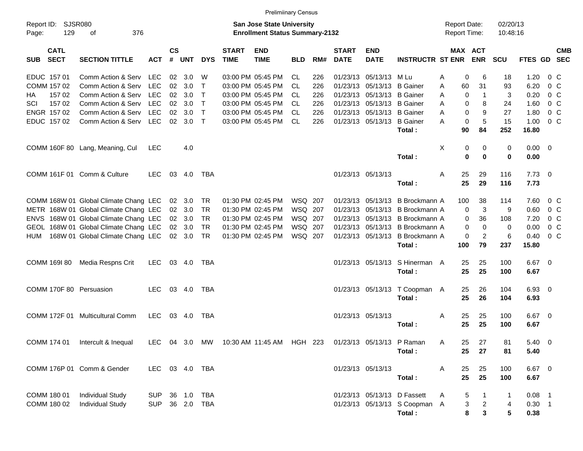|                     |                            |                                       |                |                    |                |                |                             | <b>Prelimiinary Census</b>                                         |            |     |                             |                           |                               |                                            |                |                      |             |                           |
|---------------------|----------------------------|---------------------------------------|----------------|--------------------|----------------|----------------|-----------------------------|--------------------------------------------------------------------|------------|-----|-----------------------------|---------------------------|-------------------------------|--------------------------------------------|----------------|----------------------|-------------|---------------------------|
| Report ID:<br>Page: | <b>SJSR080</b><br>129      | 376<br>оf                             |                |                    |                |                |                             | San Jose State University<br><b>Enrollment Status Summary-2132</b> |            |     |                             |                           |                               | <b>Report Date:</b><br><b>Report Time:</b> |                | 02/20/13<br>10:48:16 |             |                           |
| <b>SUB</b>          | <b>CATL</b><br><b>SECT</b> | <b>SECTION TITTLE</b>                 | <b>ACT</b>     | $\mathsf{cs}$<br># | <b>UNT</b>     | <b>DYS</b>     | <b>START</b><br><b>TIME</b> | <b>END</b><br><b>TIME</b>                                          | <b>BLD</b> | RM# | <b>START</b><br><b>DATE</b> | <b>END</b><br><b>DATE</b> | <b>INSTRUCTR ST ENR</b>       | <b>MAX ACT</b>                             | <b>ENR</b>     | <b>SCU</b>           |             | <b>CMB</b><br>FTES GD SEC |
|                     | EDUC 157 01                | Comm Action & Serv                    | LEC            | 02                 | 3.0            | W              |                             | 03:00 PM 05:45 PM                                                  | CL         | 226 |                             | 01/23/13 05/13/13         | M Lu                          | 0<br>A                                     | 6              | 18                   | 1.20        | 0 C                       |
|                     | COMM 157 02                | Comm Action & Serv                    | <b>LEC</b>     | 02                 | 3.0            | Т              |                             | 03:00 PM 05:45 PM                                                  | CL         | 226 | 01/23/13 05/13/13           |                           | <b>B</b> Gainer               | 60<br>Α                                    | 31             | 93                   | 6.20        | $0\,$ C                   |
| HA                  | 157 02                     | Comm Action & Serv                    | LEC            | 02                 | 3.0            | $\top$         |                             | 03:00 PM 05:45 PM                                                  | CL         | 226 | 01/23/13 05/13/13           |                           | <b>B</b> Gainer               | 0<br>A                                     | $\mathbf{1}$   | 3                    | 0.20        | $0\,$ C                   |
| SCI                 | 157 02                     | Comm Action & Serv                    | <b>LEC</b>     | 02                 | 3.0            | $\mathsf{T}$   |                             | 03:00 PM 05:45 PM                                                  | CL.        | 226 | 01/23/13 05/13/13           |                           | <b>B</b> Gainer               | A<br>0                                     | 8              | 24                   | 1.60        | $0\,$ C                   |
|                     | ENGR 157 02                | Comm Action & Serv                    | <b>LEC</b>     | 02                 | 3.0            | $\mathsf{T}$   |                             | 03:00 PM 05:45 PM                                                  | CL         | 226 | 01/23/13 05/13/13           |                           | <b>B</b> Gainer               | A<br>0                                     | 9              | 27                   | 1.80        | $0\,$ C                   |
|                     | EDUC 157 02                | Comm Action & Serv                    | LEC            |                    | $02 \quad 3.0$ | $\top$         |                             | 03:00 PM 05:45 PM                                                  | CL         | 226 |                             | 01/23/13 05/13/13         | <b>B</b> Gainer               | A<br>0                                     | 5              | 15                   | 1.00        | 0 <sup>o</sup>            |
|                     |                            |                                       |                |                    |                |                |                             |                                                                    |            |     |                             |                           | Total:                        | 90                                         | 84             | 252                  | 16.80       |                           |
|                     |                            | COMM 160F 80 Lang, Meaning, Cul       | <b>LEC</b>     |                    | 4.0            |                |                             |                                                                    |            |     |                             |                           |                               | X<br>0                                     | 0              | 0                    | $0.00 \t 0$ |                           |
|                     |                            |                                       |                |                    |                |                |                             |                                                                    |            |     |                             |                           | Total:                        | $\bf{0}$                                   | $\bf{0}$       | 0                    | 0.00        |                           |
|                     |                            | COMM 161F 01 Comm & Culture           | LEC.           | 03                 | 4.0            | TBA            |                             |                                                                    |            |     | 01/23/13 05/13/13           |                           |                               | 25<br>Α                                    | 29             | 116                  | $7.73 \t 0$ |                           |
|                     |                            |                                       |                |                    |                |                |                             |                                                                    |            |     |                             |                           | Total:                        | 25                                         | 29             | 116                  | 7.73        |                           |
|                     |                            | COMM 168W 01 Global Climate Chang LEC |                |                    | 02 3.0         | TR             |                             | 01:30 PM 02:45 PM                                                  | WSQ 207    |     |                             | 01/23/13 05/13/13         | B Brockmann A                 | 100                                        | 38             | 114                  | 7.60        | 0 C                       |
|                     |                            | METR 168W 01 Global Climate Chang LEC |                |                    | 02 3.0         | <b>TR</b>      |                             | 01:30 PM 02:45 PM                                                  | WSQ 207    |     | 01/23/13                    | 05/13/13                  | B Brockmann A                 | 0                                          | 3              | 9                    | 0.60        | $0\,$ C                   |
|                     |                            | ENVS 168W 01 Global Climate Chang LEC |                |                    | 02 3.0         | <b>TR</b>      |                             | 01:30 PM 02:45 PM                                                  | WSQ 207    |     |                             | 01/23/13 05/13/13         | B Brockmann A                 | 0                                          | 36             | 108                  | 7.20        | $0\,$ C                   |
|                     |                            | GEOL 168W 01 Global Climate Chang LEC |                |                    | 02 3.0         | TR             |                             | 01:30 PM 02:45 PM                                                  | WSQ 207    |     | 01/23/13                    | 05/13/13                  | B Brockmann A                 | 0                                          | $\mathbf 0$    | 0                    | 0.00        | 0 <sup>o</sup>            |
| <b>HUM</b>          |                            | 168W 01 Global Climate Chang LEC      |                |                    | 02 3.0         | TR             |                             | 01:30 PM 02:45 PM                                                  | WSQ 207    |     |                             | 01/23/13 05/13/13         | B Brockmann A                 | 0                                          | $\overline{c}$ | 6                    | 0.40        | 0 <sup>o</sup>            |
|                     |                            |                                       |                |                    |                |                |                             |                                                                    |            |     |                             |                           | Total:                        | 100                                        | 79             | 237                  | 15.80       |                           |
|                     | COMM 169I 80               | Media Respns Crit                     | LEC.           |                    | 03 4.0         | TBA            |                             |                                                                    |            |     |                             | 01/23/13 05/13/13         | S Hinerman A                  | 25                                         | 25             | 100                  | $6.67$ 0    |                           |
|                     |                            |                                       |                |                    |                |                |                             |                                                                    |            |     |                             |                           | Total:                        | 25                                         | 25             | 100                  | 6.67        |                           |
|                     |                            | COMM 170F 80 Persuasion               | LEC.           |                    | 03 4.0         | TBA            |                             |                                                                    |            |     |                             |                           | 01/23/13 05/13/13 T Coopman A | 25                                         | 26             | 104                  | 6.93 0      |                           |
|                     |                            |                                       |                |                    |                |                |                             |                                                                    |            |     |                             |                           | Total:                        | 25                                         | 26             | 104                  | 6.93        |                           |
|                     | COMM 172F 01               | <b>Multicultural Comm</b>             | LEC.           |                    | 03 4.0         | TBA            |                             |                                                                    |            |     | 01/23/13 05/13/13           |                           |                               | Α<br>25                                    | 25             | 100                  | $6.67$ 0    |                           |
|                     |                            |                                       |                |                    |                |                |                             |                                                                    |            |     |                             |                           | Total:                        | 25                                         | 25             | 100                  | 6.67        |                           |
|                     |                            | COMM 174 01 Intercult & Inequal       |                |                    |                |                |                             | LEC 04 3.0 MW 10:30 AM 11:45 AM HGH 223 01/23/13 05/13/13 P Raman  |            |     |                             |                           |                               | Α                                          | 25<br>27       | 81                   | 5.40 0      |                           |
|                     |                            |                                       |                |                    |                |                |                             |                                                                    |            |     |                             |                           | Total:                        | 25                                         | 27             | 81                   | 5.40        |                           |
|                     |                            | COMM 176P 01 Comm & Gender            | LEC 03 4.0 TBA |                    |                |                |                             |                                                                    |            |     |                             | 01/23/13 05/13/13         |                               | A<br>25                                    | 25             | 100                  | 6.67 0      |                           |
|                     |                            |                                       |                |                    |                |                |                             |                                                                    |            |     |                             |                           | Total:                        | 25                                         | 25             | 100                  | 6.67        |                           |
|                     | COMM 180 01                | <b>Individual Study</b>               |                |                    |                | SUP 36 1.0 TBA |                             |                                                                    |            |     |                             |                           | 01/23/13 05/13/13 D Fassett   | A<br>5                                     | 1              | $\mathbf{1}$         | $0.08$ 1    |                           |
|                     | COMM 180 02                | <b>Individual Study</b>               |                |                    |                | SUP 36 2.0 TBA |                             |                                                                    |            |     |                             |                           | 01/23/13 05/13/13 S Coopman A | 3                                          | $\overline{2}$ | 4                    | $0.30$ 1    |                           |
|                     |                            |                                       |                |                    |                |                |                             |                                                                    |            |     |                             |                           | Total:                        | 8                                          | $\mathbf{3}$   | 5                    | 0.38        |                           |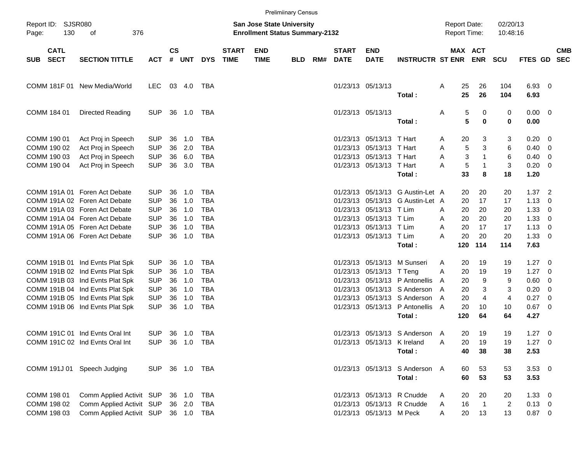|                                           |                                                                                                           |                                        |                |                   |                                        |                             |                                                                           | <b>Prelimiinary Census</b> |     |                                  |                                                                         |                                                              |             |                     |                                      |                            |                                      |                                        |                          |
|-------------------------------------------|-----------------------------------------------------------------------------------------------------------|----------------------------------------|----------------|-------------------|----------------------------------------|-----------------------------|---------------------------------------------------------------------------|----------------------------|-----|----------------------------------|-------------------------------------------------------------------------|--------------------------------------------------------------|-------------|---------------------|--------------------------------------|----------------------------|--------------------------------------|----------------------------------------|--------------------------|
| Report ID: SJSR080<br>130<br>Page:        | 376<br>οf                                                                                                 |                                        |                |                   |                                        |                             | <b>San Jose State University</b><br><b>Enrollment Status Summary-2132</b> |                            |     |                                  |                                                                         |                                                              |             | <b>Report Date:</b> | <b>Report Time:</b>                  | 02/20/13<br>10:48:16       |                                      |                                        |                          |
| <b>CATL</b><br><b>SECT</b><br>SUB         | <b>SECTION TITTLE</b>                                                                                     | <b>ACT</b>                             | $\mathsf{cs}$  | # UNT             | <b>DYS</b>                             | <b>START</b><br><b>TIME</b> | <b>END</b><br><b>TIME</b>                                                 | <b>BLD</b>                 | RM# | <b>START</b><br><b>DATE</b>      | <b>END</b><br><b>DATE</b>                                               | <b>INSTRUCTR ST ENR</b>                                      |             |                     | MAX ACT<br><b>ENR</b>                | <b>SCU</b>                 | <b>FTES GD</b>                       |                                        | <b>CMB</b><br><b>SEC</b> |
|                                           | COMM 181F 01 New Media/World                                                                              | LEC.                                   |                | 03 4.0            | TBA                                    |                             |                                                                           |                            |     | 01/23/13 05/13/13                |                                                                         | Total:                                                       | Α           | 25<br>25            | 26<br>26                             | 104<br>104                 | 6.93 0<br>6.93                       |                                        |                          |
| COMM 184 01                               | <b>Directed Reading</b>                                                                                   | <b>SUP</b>                             | 36             | 1.0               | TBA                                    |                             |                                                                           |                            |     |                                  | 01/23/13 05/13/13                                                       | Total:                                                       | Α           | 5<br>5              | $\pmb{0}$<br>0                       | 0<br>$\mathbf 0$           | $0.00 \t 0$<br>0.00                  |                                        |                          |
| COMM 190 01<br>COMM 190 02<br>COMM 190 03 | Act Proj in Speech<br>Act Proj in Speech<br>Act Proj in Speech                                            | <b>SUP</b><br><b>SUP</b><br><b>SUP</b> | 36<br>36<br>36 | 1.0<br>2.0<br>6.0 | <b>TBA</b><br><b>TBA</b><br><b>TBA</b> |                             |                                                                           |                            |     | 01/23/13                         | 01/23/13 05/13/13 T Hart<br>05/13/13 T Hart<br>01/23/13 05/13/13 T Hart |                                                              | A<br>Α<br>Α | 20<br>5<br>3        | 3<br>3<br>$\mathbf{1}$               | 3<br>6<br>6                | 0.20<br>0.40<br>0.40                 | - 0<br>- 0<br>- 0                      |                          |
| COMM 190 04                               | Act Proj in Speech                                                                                        | <b>SUP</b>                             | 36             | 3.0               | <b>TBA</b>                             |                             |                                                                           |                            |     |                                  | 01/23/13 05/13/13 T Hart                                                | Total:                                                       | Α           | 5<br>33             | $\mathbf 1$<br>8                     | 3<br>18                    | 0.20<br>1.20                         | $\overline{\phantom{0}}$               |                          |
|                                           | COMM 191A 01 Foren Act Debate<br>COMM 191A 02 Foren Act Debate<br>COMM 191A 03 Foren Act Debate           | <b>SUP</b><br><b>SUP</b><br><b>SUP</b> | 36<br>36<br>36 | 1.0<br>1.0<br>1.0 | TBA<br><b>TBA</b><br><b>TBA</b>        |                             |                                                                           |                            |     | 01/23/13<br>01/23/13<br>01/23/13 | 05/13/13<br>05/13/13 T Lim                                              | 05/13/13 G Austin-Let A<br>G Austin-Let A                    | A           | 20<br>20<br>20      | 20<br>17<br>20                       | 20<br>17<br>20             | $1.37$ 2<br>1.13<br>1.33             | - 0<br>- 0                             |                          |
|                                           | COMM 191A 04 Foren Act Debate<br>COMM 191A 05 Foren Act Debate<br>COMM 191A 06 Foren Act Debate           | <b>SUP</b><br><b>SUP</b><br><b>SUP</b> | 36<br>36<br>36 | 1.0<br>1.0<br>1.0 | <b>TBA</b><br><b>TBA</b><br><b>TBA</b> |                             |                                                                           |                            |     | 01/23/13                         | 05/13/13 T Lim<br>01/23/13 05/13/13 T Lim<br>01/23/13 05/13/13 T Lim    |                                                              | A<br>A<br>Α | 20<br>20<br>20      | 20<br>17<br>20                       | 20<br>17<br>20             | 1.33<br>1.13<br>1.33                 | - 0<br>- 0<br>$\overline{\phantom{0}}$ |                          |
|                                           |                                                                                                           |                                        |                |                   |                                        |                             |                                                                           |                            |     |                                  |                                                                         | Total:                                                       |             | 120                 | 114                                  | 114                        | 7.63                                 |                                        |                          |
|                                           | COMM 191B 01 Ind Evnts Plat Spk<br>COMM 191B 02 Ind Evnts Plat Spk<br>COMM 191B 03 Ind Evnts Plat Spk     | <b>SUP</b><br><b>SUP</b><br><b>SUP</b> | 36<br>36<br>36 | 1.0<br>1.0<br>1.0 | <b>TBA</b><br><b>TBA</b><br><b>TBA</b> |                             |                                                                           |                            |     | 01/23/13<br>01/23/13<br>01/23/13 | 05/13/13<br>05/13/13 T Teng                                             | M Sunseri<br>05/13/13 P Antonellis                           | A<br>A<br>A | 20<br>20<br>20      | 19<br>19<br>9                        | 19<br>19<br>9              | $1.27 \t 0$<br>1.27<br>0.60          | - 0<br>- 0                             |                          |
|                                           | COMM 191B 04 Ind Evnts Plat Spk<br>COMM 191B 05 Ind Evnts Plat Spk<br>COMM 191B 06 Ind Evnts Plat Spk     | <b>SUP</b><br><b>SUP</b><br><b>SUP</b> | 36<br>36<br>36 | 1.0<br>1.0<br>1.0 | <b>TBA</b><br><b>TBA</b><br><b>TBA</b> |                             |                                                                           |                            |     | 01/23/13<br>01/23/13             | 01/23/13 05/13/13                                                       | 05/13/13 S Anderson<br>05/13/13 S Anderson<br>P Antonellis A | A<br>A      | 20<br>20<br>20      | 3<br>$\overline{4}$<br>10            | 3<br>4<br>10               | 0.20<br>0.27<br>$0.67$ 0             | - 0<br>- 0                             |                          |
|                                           | COMM 191C 01 Ind Evnts Oral Int                                                                           | SUP.                                   |                | 36 1.0            | TBA                                    |                             |                                                                           |                            |     |                                  |                                                                         | Total:<br>01/23/13 05/13/13 S Anderson A                     |             | 120<br>20           | 64<br>19                             | 64<br>19                   | 4.27<br>$1.27 \t 0$                  |                                        |                          |
|                                           | COMM 191C 02 Ind Evnts Oral Int                                                                           | SUP 36 1.0 TBA                         |                |                   |                                        |                             |                                                                           |                            |     |                                  | 01/23/13 05/13/13 K Ireland                                             | Total:                                                       | Α           | 20<br>40            | 19<br>38                             | 19<br>38                   | $1.27 \t 0$<br>2.53                  |                                        |                          |
|                                           | COMM 191J 01 Speech Judging                                                                               | SUP 36 1.0 TBA                         |                |                   |                                        |                             |                                                                           |                            |     |                                  |                                                                         | 01/23/13 05/13/13 S Anderson A<br>Total:                     |             | 60<br>60            | 53<br>53                             | 53<br>53                   | $3.53 \ 0$<br>3.53                   |                                        |                          |
| COMM 198 01<br>COMM 198 02<br>COMM 198 03 | Comm Applied Activit SUP 36 1.0<br>Comm Applied Activit SUP 36 2.0<br>Comm Applied Activit SUP 36 1.0 TBA |                                        |                |                   | TBA<br>TBA                             |                             |                                                                           |                            |     |                                  | 01/23/13 05/13/13 M Peck                                                | 01/23/13 05/13/13 R Cnudde<br>01/23/13 05/13/13 R Cnudde     | A<br>A<br>A | 20<br>16<br>20      | 20<br>$\overline{\phantom{1}}$<br>13 | 20<br>$\overline{c}$<br>13 | $1.33 \ 0$<br>$0.13 \ 0$<br>$0.87$ 0 |                                        |                          |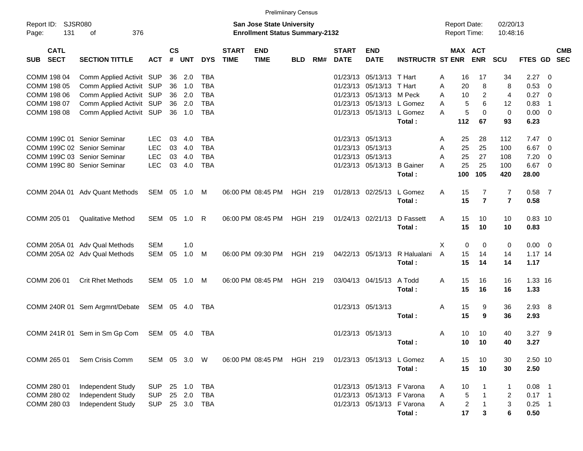|                                          |                                |              |                    |            |            |                             | <b>Prelimiinary Census</b>                                                |            |     |                             |                            |                               |   |                                     |                       |                      |                |                            |                          |
|------------------------------------------|--------------------------------|--------------|--------------------|------------|------------|-----------------------------|---------------------------------------------------------------------------|------------|-----|-----------------------------|----------------------------|-------------------------------|---|-------------------------------------|-----------------------|----------------------|----------------|----------------------------|--------------------------|
| Report ID: SJSR080<br>Page:              | 131<br>376<br>οf               |              |                    |            |            |                             | <b>San Jose State University</b><br><b>Enrollment Status Summary-2132</b> |            |     |                             |                            |                               |   | <b>Report Date:</b><br>Report Time: |                       | 02/20/13<br>10:48:16 |                |                            |                          |
| <b>CATL</b><br><b>SECT</b><br><b>SUB</b> | <b>SECTION TITTLE</b>          | <b>ACT</b>   | $\mathsf{cs}$<br># | <b>UNT</b> | <b>DYS</b> | <b>START</b><br><b>TIME</b> | <b>END</b><br><b>TIME</b>                                                 | <b>BLD</b> | RM# | <b>START</b><br><b>DATE</b> | <b>END</b><br><b>DATE</b>  | <b>INSTRUCTR ST ENR</b>       |   |                                     | MAX ACT<br><b>ENR</b> | SCU                  | <b>FTES GD</b> |                            | <b>CMB</b><br><b>SEC</b> |
| COMM 198 04                              | Comm Applied Activit SUP       |              |                    | 36 2.0     | <b>TBA</b> |                             |                                                                           |            |     | 01/23/13                    | 05/13/13 T Hart            |                               | A | 16                                  | 17                    | 34                   | 2.27           | - 0                        |                          |
| COMM 198 05                              | Comm Applied Activit SUP       |              | 36                 | 1.0        | <b>TBA</b> |                             |                                                                           |            |     | 01/23/13                    | 05/13/13 T Hart            |                               | A | 20                                  | 8                     | 8                    | 0.53           | $\overline{0}$             |                          |
| COMM 198 06                              | Comm Applied Activit SUP       |              | 36                 | 2.0        | <b>TBA</b> |                             |                                                                           |            |     | 01/23/13                    | 05/13/13 M Peck            |                               | A | 10                                  | $\overline{2}$        | $\overline{4}$       | 0.27           | - 0                        |                          |
| COMM 198 07                              | Comm Applied Activit SUP       |              | 36                 | 2.0        | <b>TBA</b> |                             |                                                                           |            |     | 01/23/13                    |                            | 05/13/13 L Gomez              | A | 5                                   | 6                     | 12                   | 0.83           | $\overline{1}$             |                          |
| COMM 198 08                              | Comm Applied Activit SUP       |              |                    | 36 1.0     | <b>TBA</b> |                             |                                                                           |            |     |                             | 01/23/13 05/13/13 L Gomez  |                               | A | 5                                   | $\Omega$              | $\mathbf 0$          | 0.00           | $\overline{\mathbf{0}}$    |                          |
|                                          |                                |              |                    |            |            |                             |                                                                           |            |     |                             |                            | Total:                        |   | 112                                 | 67                    | 93                   | 6.23           |                            |                          |
|                                          | COMM 199C 01 Senior Seminar    | <b>LEC</b>   | 03                 | 4.0        | <b>TBA</b> |                             |                                                                           |            |     |                             | 01/23/13 05/13/13          |                               | A | 25                                  | 28                    | 112                  | $7.47\ 0$      |                            |                          |
|                                          | COMM 199C 02 Senior Seminar    | LEC          | 03                 | 4.0        | <b>TBA</b> |                             |                                                                           |            |     | 01/23/13                    | 05/13/13                   |                               | A | 25                                  | 25                    | 100                  | 6.67           | - 0                        |                          |
|                                          | COMM 199C 03 Senior Seminar    | <b>LEC</b>   | 03                 | 4.0        | <b>TBA</b> |                             |                                                                           |            |     | 01/23/13                    | 05/13/13                   |                               | A | 25                                  | 27                    | 108                  | 7.20           | - 0                        |                          |
|                                          | COMM 199C 80 Senior Seminar    | <b>LEC</b>   | 03                 | 4.0        | <b>TBA</b> |                             |                                                                           |            |     |                             | 01/23/13 05/13/13 B Gainer |                               | A | 25                                  | 25                    | 100                  | 6.67           | $\overline{\phantom{0}}$   |                          |
|                                          |                                |              |                    |            |            |                             |                                                                           |            |     |                             |                            | Total:                        |   | 100                                 | 105                   | 420                  | 28.00          |                            |                          |
|                                          | COMM 204A 01 Adv Quant Methods | SEM 05 1.0   |                    |            | M          |                             | 06:00 PM 08:45 PM                                                         | HGH 219    |     |                             | 01/28/13 02/25/13          | L Gomez                       | Α | 15                                  | 7                     | 7                    | $0.58$ 7       |                            |                          |
|                                          |                                |              |                    |            |            |                             |                                                                           |            |     |                             |                            | Total:                        |   | 15                                  | $\overline{7}$        | $\overline{7}$       | 0.58           |                            |                          |
| COMM 205 01                              | <b>Qualitative Method</b>      | SEM 05       |                    | 1.0        | R          |                             | 06:00 PM 08:45 PM                                                         | HGH 219    |     |                             | 01/24/13 02/21/13          | D Fassett                     | A | 15                                  | 10                    | 10                   | $0.83$ 10      |                            |                          |
|                                          |                                |              |                    |            |            |                             |                                                                           |            |     |                             |                            | Total:                        |   | 15                                  | 10                    | 10                   | 0.83           |                            |                          |
|                                          | COMM 205A 01 Adv Qual Methods  | <b>SEM</b>   |                    | 1.0        |            |                             |                                                                           |            |     |                             |                            |                               | X | 0                                   | 0                     | 0                    | $0.00 \t 0$    |                            |                          |
|                                          | COMM 205A 02 Adv Qual Methods  | SEM          | 05                 | 1.0        | M          |                             | 06:00 PM 09:30 PM                                                         | HGH 219    |     |                             |                            | 04/22/13 05/13/13 R Halualani | A | 15                                  | 14                    | 14                   | 1.17 14        |                            |                          |
|                                          |                                |              |                    |            |            |                             |                                                                           |            |     |                             |                            | Total:                        |   | 15                                  | 14                    | 14                   | 1.17           |                            |                          |
| COMM 206 01                              | <b>Crit Rhet Methods</b>       | SEM 05       |                    | 1.0        | M          |                             | 06:00 PM 08:45 PM                                                         | HGH 219    |     |                             | 03/04/13 04/15/13          | A Todd                        | A | 15                                  | 16                    | 16                   | 1.33 16        |                            |                          |
|                                          |                                |              |                    |            |            |                             |                                                                           |            |     |                             |                            | Total:                        |   | 15                                  | 16                    | 16                   | 1.33           |                            |                          |
|                                          | COMM 240R 01 Sem Argmnt/Debate | SEM 05 4.0   |                    |            | TBA        |                             |                                                                           |            |     |                             | 01/23/13 05/13/13          |                               | A | 15                                  | 9                     | 36                   | $2.93$ 8       |                            |                          |
|                                          |                                |              |                    |            |            |                             |                                                                           |            |     |                             |                            | Total:                        |   | 15                                  | 9                     | 36                   | 2.93           |                            |                          |
|                                          | COMM 241R 01 Sem in Sm Gp Com  | SEM 05 4.0   |                    |            | TBA        |                             |                                                                           |            |     |                             | 01/23/13 05/13/13          |                               | A | 10                                  | 10                    | 40                   | $3.27$ 9       |                            |                          |
|                                          |                                |              |                    |            |            |                             |                                                                           |            |     |                             |                            | Total :                       |   | 10 <sub>1</sub>                     | 10                    | 40                   | 3.27           |                            |                          |
| COMM 265 01                              | Sem Crisis Comm                | SEM 05 3.0 W |                    |            |            |                             | 06:00 PM 08:45 PM                                                         | HGH 219    |     |                             | 01/23/13 05/13/13 L Gomez  |                               | A | 15                                  | 10                    | 30                   | 2.50 10        |                            |                          |
|                                          |                                |              |                    |            |            |                             |                                                                           |            |     |                             |                            | Total:                        |   | 15                                  | 10                    | 30                   | 2.50           |                            |                          |
| COMM 280 01                              | Independent Study              | <b>SUP</b>   | 25                 | 1.0        | <b>TBA</b> |                             |                                                                           |            |     |                             | 01/23/13 05/13/13 F Varona |                               | A | 10                                  | -1                    | 1                    | 0.08           | $\overline{\phantom{1}}$   |                          |
| COMM 280 02                              | Independent Study              | <b>SUP</b>   | 25                 | 2.0        | <b>TBA</b> |                             |                                                                           |            |     |                             | 01/23/13 05/13/13 F Varona |                               | Α | 5                                   | $\overline{1}$        | 2                    | $0.17$ 1       |                            |                          |
| COMM 280 03                              | Independent Study              | <b>SUP</b>   |                    | 25 3.0     | TBA        |                             |                                                                           |            |     |                             |                            | 01/23/13 05/13/13 F Varona    | A | $\boldsymbol{2}$                    | $\overline{1}$        | 3                    | 0.25           | $\overline{\phantom{0}}$ 1 |                          |
|                                          |                                |              |                    |            |            |                             |                                                                           |            |     |                             |                            | Total:                        |   | 17                                  | 3                     | 6                    | 0.50           |                            |                          |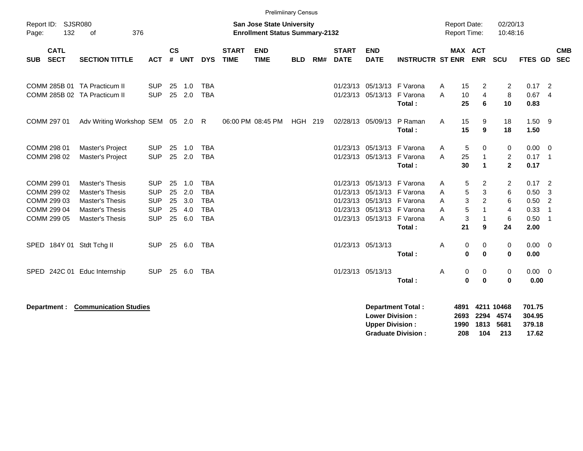|                                                                         |                                                                                                           |                                                                    |                            |                                 |                                                                    |                             | <b>Prelimiinary Census</b>                                                |            |     |                                              |                                                                      |                                                       |                       |                                            |                                                                          |                                                |                                              |                                                                                      |                          |
|-------------------------------------------------------------------------|-----------------------------------------------------------------------------------------------------------|--------------------------------------------------------------------|----------------------------|---------------------------------|--------------------------------------------------------------------|-----------------------------|---------------------------------------------------------------------------|------------|-----|----------------------------------------------|----------------------------------------------------------------------|-------------------------------------------------------|-----------------------|--------------------------------------------|--------------------------------------------------------------------------|------------------------------------------------|----------------------------------------------|--------------------------------------------------------------------------------------|--------------------------|
| Report ID: SJSR080<br>132<br>Page:                                      | 376<br>of                                                                                                 |                                                                    |                            |                                 |                                                                    |                             | <b>San Jose State University</b><br><b>Enrollment Status Summary-2132</b> |            |     |                                              |                                                                      |                                                       |                       | <b>Report Date:</b><br><b>Report Time:</b> |                                                                          | 02/20/13<br>10:48:16                           |                                              |                                                                                      |                          |
| <b>CATL</b><br><b>SECT</b><br><b>SUB</b>                                | <b>SECTION TITTLE</b>                                                                                     | <b>ACT</b>                                                         | $\mathsf{cs}$<br>#         | <b>UNT</b>                      | <b>DYS</b>                                                         | <b>START</b><br><b>TIME</b> | <b>END</b><br><b>TIME</b>                                                 | <b>BLD</b> | RM# | <b>START</b><br><b>DATE</b>                  | <b>END</b><br><b>DATE</b>                                            | <b>INSTRUCTR ST ENR</b>                               |                       | MAX ACT                                    | <b>ENR</b>                                                               | <b>SCU</b>                                     | FTES GD                                      |                                                                                      | <b>CMB</b><br><b>SEC</b> |
| COMM 285B 01 TA Practicum II<br>COMM 285B 02 TA Practicum II            |                                                                                                           | <b>SUP</b><br><b>SUP</b>                                           | 25<br>25                   | 1.0<br>2.0                      | <b>TBA</b><br><b>TBA</b>                                           |                             |                                                                           |            |     |                                              | 01/23/13 05/13/13 F Varona<br>01/23/13 05/13/13 F Varona             | Total:                                                | Α<br>A                | 15<br>10<br>25                             | $\overline{2}$<br>4<br>6                                                 | 2<br>8<br>10                                   | $0.17$ 2<br>0.67<br>0.83                     | $\overline{4}$                                                                       |                          |
| COMM 297 01                                                             | Adv Writing Workshop SEM 05 2.0 R                                                                         |                                                                    |                            |                                 |                                                                    |                             | 06:00 PM 08:45 PM                                                         | HGH 219    |     |                                              | 02/28/13 05/09/13                                                    | P Raman<br>Total:                                     | A                     | 15<br>15                                   | 9<br>9                                                                   | 18<br>18                                       | $1.50$ 9<br>1.50                             |                                                                                      |                          |
| COMM 298 01<br>COMM 298 02                                              | Master's Project<br>Master's Project                                                                      | <b>SUP</b><br><b>SUP</b>                                           | 25<br>25                   | 1.0<br>2.0                      | <b>TBA</b><br><b>TBA</b>                                           |                             |                                                                           |            |     |                                              | 01/23/13 05/13/13 F Varona<br>01/23/13 05/13/13 F Varona             | Total:                                                | A<br>A                | 5<br>25<br>30                              | 0<br>$\overline{1}$<br>$\mathbf{1}$                                      | 0<br>$\overline{2}$<br>$\overline{\mathbf{2}}$ | 0.00<br>$0.17$ 1<br>0.17                     | $\overline{\phantom{0}}$                                                             |                          |
| COMM 299 01<br>COMM 299 02<br>COMM 299 03<br>COMM 299 04<br>COMM 299 05 | <b>Master's Thesis</b><br>Master's Thesis<br>Master's Thesis<br><b>Master's Thesis</b><br>Master's Thesis | <b>SUP</b><br><b>SUP</b><br><b>SUP</b><br><b>SUP</b><br><b>SUP</b> | 25<br>25<br>25<br>25<br>25 | 1.0<br>2.0<br>3.0<br>4.0<br>6.0 | <b>TBA</b><br><b>TBA</b><br><b>TBA</b><br><b>TBA</b><br><b>TBA</b> |                             |                                                                           |            |     | 01/23/13<br>01/23/13<br>01/23/13<br>01/23/13 | 01/23/13 05/13/13 F Varona<br>05/13/13 F Varona<br>05/13/13 F Varona | 05/13/13 F Varona<br>05/13/13 F Varona<br>Total:      | A<br>A<br>A<br>A<br>A | 5<br>5<br>3<br>5<br>3<br>21                | 2<br>$\sqrt{3}$<br>$\overline{c}$<br>$\mathbf{1}$<br>$\overline{1}$<br>9 | $\overline{2}$<br>6<br>6<br>4<br>6<br>24       | 0.17<br>0.50<br>0.50<br>0.33<br>0.50<br>2.00 | $\overline{\phantom{0}}$<br>-3<br>$\overline{2}$<br>$\overline{1}$<br>$\overline{1}$ |                          |
| SPED 184Y 01 Stdt Tchg II                                               |                                                                                                           | <b>SUP</b>                                                         | 25                         | 6.0                             | <b>TBA</b>                                                         |                             |                                                                           |            |     |                                              | 01/23/13 05/13/13                                                    | Total:                                                | Α                     | 0<br>$\bf{0}$                              | 0<br>$\bf{0}$                                                            | 0<br>$\bf{0}$                                  | 0.00<br>0.00                                 | $\overline{\phantom{0}}$                                                             |                          |
| SPED                                                                    | 242C 01 Educ Internship                                                                                   | <b>SUP</b>                                                         | 25                         | 6.0                             | TBA                                                                |                             |                                                                           |            |     |                                              | 01/23/13 05/13/13                                                    | Total:                                                | A                     | 0<br>$\bf{0}$                              | 0<br>$\mathbf 0$                                                         | 0<br>0                                         | $0.00 \t 0$<br>0.00                          |                                                                                      |                          |
| Department :                                                            | <b>Communication Studies</b>                                                                              |                                                                    |                            |                                 |                                                                    |                             |                                                                           |            |     |                                              | <b>Lower Division:</b><br><b>Upper Division:</b>                     | <b>Department Total:</b><br><b>Graduate Division:</b> |                       | 4891<br>2693<br>1990<br>208                | 2294<br>1813<br>104                                                      | 4211 10468<br>4574<br>5681<br>213              | 701.75<br>304.95<br>379.18<br>17.62          |                                                                                      |                          |

**Graduate Division : 208 104 213 17.62**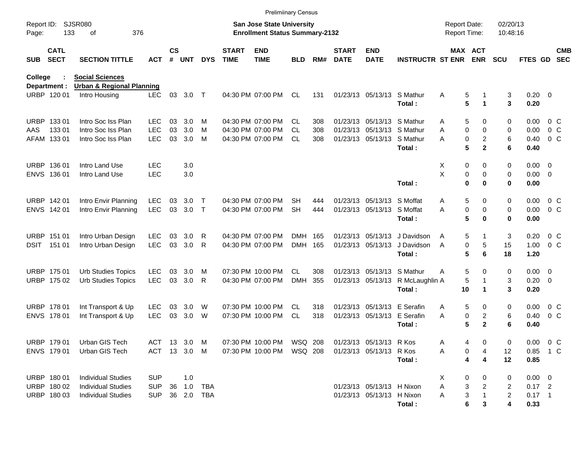|                     |                             |                                                       |              |                             |            |              |                             | <b>Prelimiinary Census</b>                                                |            |     |                             |                           |                         |                                     |                       |                      |                    |                          |
|---------------------|-----------------------------|-------------------------------------------------------|--------------|-----------------------------|------------|--------------|-----------------------------|---------------------------------------------------------------------------|------------|-----|-----------------------------|---------------------------|-------------------------|-------------------------------------|-----------------------|----------------------|--------------------|--------------------------|
| Report ID:<br>Page: | 133                         | <b>SJSR080</b><br>376<br>оf                           |              |                             |            |              |                             | <b>San Jose State University</b><br><b>Enrollment Status Summary-2132</b> |            |     |                             |                           |                         | <b>Report Date:</b><br>Report Time: |                       | 02/20/13<br>10:48:16 |                    |                          |
| <b>SUB</b>          | <b>CATL</b><br><b>SECT</b>  | <b>SECTION TITTLE</b>                                 | <b>ACT</b>   | $\mathsf{cs}$<br>$\pmb{\#}$ | <b>UNT</b> | <b>DYS</b>   | <b>START</b><br><b>TIME</b> | <b>END</b><br><b>TIME</b>                                                 | <b>BLD</b> | RM# | <b>START</b><br><b>DATE</b> | <b>END</b><br><b>DATE</b> | <b>INSTRUCTR ST ENR</b> |                                     | MAX ACT<br><b>ENR</b> | <b>SCU</b>           | FTES GD            | <b>CMB</b><br><b>SEC</b> |
| <b>College</b>      |                             | <b>Social Sciences</b>                                |              |                             |            |              |                             |                                                                           |            |     |                             |                           |                         |                                     |                       |                      |                    |                          |
|                     | Department :<br>URBP 120 01 | <b>Urban &amp; Regional Planning</b><br>Intro Housing | <b>LEC</b>   | 03                          | 3.0        | $\top$       |                             | 04:30 PM 07:00 PM                                                         | CL.        | 131 |                             | 01/23/13 05/13/13         | S Mathur<br>Total:      | Α<br>5<br>5                         | 1<br>1                | 3<br>3               | $0.20 \ 0$<br>0.20 |                          |
| <b>URBP</b>         | 13301                       | Intro Soc Iss Plan                                    | <b>LEC</b>   | 03                          | 3.0        | м            |                             | 04:30 PM 07:00 PM                                                         | CL.        | 308 |                             | 01/23/13 05/13/13         | S Mathur                | 5<br>Α                              | 0                     | 0                    | 0.00               | 0 <sup>o</sup>           |
| AAS                 | 133 01                      | Intro Soc Iss Plan                                    | <b>LEC</b>   | 03                          | 3.0        | м            |                             | 04:30 PM 07:00 PM                                                         | СL         | 308 |                             | 01/23/13 05/13/13         | S Mathur                | 0<br>Α                              | 0                     | 0                    | 0.00               | 0 <sup>o</sup>           |
|                     | AFAM 133 01                 | Intro Soc Iss Plan                                    | <b>LEC</b>   | 03                          | 3.0        | M            |                             | 04:30 PM 07:00 PM                                                         | CL         | 308 |                             | 01/23/13 05/13/13         | S Mathur                | 0<br>Α                              | $\overline{c}$        | 6                    | 0.40               | 0 C                      |
|                     |                             |                                                       |              |                             |            |              |                             |                                                                           |            |     |                             |                           | Total:                  | 5                                   | $\mathbf{2}$          | 6                    | 0.40               |                          |
| <b>URBP</b>         | 136 01                      | Intro Land Use                                        | <b>LEC</b>   |                             | 3.0        |              |                             |                                                                           |            |     |                             |                           |                         | X<br>0                              | 0                     | 0                    | 0.00               | $\overline{\mathbf{0}}$  |
| <b>ENVS</b>         | 136 01                      | Intro Land Use                                        | <b>LEC</b>   |                             | 3.0        |              |                             |                                                                           |            |     |                             |                           |                         | Χ<br>0                              | 0                     | 0                    | 0.00               | $\overline{0}$           |
|                     |                             |                                                       |              |                             |            |              |                             |                                                                           |            |     |                             |                           | Total:                  | 0                                   | $\bf{0}$              | 0                    | 0.00               |                          |
|                     | URBP 142 01                 | Intro Envir Planning                                  | <b>LEC</b>   | 03                          | 3.0        | Т            |                             | 04:30 PM 07:00 PM                                                         | SН         | 444 |                             | 01/23/13 05/13/13         | S Moffat                | Α<br>5                              | 0                     | 0                    | 0.00               | 0 <sup>o</sup>           |
|                     | ENVS 142 01                 | Intro Envir Planning                                  | <b>LEC</b>   | 03                          | 3.0        | $\mathsf{T}$ |                             | 04:30 PM 07:00 PM                                                         | <b>SH</b>  | 444 |                             | 01/23/13 05/13/13         | S Moffat                | A<br>0                              | 0                     | 0                    | 0.00               | 0 <sup>o</sup>           |
|                     |                             |                                                       |              |                             |            |              |                             |                                                                           |            |     |                             |                           | Total:                  | 5                                   | 0                     | 0                    | 0.00               |                          |
|                     | URBP 151 01                 | Intro Urban Design                                    | LEC          | 03                          | 3.0        | R            |                             | 04:30 PM 07:00 PM                                                         | DMH        | 165 |                             | 01/23/13 05/13/13         | J Davidson              | 5<br>A                              | 1                     | 3                    | 0.20               | 0 <sup>o</sup>           |
| DSIT                | 151 01                      | Intro Urban Design                                    | <b>LEC</b>   | 03                          | 3.0        | R            |                             | 04:30 PM 07:00 PM                                                         | <b>DMH</b> | 165 |                             | 01/23/13 05/13/13         | J Davidson              | 0<br>Α                              | 5                     | 15                   | 1.00               | 0 <sup>o</sup>           |
|                     |                             |                                                       |              |                             |            |              |                             |                                                                           |            |     |                             |                           | Total:                  | 5                                   | 6                     | 18                   | 1.20               |                          |
|                     | URBP 175 01                 | <b>Urb Studies Topics</b>                             | <b>LEC</b>   | 03                          | 3.0        | M            |                             | 07:30 PM 10:00 PM                                                         | <b>CL</b>  | 308 |                             | 01/23/13 05/13/13         | S Mathur                | 5<br>Α                              | 0                     | 0                    | 0.00               | $\overline{\mathbf{0}}$  |
|                     | URBP 175 02                 | <b>Urb Studies Topics</b>                             | LEC          | 03                          | 3.0        | R            |                             | 04:30 PM 07:00 PM                                                         | <b>DMH</b> | 355 |                             | 01/23/13 05/13/13         | R McLaughlin A          | 5                                   | $\mathbf 1$           | 3                    | 0.20               | $\overline{0}$           |
|                     |                             |                                                       |              |                             |            |              |                             |                                                                           |            |     |                             |                           | Total:                  | 10                                  | 1                     | 3                    | 0.20               |                          |
|                     | URBP 178 01                 | Int Transport & Up                                    | <b>LEC</b>   | 03                          | 3.0        | W            |                             | 07:30 PM 10:00 PM                                                         | CL         | 318 |                             | 01/23/13 05/13/13         | E Serafin               | 5<br>Α                              | 0                     | 0                    | 0.00               | 0 <sup>o</sup>           |
|                     | ENVS 178 01                 | Int Transport & Up                                    | <b>LEC</b>   | 03                          | 3.0        | W            |                             | 07:30 PM 10:00 PM                                                         | CL         | 318 |                             | 01/23/13 05/13/13         | E Serafin               | 0<br>A                              | 2                     | 6                    | 0.40               | 0 <sup>o</sup>           |
|                     |                             |                                                       |              |                             |            |              |                             |                                                                           |            |     |                             |                           | Total:                  | 5                                   | $\mathbf{2}$          | 6                    | 0.40               |                          |
|                     | URBP 179 01                 | Urban GIS Tech                                        | ACT 13 3.0 M |                             |            |              |                             | 07:30 PM 10:00 PM                                                         | WSQ 208    |     |                             | 01/23/13 05/13/13 R Kos   |                         | А<br>4                              | 0                     | 0                    | $0.00 \t 0 C$      |                          |
|                     | ENVS 179 01                 | Urban GIS Tech                                        | ACT 13 3.0 M |                             |            |              |                             | 07:30 PM 10:00 PM                                                         | WSQ 208    |     |                             | 01/23/13 05/13/13         | R Kos                   | 0<br>Α                              | 4                     | 12                   | 0.85 1 C           |                          |
|                     |                             |                                                       |              |                             |            |              |                             |                                                                           |            |     |                             |                           | Total:                  | 4                                   | 4                     | 12                   | 0.85               |                          |
|                     | URBP 180 01                 | <b>Individual Studies</b>                             | <b>SUP</b>   |                             | 1.0        |              |                             |                                                                           |            |     |                             |                           |                         | X<br>0                              | 0                     | 0                    | $0.00 \t 0$        |                          |
|                     | URBP 180 02                 | <b>Individual Studies</b>                             | <b>SUP</b>   |                             | 36 1.0     | TBA          |                             |                                                                           |            |     |                             | 01/23/13 05/13/13 H Nixon |                         | 3<br>Α                              | 2                     | 2                    | $0.17$ 2           |                          |
|                     | URBP 180 03                 | <b>Individual Studies</b>                             | <b>SUP</b>   |                             | 36 2.0     | TBA          |                             |                                                                           |            |     |                             | 01/23/13 05/13/13 H Nixon |                         | 3<br>Α                              |                       | $\overline{2}$       | $0.17$ 1           |                          |
|                     |                             |                                                       |              |                             |            |              |                             |                                                                           |            |     |                             |                           | Total:                  | 6                                   | 3                     | 4                    | 0.33               |                          |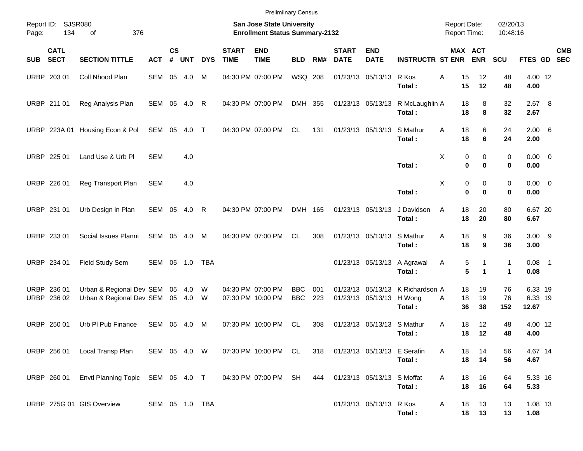URBP 203 01 Coll Nhood Plan SEM 05 4.0 M 04:30 PM 07:00 PM WSQ 208 01/23/13 05/13/13 R Kos A 15 12 48 4.00 12 **Total : 15 12 48 4.00** URBP 211 01 Reg Analysis Plan SEM 05 4.0 R 04:30 PM 07:00 PM DMH 355 01/23/13 05/13/13 R McLaughlin A 18 8 32 2.67 8 **Total : 18 8 32 2.67** URBP 223A 01 Housing Econ & Pol SEM 05 4.0 T 04:30 PM 07:00 PM CL 131 01/23/13 05/13/13 S Mathur A 18 6 24 2.00 6 **Total : 18 6 24 2.00** URBP 225 01 Land Use & Urb Pl SEM 4.0 X 0 0 0 0.00 0 **Total : 0 0 0 0.00** URBP 226 01 Reg Transport Plan SEM 4.0 X 0 0 0 0.00 0 **Total : 0 0 0 0.00** URBP 231 01 Urb Design in Plan SEM 05 4.0 R 04:30 PM 07:00 PM DMH 165 01/23/13 05/13/13 J Davidson A 18 20 80 6.67 20 **Total : 18 20 80 6.67** URBP 233 01 Social Issues Planni SEM 05 4.0 M 04:30 PM 07:00 PM CL 308 01/23/13 05/13/13 S Mathur A 18 9 36 3.00 9 **Total : 18 9 36 3.00** URBP 234 01 Field Study Sem SEM 05 1.0 TBA 000 01/23/13 05/13/13 A Agrawal A 5 1 1 0.08 1 **Total : 5 1 1 0.08** URBP 236 01 Urban & Regional Dev SEM 05 4.0 W 04:30 PM 07:00 PM BBC 001 01/23/13 05/13/13 K Richardson A 18 19 76 6.33 19 URBP 236 02 Urban & Regional Dev SEM 05 4.0 W 07:30 PM 10:00 PM BBC 223 01/23/13 05/13/13 H Wong A 18 19 76 6.33 19 **Total : 36 38 152 12.67** URBP 250 01 Urb Pl Pub Finance SEM 05 4.0 M 07:30 PM 10:00 PM CL 308 01/23/13 05/13/13 S Mathur A 18 12 48 4.00 12 **Total : 18 12 48 4.00** URBP 256 01 Local Transp Plan SEM 05 4.0 W 07:30 PM 10:00 PM CL 318 01/23/13 05/13/13 E Serafin A 18 14 56 4.67 14 **Total : 18 14 56 4.67** URBP 260 01 Envtl Planning Topic SEM 05 4.0 T 04:30 PM 07:00 PM SH 444 01/23/13 05/13/13 S Moffat A 18 16 64 5.33 16 **Total : 18 16 64 5.33** URBP 275G 01 GIS Overview SEM 05 1.0 TBA 01/23/13 05/13/13 R Kos A 18 13 13 1.08 13 **Total : 18 13 13 1.08** Report ID: SJSR080 **San Jose State University San Jose State University San Jose State University Report Date:** 02/20/13 Page: 134 of 376 **Enrollment Status Summary-2132** Report Time: 10:48:16 **CATL CS START END START END MAX ACT CMB SUB SECT SECTION TITTLE ACT # UNT DYS TIME TIME BLD RM# DATE DATE INSTRUCTR ST ENR ENR SCU FTES GD SEC** Prelimiinary Census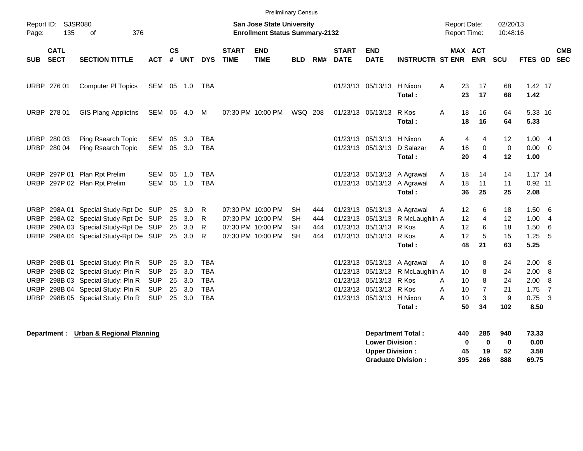|                                                          | <b>Prelimiinary Census</b> |                                                                                                                                                                   |                                                                    |                |                                       |                                                             |                             |                                                                                  |                                           |                          |                             |                                                                                              |                                                                                      |                                                      |                                          |                                  |                                              |                                                              |            |
|----------------------------------------------------------|----------------------------|-------------------------------------------------------------------------------------------------------------------------------------------------------------------|--------------------------------------------------------------------|----------------|---------------------------------------|-------------------------------------------------------------|-----------------------------|----------------------------------------------------------------------------------|-------------------------------------------|--------------------------|-----------------------------|----------------------------------------------------------------------------------------------|--------------------------------------------------------------------------------------|------------------------------------------------------|------------------------------------------|----------------------------------|----------------------------------------------|--------------------------------------------------------------|------------|
| Page:                                                    | Report ID: SJSR080<br>135  | 376<br>оf                                                                                                                                                         |                                                                    |                |                                       |                                                             |                             | <b>San Jose State University</b><br><b>Enrollment Status Summary-2132</b>        |                                           |                          |                             |                                                                                              |                                                                                      | <b>Report Date:</b><br><b>Report Time:</b>           |                                          | 02/20/13<br>10:48:16             |                                              |                                                              |            |
| <b>SUB</b>                                               | <b>CATL</b><br><b>SECT</b> | <b>SECTION TITTLE</b>                                                                                                                                             | <b>ACT</b>                                                         | <b>CS</b>      | # UNT                                 | <b>DYS</b>                                                  | <b>START</b><br><b>TIME</b> | <b>END</b><br><b>TIME</b>                                                        | <b>BLD</b>                                | RM#                      | <b>START</b><br><b>DATE</b> | <b>END</b><br><b>DATE</b>                                                                    | <b>INSTRUCTR ST ENR</b>                                                              | MAX ACT                                              | <b>ENR</b>                               | <b>SCU</b>                       | FTES GD SEC                                  |                                                              | <b>CMB</b> |
|                                                          | URBP 276 01                | <b>Computer PI Topics</b>                                                                                                                                         | SEM 05 1.0                                                         |                |                                       | TBA                                                         |                             |                                                                                  |                                           |                          |                             | 01/23/13 05/13/13 H Nixon                                                                    | Total:                                                                               | A<br>23<br>23                                        | 17<br>17                                 | 68<br>68                         | 1.42 17<br>1.42                              |                                                              |            |
|                                                          | URBP 278 01                | <b>GIS Plang Applictns</b>                                                                                                                                        | SEM 05                                                             |                | 4.0                                   | М                                                           |                             | 07:30 PM 10:00 PM                                                                | <b>WSQ 208</b>                            |                          |                             | 01/23/13 05/13/13                                                                            | R Kos<br>Total:                                                                      | A<br>18<br>18                                        | 16<br>16                                 | 64<br>64                         | 5.33 16<br>5.33                              |                                                              |            |
|                                                          | URBP 280 03<br>URBP 280 04 | Ping Rsearch Topic<br>Ping Rsearch Topic                                                                                                                          | SEM<br>SEM                                                         | 05             | 3.0<br>05 3.0                         | TBA<br>TBA                                                  |                             |                                                                                  |                                           |                          |                             | 01/23/13 05/13/13<br>01/23/13 05/13/13                                                       | H Nixon<br>D Salazar<br>Total:                                                       | A<br>4<br>A<br>16<br>20                              | 4<br>0<br>4                              | 12<br>0<br>12                    | 1.00<br>$0.00 \t 0$<br>1.00                  | - 4                                                          |            |
|                                                          |                            | URBP 297P 01 Plan Rpt Prelim<br>URBP 297P 02 Plan Rpt Prelim                                                                                                      | SEM<br><b>SEM</b>                                                  | 05<br>05       | 1.0<br>1.0                            | <b>TBA</b><br><b>TBA</b>                                    |                             |                                                                                  |                                           |                          |                             |                                                                                              | 01/23/13 05/13/13 A Agrawal<br>01/23/13 05/13/13 A Agrawal<br>Total:                 | A<br>18<br>18<br>A<br>36                             | 14<br>11<br>25                           | 14<br>11<br>25                   | $1.17$ 14<br>0.92 11<br>2.08                 |                                                              |            |
|                                                          |                            | URBP 298A 01 Special Study-Rpt De SUP<br>URBP 298A 02 Special Study-Rpt De SUP<br>URBP 298A 03 Special Study-Rpt De SUP<br>URBP 298A 04 Special Study-Rpt De SUP  |                                                                    | 25<br>25       | 25 3.0<br>3.0<br>3.0<br>25 3.0        | R<br>R<br>R<br>R                                            |                             | 07:30 PM 10:00 PM<br>07:30 PM 10:00 PM<br>07:30 PM 10:00 PM<br>07:30 PM 10:00 PM | <b>SH</b><br>SН<br><b>SH</b><br><b>SH</b> | 444<br>444<br>444<br>444 |                             | 01/23/13 05/13/13<br>01/23/13 05/13/13<br>01/23/13 05/13/13 R Kos<br>01/23/13 05/13/13 R Kos | A Agrawal<br>R McLaughlin A<br>Total:                                                | 12<br>A<br>12<br>12<br>A<br>A<br>12<br>48            | 6<br>4<br>6<br>5<br>21                   | 18<br>12<br>18<br>15<br>63       | 1.50<br>1.00<br>1.50<br>1.25<br>5.25         | 6<br>- 4<br>6<br>5                                           |            |
| <b>URBP</b><br><b>URBP</b><br><b>URBP</b><br><b>URBP</b> |                            | URBP 298B 01 Special Study: Pln R<br>298B 02 Special Study: Pln R<br>298B 03 Special Study: Pln R<br>298B 04 Special Study: Pln R<br>298B 05 Special Study: Pln R | <b>SUP</b><br><b>SUP</b><br><b>SUP</b><br><b>SUP</b><br><b>SUP</b> | 25<br>25<br>25 | 3.0<br>3.0<br>3.0<br>25 3.0<br>25 3.0 | TBA<br><b>TBA</b><br><b>TBA</b><br><b>TBA</b><br><b>TBA</b> |                             |                                                                                  |                                           |                          |                             | 01/23/13 05/13/13<br>01/23/13 05/13/13<br>01/23/13 05/13/13<br>01/23/13 05/13/13             | 01/23/13 05/13/13 A Agrawal<br>R McLaughlin A<br>R Kos<br>R Kos<br>H Nixon<br>Total: | 10<br>A<br>10<br>10<br>A<br>A<br>10<br>A<br>10<br>50 | 8<br>8<br>8<br>$\overline{7}$<br>3<br>34 | 24<br>24<br>24<br>21<br>9<br>102 | 2.00<br>2.00<br>2.00<br>1.75<br>0.75<br>8.50 | - 8<br>-8<br>-8<br>$\overline{7}$<br>$\overline{\mathbf{3}}$ |            |
|                                                          | Department :               | <b>Urban &amp; Regional Planning</b>                                                                                                                              |                                                                    |                |                                       |                                                             |                             |                                                                                  |                                           |                          |                             | <b>Lower Division:</b><br><b>Upper Division:</b>                                             | <b>Department Total:</b>                                                             | 440<br>0<br>45                                       | 285<br>0<br>19                           | 940<br>0<br>52                   | 73.33<br>0.00<br>3.58                        |                                                              |            |

**Graduate Division : 395 266 888 69.75**